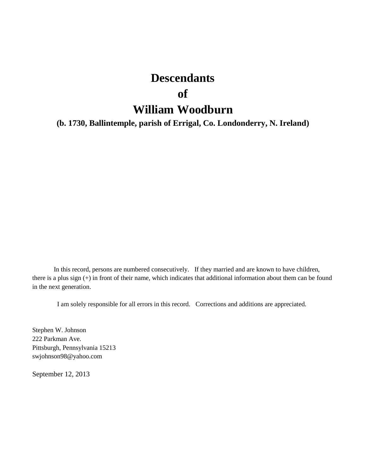# **Descendants**

### **of**

# **William Woodburn**

**(b. 1730, Ballintemple, parish of Errigal, Co. Londonderry, N. Ireland)**

In this record, persons are numbered consecutively. If they married and are known to have children, there is a plus sign (+) in front of their name, which indicates that additional information about them can be found in the next generation.

I am solely responsible for all errors in this record. Corrections and additions are appreciated.

Stephen W. Johnson 222 Parkman Ave. Pittsburgh, Pennsylvania 15213 swjohnson98@yahoo.com

September 12, 2013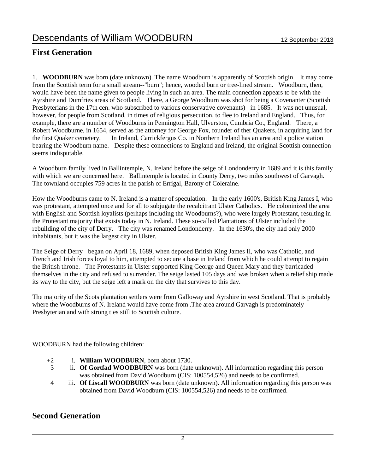### **First Generation**

1. **WOODBURN** was born (date unknown). The name Woodburn is apparently of Scottish origin. It may come from the Scottish term for a small stream--"burn"; hence, wooded burn or tree-lined stream. Woodburn, then, would have been the name given to people living in such an area. The main connection appears to be with the Ayrshire and Dumfries areas of Scotland. There, a George Woodburn was shot for being a Covenanter (Scottish Presbyterians in the 17th cen. who subscribed to various conservative covenants) in 1685. It was not unusual, however, for people from Scotland, in times of religious persecution, to flee to Ireland and England. Thus, for example, there are a number of Woodburns in Pennington Hall, Ulverston, Cumbria Co., England. There, a Robert Woodburne, in 1654, served as the attorney for George Fox, founder of ther Quakers, in acquiring land for the first Quaker cemetery. In Ireland, Carrickfergus Co. in Northern Ireland has an area and a police station bearing the Woodburn name. Despite these connections to England and Ireland, the original Scottish connection seems indisputable.

A Woodburn family lived in Ballintemple, N. Ireland before the seige of Londonderry in 1689 and it is this family with which we are concerned here. Ballintemple is located in County Derry, two miles southwest of Garvagh. The townland occupies 759 acres in the parish of Errigal, Barony of Coleraine.

How the Woodburns came to N. Ireland is a matter of speculation. In the early 1600's, British King James I, who was protestant, attempted once and for all to subjugate the recalcitrant Ulster Catholics. He coloninized the area with English and Scottish loyalists (perhaps including the Woodburns?), who were largely Protestant, resulting in the Protestant majority that exists today in N. Ireland. These so-called Plantations of Ulster included the rebuilding of the city of Derry. The city was renamed Londonderry. In the 1630's, the city had only 2000 inhabitants, but it was the largest city in Ulster.

The Seige of Derry began on April 18, 1689, when deposed British King James II, who was Catholic, and French and Irish forces loyal to him, attempted to secure a base in Ireland from which he could attempt to regain the British throne. The Protestants in Ulster supported King George and Queen Mary and they barricaded themselves in the city and refused to surrender. The seige lasted 105 days and was broken when a relief ship made its way to the city, but the seige left a mark on the city that survives to this day.

The majority of the Scots plantation settlers were from Galloway and Ayrshire in west Scotland. That is probably where the Woodburns of N. Ireland would have come from .The area around Garvagh is predominately Presbyterian and with strong ties still to Scottish culture.

WOODBURN had the following children:

- +2 i. **William WOODBURN**, born about 1730.
- 3 ii. **Of Gortfad WOODBURN** was born (date unknown). All information regarding this person was obtained from David Woodburn (CIS: 100554,526) and needs to be confirmed.
- 4 iii. **Of Liscall WOODBURN** was born (date unknown). All information regarding this person was obtained from David Woodburn (CIS: 100554,526) and needs to be confirmed.

#### **Second Generation**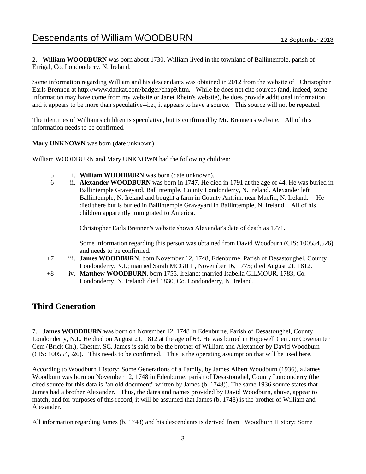2. **William WOODBURN** was born about 1730. William lived in the townland of Ballintemple, parish of Errigal, Co. Londonderry, N. Ireland.

Some information regarding William and his descendants was obtained in 2012 from the website of Christopher Earls Brennen at http://www.dankat.com/badger/chap9.htm. While he does not cite sources (and, indeed, some information may have come from my website or Janet Rhein's website), he does provide additional information and it appears to be more than speculative--i.e., it appears to have a source. This source will not be repeated.

The identities of William's children is speculative, but is confirmed by Mr. Brennen's website. All of this information needs to be confirmed.

**Mary UNKNOWN** was born (date unknown).

William WOODBURN and Mary UNKNOWN had the following children:

- 5 i. **William WOODBURN** was born (date unknown).
- 6 ii. **Alexander WOODBURN** was born in 1747. He died in 1791 at the age of 44. He was buried in Ballintemple Graveyard, Ballintemple, County Londonderry, N. Ireland. Alexander left Ballintemple, N. Ireland and bought a farm in County Antrim, near Macfin, N. Ireland. He died there but is buried in Ballintemple Graveyard in Ballintemple, N. Ireland. All of his children apparently immigrated to America.

Christopher Earls Brennen's website shows Alexendar's date of death as 1771.

Some information regarding this person was obtained from David Woodburn (CIS: 100554,526) and needs to be confirmed.

- +7 iii. **James WOODBURN**, born November 12, 1748, Edenburne, Parish of Desastoughel, County Londonderry, N.I.; married Sarah MCGILL, November 16, 1775; died August 21, 1812.
- +8 iv. **Matthew WOODBURN**, born 1755, Ireland; married Isabella GILMOUR, 1783, Co. Londonderry, N. Ireland; died 1830, Co. Londonderry, N. Ireland.

#### **Third Generation**

7. **James WOODBURN** was born on November 12, 1748 in Edenburne, Parish of Desastoughel, County Londonderry, N.I.. He died on August 21, 1812 at the age of 63. He was buried in Hopewell Cem. or Covenanter Cem (Brick Ch.), Chester, SC. James is said to be the brother of William and Alexander by David Woodburn (CIS: 100554,526). This needs to be confirmed. This is the operating assumption that will be used here.

According to Woodburn History; Some Generations of a Family, by James Albert Woodburn (1936), a James Woodburn was born on November 12, 1748 in Edenburne, parish of Desastoughel, County Londonderry (the cited source for this data is "an old document" written by James (b. 1748)). The same 1936 source states that James had a brother Alexander. Thus, the dates and names provided by David Woodburn, above, appear to match, and for purposes of this record, it will be assumed that James (b. 1748) is the brother of William and Alexander.

All information regarding James (b. 1748) and his descendants is derived from Woodburn History; Some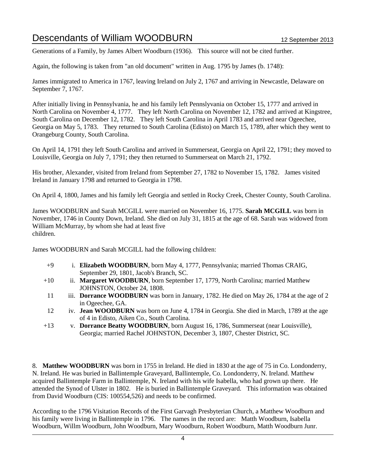Generations of a Family, by James Albert Woodburn (1936). This source will not be cited further.

Again, the following is taken from "an old document" written in Aug. 1795 by James (b. 1748):

James immigrated to America in 1767, leaving Ireland on July 2, 1767 and arriving in Newcastle, Delaware on September 7, 1767.

After initially living in Pennsylvania, he and his family left Pennslyvania on October 15, 1777 and arrived in North Carolina on November 4, 1777. They left North Carolina on November 12, 1782 and arrived at Kingstree, South Carolina on December 12, 1782. They left South Carolina in April 1783 and arrived near Ogeechee, Georgia on May 5, 1783. They returned to South Carolina (Edisto) on March 15, 1789, after which they went to Orangeburg County, South Carolina.

On April 14, 1791 they left South Carolina and arrived in Summerseat, Georgia on April 22, 1791; they moved to Louisville, Georgia on July 7, 1791; they then returned to Summerseat on March 21, 1792.

His brother, Alexander, visited from Ireland from September 27, 1782 to November 15, 1782. James visited Ireland in January 1798 and returned to Georgia in 1798.

On April 4, 1800, James and his family left Georgia and settled in Rocky Creek, Chester County, South Carolina.

James WOODBURN and Sarah MCGILL were married on November 16, 1775. **Sarah MCGILL** was born in November, 1746 in County Down, Ireland. She died on July 31, 1815 at the age of 68. Sarah was widowed from William McMurray, by whom she had at least five children.

James WOODBURN and Sarah MCGILL had the following children:

- +9 i. **Elizabeth WOODBURN**, born May 4, 1777, Pennsylvania; married Thomas CRAIG, September 29, 1801, Jacob's Branch, SC.
- +10 ii. **Margaret WOODBURN**, born September 17, 1779, North Carolina; married Matthew JOHNSTON, October 24, 1808.
	- 11 iii. **Dorrance WOODBURN** was born in January, 1782. He died on May 26, 1784 at the age of 2 in Ogeechee, GA.
	- 12 iv. **Jean WOODBURN** was born on June 4, 1784 in Georgia. She died in March, 1789 at the age of 4 in Edisto, Aiken Co., South Carolina.
- +13 v. **Dorrance Beatty WOODBURN**, born August 16, 1786, Summerseat (near Louisville), Georgia; married Rachel JOHNSTON, December 3, 1807, Chester District, SC.

8. **Matthew WOODBURN** was born in 1755 in Ireland. He died in 1830 at the age of 75 in Co. Londonderry, N. Ireland. He was buried in Ballintemple Graveyard, Ballintemple, Co. Londonderry, N. Ireland. Matthew acquired Ballintemple Farm in Ballintemple, N. Ireland with his wife Isabella, who had grown up there. He attended the Synod of Ulster in 1802. He is buried in Ballintemple Graveyard. This information was obtained from David Woodburn (CIS: 100554,526) and needs to be confirmed.

According to the 1796 Visitation Records of the First Garvagh Presbyterian Church, a Matthew Woodburn and his family were living in Ballintemple in 1796. The names in the record are: Matth Woodburn, Isabella Woodburn, Willm Woodburn, John Woodburn, Mary Woodburn, Robert Woodburn, Matth Woodburn Junr.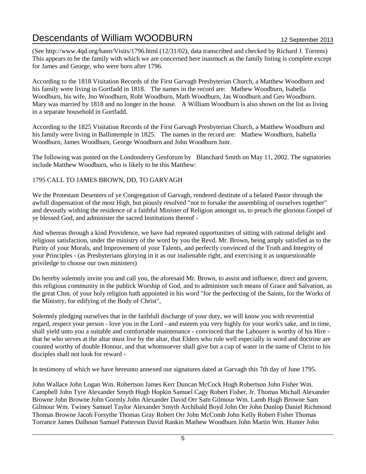(See http://www.4qd.org/bann/Visits/1796.html (12/31/02), data transcribed and checked by Richard J. Torrens) This appears to be the family with which we are concerned here inasmuch as the family listing is complete except for James and George, who were born after 1796.

According to the 1818 Visitation Records of the First Garvagh Presbyterian Church, a Matthew Woodburn and his family were living in Gortfadd in 1818. The names in the record are: Mathew Woodburn, Isabella Woodburn, his wife, Jno Woodburn, Robt Woodburn, Math Woodburn, Jas Woodburn and Geo Woodburn. Mary was married by 1818 and no longer in the house. A William Woodburn is also shown on the list as living in a separate household in Gortfadd.

According to the 1825 Visitation Records of the First Garvagh Presbyterian Church, a Matthew Woodburn and his family were living in Ballintemple in 1825. The names in the record are: Mathew Woodburn, Isabella Woodburn, James Woodburn, George Woodburn and John Woodburn Junr.

The following was posted on the Londonderry Genforum by Blanchard Smith on May 11, 2002. The signatories include Matthew Woodburn, who is likely to be this Matthew:

#### 1795 CALL TO JAMES BROWN, DD, TO GARVAGH

We the Protestant Desenters of ye Congregation of Garvagh, rendered destitute of a belated Pastor through the awfull dispensation of the most High, but piously resolved "not to forsake the assembling of ourselves together" and devoutly wishing the residence of a faithful Minister of Religion amongst us, to preach the glorious Gospel of ye blessed God, and administer the sacred Institutions thereof -

And whereas through a kind Providence, we have had repeated opportunities of sitting with rational delight and religious satisfaction, under the ministry of the word by you the Revd. Mr. Brown, being amply satisfied as to the Purity of your Morals, and Improvement of your Talents, and perfectly convinced of the Truth and Integrity of your Principles - (as Presbyterians glorying in it as our inalienable right, and exercising it as unquestionable priviledge to choose our own ministers)

Do hereby solemnly invite you and call you, the aforesaid Mr. Brown, to assist and influence, direct and govern, this religious community in the publick Worship of God, and to administer such means of Grace and Salvation, as the great Chm. of your holy religion hath appointed in his word "for the perfecting of the Saints, for the Works of the Ministry, for edifying of the Body of Christ",

Solemnly pledging ourselves that in the faithfull discharge of your duty, we will know you with reverential regard, respect your person - love you in the Lord - and esteem you very highly for your work's sake, and in time, shall yield unto you a suitable and comfortable maintenance - convinced that the Labourer is worthy of his Hire that he who serves at the altar must live by the altar, that Elders who rule well especially in word and doctrine are counted worthy of double Honour, and that whomsoever shall give but a cup of water in the name of Christ to his disciples shall not look for reward -

In testimony of which we have hereunto annexed our signatures dated at Garvagh this 7th day of June 1795.

John Wallace John Logan Wm. Robertson James Kerr Duncan McCock Hugh Robertson John Fisher Wm. Campbell John Tyre Alexander Smyth Hugh Hopkin Samuel Cagy Robert Fisher, Jr. Thomas Michall Alexander Browne John Browne John Gormly John Alexander David Orr Sam Gilmour Wm. Lamb Hugh Browne Sam Gilmour Wm. Twiney Samuel Taylor Alexander Smyth Archibald Boyd John Orr John Dunlop Daniel Richmond Thomas Browne Jacob Forsythe Thomas Gray Robert Orr John McComb John Kelly Robert Fisher Thomas Torrance James Dalhoun Samuel Patterson David Rankin Mathew Woodburn John Martin Wm. Hunter John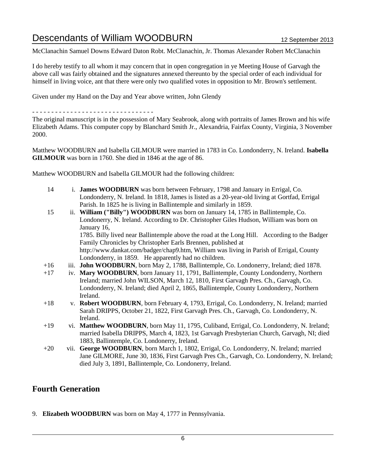McClanachin Samuel Downs Edward Daton Robt. McClanachin, Jr. Thomas Alexander Robert McClanachin

I do hereby testify to all whom it may concern that in open congregation in ye Meeting House of Garvagh the above call was fairly obtained and the signatures annexed thereunto by the special order of each individual for himself in living voice, ant that there were only two qualified votes in opposition to Mr. Brown's settlement.

Given under my Hand on the Day and Year above written, John Glendy

- - - - - - - - - - - - - - - - - - - - - - - - - - - - - - - -

The original manuscript is in the possession of Mary Seabrook, along with portraits of James Brown and his wife Elizabeth Adams. This computer copy by Blanchard Smith Jr., Alexandria, Fairfax County, Virginia, 3 November 2000.

Matthew WOODBURN and Isabella GILMOUR were married in 1783 in Co. Londonderry, N. Ireland. **Isabella GILMOUR** was born in 1760. She died in 1846 at the age of 86.

Matthew WOODBURN and Isabella GILMOUR had the following children:

- 14 i. **James WOODBURN** was born between February, 1798 and January in Errigal, Co. Londonderry, N. Ireland. In 1818, James is listed as a 20-year-old living at Gortfad, Errigal Parish. In 1825 he is living in Ballintemple and similarly in 1859.
- 15 ii. **William ("Billy") WOODBURN** was born on January 14, 1785 in Ballintemple, Co. Londonerry, N. Ireland. According to Dr. Christopher Giles Hudson, William was born on January 16, 1785. Billy lived near Ballintemple above the road at the Long Hill. According to the Badger Family Chronicles by Christopher Earls Brennen, published at http://www.dankat.com/badger/chap9.htm, William was living in Parish of Errigal, County Londonderry, in 1859. He apparently had no children.
- +16 iii. **John WOODBURN**, born May 2, 1788, Ballintemple, Co. Londonerry, Ireland; died 1878.
- +17 iv. **Mary WOODBURN**, born January 11, 1791, Ballintemple, County Londonderry, Northern Ireland; married John WILSON, March 12, 1810, First Garvagh Pres. Ch., Garvagh, Co. Londonderry, N. Ireland; died April 2, 1865, Ballintemple, County Londonderry, Northern Ireland.
- +18 v. **Robert WOODBURN**, born February 4, 1793, Errigal, Co. Londonderry, N. Ireland; married Sarah DRIPPS, October 21, 1822, First Garvagh Pres. Ch., Garvagh, Co. Londonderry, N. Ireland.
- +19 vi. **Matthew WOODBURN**, born May 11, 1795, Culiband, Errigal, Co. Londonderry, N. Ireland; married Isabella DRIPPS, March 4, 1823, 1st Garvagh Presbyterian Church, Garvagh, NI; died 1883, Ballintemple, Co. Londonerry, Ireland.
- +20 vii. **George WOODBURN**, born March 1, 1802, Errigal, Co. Londonderry, N. Ireland; married Jane GILMORE, June 30, 1836, First Garvagh Pres Ch., Garvagh, Co. Londonderry, N. Ireland; died July 3, 1891, Ballintemple, Co. Londonerry, Ireland.

### **Fourth Generation**

9. **Elizabeth WOODBURN** was born on May 4, 1777 in Pennsylvania.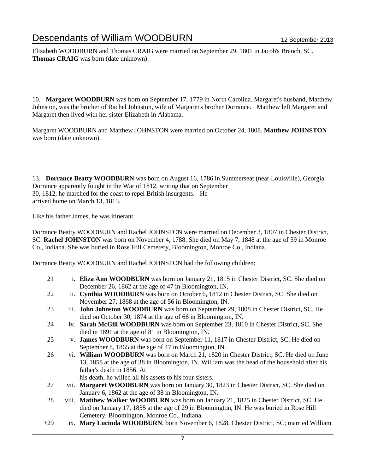Elizabeth WOODBURN and Thomas CRAIG were married on September 29, 1801 in Jacob's Branch, SC. **Thomas CRAIG** was born (date unknown).

10. **Margaret WOODBURN** was born on September 17, 1779 in North Carolina. Margaret's husband, Matthew Johnston, was the brother of Rachel Johnston, wife of Margaret's brother Dorrance. Matthew left Margaret and Margaret then lived with her sister Elizabeth in Alabama.

Margaret WOODBURN and Matthew JOHNSTON were married on October 24, 1808. **Matthew JOHNSTON** was born (date unknown).

13. **Dorrance Beatty WOODBURN** was born on August 16, 1786 in Summerseat (near Louisville), Georgia. Dorrance apparently fought in the War of 1812, writing that on September 30, 1812, he marched for the coast to repel British insurgents. He arrived home on March 13, 1815.

Like his father James, he was itinerant.

Dorrance Beatty WOODBURN and Rachel JOHNSTON were married on December 3, 1807 in Chester District, SC. **Rachel JOHNSTON** was born on November 4, 1788. She died on May 7, 1848 at the age of 59 in Monroe Co., Indiana. She was buried in Rose Hill Cemetery, Bloomington, Monroe Co., Indiana.

Dorrance Beatty WOODBURN and Rachel JOHNSTON had the following children:

- 21 i. **Eliza Ann WOODBURN** was born on January 21, 1815 in Chester District, SC. She died on December 26, 1862 at the age of 47 in Bloomington, IN.
- 22 ii. **Cynthia WOODBURN** was born on October 6, 1812 in Chester District, SC. She died on November 27, 1868 at the age of 56 in Bloomington, IN.
- 23 iii. **John Johnston WOODBURN** was born on September 29, 1808 in Chester District, SC. He died on October 30, 1874 at the age of 66 in Bloomington, IN.
- 24 iv. **Sarah McGill WOODBURN** was born on September 23, 1810 in Chester District, SC. She died in 1891 at the age of 81 in Bloomington, IN.
- 25 v. **James WOODBURN** was born on September 11, 1817 in Chester District, SC. He died on September 8, 1865 at the age of 47 in Bloomington, IN.
- 26 vi. **William WOODBURN** was born on March 21, 1820 in Chester District, SC. He died on June 13, 1858 at the age of 38 in Bloomington, IN. William was the head of the household after his father's death in 1856. At
	- his death, he willed all his assets to his four sisters.
- 27 vii. **Margaret WOODBURN** was born on January 30, 1823 in Chester District, SC. She died on January 6, 1862 at the age of 38 in Bloomington, IN.
- 28 viii. **Matthew Walker WOODBURN** was born on January 21, 1825 in Chester District, SC. He died on January 17, 1855 at the age of 29 in Bloomington, IN. He was buried in Rose Hill Cemetery, Bloomington, Monroe Co., Indiana.
- +29 ix. **Mary Lucinda WOODBURN**, born November 6, 1828, Chester District, SC; married William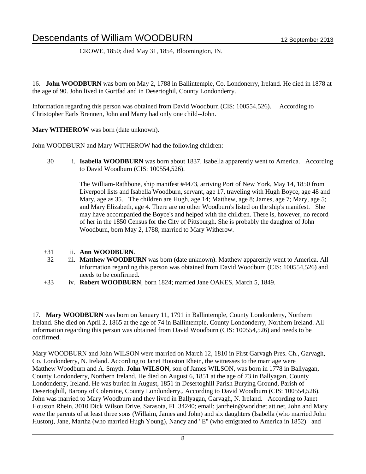CROWE, 1850; died May 31, 1854, Bloomington, IN.

16. **John WOODBURN** was born on May 2, 1788 in Ballintemple, Co. Londonerry, Ireland. He died in 1878 at the age of 90. John lived in Gortfad and in Desertoghil, County Londonderry.

Information regarding this person was obtained from David Woodburn (CIS: 100554,526). According to Christopher Earls Brennen, John and Marry had only one child--John.

**Mary WITHEROW** was born (date unknown).

John WOODBURN and Mary WITHEROW had the following children:

30 i. **Isabella WOODBURN** was born about 1837. Isabella apparently went to America. According to David Woodburn (CIS: 100554,526).

> The William-Rathbone, ship manifest #4473, arriving Port of New York, May 14, 1850 from Liverpool lists and Isabella Woodburn, servant, age 17, traveling with Hugh Boyce, age 48 and Mary, age as 35. The children are Hugh, age 14; Matthew, age 8; James, age 7; Mary, age 5; and Mary Elizabeth, age 4. There are no other Woodburn's listed on the ship's manifest. She may have accompanied the Boyce's and helped with the children. There is, however, no record of her in the 1850 Census for the City of Pittsburgh. She is probably the daughter of John Woodburn, born May 2, 1788, married to Mary Witherow.

- +31 ii. **Ann WOODBURN**.
- 32 iii. **Matthew WOODBURN** was born (date unknown). Matthew apparently went to America. All information regarding this person was obtained from David Woodburn (CIS: 100554,526) and needs to be confirmed.
- +33 iv. **Robert WOODBURN**, born 1824; married Jane OAKES, March 5, 1849.

17. **Mary WOODBURN** was born on January 11, 1791 in Ballintemple, County Londonderry, Northern Ireland. She died on April 2, 1865 at the age of 74 in Ballintemple, County Londonderry, Northern Ireland. All information regarding this person was obtained from David Woodburn (CIS: 100554,526) and needs to be confirmed.

Mary WOODBURN and John WILSON were married on March 12, 1810 in First Garvagh Pres. Ch., Garvagh, Co. Londonderry, N. Ireland. According to Janet Houston Rhein, the witnesses to the marriage were Matthew Woodburn and A. Smyth. **John WILSON**, son of James WILSON, was born in 1778 in Ballyagan, County Londonderry, Northern Ireland. He died on August 6, 1851 at the age of 73 in Ballyagan, County Londonderry, Ireland. He was buried in August, 1851 in Desertoghill Parish Burying Ground, Parish of Desertoghill, Barony of Coleraine, County Londonderry,. According to David Woodburn (CIS: 100554,526), John was married to Mary Woodburn and they lived in Ballyagan, Garvagh, N. Ireland. According to Janet Houston Rhein, 3010 Dick Wilson Drive, Sarasota, FL 34240; email: janrhein@worldnet.att.net, John and Mary were the parents of at least three sons (Willaim, James and John) and six daughters (Isabella (who married John Huston), Jane, Martha (who married Hugh Young), Nancy and "E" (who emigrated to America in 1852) and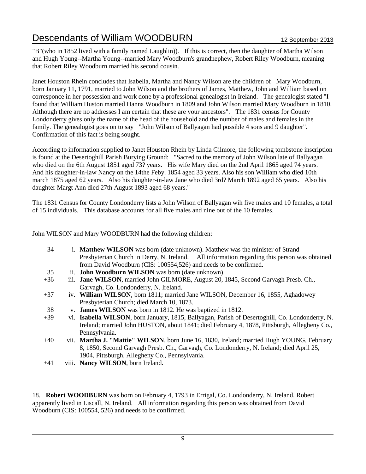"B"(who in 1852 lived with a family named Laughlin)). If this is correct, then the daughter of Martha Wilson and Hugh Young--Martha Young--married Mary Woodburn's grandnephew, Robert Riley Woodburn, meaning that Robert Riley Woodburn married his second cousin.

Janet Houston Rhein concludes that Isabella, Martha and Nancy Wilson are the children of Mary Woodburn, born January 11, 1791, married to John Wilson and the brothers of James, Matthew, John and William based on corresponce in her possession and work done by a professional genealogist in Ireland. The genealogist stated "I found that William Huston married Hanna Woodburn in 1809 and John Wilson married Mary Woodburn in 1810. Although there are no addresses I am certain that these are your ancestors". The 1831 census for County Londonderry gives only the name of the head of the household and the number of males and females in the family. The genealogist goes on to say "John Wilson of Ballyagan had possible 4 sons and 9 daughter". Confirmation of this fact is being sought.

According to information supplied to Janet Houston Rhein by Linda Gilmore, the following tombstone inscription is found at the Desertoghill Parish Burying Ground: "Sacred to the memory of John Wilson late of Ballyagan who died on the 6th August 1851 aged 73? years. His wife Mary died on the 2nd April 1865 aged 74 years. And his daughter-in-law Nancy on the 14the Feby. 1854 aged 33 years. Also his son William who died 10th march 1875 aged 62 years. Also his daughter-in-law Jane who died 3rd? March 1892 aged 65 years. Also his daughter Margt Ann died 27th August 1893 aged 68 years."

The 1831 Census for County Londonderry lists a John Wilson of Ballyagan wih five males and 10 females, a total of 15 individuals. This database accounts for all five males and nine out of the 10 females.

John WILSON and Mary WOODBURN had the following children:

| 34    | i. <b>Matthew WILSON</b> was born (date unknown). Matthew was the minister of Strand            |
|-------|-------------------------------------------------------------------------------------------------|
|       | Presbyterian Church in Derry, N. Ireland. All information regarding this person was obtained    |
|       | from David Woodburn (CIS: 100554,526) and needs to be confirmed.                                |
| 35    | ii. John Woodburn WILSON was born (date unknown).                                               |
| $+36$ | iii. Jane WILSON, married John GILMORE, August 20, 1845, Second Garvagh Presb. Ch.,             |
|       | Garvagh, Co. Londonderry, N. Ireland.                                                           |
| $+37$ | iv. William WILSON, born 1811; married Jane WILSON, December 16, 1855, Aghadowey                |
|       | Presbyterian Church; died March 10, 1873.                                                       |
| 38    | v. James WILSON was born in 1812. He was baptized in 1812.                                      |
| $+39$ | vi. Isabella WILSON, born January, 1815, Ballyagan, Parish of Desertoghill, Co. Londonderry, N. |
|       | Ireland; married John HUSTON, about 1841; died February 4, 1878, Pittsburgh, Allegheny Co.,     |
|       | Pennsylvania.                                                                                   |
| $+40$ | vii. Martha J. "Mattie" WILSON, born June 16, 1830, Ireland; married Hugh YOUNG, February       |
|       | 8, 1850, Second Garvagh Presb. Ch., Garvagh, Co. Londonderry, N. Ireland; died April 25,        |
|       | 1904, Pittsburgh, Allegheny Co., Pennsylvania.                                                  |

+41 viii. **Nancy WILSON**, born Ireland.

18. **Robert WOODBURN** was born on February 4, 1793 in Errigal, Co. Londonderry, N. Ireland. Robert apparently lived in Liscall, N. Ireland. All information regarding this person was obtained from David Woodburn (CIS: 100554, 526) and needs to be confirmed.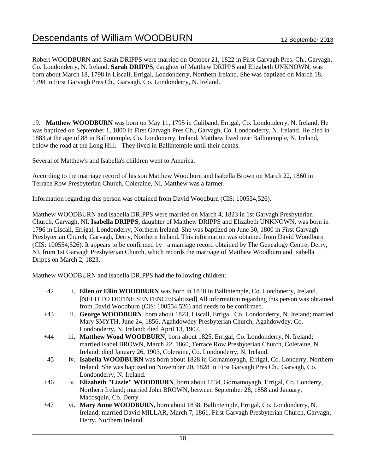Robert WOODBURN and Sarah DRIPPS were married on October 21, 1822 in First Garvagh Pres. Ch., Garvagh, Co. Londonderry, N. Ireland. **Sarah DRIPPS**, daughter of Matthew DRIPPS and Elizabeth UNKNOWN, was born about March 18, 1798 in Liscall, Errigal, Londonderry, Northern Ireland. She was baptized on March 18, 1798 in First Garvagh Pres Ch., Garvagh, Co. Londonderry, N. Ireland.

19. **Matthew WOODBURN** was born on May 11, 1795 in Culiband, Errigal, Co. Londonderry, N. Ireland. He was baptized on September 1, 1800 in First Garvagh Pres Ch., Garvagh, Co. Londonderry, N. Ireland. He died in 1883 at the age of 88 in Ballintemple, Co. Londonerry, Ireland. Matthew lived near Ballintemple, N. Ireland, below the road at the Long Hill. They lived in Ballintemple until their deaths.

Several of Matthew's and Isabella's children went to America.

According to the marriage record of his son Matthew Woodburn and Isabella Brown on March 22, 1860 in Terrace Row Presbyterian Church, Coleraine, NI, Matthew was a farmer.

Information regarding this person was obtained from David Woodburn (CIS: 100554,526).

Matthew WOODBURN and Isabella DRIPPS were married on March 4, 1823 in 1st Garvagh Presbyterian Church, Garvagh, NI. **Isabella DRIPPS**, daughter of Matthew DRIPPS and Elizabeth UNKNOWN, was born in 1796 in Liscall, Errigal, Londonderry, Northern Ireland. She was baptized on June 30, 1800 in First Garvagh Presbyterian Church, Garvagh, Derry, Northern Ireland. This information was obtained from David Woodburn (CIS: 100554,526). It appears to be confirmed by a marriage record obtained by The Genealogy Centre, Derry, NI, from 1st Garvagh Presbyterian Church, which records the marriage of Matthew Woodburn and Isabella Dripps on March 2, 1823.

Matthew WOODBURN and Isabella DRIPPS had the following children:

- 42 i. **Ellen or Ellin WOODBURN** was born in 1840 in Ballintemple, Co. Londonerry, Ireland. [NEED TO DEFINE SENTENCE:Babtized] All information regarding this person was obtained from David Woodburn (CIS: 100554,526) and needs to be confirmed.
- +43 ii. **George WOODBURN**, born about 1823, Liscall, Errigal, Co. Londonderry, N. Ireland; married Mary SMYTH, June 24, 1856, Agahdowdey Presbyterian Church, Agahdowdey, Co. Londonderry, N. Ireland; died April 13, 1907.
- +44 iii. **Matthew Wood WOODBURN**, born about 1825, Errigal, Co. Londonderry, N. Ireland; married Isabel BROWN, March 22, 1860, Terrace Row Presbyterian Church, Coleraine, N. Ireland; died January 26, 1903, Coleraine, Co. Londonderry, N. Ireland.
- 45 iv. **Isabella WOODBURN** was born about 1828 in Gornamoyagh, Errigal, Co. Londerry, Northern Ireland. She was baptized on November 20, 1828 in First Garvagh Pres Ch., Garvagh, Co. Londonderry, N. Ireland.
- +46 v. **Elizabeth "Lizzie" WOODBURN**, born about 1834, Gornamoyagh, Errigal, Co. Londerry, Northern Ireland; married John BROWN, between September 28, 1858 and January, Macosquin, Co. Derry.
- +47 vi. **Mary Anne WOODBURN**, born about 1838, Ballintemple, Errigal, Co. Londonderry, N. Ireland; married David MILLAR, March 7, 1861, First Garvagh Presbyterian Church, Garvagh, Derry, Northern Ireland.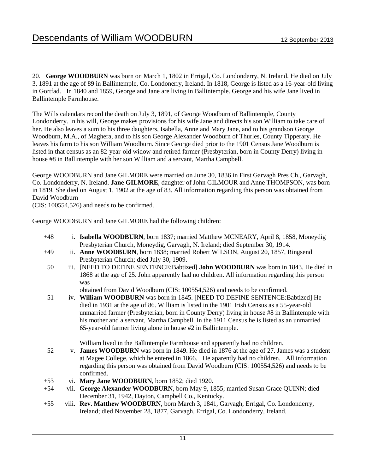20. **George WOODBURN** was born on March 1, 1802 in Errigal, Co. Londonderry, N. Ireland. He died on July 3, 1891 at the age of 89 in Ballintemple, Co. Londonerry, Ireland. In 1818, George is listed as a 16-year-old living in Gortfad. In 1840 and 1859, George and Jane are living in Ballintemple. George and his wife Jane lived in Ballintemple Farmhouse.

The Wills calendars record the death on July 3, 1891, of George Woodburn of Ballintemple, County Londonderry. In his will, George makes provisions for his wife Jane and directs his son William to take care of her. He also leaves a sum to his three daughters, Isabella, Anne and Mary Jane, and to his grandson George Woodburn, M.A., of Maghera, and to his son George Alexander Woodburn of Thurles, County Tipperary. He leaves his farm to his son William Woodburn. Since George died prior to the 1901 Census Jane Woodburn is listed in that census as an 82-year-old widow and retired farmer (Presbyterian, born in County Derry) living in house #8 in Ballintemple with her son William and a servant, Martha Campbell.

George WOODBURN and Jane GILMORE were married on June 30, 1836 in First Garvagh Pres Ch., Garvagh, Co. Londonderry, N. Ireland. **Jane GILMORE**, daughter of John GILMOUR and Anne THOMPSON, was born in 1819. She died on August 1, 1902 at the age of 83. All information regarding this person was obtained from David Woodburn

(CIS: 100554,526) and needs to be confirmed.

George WOODBURN and Jane GILMORE had the following children:

- +48 i. **Isabella WOODBURN**, born 1837; married Matthew MCNEARY, April 8, 1858, Moneydig Presbyterian Church, Moneydig, Garvagh, N. Ireland; died September 30, 1914.
- +49 ii. **Anne WOODBURN**, born 1838; married Robert WILSON, August 20, 1857, Ringsend Presbyterian Church; died July 30, 1909.
- 50 iii. [NEED TO DEFINE SENTENCE:Babtized] **John WOODBURN** was born in 1843. He died in 1868 at the age of 25. John apparently had no children. All information regarding this person was

obtained from David Woodburn (CIS: 100554,526) and needs to be confirmed.

51 iv. **William WOODBURN** was born in 1845. [NEED TO DEFINE SENTENCE:Babtized] He died in 1931 at the age of 86. William is listed in the 1901 Irish Census as a 55-year-old unmarried farmer (Presbyterian, born in County Derry) living in house #8 in Ballintemple with his mother and a servant, Martha Campbell. In the 1911 Census he is listed as an unmarried 65-year-old farmer living alone in house #2 in Ballintemple.

William lived in the Ballintemple Farmhouse and apparently had no children.

- 52 v. **James WOODBURN** was born in 1849. He died in 1876 at the age of 27. James was a student at Magee College, which he entered in 1866. He aparently had no children. All information regarding this person was obtained from David Woodburn (CIS: 100554,526) and needs to be confirmed.
- +53 vi. **Mary Jane WOODBURN**, born 1852; died 1920.
- +54 vii. **George Alexander WOODBURN**, born May 9, 1855; married Susan Grace QUINN; died December 31, 1942, Dayton, Campbell Co., Kentucky.
- +55 viii. **Rev. Matthew WOODBURN**, born March 3, 1841, Garvagh, Errigal, Co. Londonderry, Ireland; died November 28, 1877, Garvagh, Errigal, Co. Londonderry, Ireland.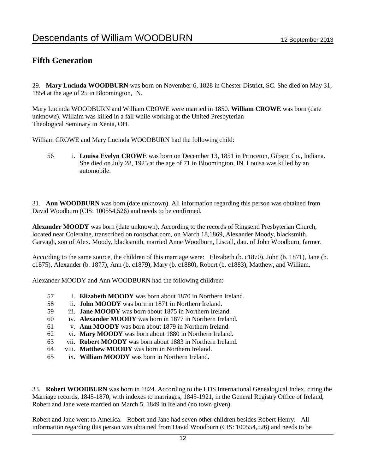#### **Fifth Generation**

29. **Mary Lucinda WOODBURN** was born on November 6, 1828 in Chester District, SC. She died on May 31, 1854 at the age of 25 in Bloomington, IN.

Mary Lucinda WOODBURN and William CROWE were married in 1850. **William CROWE** was born (date unknown). Willaim was killed in a fall while working at the United Presbyterian Theological Seminary in Xenia, OH.

William CROWE and Mary Lucinda WOODBURN had the following child:

56 i. **Louisa Evelyn CROWE** was born on December 13, 1851 in Princeton, Gibson Co., Indiana. She died on July 28, 1923 at the age of 71 in Bloomington, IN. Louisa was killed by an automobile.

31. **Ann WOODBURN** was born (date unknown). All information regarding this person was obtained from David Woodburn (CIS: 100554,526) and needs to be confirmed.

**Alexander MOODY** was born (date unknown). According to the records of Ringsend Presbyterian Church, located near Coleraine, transcribed on rootschat.com, on March 18,1869, Alexander Moody, blacksmith, Garvagh, son of Alex. Moody, blacksmith, married Anne Woodburn, Liscall, dau. of John Woodburn, farmer.

According to the same source, the children of this marriage were: Elizabeth (b. c1870), John (b. 1871), Jane (b. c1875), Alexander (b. 1877), Ann (b. c1879), Mary (b. c1880), Robert (b. c1883), Matthew, and William.

Alexander MOODY and Ann WOODBURN had the following children:

- 57 i. **Elizabeth MOODY** was born about 1870 in Northern Ireland.
- 58 ii. **John MOODY** was born in 1871 in Northern Ireland.
- 59 iii. **Jane MOODY** was born about 1875 in Northern Ireland.
- 60 iv. **Alexander MOODY** was born in 1877 in Northern Ireland.
- 61 v. **Ann MOODY** was born about 1879 in Northern Ireland.
- 62 vi. **Mary MOODY** was born about 1880 in Northern Ireland.
- 63 vii. **Robert MOODY** was born about 1883 in Northern Ireland.
- 64 viii. **Matthew MOODY** was born in Northern Ireland.
- 65 ix. **William MOODY** was born in Northern Ireland.

33. **Robert WOODBURN** was born in 1824. According to the LDS International Genealogical Index, citing the Marriage records, 1845-1870, with indexes to marriages, 1845-1921, in the General Registry Office of Ireland, Robert and Jane were married on March 5, 1849 in Ireland (no town given).

Robert and Jane went to America. Robert and Jane had seven other children besides Robert Henry. All information regarding this person was obtained from David Woodburn (CIS: 100554,526) and needs to be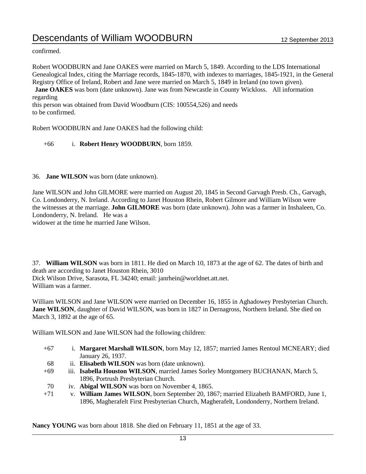confirmed.

Robert WOODBURN and Jane OAKES were married on March 5, 1849. According to the LDS International Genealogical Index, citing the Marriage records, 1845-1870, with indexes to marriages, 1845-1921, in the General Registry Office of Ireland, Robert and Jane were married on March 5, 1849 in Ireland (no town given). **Jane OAKES** was born (date unknown). Jane was from Newcastle in County Wickloss. All information regarding this person was obtained from David Woodburn (CIS: 100554,526) and needs

to be confirmed.

Robert WOODBURN and Jane OAKES had the following child:

+66 i. **Robert Henry WOODBURN**, born 1859.

36. **Jane WILSON** was born (date unknown).

Jane WILSON and John GILMORE were married on August 20, 1845 in Second Garvagh Presb. Ch., Garvagh, Co. Londonderry, N. Ireland. According to Janet Houston Rhein, Robert Gilmore and William Wilson were the witnesses at the marriage. **John GILMORE** was born (date unknown). John was a farmer in Inshaleen, Co. Londonderry, N. Ireland. He was a

widower at the time he married Jane Wilson.

37. **William WILSON** was born in 1811. He died on March 10, 1873 at the age of 62. The dates of birth and death are according to Janet Houston Rhein, 3010 Dick Wilson Drive, Sarasota, FL 34240; email: janrhein@worldnet.att.net. William was a farmer.

William WILSON and Jane WILSON were married on December 16, 1855 in Aghadowey Presbyterian Church. **Jane WILSON**, daughter of David WILSON, was born in 1827 in Dernagross, Northern Ireland. She died on March 3, 1892 at the age of 65.

William WILSON and Jane WILSON had the following children:

- +67 i. **Margaret Marshall WILSON**, born May 12, 1857; married James Rentoul MCNEARY; died January 26, 1937.
- 68 ii. **Elisabeth WILSON** was born (date unknown).
- +69 iii. **Isabella Houston WILSON**, married James Sorley Montgomery BUCHANAN, March 5, 1896, Portrush Presbyterian Church.
- 70 iv. **Abigal WILSON** was born on November 4, 1865.
- +71 v. **William James WILSON**, born September 20, 1867; married Elizabeth BAMFORD, June 1, 1896, Magherafelt First Presbyterian Church, Magherafelt, Londonderry, Northern Ireland.

**Nancy YOUNG** was born about 1818. She died on February 11, 1851 at the age of 33.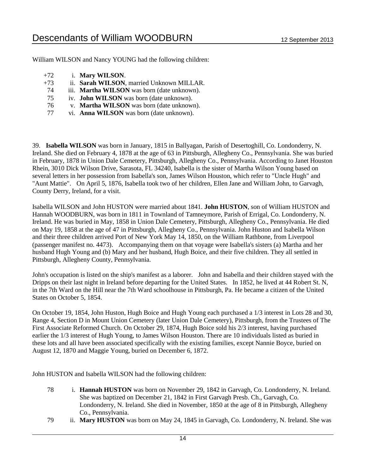William WILSON and Nancy YOUNG had the following children:

- +72 i. **Mary WILSON**.
- +73 ii. **Sarah WILSON**, married Unknown MILLAR.
- 74 iii. **Martha WILSON** was born (date unknown).
- 75 iv. **John WILSON** was born (date unknown).
- 76 v. **Martha WILSON** was born (date unknown).
- 77 vi. **Anna WILSON** was born (date unknown).

39. **Isabella WILSON** was born in January, 1815 in Ballyagan, Parish of Desertoghill, Co. Londonderry, N. Ireland. She died on February 4, 1878 at the age of 63 in Pittsburgh, Allegheny Co., Pennsylvania. She was buried in February, 1878 in Union Dale Cemetery, Pittsburgh, Allegheny Co., Pennsylvania. According to Janet Houston Rhein, 3010 Dick Wilson Drive, Sarasota, FL 34240, Isabella is the sister of Martha Wilson Young based on several letters in her possession from Isabella's son, James Wilson Houston, which refer to "Uncle Hugh" and "Aunt Mattie". On April 5, 1876, Isabella took two of her children, Ellen Jane and William John, to Garvagh, County Derry, Ireland, for a visit.

Isabella WILSON and John HUSTON were married about 1841. **John HUSTON**, son of William HUSTON and Hannah WOODBURN, was born in 1811 in Townland of Tamneymore, Parish of Errigal, Co. Londonderry, N. Ireland. He was buried in May, 1858 in Union Dale Cemetery, Pittsburgh, Allegheny Co., Pennsylvania. He died on May 19, 1858 at the age of 47 in Pittsburgh, Allegheny Co., Pennsylvania. John Huston and Isabella Wilson and their three children arrived Port of New York May 14, 1850, on the William Rathbone, from Liverpool (passenger manifest no. 4473). Accompanying them on that voyage were Isabella's sisters (a) Martha and her husband Hugh Young and (b) Mary and her husband, Hugh Boice, and their five children. They all settled in Pittsburgh, Allegheny County, Pennsylvania.

John's occupation is listed on the ship's manifest as a laborer. John and Isabella and their children stayed with the Dripps on their last night in Ireland before departing for the United States. In 1852, he lived at 44 Robert St. N, in the 7th Ward on the Hill near the 7th Ward schoolhouse in Pittsburgh, Pa. He became a citizen of the United States on October 5, 1854.

On October 19, 1854, John Huston, Hugh Boice and Hugh Young each purchased a 1/3 interest in Lots 28 and 30, Range 4, Section D in Mount Union Cemetery (later Union Dale Cemetery), Pittsburgh, from the Trustees of The First Associate Reformed Church. On October 29, 1874, Hugh Boice sold his 2/3 interest, having purchased earlier the 1/3 interest of Hugh Young, to James Wilson Houston. There are 10 individuals listed as buried in these lots and all have been associated specifically with the existing families, except Nannie Boyce, buried on August 12, 1870 and Maggie Young, buried on December 6, 1872.

John HUSTON and Isabella WILSON had the following children:

- 78 i. **Hannah HUSTON** was born on November 29, 1842 in Garvagh, Co. Londonderry, N. Ireland. She was baptized on December 21, 1842 in First Garvagh Presb. Ch., Garvagh, Co. Londonderry, N. Ireland. She died in November, 1850 at the age of 8 in Pittsburgh, Allegheny Co., Pennsylvania.
- 79 ii. **Mary HUSTON** was born on May 24, 1845 in Garvagh, Co. Londonderry, N. Ireland. She was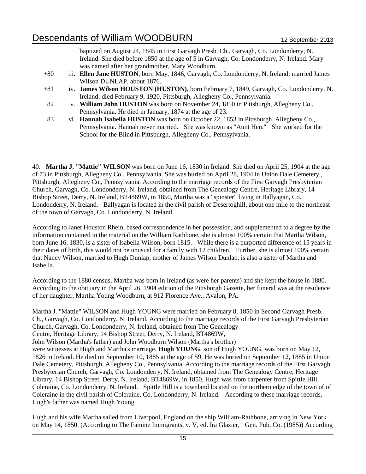baptized on August 24, 1845 in First Garvagh Presb. Ch., Garvagh, Co. Londonderry, N. Ireland. She died before 1850 at the age of 5 in Garvagh, Co. Londonderry, N. Ireland. Mary was named after her grandmother, Mary Woodburn.

- +80 iii. **Ellen Jane HUSTON**, born May, 1846, Garvagh, Co. Londonderry, N. Ireland; married James Wilson DUNLAP, about 1876.
- +81 iv. **James Wilson HOUSTON (HUSTON)**, born February 7, 1849, Garvagh, Co. Londonderry, N. Ireland; died February 9, 1920, Pittsburgh, Allegheny Co., Pennsylvania.
- 82 v. **William John HUSTON** was born on November 24, 1850 in Pittsburgh, Allegheny Co., Pennsylvania. He died in January, 1874 at the age of 23.
- 83 vi. **Hannah Isabella HUSTON** was born on October 22, 1853 in Pittsburgh, Allegheny Co., Pennsylvania. Hannah never married. She was known as "Aunt Hen." She worked for the School for the Blind in Pittsburgh, Allegheny Co., Pennsylvania.

40. **Martha J. "Mattie" WILSON** was born on June 16, 1830 in Ireland. She died on April 25, 1904 at the age of 73 in Pittsburgh, Allegheny Co., Pennsylvania. She was buried on April 28, 1904 in Union Dale Cemetery , Pittsburgh, Allegheny Co., Pennsylvania. According to the marriage records of the First Garvagh Presbyterian Church, Garvagh, Co. Londonderry, N. Ireland, obtained from The Genealogy Centre, Heritage Library, 14 Bishop Street, Derry, N. Ireland, BT4869W, in 1850, Martha was a "spinster" living in Ballyagan, Co. Londonderry, N. Ireland. Ballyagan is located in the civil parish of Desertoghill, about one mile to the northeast of the town of Garvagh, Co. Londonderry, N. Ireland.

According to Janet Houston Rhein, based correspondence in her possession, and supplemented to a degree by the information contained in the material on the William Rathbone, she is almost 100% certain that Martha Wilson, born June 16, 1830, is a sister of Isabella Wilson, born 1815. While there is a purported difference of 15 years in their dates of birth, this would not be unusual for a family with 12 children. Further, she is almost 100% certain that Nancy Wilson, married to Hugh Dunlap, mother of James Wilson Dunlap, is also a sister of Martha and Isabella.

According to the 1880 census, Martha was born in Ireland (as were her parents) and she kept the house in 1880. According to the obituary in the April 26, 1904 edition of the Pittsburgh Gazette, her funeral was at the residence of her daughter, Martha Young Woodburn, at 912 Florence Ave., Avalon, PA.

Martha J. "Mattie" WILSON and Hugh YOUNG were married on February 8, 1850 in Second Garvagh Presb. Ch., Garvagh, Co. Londonderry, N. Ireland. According to the marriage records of the First Garvagh Presbyterian Church, Garvagh, Co. Londonderry, N. Ireland, obtained from The Genealogy Centre, Heritage Library, 14 Bishop Street, Derry, N. Ireland, BT4869W, John Wilson (Martha's father) and John Woodburn Wilson (Martha's brother) were witnesses at Hugh and Martha's marriage. **Hugh YOUNG**, son of Hugh YOUNG, was born on May 12, 1826 in Ireland. He died on September 10, 1885 at the age of 59. He was buried on September 12, 1885 in Union Dale Cemetery, Pittsburgh, Allegheny Co., Pennsylvania. According to the marriage records of the First Garvagh Presbyterian Church, Garvagh, Co. Londonderry, N. Ireland, obtained from The Genealogy Centre, Heritage Library, 14 Bishop Street, Derry, N. Ireland, BT4869W, in 1850, Hugh was from carpenter from Spittle Hill, Coleraine, Co. Londonderry, N. Ireland. Spittle Hill is a townland located on the northern edge of the town of of Coleraine in the civil parish of Coleraine, Co. Londonderry, N. Ireland. According to these marriage records, Hugh's father was named Hugh Young.

Hugh and his wife Martha sailed from Liverpool, England on the ship William-Rathbone, arriving in New York on May 14, 1850. (According to The Famine Immigrants, v. V, ed. Ira Glazier, Gen. Pub. Co. (1985)) According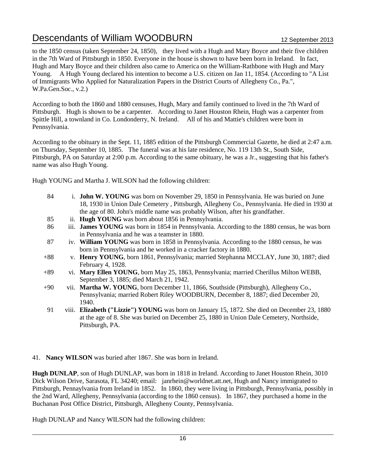to the 1850 census (taken September 24, 1850), they lived with a Hugh and Mary Boyce and their five children in the 7th Ward of Pittsburgh in 1850. Everyone in the house is shown to have been born in Ireland. In fact, Hugh and Mary Boyce and their children also came to America on the William-Rathbone with Hugh and Mary Young. A Hugh Young declared his intention to become a U.S. citizen on Jan 11, 1854. (According to "A List of Immigrants Who Applied for Naturalization Papers in the District Courts of Allegheny Co., Pa.", W.Pa.Gen.Soc., v.2.)

According to both the 1860 and 1880 censuses, Hugh, Mary and family continued to lived in the 7th Ward of Pittsburgh. Hugh is shown to be a carpenter. According to Janet Houston Rhein, Hugh was a carpenter from Spittle Hill, a townland in Co. Londonderry, N. Ireland. All of his and Mattie's children were born in Pennsylvania.

According to the obituary in the Sept. 11, 1885 edition of the Pittsburgh Commercial Gazette, he died at 2:47 a.m. on Thursday, September 10, 1885. The funeral was at his late residence, No. 119 13th St., South Side, Pittsburgh, PA on Saturday at 2:00 p.m. According to the same obituary, he was a Jr., suggesting that his father's name was also Hugh Young.

Hugh YOUNG and Martha J. WILSON had the following children:

- 84 i. **John W. YOUNG** was born on November 29, 1850 in Pennsylvania. He was buried on June 18, 1930 in Union Dale Cemetery , Pittsburgh, Allegheny Co., Pennsylvania. He died in 1930 at the age of 80. John's middle name was probably Wilson, after his grandfather.
- 85 ii. **Hugh YOUNG** was born about 1856 in Pennsylvania.
- 86 iii. **James YOUNG** was born in 1854 in Pennsylvania. According to the 1880 census, he was born in Pennsylvania and he was a teamster in 1880.
- 87 iv. **William YOUNG** was born in 1858 in Pennsylvania. According to the 1880 census, he was born in Pennsylvania and he worked in a cracker factory in 1880.
- +88 v. **Henry YOUNG**, born 1861, Pennsylvania; married Stephanna MCCLAY, June 30, 1887; died February 4, 1928.
- +89 vi. **Mary Ellen YOUNG**, born May 25, 1863, Pennsylvania; married Cherillus Milton WEBB, September 3, 1885; died March 21, 1942.
- +90 vii. **Martha W. YOUNG**, born December 11, 1866, Southside (Pittsburgh), Allegheny Co., Pennsylvania; married Robert Riley WOODBURN, December 8, 1887; died December 20, 1940.
- 91 viii. **Elizabeth ("Lizzie") YOUNG** was born on January 15, 1872. She died on December 23, 1880 at the age of 8. She was buried on December 25, 1880 in Union Dale Cemetery, Northside, Pittsburgh, PA.
- 41. **Nancy WILSON** was buried after 1867. She was born in Ireland.

**Hugh DUNLAP**, son of Hugh DUNLAP, was born in 1818 in Ireland. According to Janet Houston Rhein, 3010 Dick Wilson Drive, Sarasota, FL 34240; email: janrhein@worldnet.att.net, Hugh and Nancy immigrated to Pittsburgh, Pennaylvania from Ireland in 1852. In 1860, they were living in Pittsburgh, Pennsylvania, possibly in the 2nd Ward, Allegheny, Pennsylvania (according to the 1860 census). In 1867, they purchased a home in the Buchanan Post Office District, Pittsburgh, Allegheny County, Pennsylvania.

Hugh DUNLAP and Nancy WILSON had the following children: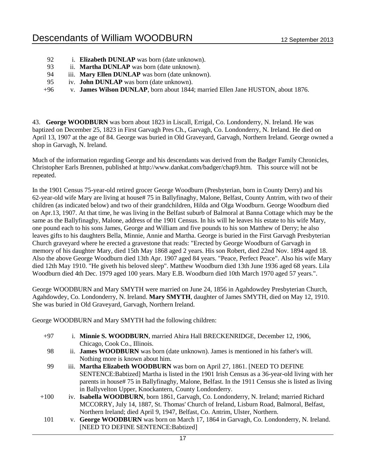- 92 i. **Elizabeth DUNLAP** was born (date unknown).
- 93 ii. **Martha DUNLAP** was born (date unknown).
- 94 iii. **Mary Ellen DUNLAP** was born (date unknown).
- 95 iv. **John DUNLAP** was born (date unknown).
- +96 v. **James Wilson DUNLAP**, born about 1844; married Ellen Jane HUSTON, about 1876.

43. **George WOODBURN** was born about 1823 in Liscall, Errigal, Co. Londonderry, N. Ireland. He was baptized on December 25, 1823 in First Garvagh Pres Ch., Garvagh, Co. Londonderry, N. Ireland. He died on April 13, 1907 at the age of 84. George was buried in Old Graveyard, Garvagh, Northern Ireland. George owned a shop in Garvagh, N. Ireland.

Much of the information regarding George and his descendants was derived from the Badger Family Chronicles, Christopher Earls Brennen, published at http://www.dankat.com/badger/chap9.htm. This source will not be repeated.

In the 1901 Census 75-year-old retired grocer George Woodburn (Presbyterian, born in County Derry) and his 62-year-old wife Mary are living at house# 75 in Ballyfinaghy, Malone, Belfast, County Antrim, with two of their children (as indicated below) and two of their grandchildren, Hilda and Olga Woodburn. George Woodburn died on Apr.13, 1907. At that time, he was living in the Belfast suburb of Balmoral at Banna Cottage which may be the same as the Ballyfinaghy, Malone, address of the 1901 Census. In his will he leaves his estate to his wife Mary, one pound each to his sons James, George and William and five pounds to his son Matthew of Derry; he also leaves gifts to his daughters Bella, Minnie, Annie and Martha. George is buried in the First Garvagh Presbyterian Church graveyard where he erected a gravestone that reads: "Erected by George Woodburn of Garvagh in memory of his daughter Mary, died 15th May 1868 aged 2 years. His son Robert, died 22nd Nov. 1894 aged 18. Also the above George Woodburn died 13th Apr. 1907 aged 84 years. "Peace, Perfect Peace". Also his wife Mary died 12th May 1910. "He giveth his beloved sleep". Matthew Woodburn died 13th June 1936 aged 68 years. Lila Woodburn died 4th Dec. 1979 aged 100 years. Mary E.B. Woodburn died 10th March 1970 aged 57 years.".

George WOODBURN and Mary SMYTH were married on June 24, 1856 in Agahdowdey Presbyterian Church, Agahdowdey, Co. Londonderry, N. Ireland. **Mary SMYTH**, daughter of James SMYTH, died on May 12, 1910. She was buried in Old Graveyard, Garvagh, Northern Ireland.

George WOODBURN and Mary SMYTH had the following children:

- +97 i. **Minnie S. WOODBURN**, married Ahira Hall BRECKENRIDGE, December 12, 1906, Chicago, Cook Co., Illinois.
- 98 ii. **James WOODBURN** was born (date unknown). James is mentioned in his father's will. Nothing more is known about him.
- 99 iii. **Martha Elizabeth WOODBURN** was born on April 27, 1861. [NEED TO DEFINE SENTENCE:Babtized] Martha is listed in the 1901 Irish Census as a 36-year-old living with her parents in house# 75 in Ballyfinaghy, Malone, Belfast. In the 1911 Census she is listed as living in Ballyvelton Upper, Knockantern, County Londonderry.
- +100 iv. **Isabella WOODBURN**, born 1861, Garvagh, Co. Londonderry, N. Ireland; married Richard MCCORRY, July 14, 1887, St. Thomas' Church of Ireland, Lisburn Road, Balmoral, Belfast, Northern Ireland; died April 9, 1947, Belfast, Co. Antrim, Ulster, Northern.
- 101 v. **George WOODBURN** was born on March 17, 1864 in Garvagh, Co. Londonderry, N. Ireland. [NEED TO DEFINE SENTENCE:Babtized]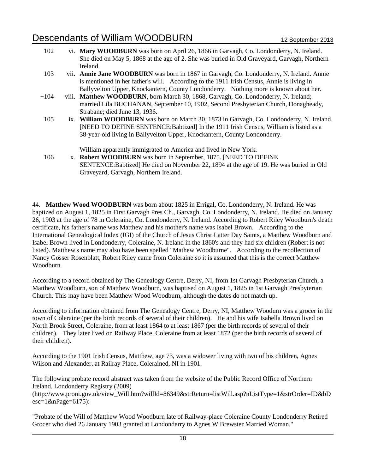| 102    | vi. Mary WOODBURN was born on April 26, 1866 in Garvagh, Co. Londonderry, N. Ireland.       |
|--------|---------------------------------------------------------------------------------------------|
|        | She died on May 5, 1868 at the age of 2. She was buried in Old Graveyard, Garvagh, Northern |
|        | Ireland.                                                                                    |
| 103    | vii. Annie Jane WOODBURN was born in 1867 in Garvagh, Co. Londonderry, N. Ireland. Annie    |
|        | is mentioned in her father's will. According to the 1911 Irish Census, Annie is living in   |
|        | Ballyvelton Upper, Knockantern, County Londonderry. Nothing more is known about her.        |
| $+104$ | viii. Matthew WOODBURN, born March 30, 1868, Garvagh, Co. Londonderry, N. Ireland;          |
|        | married Lila BUCHANAN, September 10, 1902, Second Presbyterian Church, Donagheady,          |
|        | Strabane; died June 13, 1936.                                                               |
| 105    | ix. William WOODBURN was born on March 30, 1873 in Garvagh, Co. Londonderry, N. Ireland.    |
|        | [NEED TO DEFINE SENTENCE: Babtized] In the 1911 Irish Census, William is listed as a        |
|        | 38-year-old living in Ballyvelton Upper, Knockantern, County Londonderry.                   |
|        | William apparently immigrated to America and lived in New York.                             |
| 106    | x. Robert WOODBURN was born in September, 1875. [NEED TO DEFINE                             |
|        | SENTENCE: Babtized] He died on November 22, 1894 at the age of 19. He was buried in Old     |
|        | Graveyard, Garvagh, Northern Ireland.                                                       |

44. **Matthew Wood WOODBURN** was born about 1825 in Errigal, Co. Londonderry, N. Ireland. He was baptized on August 1, 1825 in First Garvagh Pres Ch., Garvagh, Co. Londonderry, N. Ireland. He died on January 26, 1903 at the age of 78 in Coleraine, Co. Londonderry, N. Ireland. According to Robert Riley Woodburn's death certificate, his father's name was Matthew and his mother's name was Isabel Brown. According to the International Genealogical Index (IGI) of the Church of Jesus Christ Latter Day Saints, a Matthew Woodburn and Isabel Brown lived in Londonderry, Coleraine, N. Ireland in the 1860's and they had six children (Robert is not listed). Matthew's name may also have been spelled "Mathew Woodburne". According to the recollection of Nancy Gosser Rosenblatt, Robert Riley came from Coleraine so it is assumed that this is the correct Matthew Woodburn.

According to a record obtained by The Genealogy Centre, Derry, NI, from 1st Garvagh Presbyterian Church, a Matthew Woodburn, son of Matthew Woodburn, was baptised on August 1, 1825 in 1st Garvagh Presbyterian Church. This may have been Matthew Wood Woodburn, although the dates do not match up.

According to information obtained from The Genealogy Centre, Derry, NI, Matthew Woodurn was a grocer in the town of Coleraine (per the birth records of several of their children). He and his wife Isabella Brown lived on North Brook Street, Coleraine, from at least 1864 to at least 1867 (per the birth records of several of their children). They later lived on Railway Place, Coleraine from at least 1872 (per the birth records of several of their children).

According to the 1901 Irish Census, Matthew, age 73, was a widower living with two of his children, Agnes Wilson and Alexander, at Railray Place, Colerained, NI in 1901.

The following probate record abstract was taken from the website of the Public Record Office of Northern Ireland, Londonderry Registry (2009)

(http://www.proni.gov.uk/view\_Will.htm?willId=86349&strReturn=listWill.asp?nListType=1&strOrder=ID&bD  $\text{esc}=1\&\text{nPage}=6175$ :

"Probate of the Will of Matthew Wood Woodburn late of Railway-place Coleraine County Londonderry Retired Grocer who died 26 January 1903 granted at Londonderry to Agnes W.Brewster Married Woman."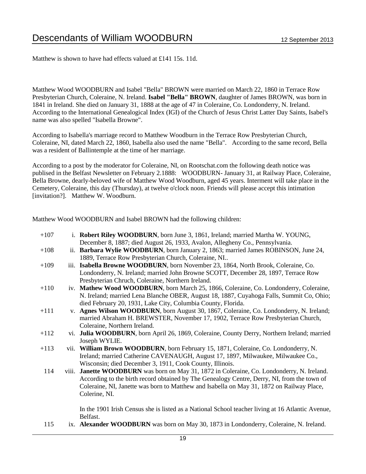Matthew is shown to have had effects valued at £141 15s. 11d.

Matthew Wood WOODBURN and Isabel "Bella" BROWN were married on March 22, 1860 in Terrace Row Presbyterian Church, Coleraine, N. Ireland. **Isabel "Bella" BROWN**, daughter of James BROWN, was born in 1841 in Ireland. She died on January 31, 1888 at the age of 47 in Coleraine, Co. Londonderry, N. Ireland. According to the International Genealogical Index (IGI) of the Church of Jesus Christ Latter Day Saints, Isabel's name was also spelled "Isabella Browne".

According to Isabella's marriage record to Matthew Woodburn in the Terrace Row Presbyterian Church, Coleraine, NI, dated March 22, 1860, Isabella also used the name "Bella". According to the same record, Bella was a resident of Ballintemple at the time of her marriage.

According to a post by the moderator for Coleraine, NI, on Rootschat.com the following death notice was publised in the Belfast Newsletter on February 2.1888: WOODBURN- January 31, at Railway Place, Coleraine, Bella Browne, dearly-beloved wife of Matthew Wood Woodburn, aged 45 years. Interment will take place in the Cemetery, Coleraine, this day (Thursday), at twelve o'clock noon. Friends will please accept this intimation [invitation?]. Matthew W. Woodburn.

Matthew Wood WOODBURN and Isabel BROWN had the following children:

| $+107$ | i. Robert Riley WOODBURN, born June 3, 1861, Ireland; married Martha W. YOUNG,                    |
|--------|---------------------------------------------------------------------------------------------------|
|        | December 8, 1887; died August 26, 1933, Avalon, Allegheny Co., Pennsylvania.                      |
| $+108$ | ii. Barbara Wylie WOODBURN, born January 2, 1863; married James ROBINSON, June 24,                |
|        | 1889, Terrace Row Presbyterian Church, Coleraine, NI                                              |
| $+109$ | iii. Isabella Browne WOODBURN, born November 23, 1864, North Brook, Coleraine, Co.                |
|        | Londonderry, N. Ireland; married John Browne SCOTT, December 28, 1897, Terrace Row                |
|        | Presbyterian Chruch, Coleraine, Northern Ireland.                                                 |
| $+110$ | iv. Mathew Wood WOODBURN, born March 25, 1866, Coleraine, Co. Londonderry, Coleraine,             |
|        | N. Ireland; married Lena Blanche OBER, August 18, 1887, Cuyahoga Falls, Summit Co, Ohio;          |
|        | died February 20, 1931, Lake City, Columbia County, Florida.                                      |
| $+111$ | v. Agnes Wilson WOODBURN, born August 30, 1867, Coleraine, Co. Londonderry, N. Ireland;           |
|        | married Abraham H. BREWSTER, November 17, 1902, Terrace Row Presbyterian Church,                  |
|        | Coleraine, Northern Ireland.                                                                      |
| $+112$ | vi. Julia WOODBURN, born April 26, 1869, Coleraine, County Derry, Northern Ireland; married       |
|        | Joseph WYLIE.                                                                                     |
| $+113$ | vii. William Brown WOODBURN, born February 15, 1871, Coleraine, Co. Londonderry, N.               |
|        | Ireland; married Catherine CAVENAUGH, August 17, 1897, Milwaukee, Milwaukee Co.,                  |
|        | Wisconsin; died December 3, 1911, Cook County, Illinois.                                          |
| 114    | viii. Janette WOODBURN was born on May 31, 1872 in Coleraine, Co. Londonderry, N. Ireland.        |
|        | According to the birth record obtained by The Genealogy Centre, Derry, NI, from the town of       |
|        | Coleraine, NI, Janette was born to Matthew and Isabella on May 31, 1872 on Railway Place,         |
|        | Colerine, NI.                                                                                     |
|        | In the 1901 Irish Census she is listed as a National School teacher living at 16 Atlantic Avenue, |
|        | Belfast.                                                                                          |
| 115    | ix. Alexander WOODBURN was born on May 30, 1873 in Londonderry, Coleraine, N. Ireland.            |
|        |                                                                                                   |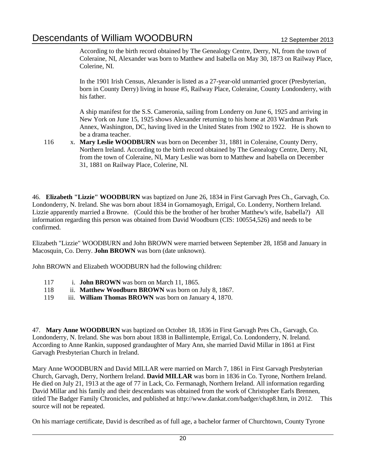According to the birth record obtained by The Genealogy Centre, Derry, NI, from the town of Coleraine, NI, Alexander was born to Matthew and Isabella on May 30, 1873 on Railway Place, Colerine, NI.

In the 1901 Irish Census, Alexander is listed as a 27-year-old unmarried grocer (Presbyterian, born in County Derry) living in house #5, Railway Place, Coleraine, County Londonderry, with his father.

A ship manifest for the S.S. Cameronia, sailing from Londerry on June 6, 1925 and arriving in New York on June 15, 1925 shows Alexander returning to his home at 203 Wardman Park Annex, Washington, DC, having lived in the United States from 1902 to 1922. He is shown to be a drama teacher.

116 x. **Mary Leslie WOODBURN** was born on December 31, 1881 in Coleraine, County Derry, Northern Ireland. According to the birth record obtained by The Genealogy Centre, Derry, NI, from the town of Coleraine, NI, Mary Leslie was born to Matthew and Isabella on December 31, 1881 on Railway Place, Colerine, NI.

46. **Elizabeth "Lizzie" WOODBURN** was baptized on June 26, 1834 in First Garvagh Pres Ch., Garvagh, Co. Londonderry, N. Ireland. She was born about 1834 in Gornamoyagh, Errigal, Co. Londerry, Northern Ireland. Lizzie apparently married a Browne. (Could this be the brother of her brother Matthew's wife, Isabella?) All information regarding this person was obtained from David Woodburn (CIS: 100554,526) and needs to be confirmed.

Elizabeth "Lizzie" WOODBURN and John BROWN were married between September 28, 1858 and January in Macosquin, Co. Derry. **John BROWN** was born (date unknown).

John BROWN and Elizabeth WOODBURN had the following children:

- 117 i. **John BROWN** was born on March 11, 1865.
- 118 ii. **Matthew Woodburn BROWN** was born on July 8, 1867.
- 119 iii. **William Thomas BROWN** was born on January 4, 1870.

47. **Mary Anne WOODBURN** was baptized on October 18, 1836 in First Garvagh Pres Ch., Garvagh, Co. Londonderry, N. Ireland. She was born about 1838 in Ballintemple, Errigal, Co. Londonderry, N. Ireland. According to Anne Rankin, supposed grandaughter of Mary Ann, she married David Millar in 1861 at First Garvagh Presbyterian Church in Ireland.

Mary Anne WOODBURN and David MILLAR were married on March 7, 1861 in First Garvagh Presbyterian Church, Garvagh, Derry, Northern Ireland. **David MILLAR** was born in 1836 in Co. Tyrone, Northern Ireland. He died on July 21, 1913 at the age of 77 in Lack, Co. Fermanagh, Northern Ireland. All information regarding David Millar and his family and their descendants was obtained from the work of Christopher Earls Brennen, titled The Badger Family Chronicles, and published at http://www.dankat.com/badger/chap8.htm, in 2012. This source will not be repeated.

On his marriage certificate, David is described as of full age, a bachelor farmer of Churchtown, County Tyrone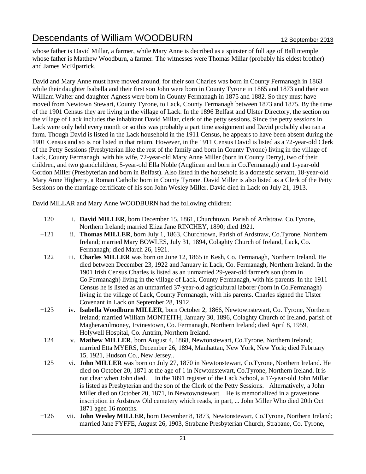whose father is David Millar, a farmer, while Mary Anne is decribed as a spinster of full age of Ballintemple whose father is Matthew Woodburn, a farmer. The witnesses were Thomas Millar (probably his eldest brother) and James McElpatrick.

David and Mary Anne must have moved around, for their son Charles was born in County Fermanagh in 1863 while their daughter Isabella and their first son John were born in County Tyrone in 1865 and 1873 and their son William Walter and daughter Agness were born in County Fermanagh in 1875 and 1882. So they must have moved from Newtown Stewart, County Tyrone, to Lack, County Fermanagh between 1873 and 1875. By the time of the 1901 Census they are living in the village of Lack. In the 1896 Belfast and Ulster Directory, the section on the village of Lack includes the inhabitant David Millar, clerk of the petty sessions. Since the petty sessions in Lack were only held every month or so this was probably a part time assignment and David probably also ran a farm. Though David is listed in the Lack household in the 1911 Census, he appears to have been absent during the 1901 Census and so is not listed in that return. However, in the 1911 Census David is listed as a 72-year-old Clerk of the Petty Sessions (Presbyterian like the rest of the family and born in County Tyrone) living in the village of Lack, County Fermanagh, with his wife, 72-year-old Mary Anne Miller (born in County Derry), two of their children, and two grandchildren, 5-year-old Ella Noble (Anglican and born in Co.Fermanagh) and 1-year-old Gordon Miller (Presbyterian and born in Belfast). Also listed in the household is a domestic servant, 18-year-old Mary Anne Higherty, a Roman Catholic born in County Tyrone. David Miller is also listed as a Clerk of the Petty Sessions on the marriage certificate of his son John Wesley Miller. David died in Lack on July 21, 1913.

David MILLAR and Mary Anne WOODBURN had the following children:

| $+120$ | i. David MILLER, born December 15, 1861, Churchtown, Parish of Ardstraw, Co.Tyrone, |
|--------|-------------------------------------------------------------------------------------|
|        | Northern Ireland; married Eliza Jane RINCHEY, 1890; died 1921.                      |

- +121 ii. **Thomas MILLER**, born July 1, 1863, Churchtown, Parish of Ardstraw, Co.Tyrone, Northern Ireland; married Mary BOWLES, July 31, 1894, Colaghty Church of Ireland, Lack, Co. Fermanagh; died March 26, 1921.
- 122 iii. **Charles MILLER** was born on June 12, 1865 in Kesh, Co. Fermanagh, Northern Ireland. He died between December 23, 1922 and January in Lack, Co. Fermanagh, Northern Ireland. In the 1901 Irish Census Charles is listed as an unmarried 29-year-old farmer's son (born in Co.Fermanagh) living in the village of Lack, County Fermanagh, with his parents. In the 1911 Census he is listed as an unmarried 37-year-old agricultural laborer (born in Co.Fermanagh) living in the village of Lack, County Fermanagh, with his parents. Charles signed the Ulster Covenant in Lack on September 28, 1912.
- +123 iv. **Isabella Woodburn MILLER**, born October 2, 1866, Newtownstewart, Co. Tyrone, Northern Ireland; married William MONTEITH, January 30, 1896, Colaghty Church of Ireland, parish of Magheraculmoney, Irvinestown, Co. Fermanagh, Northern Ireland; died April 8, 1959, Holywell Hospital, Co. Antrim, Northern Ireland.
- +124 v. **Mathew MILLER**, born August 4, 1868, Newtonstewart, Co.Tyrone, Northern Ireland; married Etta MYERS, December 26, 1894, Manhattan, New York, New York; died February 15, 1921, Hudson Co., New Jersey,.
- 125 vi. **John MILLER** was born on July 27, 1870 in Newtonstewart, Co.Tyrone, Northern Ireland. He died on October 20, 1871 at the age of 1 in Newtonstewart, Co.Tyrone, Northern Ireland. It is not clear when John died. In the 1891 register of the Lack School, a 17-year-old John Millar is listed as Presbyterian and the son of the Clerk of the Petty Sessions. Alternatively, a John Miller died on October 20, 1871, in Newtownstewart. He is memorialized in a gravestone inscription in Ardstraw Old cemetery which reads, in part, ... John Miller Who died 20th Oct 1871 aged 16 months.
- +126 vii. **John Wesley MILLER**, born December 8, 1873, Newtonstewart, Co.Tyrone, Northern Ireland; married Jane FYFFE, August 26, 1903, Strabane Presbyterian Church, Strabane, Co. Tyrone,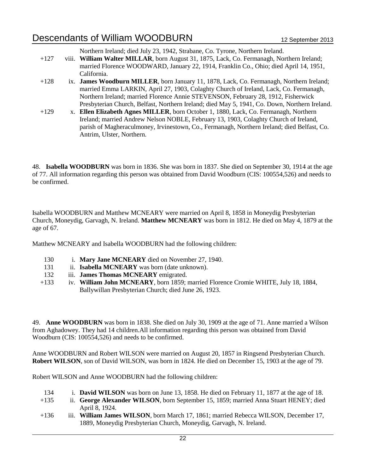Northern Ireland; died July 23, 1942, Strabane, Co. Tyrone, Northern Ireland.

- +127 viii. **William Walter MILLAR**, born August 31, 1875, Lack, Co. Fermanagh, Northern Ireland; married Florence WOODWARD, January 22, 1914, Franklin Co., Ohio; died April 14, 1951, California.
- +128 ix. **James Woodburn MILLER**, born January 11, 1878, Lack, Co. Fermanagh, Northern Ireland; married Emma LARKIN, April 27, 1903, Colaghty Church of Ireland, Lack, Co. Fermanagh, Northern Ireland; married Florence Annie STEVENSON, February 28, 1912, Fisherwick Presbyterian Church, Belfast, Northern Ireland; died May 5, 1941, Co. Down, Northern Ireland.
- +129 x. **Ellen Elizabeth Agnes MILLER**, born October 1, 1880, Lack, Co. Fermanagh, Northern Ireland; married Andrew Nelson NOBLE, February 13, 1903, Colaghty Church of Ireland, parish of Magheraculmoney, Irvinestown, Co., Fermanagh, Northern Ireland; died Belfast, Co. Antrim, Ulster, Northern.

48. **Isabella WOODBURN** was born in 1836. She was born in 1837. She died on September 30, 1914 at the age of 77. All information regarding this person was obtained from David Woodburn (CIS: 100554,526) and needs to be confirmed.

Isabella WOODBURN and Matthew MCNEARY were married on April 8, 1858 in Moneydig Presbyterian Church, Moneydig, Garvagh, N. Ireland. **Matthew MCNEARY** was born in 1812. He died on May 4, 1879 at the age of 67.

Matthew MCNEARY and Isabella WOODBURN had the following children:

- 130 i. **Mary Jane MCNEARY** died on November 27, 1940.
- 131 ii. **Isabella MCNEARY** was born (date unknown).
- 132 iii. **James Thomas MCNEARY** emigrated.
- +133 iv. **William John MCNEARY**, born 1859; married Florence Cromie WHITE, July 18, 1884, Ballywillan Presbyterian Church; died June 26, 1923.

49. **Anne WOODBURN** was born in 1838. She died on July 30, 1909 at the age of 71. Anne married a Wilson from Aghadowey. They had 14 children.All information regarding this person was obtained from David Woodburn (CIS: 100554,526) and needs to be confirmed.

Anne WOODBURN and Robert WILSON were married on August 20, 1857 in Ringsend Presbyterian Church. **Robert WILSON**, son of David WILSON, was born in 1824. He died on December 15, 1903 at the age of 79.

Robert WILSON and Anne WOODBURN had the following children:

- 134 i. **David WILSON** was born on June 13, 1858. He died on February 11, 1877 at the age of 18.
- +135 ii. **George Alexander WILSON**, born September 15, 1859; married Anna Stuart HENEY; died April 8, 1924.
- +136 iii. **William James WILSON**, born March 17, 1861; married Rebecca WILSON, December 17, 1889, Moneydig Presbyterian Church, Moneydig, Garvagh, N. Ireland.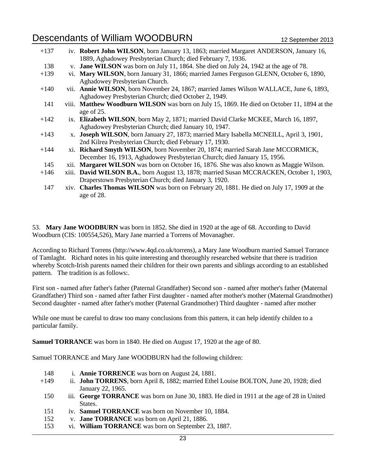| $+137$ | iv. Robert John WILSON, born January 13, 1863; married Margaret ANDERSON, January 16,       |
|--------|---------------------------------------------------------------------------------------------|
|        | 1889, Aghadowey Presbyterian Church; died February 7, 1936.                                 |
| 138    | v. Jane WILSON was born on July 11, 1864. She died on July 24, 1942 at the age of 78.       |
| $+139$ | vi. Mary WILSON, born January 31, 1866; married James Ferguson GLENN, October 6, 1890,      |
|        | Aghadowey Presbyterian Church.                                                              |
| $+140$ | vii. Annie WILSON, born November 24, 1867; married James Wilson WALLACE, June 6, 1893,      |
|        | Aghadowey Presbyterian Church; died October 2, 1949.                                        |
| 141    | viii. Matthew Woodburn WILSON was born on July 15, 1869. He died on October 11, 1894 at the |
|        | age of 25.                                                                                  |
| $+142$ | ix. Elizabeth WILSON, born May 2, 1871; married David Clarke MCKEE, March 16, 1897,         |
|        | Aghadowey Presbyterian Church; died January 10, 1947.                                       |
| $+143$ | x. Joseph WILSON, born January 27, 1873; married Mary Isabella MCNEILL, April 3, 1901,      |
|        | 2nd Kilrea Presbyterian Church; died February 17, 1930.                                     |
| $+144$ | xi. Richard Smyth WILSON, born November 20, 1874; married Sarah Jane MCCORMICK,             |
|        | December 16, 1913, Aghadowey Presbyterian Church; died January 15, 1956.                    |
| 145    | xii. Margaret WILSON was born on October 16, 1876. She was also known as Maggie Wilson.     |
| $+146$ | xiii. David WILSON B.A., born August 13, 1878; married Susan MCCRACKEN, October 1, 1903,    |
|        | Draperstown Presbyterian Church; died January 3, 1920.                                      |
| 147    | xiv. Charles Thomas WILSON was born on February 20, 1881. He died on July 17, 1909 at the   |
|        | age of 28.                                                                                  |

53. **Mary Jane WOODBURN** was born in 1852. She died in 1920 at the age of 68. According to David Woodburn (CIS: 100554,526), Mary Jane married a Torrens of Movanagher.

According to Richard Torrens (http://www.4qd.co.uk/torrens), a Mary Jane Woodburn married Samuel Torrance of Tamlaght. Richard notes in his quite interesting and thoroughly researched website that there is tradition whereby Scotch-Irish parents named their children for their own parents and siblings according to an established pattern. The tradition is as follows:.

First son - named after father's father (Paternal Grandfather) Second son - named after mother's father (Maternal Grandfather) Third son - named after father First daughter - named after mother's mother (Maternal Grandmother) Second daughter - named after father's mother (Paternal Grandmother) Third daughter - named after mother

While one must be careful to draw too many conclusions from this pattern, it can help identify childen to a particular family.

**Samuel TORRANCE** was born in 1840. He died on August 17, 1920 at the age of 80.

Samuel TORRANCE and Mary Jane WOODBURN had the following children:

| 148  | i. <b>Annie TORRENCE</b> was born on August 24, 1881.                                          |
|------|------------------------------------------------------------------------------------------------|
| +149 | ii. <b>John TORRENS</b> , born April 8, 1882; married Ethel Louise BOLTON, June 20, 1928; died |
|      | January 22, 1965.                                                                              |
| 150  | iii. George TORRANCE was born on June 30, 1883. He died in 1911 at the age of 28 in United     |
|      | States.                                                                                        |
| 151  | iv. <b>Samuel TORRANCE</b> was born on November 10, 1884.                                      |
| 152  | v. <b>Jane TORRANCE</b> was born on April 21, 1886.                                            |

153 vi. **William TORRANCE** was born on September 23, 1887.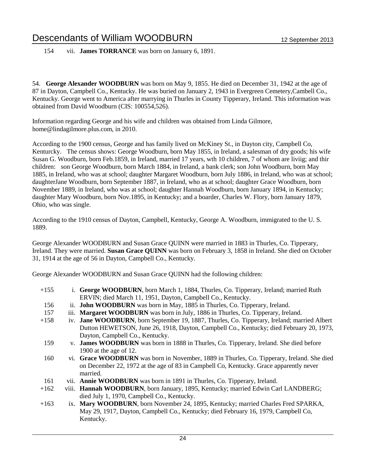154 vii. **James TORRANCE** was born on January 6, 1891.

54. **George Alexander WOODBURN** was born on May 9, 1855. He died on December 31, 1942 at the age of 87 in Dayton, Campbell Co., Kentucky. He was buried on January 2, 1943 in Evergreen Cemetery,Cambell Co., Kentucky. George went to America after marrying in Thurles in County Tipperary, Ireland. This information was obtained from David Woodburn (CIS: 100554,526).

Information regarding George and his wife and children was obtained from Linda Gilmore, home@lindagilmore.plus.com, in 2010.

According to the 1900 census, George and has family lived on McKiney St., in Dayton city, Campbell Co, Kenturcky. The census shows: George Woodburn, born May 1855, in Ireland, a salesman of dry goods; his wife Susan G. Woodburn, born Feb.1859, in Ireland, married 17 years, wth 10 children, 7 of whom are liviig; and thir children: son George Woodburn, born March 1884, in Ireland, a bank clerk; son John Woodburn, born May 1885, in Ireland, who was at school; daughter Margaret Woodburn, born July 1886, in Ireland, who was at school; daughterJane Woodburn, born September 1887, in Ireland, who as at school; daughter Grace Woodburn, born November 1889, in Ireland, who was at school; daughter Hannah Woodburn, born January 1894, in Kentucky; daughter Mary Woodburn, born Nov.1895, in Kentucky; and a boarder, Charles W. Flory, born January 1879, Ohio, who was single.

According to the 1910 census of Dayton, Campbell, Kentucky, George A. Woodburn, immigrated to the U. S. 1889.

George Alexander WOODBURN and Susan Grace QUINN were married in 1883 in Thurles, Co. Tipperary, Ireland. They were married. **Susan Grace QUINN** was born on February 3, 1858 in Ireland. She died on October 31, 1914 at the age of 56 in Dayton, Campbell Co., Kentucky.

George Alexander WOODBURN and Susan Grace QUINN had the following children:

| $+155$ | i. George WOODBURN, born March 1, 1884, Thurles, Co. Tipperary, Ireland; married Ruth       |
|--------|---------------------------------------------------------------------------------------------|
|        | ERVIN; died March 11, 1951, Dayton, Campbell Co., Kentucky.                                 |
| 156    | ii. <b>John WOODBURN</b> was born in May, 1885 in Thurles, Co. Tipperary, Ireland.          |
| 157    | iii. Margaret WOODBURN was born in July, 1886 in Thurles, Co. Tipperary, Ireland.           |
| $+158$ | iv. Jane WOODBURN, born September 19, 1887, Thurles, Co. Tipperary, Ireland; married Albert |
|        | Dutton HEWETSON, June 26, 1918, Dayton, Campbell Co., Kentucky; died February 20, 1973,     |
|        | Dayton, Campbell Co., Kentucky.                                                             |
| 159    | v. James WOODBURN was born in 1888 in Thurles, Co. Tipperary, Ireland. She died before      |
|        | 1900 at the age of 12.                                                                      |
| 160    | vi. Grace WOODBURN was born in November, 1889 in Thurles, Co. Tipperary, Ireland. She died  |
|        | on December 22, 1972 at the age of 83 in Campbell Co, Kentucky. Grace apparently never      |
|        | married.                                                                                    |
| 161    | vii. Annie WOODBURN was born in 1891 in Thurles, Co. Tipperary, Ireland.                    |

- +162 viii. **Hannah WOODBURN**, born January, 1895, Kentucky; married Edwin Carl LANDBERG; died July 1, 1970, Campbell Co., Kentucky.
- +163 ix. **Mary WOODBURN**, born November 24, 1895, Kentucky; married Charles Fred SPARKA, May 29, 1917, Dayton, Campbell Co., Kentucky; died February 16, 1979, Campbell Co, Kentucky.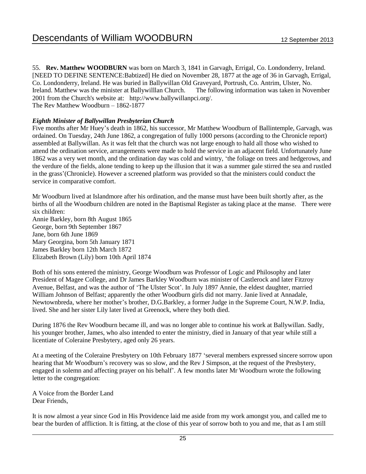55. **Rev. Matthew WOODBURN** was born on March 3, 1841 in Garvagh, Errigal, Co. Londonderry, Ireland. [NEED TO DEFINE SENTENCE:Babtized] He died on November 28, 1877 at the age of 36 in Garvagh, Errigal, Co. Londonderry, Ireland. He was buried in Ballywillan Old Graveyard, Portrush, Co. Antrim, Ulster, No. Ireland. Matthew was the minister at Ballywilllan Church. The following information was taken in November 2001 from the Church's website at: http://www.ballywillanpci.org/. The Rev Matthew Woodburn – 1862-1877

#### *Eighth Minister of Ballywillan Presbyterian Church*

Five months after Mr Huey's death in 1862, his successor, Mr Matthew Woodburn of Ballintemple, Garvagh, was ordained. On Tuesday, 24th June 1862, a congregation of fully 1000 persons (according to the Chronicle report) assembled at Ballywillan. As it was felt that the church was not large enough to hald all those who wished to attend the ordination service, arrangements were made to hold the service in an adjacent field. Unfortunately June 1862 was a very wet month, and the ordination day was cold and wintry, 'the foliage on trees and hedgerows, and the verdure of the fields, alone tending to keep up the illusion that it was a summer gale stirred the sea and rustled in the grass'(Chronicle). However a screened platform was provided so that the ministers could conduct the service in comparative comfort.

Mr Woodburn lived at Islandmore after his ordination, and the manse must have been built shortly after, as the births of all the Woodburn children are noted in the Baptismal Register as taking place at the manse. There were six children: Annie Barkley, born 8th August 1865

George, born 9th September 1867 Jane, born 6th June 1869 Mary Georgina, born 5th January 1871 James Barkley born 12th March 1872 Elizabeth Brown (Lily) born 10th April 1874

Both of his sons entered the ministry, George Woodburn was Professor of Logic and Philosophy and later President of Magee College, and Dr James Barkley Woodburn was minister of Castlerock and later Fitzroy Avenue, Belfast, and was the author of 'The Ulster Scot'. In July 1897 Annie, the eldest daughter, married William Johnson of Belfast; apparently the other Woodburn girls did not marry. Janie lived at Annadale, Newtownbreda, where her mother's brother, D.G.Barkley, a former Judge in the Supreme Court, N.W.P. India, lived. She and her sister Lily later lived at Greenock, where they both died.

During 1876 the Rev Woodburn became ill, and was no longer able to continue his work at Ballywillan. Sadly, his younger brother, James, who also intended to enter the ministry, died in January of that year while still a licentiate of Coleraine Presbytery, aged only 26 years.

At a meeting of the Coleraine Presbytery on 10th February 1877 'several members expressed sincere sorrow upon hearing that Mr Woodburn's recovery was so slow, and the Rev J Simpson, at the request of the Presbytery, engaged in solemn and affecting prayer on his behalf'. A few months later Mr Woodburn wrote the following letter to the congregation:

A Voice from the Border Land Dear Friends,

It is now almost a year since God in His Providence laid me aside from my work amongst you, and called me to bear the burden of affliction. It is fitting, at the close of this year of sorrow both to you and me, that as I am still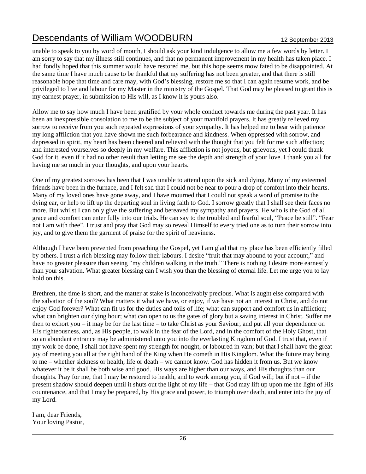unable to speak to you by word of mouth, I should ask your kind indulgence to allow me a few words by letter. I am sorry to say that my illness still continues, and that no permanent improvement in my health has taken place. I had fondly hoped that this summer would have restored me, but this hope seems mow fated to be disappointed. At the same time I have much cause to be thankful that my suffering has not been greater, and that there is still reasonable hope that time and care may, with God's blessing, restore me so that I can again resume work, and be privileged to live and labour for my Master in the ministry of the Gospel. That God may be pleased to grant this is my earnest prayer, in submission to His will, as I know it is yours also.

Allow me to say how much I have been gratified by your whole conduct towards me during the past year. It has been an inexpressible consolation to me to be the subject of your manifold prayers. It has greatly relieved my sorrow to receive from you such repeated expressions of your sympathy. It has helped me to bear with patience my long affliction that you have shown me such forbearance and kindness. When oppressed with sorrow, and depressed in spirit, my heart has been cheered and relieved with the thought that you felt for me such affection; and interested yourselves so deeply in my welfare. This affliction is not joyous, but grievous, yet I could thank God for it, even if it had no other result than letting me see the depth and strength of your love. I thank you all for having me so much in your thoughts, and upon your hearts.

One of my greatest sorrows has been that I was unable to attend upon the sick and dying. Many of my esteemed friends have been in the furnace, and I felt sad that I could not be near to pour a drop of comfort into their hearts. Many of my loved ones have gone away, and I have mourned that I could not speak a word of promise to the dying ear, or help to lift up the departing soul in living faith to God. I sorrow greatly that I shall see their faces no more. But whilst I can only give the suffering and bereaved my sympathy and prayers, He who is the God of all grace and comfort can enter fully into our trials. He can say to the troubled and fearful soul, "Peace be still". "Fear not I am with thee". I trust and pray that God may so reveal Himself to every tried one as to turn their sorrow into joy, and to give them the garment of praise for the spirit of heaviness.

Although I have been prevented from preaching the Gospel, yet I am glad that my place has been efficiently filled by others. I trust a rich blessing may follow their labours. I desire "fruit that may abound to your account," and have no greater pleasure than seeing "my children walking in the truth." There is nothing I desire more earnestly than your salvation. What greater blessing can I wish you than the blessing of eternal life. Let me urge you to lay hold on this.

Brethren, the time is short, and the matter at stake is inconceivably precious. What is aught else compared with the salvation of the soul? What matters it what we have, or enjoy, if we have not an interest in Christ, and do not enjoy God forever? What can fit us for the duties and toils of life; what can support and comfort us in affliction; what can brighten our dying hour; what can open to us the gates of glory but a saving interest in Christ. Suffer me then to exhort you – it may be for the last time – to take Christ as your Saviour, and put all your dependence on His righteousness, and, as His people, to walk in the fear of the Lord, and in the comfort of the Holy Ghost, that so an abundant entrance may be administered unto you into the everlasting Kingdom of God. I trust that, even if my work be done, I shall not have spent my strength for nought, or laboured in vain; but that I shall have the great joy of meeting you all at the right hand of the King when He cometh in His Kingdom. What the future may bring to me – whether sickness or health, life or death – we cannot know. God has hidden it from us. But we know whatever it be it shall be both wise and good. His ways are higher than our ways, and His thoughts than our thoughts. Pray for me, that I may be restored to health, and to work among you, if God will; but if not – if the present shadow should deepen until it shuts out the light of my life – that God may lift up upon me the light of His countenance, and that I may be prepared, by His grace and power, to triumph over death, and enter into the joy of my Lord.

I am, dear Friends, Your loving Pastor,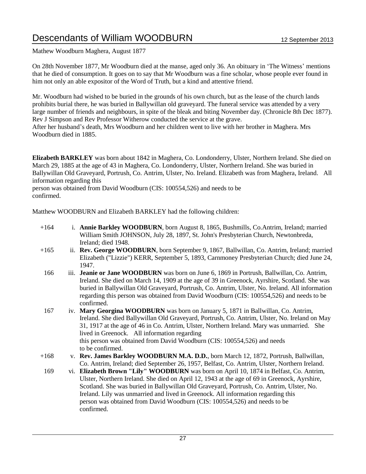Mathew Woodburn Maghera, August 1877

On 28th November 1877, Mr Woodburn died at the manse, aged only 36. An obituary in 'The Witness' mentions that he died of consumption. It goes on to say that Mr Woodburn was a fine scholar, whose people ever found in him not only an able expositor of the Word of Truth, but a kind and attentive friend.

Mr. Woodburn had wished to be buried in the grounds of his own church, but as the lease of the church lands prohibits burial there, he was buried in Ballywillan old graveyard. The funeral service was attended by a very large number of friends and neighbours, in spite of the bleak and biting November day. (Chronicle 8th Dec 1877). Rev J Simpson and Rev Professor Witherow conducted the service at the grave.

After her husband's death, Mrs Woodburn and her children went to live with her brother in Maghera. Mrs Woodburn died in 1885.

**Elizabeth BARKLEY** was born about 1842 in Maghera, Co. Londonderry, Ulster, Northern Ireland. She died on March 29, 1885 at the age of 43 in Maghera, Co. Londonderry, Ulster, Northern Ireland. She was buried in Ballywillan Old Graveyard, Portrush, Co. Antrim, Ulster, No. Ireland. Elizabeth was from Maghera, Ireland. All information regarding this

person was obtained from David Woodburn (CIS: 100554,526) and needs to be confirmed.

Matthew WOODBURN and Elizabeth BARKLEY had the following children:

| $+164$ | i. Annie Barkley WOODBURN, born August 8, 1865, Bushmills, Co. Antrim, Ireland; married |
|--------|-----------------------------------------------------------------------------------------|
|        | William Smith JOHNSON, July 28, 1897, St. John's Presbyterian Church, Newtonbreda,      |
|        | Ireland: died 1948.                                                                     |

- +165 ii. **Rev. George WOODBURN**, born September 9, 1867, Ballwillan, Co. Antrim, Ireland; married Elizabeth ("Lizzie") KERR, September 5, 1893, Carnmoney Presbyterian Church; died June 24, 1947.
- 166 iii. **Jeanie or Jane WOODBURN** was born on June 6, 1869 in Portrush, Ballwillan, Co. Antrim, Ireland. She died on March 14, 1909 at the age of 39 in Greenock, Ayrshire, Scotland. She was buried in Ballywillan Old Graveyard, Portrush, Co. Antrim, Ulster, No. Ireland. All information regarding this person was obtained from David Woodburn (CIS: 100554,526) and needs to be confirmed.
- 167 iv. **Mary Georgina WOODBURN** was born on January 5, 1871 in Ballwillan, Co. Antrim, Ireland. She died Ballywillan Old Graveyard, Portrush, Co. Antrim, Ulster, No. Ireland on May 31, 1917 at the age of 46 in Co. Antrim, Ulster, Northern Ireland. Mary was unmarried. She lived in Greenock. All information regarding this person was obtained from David Woodburn (CIS: 100554,526) and needs to be confirmed.
- +168 v. **Rev. James Barkley WOODBURN M.A. D.D.**, born March 12, 1872, Portrush, Ballwillan, Co. Antrim, Ireland; died September 26, 1957, Belfast, Co. Antrim, Ulster, Northern Ireland.
- 169 vi. **Elizabeth Brown "Lily" WOODBURN** was born on April 10, 1874 in Belfast, Co. Antrim, Ulster, Northern Ireland. She died on April 12, 1943 at the age of 69 in Greenock, Ayrshire, Scotland. She was buried in Ballywillan Old Graveyard, Portrush, Co. Antrim, Ulster, No. Ireland. Lily was unmarried and lived in Greenock. All information regarding this person was obtained from David Woodburn (CIS: 100554,526) and needs to be confirmed.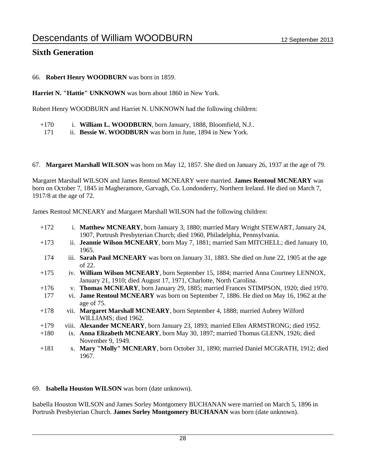#### **Sixth Generation**

#### 66. **Robert Henry WOODBURN** was born in 1859.

**Harriet N. "Hattie" UNKNOWN** was born about 1860 in New York.

Robert Henry WOODBURN and Harriet N. UNKNOWN had the following children:

- +170 i. **William L. WOODBURN**, born January, 1888, Bloomfield, N.J..
- 171 ii. **Bessie W. WOODBURN** was born in June, 1894 in New York.

#### 67. **Margaret Marshall WILSON** was born on May 12, 1857. She died on January 26, 1937 at the age of 79.

Margaret Marshall WILSON and James Rentoul MCNEARY were married. **James Rentoul MCNEARY** was born on October 7, 1845 in Magheramore, Garvagh, Co. Londonderry, Northern Ireland. He died on March 7, 1917/8 at the age of 72.

James Rentoul MCNEARY and Margaret Marshall WILSON had the following children:

| $+172$ | i. Matthew MCNEARY, born January 3, 1880; married Mary Wright STEWART, January 24,<br>1907, Portrush Presbyterian Church; died 1960, Philadelphia, Pennsylvania. |
|--------|------------------------------------------------------------------------------------------------------------------------------------------------------------------|
| $+173$ | ii. Jeannie Wilson MCNEARY, born May 7, 1881; married Sam MITCHELL; died January 10,<br>1965.                                                                    |
| 174    | iii. Sarah Paul MCNEARY was born on January 31, 1883. She died on June 22, 1905 at the age<br>of $22$ .                                                          |
| $+175$ | iv. William Wilson MCNEARY, born September 15, 1884; married Anna Courtney LENNOX,<br>January 21, 1910; died August 17, 1971, Charlotte, North Carolina.         |
| $+176$ | v. Thomas MCNEARY, born January 29, 1885; married Frances STIMPSON, 1920; died 1970.                                                                             |
| 177    | vi. Jame Rentoul MCNEARY was born on September 7, 1886. He died on May 16, 1962 at the<br>age of 75.                                                             |
| $+178$ | vii. Margaret Marshall MCNEARY, born September 4, 1888; married Aubrey Wilford<br>WILLIAMS; died 1962.                                                           |
| $+179$ | viii. Alexander MCNEARY, born January 23, 1893; married Ellen ARMSTRONG; died 1952.                                                                              |
| $+180$ | ix. Anna Elizabeth MCNEARY, born May 30, 1897; married Thomas GLENN, 1926; died                                                                                  |
|        | November 9, 1949.                                                                                                                                                |
| $+181$ | x. Mary "Molly" MCNEARY, born October 31, 1890; married Daniel MCGRATH, 1912; died<br>1967.                                                                      |

#### 69. **Isabella Houston WILSON** was born (date unknown).

Isabella Houston WILSON and James Sorley Montgomery BUCHANAN were married on March 5, 1896 in Portrush Presbyterian Church. **James Sorley Montgomery BUCHANAN** was born (date unknown).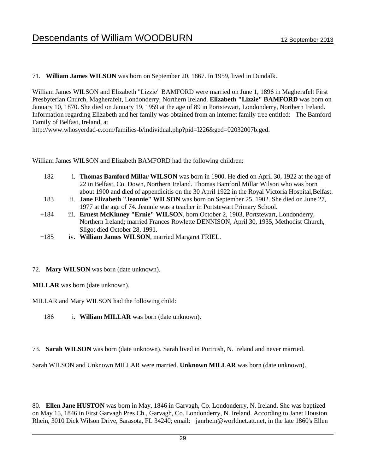#### 71. **William James WILSON** was born on September 20, 1867. In 1959, lived in Dundalk.

William James WILSON and Elizabeth "Lizzie" BAMFORD were married on June 1, 1896 in Magherafelt First Presbyterian Church, Magherafelt, Londonderry, Northern Ireland. **Elizabeth "Lizzie" BAMFORD** was born on January 10, 1870. She died on January 19, 1959 at the age of 89 in Portstewart, Londonderry, Northern Ireland. Information regarding Elizabeth and her family was obtained from an internet family tree entitled: The Bamford Family of Belfast, Ireland, at

http://www.whosyerdad-e.com/families-b/individual.php?pid=I226&ged=02032007b.ged.

William James WILSON and Elizabeth BAMFORD had the following children:

- 182 i. **Thomas Bamford Millar WILSON** was born in 1900. He died on April 30, 1922 at the age of 22 in Belfast, Co. Down, Northern Ireland. Thomas Bamford Millar Wilson who was born about 1900 and died of appendicitis on the 30 April 1922 in the Royal Victoria Hospital,Belfast.
- 183 ii. **Jane Elizabeth "Jeannie" WILSON** was born on September 25, 1902. She died on June 27, 1977 at the age of 74. Jeannie was a teacher in Portstewart Primary School.
- +184 iii. **Ernest McKinney "Ernie" WILSON**, born October 2, 1903, Portstewart, Londonderry, Northern Ireland; married Frances Rowlette DENNISON, April 30, 1935, Methodist Church, Sligo; died October 28, 1991.
- +185 iv. **William James WILSON**, married Margaret FRIEL.

#### 72. **Mary WILSON** was born (date unknown).

**MILLAR** was born (date unknown).

MILLAR and Mary WILSON had the following child:

- 186 i. **William MILLAR** was born (date unknown).
- 73. **Sarah WILSON** was born (date unknown). Sarah lived in Portrush, N. Ireland and never married.

Sarah WILSON and Unknown MILLAR were married. **Unknown MILLAR** was born (date unknown).

80. **Ellen Jane HUSTON** was born in May, 1846 in Garvagh, Co. Londonderry, N. Ireland. She was baptized on May 15, 1846 in First Garvagh Pres Ch., Garvagh, Co. Londonderry, N. Ireland. According to Janet Houston Rhein, 3010 Dick Wilson Drive, Sarasota, FL 34240; email: janrhein@worldnet.att.net, in the late 1860's Ellen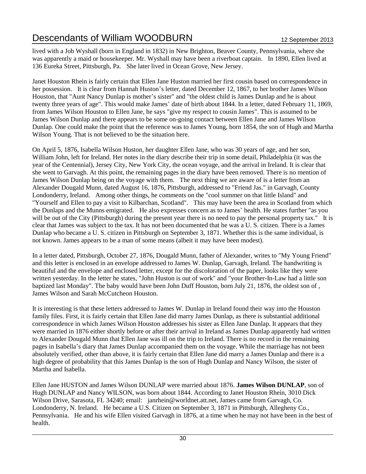lived with a Job Wyshall (born in England in 1832) in New Brighton, Beaver County, Pennsylvania, where she was apparently a maid or housekeeper. Mr. Wyshall may have been a riverboat captain. In 1890, Ellen lived at 136 Eureka Street, Pittsburgh, Pa. She later lived in Ocean Grove, New Jersey.

Janet Houston Rhein is fairly certain that Ellen Jane Huston married her first cousin based on correspondence in her possession. It is clear from Hannah Huston's letter, dated December 12, 1867, to her brother James Wilson Houston, that "Aunt Nancy Dunlap is mother's sister" and "the oldest child is James Dunlap and he is about twenty three years of age". This would make James' date of birth about 1844. In a letter, dated February 11, 1869, from James Wilson Houston to Ellen Jane, he says "give my respect to cousin James". This is assumed to be James Wilson Dunlap and there appears to be some on-going contact between Ellen Jane and James Wilson Dunlap. One could make the point that the reference was to James Young, born 1854, the son of Hugh and Martha Wilson Young. That is not believed to be the situation here.

On April 5, 1876, Isabella Wilson Huston, her daughter Ellen Jane, who was 30 years of age, and her son, William John, left for Ireland. Her notes in the diary describe their trip in some detail, Philadelphia (it was the year of the Centennial), Jersey City, New York City, the ocean voyage, and the arrival in Ireland. It is clear that she went to Garvagh. At this point, the remaining pages in the diary have been removed. There is no mention of James Wilson Dunlap being on the voyage with them. The next thing we are aware of is a letter from an Alexander Dougald Munn, dated August 16, 1876, Pittsburgh, addressed to "Friend Jas." in Garvagh, County Londonderry, Ireland. Among other things, he comments on the "cool summer on that little Island" and "Yourself and Ellen to pay a visit to Kilbarchan, Scotland". This may have been the area in Scotland from which the Dunlaps and the Munns emigrated. He also expresses concern as to James' health. He states further "as you will be out of the City (Pittsburgh) during the present year there is no need to pay the personal property tax." It is clear that James was subject to the tax. It has not been documented that he was a U. S. citizen. There is a James Dunlap who became a U. S. citizen in Pittsburgh on September 3, 1871. Whether this is the same individual, is not known. James appears to be a man of some means (albeit it may have been modest).

In a letter dated, Pittsburgh, October 27, 1876, Dougald Munn, father of Alexander, writes to "My Young Friend" and this letter is enclosed in an envelope addressed to James W. Dunlap, Garvagh, Ireland. The handwriting is beautiful and the envelope and enclosed letter, except for the discoloration of the paper, looks like they were written yesterday. In the letter he states, "John Huston is out of work" and "your Brother-In-Law had a little son baptized last Monday". The baby would have been John Duff Houston, born July 21, 1876, the oldest son of , James Wilson and Sarah McCutcheon Houston.

It is interesting is that these letters addressed to James W. Dunlap in Ireland found their way into the Houston family files. First, it is fairly certain that Ellen Jane did marry James Dunlap, as there is substantial additional correspondence in which James Wilson Houston addresses his sister as Ellen Jane Dunlap. It appears that they were married in 1876 either shortly before or after their arrival in Ireland as James Dunlap apparently had written to Alexander Dougald Munn that Ellen Jane was ill on the trip to Ireland. There is no record in the remaining pages in Isabella's diary that James Dunlap accompanied them on the voyage. While the marriage has not been absolutely verified, other than above, it is fairly certain that Ellen Jane did marry a James Dunlap and there is a high degree of probability that this James Dunlap is the son of Hugh Dunlap and Nancy Wilson, the sister of Martha and Isabella.

Ellen Jane HUSTON and James Wilson DUNLAP were married about 1876. **James Wilson DUNLAP**, son of Hugh DUNLAP and Nancy WILSON, was born about 1844. According to Janet Houston Rhein, 3010 Dick Wilson Drive, Sarasota, FL 34240; email: janrhein@worldnet.att.net, James came from Garvagh, Co. Londonderry, N. Ireland. He became a U.S. Citizen on September 3, 1871 in Pittsburgh, Allegheny Co., Pennsylvania. He and his wife Ellen visited Garvagh in 1876, at a time when he may not have been in the best of health.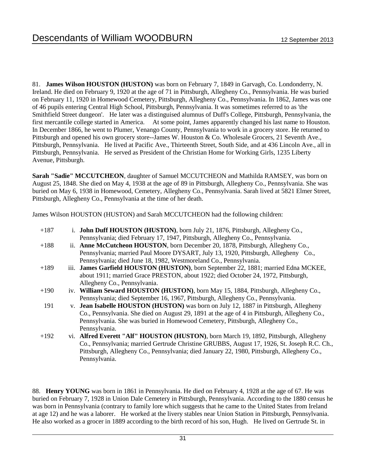81. **James Wilson HOUSTON (HUSTON)** was born on February 7, 1849 in Garvagh, Co. Londonderry, N. Ireland. He died on February 9, 1920 at the age of 71 in Pittsburgh, Allegheny Co., Pennsylvania. He was buried on February 11, 1920 in Homewood Cemetery, Pittsburgh, Allegheny Co., Pennsylvania. In 1862, James was one of 46 pupils entering Central High School, Pittsburgh, Pennsylvania. It was sometimes referred to as 'the Smithfield Street dungeon'. He later was a distinguised alumnus of Duff's College, Pittsburgh, Pennsylvania, the first mercantile college started in America. At some point, James apparently changed his last name to Houston. In December 1866, he went to Plumer, Venango County, Pennsylvania to work in a grocery store. He returned to Pittsburgh and opened his own grocery store--James W. Houston & Co. Wholesale Grocers, 21 Seventh Ave., Pittsburgh, Pennsylvania. He lived at Pacific Ave., Thirteenth Street, South Side, and at 436 Lincoln Ave., all in Pittsburgh, Pennsylvania. He served as President of the Christian Home for Working Girls, 1235 Liberty Avenue, Pittsburgh.

**Sarah "Sadie" MCCUTCHEON**, daughter of Samuel MCCUTCHEON and Mathilda RAMSEY, was born on August 25, 1848. She died on May 4, 1938 at the age of 89 in Pittsburgh, Allegheny Co., Pennsylvania. She was buried on May 6, 1938 in Homewood, Cemetery, Allegheny Co., Pennsylvania. Sarah lived at 5821 Elmer Street, Pittsburgh, Allegheny Co., Pennsylvania at the time of her death.

James Wilson HOUSTON (HUSTON) and Sarah MCCUTCHEON had the following children:

| $+187$ | i. John Duff HOUSTON (HUSTON), born July 21, 1876, Pittsburgh, Allegheny Co.,                |
|--------|----------------------------------------------------------------------------------------------|
|        | Pennsylvania; died February 17, 1947, Pittsburgh, Allegheny Co., Pennsylvania.               |
| $+188$ | ii. Anne McCutcheon HOUSTON, born December 20, 1878, Pittsburgh, Allegheny Co.,              |
|        | Pennsylvania; married Paul Moore DYSART, July 13, 1920, Pittsburgh, Allegheny Co.,           |
|        | Pennsylvania; died June 18, 1982, Westmoreland Co., Pennsylvania.                            |
| $+189$ | iii. James Garfield HOUSTON (HUSTON), born September 22, 1881; married Edna MCKEE,           |
|        | about 1911; married Grace PRESTON, about 1922; died October 24, 1972, Pittsburgh,            |
|        | Allegheny Co., Pennsylvania.                                                                 |
| $+190$ | iv. William Seward HOUSTON (HUSTON), born May 15, 1884, Pittsburgh, Allegheny Co.,           |
|        | Pennsylvania; died September 16, 1967, Pittsburgh, Allegheny Co., Pennsylvania.              |
| 191    | v. <b>Jean Isabelle HOUSTON (HUSTON)</b> was born on July 12, 1887 in Pittsburgh, Allegheny  |
|        | Co., Pennsylvania. She died on August 29, 1891 at the age of 4 in Pittsburgh, Allegheny Co., |
|        | Pennsylvania. She was buried in Homewood Cemetery, Pittsburgh, Allegheny Co.,                |
|        | Pennsylvania.                                                                                |
| $+192$ | vi. Alfred Everett "Alf" HOUSTON (HUSTON), born March 19, 1892, Pittsburgh, Allegheny        |
|        | Co., Pennsylvania; married Gertrude Christine GRUBBS, August 17, 1926, St. Joseph R.C. Ch.,  |
|        | Pittsburgh, Allegheny Co., Pennsylvania; died January 22, 1980, Pittsburgh, Allegheny Co.,   |
|        | Pennsylvania.                                                                                |

88. **Henry YOUNG** was born in 1861 in Pennsylvania. He died on February 4, 1928 at the age of 67. He was buried on February 7, 1928 in Union Dale Cemetery in Pittsburgh, Pennsylvania. According to the 1880 census he was born in Pennsylvania (contrary to family lore which suggests that he came to the United States from Ireland at age 12) and he was a laborer. He worked at the livery stables near Union Station in Pittsburgh, Pennsylvania. He also worked as a grocer in 1889 according to the birth record of his son, Hugh. He lived on Gertrude St. in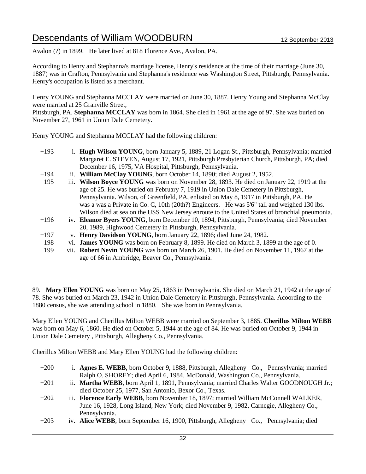Avalon (?) in 1899. He later lived at 818 Florence Ave., Avalon, PA.

According to Henry and Stephanna's marriage license, Henry's residence at the time of their marriage (June 30, 1887) was in Crafton, Pennsylvania and Stephanna's residence was Washington Street, Pittsburgh, Pennsylvania. Henry's occupation is listed as a merchant.

Henry YOUNG and Stephanna MCCLAY were married on June 30, 1887. Henry Young and Stephanna McClay were married at 25 Granville Street,

Pittsburgh, PA. **Stephanna MCCLAY** was born in 1864. She died in 1961 at the age of 97. She was buried on November 27, 1961 in Union Dale Cemetery.

Henry YOUNG and Stephanna MCCLAY had the following children:

- +193 i. **Hugh Wilson YOUNG**, born January 5, 1889, 21 Logan St., Pittsburgh, Pennsylvania; married Margaret E. STEVEN, August 17, 1921, Pittsburgh Presbyterian Church, Pittsburgh, PA; died December 16, 1975, VA Hospital, Pittsburgh, Pennsylvania.
- +194 ii. **William McClay YOUNG**, born October 14, 1890; died August 2, 1952.
- 195 iii. **Wilson Boyce YOUNG** was born on November 28, 1893. He died on January 22, 1919 at the age of 25. He was buried on February 7, 1919 in Union Dale Cemetery in Pittsburgh, Pennsylvania. Wilson, of Greenfield, PA, enlisted on May 8, 1917 in Pittsburgh, PA. He was a was a Private in Co. C, 10th (20th?) Engineers. He was 5'6" tall and weighed 130 lbs. Wilson died at sea on the USS New Jersey enroute to the United States of bronchial pneumonia.
- +196 iv. **Eleanor Byers YOUNG**, born December 10, 1894, Pittsburgh, Pennsylvania; died November 20, 1989, Highwood Cemetery in Pittsburgh, Pennsylvania.
- +197 v. **Henry Davidson YOUNG**, born January 22, 1896; died June 24, 1982.
- 198 vi. **James YOUNG** was born on February 8, 1899. He died on March 3, 1899 at the age of 0.
- 199 vii. **Robert Nevin YOUNG** was born on March 26, 1901. He died on November 11, 1967 at the age of 66 in Ambridge, Beaver Co., Pennsylvania.

89. **Mary Ellen YOUNG** was born on May 25, 1863 in Pennsylvania. She died on March 21, 1942 at the age of 78. She was buried on March 23, 1942 in Union Dale Cemetery in Pittsburgh, Pennsylvania. Acoording to the 1880 census, she was attending school in 1880. She was born in Pennsylvania.

Mary Ellen YOUNG and Cherillus Milton WEBB were married on September 3, 1885. **Cherillus Milton WEBB** was born on May 6, 1860. He died on October 5, 1944 at the age of 84. He was buried on October 9, 1944 in Union Dale Cemetery , Pittsburgh, Allegheny Co., Pennsylvania.

Cherillus Milton WEBB and Mary Ellen YOUNG had the following children:

+200 i. **Agnes E. WEBB**, born October 9, 1888, Pittsburgh, Allegheny Co., Pennsylvania; married Ralph O. SHOREY; died April 6, 1984, McDonald, Washington Co., Pennsylvania. +201 ii. **Martha WEBB**, born April 1, 1891, Pennsylvania; married Charles Walter GOODNOUGH Jr.; died October 25, 1977, San Antonio, Bexor Co., Texas. +202 iii. **Florence Early WEBB**, born November 18, 1897; married William McConnell WALKER, June 16, 1928, Long Island, New York; died November 9, 1982, Carnegie, Allegheny Co., Pennsylvania. +203 iv. **Alice WEBB**, born September 16, 1900, Pittsburgh, Allegheny Co., Pennsylvania; died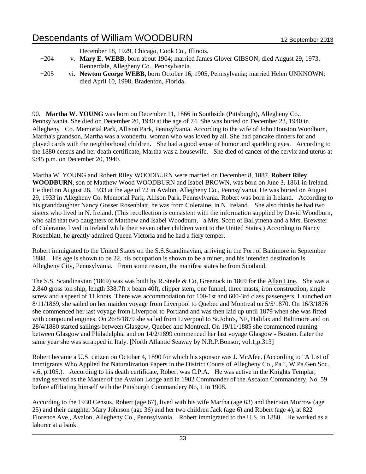|        | December 18, 1929, Chicago, Cook Co., Illinois.                                      |
|--------|--------------------------------------------------------------------------------------|
| $+204$ | v. Mary E. WEBB, born about 1904; married James Glover GIBSON; died August 29, 1973, |
|        | Rennerdale, Allegheny Co., Pennsylvania.                                             |
| $+205$ | vi. Newton George WEBB, born October 16, 1905, Pennsylvania; married Helen UNKNOWN;  |
|        | died April 10, 1998, Bradenton, Florida.                                             |

90. **Martha W. YOUNG** was born on December 11, 1866 in Southside (Pittsburgh), Allegheny Co., Pennsylvania. She died on December 20, 1940 at the age of 74. She was buried on December 23, 1940 in Allegheny Co. Memorial Park, Allison Park, Pennsylvania. According to the wife of John Houston Woodburn, Martha's grandson, Martha was a wonderful woman who was loved by all. She had pancake dinners for and played cards with the neighborhood children. She had a good sense of humor and sparkling eyes. According to the 1880 census and her death certificate, Martha was a housewife. She died of cancer of the cervix and uterus at 9:45 p.m. on December 20, 1940.

Martha W. YOUNG and Robert Riley WOODBURN were married on December 8, 1887. **Robert Riley WOODBURN**, son of Matthew Wood WOODBURN and Isabel BROWN, was born on June 3, 1861 in Ireland. He died on August 26, 1933 at the age of 72 in Avalon, Allegheny Co., Pennsylvania. He was buried on August 29, 1933 in Allegheny Co. Memorial Park, Allison Park, Pennsylvania. Robert was born in Ireland. According to his granddaughter Nancy Gosser Rosenblatt, he was from Coleraine, in N. Ireland. She also thinks he had two sisters who lived in N. Ireland. (This recollection is consistent with the information supplied by David Woodburn, who said that two daughters of Matthew and Isabel Woodburn, a Mrs. Scott of Ballymena and a Mrs. Brewster of Coleraine, lived in Ireland while their seven other children went to the United States.) According to Nancy Rosenblatt, he greatly admired Queen Victoria and he had a fiery temper.

Robert immigrated to the United States on the S.S.Scandinavian, arriving in the Port of Baltimore in September 1888. His age is shown to be 22, his occupation is shown to be a miner, and his intended destination is Allegheny City, Pennsylvania. From some reason, the manifest states he from Scotland.

The S.S. Scandinavian (1869) was was built by R.Steele & Co, Greenock in 1869 for the Allan Line. She was a 2,840 gross ton ship, length 338.7ft x beam 40ft, clipper stem, one funnel, three masts, iron construction, single screw and a speed of 11 knots. There was accommodation for 100-1st and 600-3rd class passengers. Launched on 8/11/1869, she sailed on her maiden voyage from Liverpool to Quebec and Montreal on 5/5/1870. On 16/3/1876 she commenced her last voyage from Liverpool to Portland and was then laid up until 1879 when she was fitted with compound engines. On 26/8/1879 she sailed from Liverpool to St.John's, NF, Halifax and Baltimore and on 28/4/1880 started sailings between Glasgow, Quebec and Montreal. On 19/11/1885 she commenced running between Glasgow and Philadelphia and on 14/2/1899 commenced her last voyage Glasgow - Boston. Later the same year she was scrapped in Italy. [North Atlantic Seaway by N.R.P.Bonsor, vol.1,p.313]

Robert became a U.S. citizen on October 4, 1890 for which his sponsor was J. McAfee. (According to "A List of Immigrants Who Applied for Naturalization Papers in the District Courts of Allegheny Co., Pa.", W.Pa.Gen.Soc., v.6, p.105.). According to his death certificate, Robert was C.P.A. He was active in the Knights Templar, having served as the Master of the Avalon Lodge and in 1902 Commander of the Ascalon Commandery, No. 59 before affiliating himself with the Pittsburgh Commandery No, 1 in 1908.

According to the 1930 Census, Robert (age 67), lived with his wife Martha (age 63) and their son Morrow (age 25) and their daughter Mary Johnson (age 36) and her two children Jack (age 6) and Robert (age 4), at 822 Florence Ave., Avalon, Allegheny Co., Pennsylvania. Robert immigrated to the U.S. in 1880. He worked as a laborer at a bank.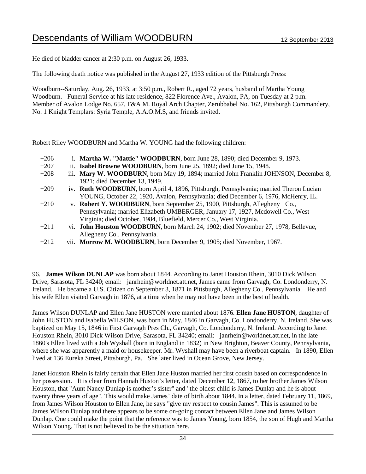He died of bladder cancer at 2:30 p.m. on August 26, 1933.

The following death notice was published in the August 27, 1933 edition of the Pittsburgh Press:

Woodburn--Saturday, Aug. 26, 1933, at 3:50 p.m., Robert R., aged 72 years, husband of Martha Young Woodburn. Funeral Service at his late residence, 822 Florence Ave., Avalon, PA, on Tuesday at 2 p.m. Member of Avalon Lodge No. 657, F&A M. Royal Arch Chapter, Zerubbabel No. 162, Pittsburgh Commandery, No. 1 Knight Templars: Syria Temple, A.A.O.M.S, and friends invited.

Robert Riley WOODBURN and Martha W. YOUNG had the following children:

- +206 i. **Martha W. "Mattie" WOODBURN**, born June 28, 1890; died December 9, 1973.
- +207 ii. **Isabel Browne WOODBURN**, born June 25, 1892; died June 15, 1948.
- +208 iii. **Mary W. WOODBURN**, born May 19, 1894; married John Franklin JOHNSON, December 8, 1921; died December 13, 1949.
- +209 iv. **Ruth WOODBURN**, born April 4, 1896, Pittsburgh, Pennsylvania; married Theron Lucian YOUNG, October 22, 1920, Avalon, Pennsylvania; died December 6, 1976, McHenry, IL.
- +210 v. **Robert Y. WOODBURN**, born September 25, 1900, Pittsburgh, Allegheny Co., Pennsylvania; married Elizabeth UMBERGER, January 17, 1927, Mcdowell Co., West Virginia; died October, 1984, Bluefield, Mercer Co., West Virginia.
- +211 vi. **John Houston WOODBURN**, born March 24, 1902; died November 27, 1978, Bellevue, Allegheny Co., Pennsylvania.
- +212 vii. **Morrow M. WOODBURN**, born December 9, 1905; died November, 1967.

96. **James Wilson DUNLAP** was born about 1844. According to Janet Houston Rhein, 3010 Dick Wilson Drive, Sarasota, FL 34240; email: janrhein@worldnet.att.net, James came from Garvagh, Co. Londonderry, N. Ireland. He became a U.S. Citizen on September 3, 1871 in Pittsburgh, Allegheny Co., Pennsylvania. He and his wife Ellen visited Garvagh in 1876, at a time when he may not have been in the best of health.

James Wilson DUNLAP and Ellen Jane HUSTON were married about 1876. **Ellen Jane HUSTON**, daughter of John HUSTON and Isabella WILSON, was born in May, 1846 in Garvagh, Co. Londonderry, N. Ireland. She was baptized on May 15, 1846 in First Garvagh Pres Ch., Garvagh, Co. Londonderry, N. Ireland. According to Janet Houston Rhein, 3010 Dick Wilson Drive, Sarasota, FL 34240; email: janrhein@worldnet.att.net, in the late 1860's Ellen lived with a Job Wyshall (born in England in 1832) in New Brighton, Beaver County, Pennsylvania, where she was apparently a maid or housekeeper. Mr. Wyshall may have been a riverboat captain. In 1890, Ellen lived at 136 Eureka Street, Pittsburgh, Pa. She later lived in Ocean Grove, New Jersey.

Janet Houston Rhein is fairly certain that Ellen Jane Huston married her first cousin based on correspondence in her possession. It is clear from Hannah Huston's letter, dated December 12, 1867, to her brother James Wilson Houston, that "Aunt Nancy Dunlap is mother's sister" and "the oldest child is James Dunlap and he is about twenty three years of age". This would make James' date of birth about 1844. In a letter, dated February 11, 1869, from James Wilson Houston to Ellen Jane, he says "give my respect to cousin James". This is assumed to be James Wilson Dunlap and there appears to be some on-going contact between Ellen Jane and James Wilson Dunlap. One could make the point that the reference was to James Young, born 1854, the son of Hugh and Martha Wilson Young. That is not believed to be the situation here.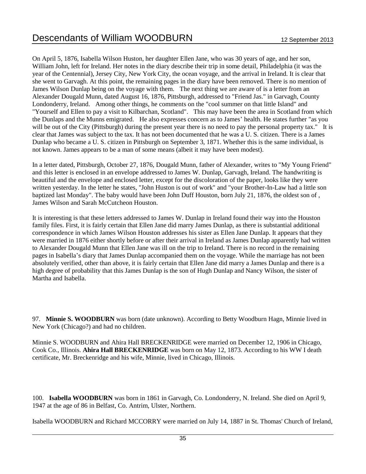On April 5, 1876, Isabella Wilson Huston, her daughter Ellen Jane, who was 30 years of age, and her son, William John, left for Ireland. Her notes in the diary describe their trip in some detail, Philadelphia (it was the year of the Centennial), Jersey City, New York City, the ocean voyage, and the arrival in Ireland. It is clear that she went to Garvagh. At this point, the remaining pages in the diary have been removed. There is no mention of James Wilson Dunlap being on the voyage with them. The next thing we are aware of is a letter from an Alexander Dougald Munn, dated August 16, 1876, Pittsburgh, addressed to "Friend Jas." in Garvagh, County Londonderry, Ireland. Among other things, he comments on the "cool summer on that little Island" and "Yourself and Ellen to pay a visit to Kilbarchan, Scotland". This may have been the area in Scotland from which the Dunlaps and the Munns emigrated. He also expresses concern as to James' health. He states further "as you will be out of the City (Pittsburgh) during the present year there is no need to pay the personal property tax." It is clear that James was subject to the tax. It has not been documented that he was a U. S. citizen. There is a James Dunlap who became a U. S. citizen in Pittsburgh on September 3, 1871. Whether this is the same individual, is not known. James appears to be a man of some means (albeit it may have been modest).

In a letter dated, Pittsburgh, October 27, 1876, Dougald Munn, father of Alexander, writes to "My Young Friend" and this letter is enclosed in an envelope addressed to James W. Dunlap, Garvagh, Ireland. The handwriting is beautiful and the envelope and enclosed letter, except for the discoloration of the paper, looks like they were written yesterday. In the letter he states, "John Huston is out of work" and "your Brother-In-Law had a little son baptized last Monday". The baby would have been John Duff Houston, born July 21, 1876, the oldest son of , James Wilson and Sarah McCutcheon Houston.

It is interesting is that these letters addressed to James W. Dunlap in Ireland found their way into the Houston family files. First, it is fairly certain that Ellen Jane did marry James Dunlap, as there is substantial additional correspondence in which James Wilson Houston addresses his sister as Ellen Jane Dunlap. It appears that they were married in 1876 either shortly before or after their arrival in Ireland as James Dunlap apparently had written to Alexander Dougald Munn that Ellen Jane was ill on the trip to Ireland. There is no record in the remaining pages in Isabella's diary that James Dunlap accompanied them on the voyage. While the marriage has not been absolutely verified, other than above, it is fairly certain that Ellen Jane did marry a James Dunlap and there is a high degree of probability that this James Dunlap is the son of Hugh Dunlap and Nancy Wilson, the sister of Martha and Isabella.

97. **Minnie S. WOODBURN** was born (date unknown). According to Betty Woodburn Hagn, Minnie lived in New York (Chicago?) and had no children.

Minnie S. WOODBURN and Ahira Hall BRECKENRIDGE were married on December 12, 1906 in Chicago, Cook Co., Illinois. **Ahira Hall BRECKENRIDGE** was born on May 12, 1873. According to his WW I death certificate, Mr. Breckenridge and his wife, Minnie, lived in Chicago, Illinois.

100. **Isabella WOODBURN** was born in 1861 in Garvagh, Co. Londonderry, N. Ireland. She died on April 9, 1947 at the age of 86 in Belfast, Co. Antrim, Ulster, Northern.

Isabella WOODBURN and Richard MCCORRY were married on July 14, 1887 in St. Thomas' Church of Ireland,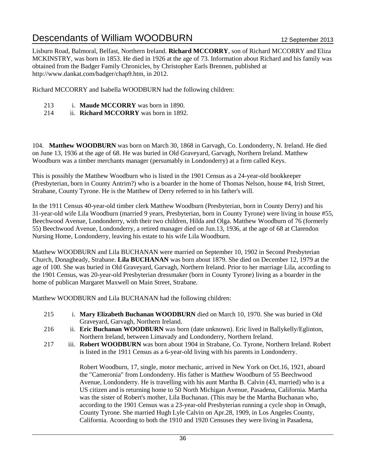Lisburn Road, Balmoral, Belfast, Northern Ireland. **Richard MCCORRY**, son of Richard MCCORRY and Eliza MCKINSTRY, was born in 1853. He died in 1926 at the age of 73. Information about Richard and his family was obtained from the Badger Family Chronicles, by Christopher Earls Brennen, published at http://www.dankat.com/badger/chap9.htm, in 2012.

Richard MCCORRY and Isabella WOODBURN had the following children:

- 213 i. **Maude MCCORRY** was born in 1890.
- 214 ii. **Richard MCCORRY** was born in 1892.

104. **Matthew WOODBURN** was born on March 30, 1868 in Garvagh, Co. Londonderry, N. Ireland. He died on June 13, 1936 at the age of 68. He was buried in Old Graveyard, Garvagh, Northern Ireland. Matthew Woodburn was a timber merchants manager (persumably in Londonderry) at a firm called Keys.

This is possibly the Matthew Woodburn who is listed in the 1901 Census as a 24-year-old bookkeeper (Presbyterian, born in County Antrim?) who is a boarder in the home of Thomas Nelson, house #4, Irish Street, Strabane, County Tyrone. He is the Matthew of Derry referred to in his father's will.

In the 1911 Census 40-year-old timber clerk Matthew Woodburn (Presbyterian, born in County Derry) and his 31-year-old wife Lila Woodburn (married 9 years, Presbyterian, born in County Tyrone) were living in house #55, Beechwood Avenue, Londonderry, with their two children, Hilda and Olga. Matthew Woodburn of 76 (formerly 55) Beechwood Avenue, Londonderry, a retired manager died on Jun.13, 1936, at the age of 68 at Clarendon Nursing Home, Londonderry, leaving his estate to his wife Lila Woodburn.

Matthew WOODBURN and Lila BUCHANAN were married on September 10, 1902 in Second Presbyterian Church, Donagheady, Strabane. **Lila BUCHANAN** was born about 1879. She died on December 12, 1979 at the age of 100. She was buried in Old Graveyard, Garvagh, Northern Ireland. Prior to her marriage Lila, according to the 1901 Census, was 20-year-old Presbyterian dressmaker (born in County Tyrone) living as a boarder in the home of publican Margaret Maxwell on Main Street, Strabane.

Matthew WOODBURN and Lila BUCHANAN had the following children:

- 215 i. **Mary Elizabeth Buchanan WOODBURN** died on March 10, 1970. She was buried in Old Graveyard, Garvagh, Northern Ireland.
- 216 ii. **Eric Buchanan WOODBURN** was born (date unknown). Eric lived in Ballykelly/Eglinton, Northern Ireland, between Limavady and Londonderry, Northern Ireland.
- 217 iii. **Robert WOODBURN** was born about 1904 in Strabane, Co. Tyrone, Northern Ireland. Robert is listed in the 1911 Census as a 6-year-old living with his parents in Londonderry.

Robert Woodburn, 17, single, motor mechanic, arrived in New York on Oct.16, 1921, aboard the "Cameronia" from Londonderry. His father is Matthew Woodburn of 55 Beechwood Avenue, Londonderry. He is travelling with his aunt Martha B. Calvin (43, married) who is a US citizen and is returning home to 50 North Michigan Avenue, Pasadena, California. Martha was the sister of Robert's mother, Lila Buchanan. (This may be the Martha Buchanan who, according to the 1901 Census was a 23-year-old Presbyterian running a cycle shop in Omagh, County Tyrone. She married Hugh Lyle Calvin on Apr.28, 1909, in Los Angeles County, California. Acoording to both the 1910 and 1920 Censuses they were living in Pasadena,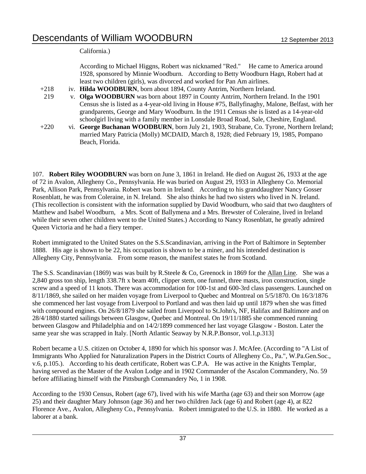California.)

According to Michael Higgns, Robert was nicknamed "Red." He came to America around 1928, sponsored by Minnie Woodburn. According to Betty Woodburn Hagn, Robert had at least two children (girls), was divorced and worked for Pan Am airlines.

- +218 iv. **Hilda WOODBURN**, born about 1894, County Antrim, Northern Ireland.
- 219 v. **Olga WOODBURN** was born about 1897 in County Antrim, Northern Ireland. In the 1901 Census she is listed as a 4-year-old living in House #75, Ballyfinaghy, Malone, Belfast, with her grandparents, George and Mary Woodburn. In the 1911 Census she is listed as a 14-year-old schoolgirl living with a family member in Lonsdale Broad Road, Sale, Cheshire, England.
- +220 vi. **George Buchanan WOODBURN**, born July 21, 1903, Strabane, Co. Tyrone, Northern Ireland; married Mary Patricia (Molly) MCDAID, March 8, 1928; died February 19, 1985, Pompano Beach, Florida.

107. **Robert Riley WOODBURN** was born on June 3, 1861 in Ireland. He died on August 26, 1933 at the age of 72 in Avalon, Allegheny Co., Pennsylvania. He was buried on August 29, 1933 in Allegheny Co. Memorial Park, Allison Park, Pennsylvania. Robert was born in Ireland. According to his granddaughter Nancy Gosser Rosenblatt, he was from Coleraine, in N. Ireland. She also thinks he had two sisters who lived in N. Ireland. (This recollection is consistent with the information supplied by David Woodburn, who said that two daughters of Matthew and Isabel Woodburn, a Mrs. Scott of Ballymena and a Mrs. Brewster of Coleraine, lived in Ireland while their seven other children went to the United States.) According to Nancy Rosenblatt, he greatly admired Queen Victoria and he had a fiery temper.

Robert immigrated to the United States on the S.S.Scandinavian, arriving in the Port of Baltimore in September 1888. His age is shown to be 22, his occupation is shown to be a miner, and his intended destination is Allegheny City, Pennsylvania. From some reason, the manifest states he from Scotland.

The S.S. Scandinavian (1869) was was built by R.Steele & Co, Greenock in 1869 for the Allan Line. She was a 2,840 gross ton ship, length 338.7ft x beam 40ft, clipper stem, one funnel, three masts, iron construction, single screw and a speed of 11 knots. There was accommodation for 100-1st and 600-3rd class passengers. Launched on 8/11/1869, she sailed on her maiden voyage from Liverpool to Quebec and Montreal on 5/5/1870. On 16/3/1876 she commenced her last voyage from Liverpool to Portland and was then laid up until 1879 when she was fitted with compound engines. On 26/8/1879 she sailed from Liverpool to St.John's, NF, Halifax and Baltimore and on 28/4/1880 started sailings between Glasgow, Quebec and Montreal. On 19/11/1885 she commenced running between Glasgow and Philadelphia and on 14/2/1899 commenced her last voyage Glasgow - Boston. Later the same year she was scrapped in Italy. [North Atlantic Seaway by N.R.P.Bonsor, vol.1,p.313]

Robert became a U.S. citizen on October 4, 1890 for which his sponsor was J. McAfee. (According to "A List of Immigrants Who Applied for Naturalization Papers in the District Courts of Allegheny Co., Pa.", W.Pa.Gen.Soc., v.6, p.105.). According to his death certificate, Robert was C.P.A. He was active in the Knights Templar, having served as the Master of the Avalon Lodge and in 1902 Commander of the Ascalon Commandery, No. 59 before affiliating himself with the Pittsburgh Commandery No, 1 in 1908.

According to the 1930 Census, Robert (age 67), lived with his wife Martha (age 63) and their son Morrow (age 25) and their daughter Mary Johnson (age 36) and her two children Jack (age 6) and Robert (age 4), at 822 Florence Ave., Avalon, Allegheny Co., Pennsylvania. Robert immigrated to the U.S. in 1880. He worked as a laborer at a bank.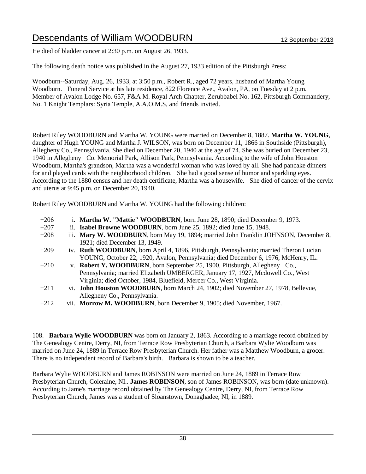He died of bladder cancer at 2:30 p.m. on August 26, 1933.

The following death notice was published in the August 27, 1933 edition of the Pittsburgh Press:

Woodburn--Saturday, Aug. 26, 1933, at 3:50 p.m., Robert R., aged 72 years, husband of Martha Young Woodburn. Funeral Service at his late residence, 822 Florence Ave., Avalon, PA, on Tuesday at 2 p.m. Member of Avalon Lodge No. 657, F&A M. Royal Arch Chapter, Zerubbabel No. 162, Pittsburgh Commandery, No. 1 Knight Templars: Syria Temple, A.A.O.M.S, and friends invited.

Robert Riley WOODBURN and Martha W. YOUNG were married on December 8, 1887. **Martha W. YOUNG**, daughter of Hugh YOUNG and Martha J. WILSON, was born on December 11, 1866 in Southside (Pittsburgh), Allegheny Co., Pennsylvania. She died on December 20, 1940 at the age of 74. She was buried on December 23, 1940 in Allegheny Co. Memorial Park, Allison Park, Pennsylvania. According to the wife of John Houston Woodburn, Martha's grandson, Martha was a wonderful woman who was loved by all. She had pancake dinners for and played cards with the neighborhood children. She had a good sense of humor and sparkling eyes. According to the 1880 census and her death certificate, Martha was a housewife. She died of cancer of the cervix and uterus at 9:45 p.m. on December 20, 1940.

Robert Riley WOODBURN and Martha W. YOUNG had the following children:

+206 i. **Martha W. "Mattie" WOODBURN**, born June 28, 1890; died December 9, 1973. +207 ii. **Isabel Browne WOODBURN**, born June 25, 1892; died June 15, 1948. +208 iii. **Mary W. WOODBURN**, born May 19, 1894; married John Franklin JOHNSON, December 8, 1921; died December 13, 1949. +209 iv. **Ruth WOODBURN**, born April 4, 1896, Pittsburgh, Pennsylvania; married Theron Lucian YOUNG, October 22, 1920, Avalon, Pennsylvania; died December 6, 1976, McHenry, IL. +210 v. **Robert Y. WOODBURN**, born September 25, 1900, Pittsburgh, Allegheny Co., Pennsylvania; married Elizabeth UMBERGER, January 17, 1927, Mcdowell Co., West Virginia; died October, 1984, Bluefield, Mercer Co., West Virginia. +211 vi. **John Houston WOODBURN**, born March 24, 1902; died November 27, 1978, Bellevue, Allegheny Co., Pennsylvania. +212 vii. **Morrow M. WOODBURN**, born December 9, 1905; died November, 1967.

108. **Barbara Wylie WOODBURN** was born on January 2, 1863. According to a marriage record obtained by The Genealogy Centre, Derry, NI, from Terrace Row Presbyterian Church, a Barbara Wylie Woodburn was married on June 24, 1889 in Terrace Row Presbyterian Church. Her father was a Matthew Woodburn, a grocer. There is no independent record of Barbara's birth. Barbara is shown to be a teacher.

Barbara Wylie WOODBURN and James ROBINSON were married on June 24, 1889 in Terrace Row Presbyterian Church, Coleraine, NI.. **James ROBINSON**, son of James ROBINSON, was born (date unknown). According to Jame's marriage record obtained by The Genealogy Centre, Derry, NI, from Terrace Row Presbyterian Church, James was a student of Sloanstown, Donaghadee, NI, in 1889.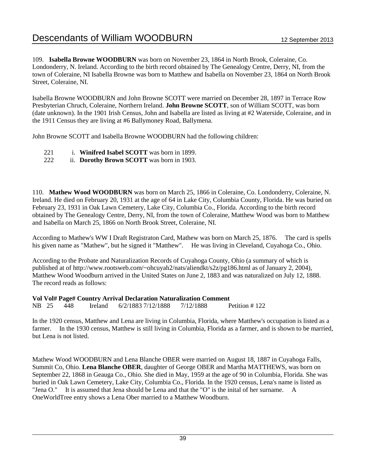109. **Isabella Browne WOODBURN** was born on November 23, 1864 in North Brook, Coleraine, Co. Londonderry, N. Ireland. According to the birth record obtained by The Genealogy Centre, Derry, NI, from the town of Coleraine, NI Isabella Browne was born to Matthew and Isabella on November 23, 1864 on North Brook Street, Coleraine, NI.

Isabella Browne WOODBURN and John Browne SCOTT were married on December 28, 1897 in Terrace Row Presbyterian Chruch, Coleraine, Northern Ireland. **John Browne SCOTT**, son of William SCOTT, was born (date unknown). In the 1901 Irish Census, John and Isabella are listed as living at #2 Waterside, Coleraine, and in the 1911 Census they are living at #6 Ballymoney Road, Ballymena.

John Browne SCOTT and Isabella Browne WOODBURN had the following children:

- 221 i. **Winifred Isabel SCOTT** was born in 1899.
- 222 ii. **Dorothy Brown SCOTT** was born in 1903.

110. **Mathew Wood WOODBURN** was born on March 25, 1866 in Coleraine, Co. Londonderry, Coleraine, N. Ireland. He died on February 20, 1931 at the age of 64 in Lake City, Columbia County, Florida. He was buried on February 23, 1931 in Oak Lawn Cemetery, Lake City, Columbia Co., Florida. According to the birth record obtained by The Genealogy Centre, Derry, NI, from the town of Coleraine, Matthew Wood was born to Matthew and Isabella on March 25, 1866 on North Brook Street, Coleraine, NI.

According to Mathew's WW I Draft Registraton Card, Mathew was born on March 25, 1876. The card is spells his given name as "Mathew", but he signed it "Matthew". He was living in Cleveland, Cuyahoga Co., Ohio.

According to the Probate and Naturalization Records of Cuyahoga County, Ohio (a summary of which is published at of http://www.rootsweb.com/~ohcuyah2/nats/aliendkt/s2z/pg186.html as of January 2, 2004), Matthew Wood Woodburn arrived in the United States on June 2, 1883 and was naturalized on July 12, 1888. The record reads as follows:

### **Vol Vol# Page# Country Arrival Declaration Naturalization Comment**

NB 25 448 Ireland 6/2/1883 7/12/1888 7/12/1888 Petition # 122

In the 1920 census, Matthew and Lena are living in Columbia, Florida, where Matthew's occupation is listed as a farmer. In the 1930 census, Matthew is still living in Columbia, Florida as a farmer, and is shown to be married, but Lena is not listed.

Mathew Wood WOODBURN and Lena Blanche OBER were married on August 18, 1887 in Cuyahoga Falls, Summit Co, Ohio. **Lena Blanche OBER**, daughter of George OBER and Martha MATTHEWS, was born on September 22, 1868 in Geauga Co., Ohio. She died in May, 1959 at the age of 90 in Columbia, Florida. She was buried in Oak Lawn Cemetery, Lake City, Columbia Co., Florida. In the 1920 census, Lena's name is listed as "Jena O." It is assumed that Jena should be Lena and that the "O" is the inital of her surname. A OneWorldTree entry shows a Lena Ober married to a Matthew Woodburn.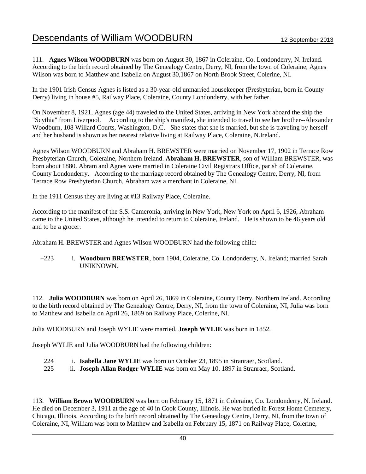111. **Agnes Wilson WOODBURN** was born on August 30, 1867 in Coleraine, Co. Londonderry, N. Ireland. According to the birth record obtained by The Genealogy Centre, Derry, NI, from the town of Coleraine, Agnes Wilson was born to Matthew and Isabella on August 30,1867 on North Brook Street, Colerine, NI.

In the 1901 Irish Census Agnes is listed as a 30-year-old unmarried housekeeper (Presbyterian, born in County Derry) living in house #5, Railway Place, Coleraine, County Londonderry, with her father.

On November 8, 1921, Agnes (age 44) traveled to the United States, arriving in New York aboard the ship the "Scythia" from Liverpool. According to the ship's manifest, she intended to travel to see her brother--Alexander Woodburn, 108 Willard Courts, Washington, D.C. She states that she is married, but she is traveling by herself and her husband is shown as her nearest relative living at Railway Place, Coleraine, N.Ireland.

Agnes Wilson WOODBURN and Abraham H. BREWSTER were married on November 17, 1902 in Terrace Row Presbyterian Church, Coleraine, Northern Ireland. **Abraham H. BREWSTER**, son of William BREWSTER, was born about 1880. Abram and Agnes were married in Coleraine Civil Registrars Office, parish of Coleraine, County Londonderry. According to the marriage record obtained by The Genealogy Centre, Derry, NI, from Terrace Row Presbyterian Church, Abraham was a merchant in Coleraine, NI.

In the 1911 Census they are living at #13 Railway Place, Coleraine.

According to the manifest of the S.S. Cameronia, arriving in New York, New York on April 6, 1926, Abraham came to the United States, although he intended to return to Coleraine, Ireland. He is shown to be 46 years old and to be a grocer.

Abraham H. BREWSTER and Agnes Wilson WOODBURN had the following child:

+223 i. **Woodburn BREWSTER**, born 1904, Coleraine, Co. Londonderry, N. Ireland; married Sarah **UNIKNOWN** 

112. **Julia WOODBURN** was born on April 26, 1869 in Coleraine, County Derry, Northern Ireland. According to the birth record obtained by The Genealogy Centre, Derry, NI, from the town of Coleraine, NI, Julia was born to Matthew and Isabella on April 26, 1869 on Railway Place, Colerine, NI.

Julia WOODBURN and Joseph WYLIE were married. **Joseph WYLIE** was born in 1852.

Joseph WYLIE and Julia WOODBURN had the following children:

- 224 i. **Isabella Jane WYLIE** was born on October 23, 1895 in Stranraer, Scotland.
- 225 ii. **Joseph Allan Rodger WYLIE** was born on May 10, 1897 in Stranraer, Scotland.

113. **William Brown WOODBURN** was born on February 15, 1871 in Coleraine, Co. Londonderry, N. Ireland. He died on December 3, 1911 at the age of 40 in Cook County, Illinois. He was buried in Forest Home Cemetery, Chicago, Illinois. According to the birth record obtained by The Genealogy Centre, Derry, NI, from the town of Coleraine, NI, William was born to Matthew and Isabella on February 15, 1871 on Railway Place, Colerine,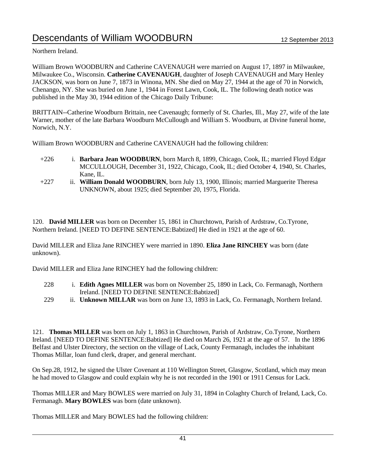Northern Ireland.

William Brown WOODBURN and Catherine CAVENAUGH were married on August 17, 1897 in Milwaukee, Milwaukee Co., Wisconsin. **Catherine CAVENAUGH**, daughter of Joseph CAVENAUGH and Mary Henley JACKSON, was born on June 7, 1873 in Winona, MN. She died on May 27, 1944 at the age of 70 in Norwich, Chenango, NY. She was buried on June 1, 1944 in Forest Lawn, Cook, IL. The following death notice was published in the May 30, 1944 edition of the Chicago Daily Tribune:

BRITTAIN--Catherine Woodburn Brittain, nee Cavenaugh; formerly of St. Charles, Ill., May 27, wife of the late Warner, mother of the late Barbara Woodburn McCullough and William S. Woodburn, at Divine funeral home, Norwich, N.Y.

William Brown WOODBURN and Catherine CAVENAUGH had the following children:

- +226 i. **Barbara Jean WOODBURN**, born March 8, 1899, Chicago, Cook, IL; married Floyd Edgar MCCULLOUGH, December 31, 1922, Chicago, Cook, IL; died October 4, 1940, St. Charles, Kane, IL.
- +227 ii. **William Donald WOODBURN**, born July 13, 1900, Illinois; married Marguerite Theresa UNKNOWN, about 1925; died September 20, 1975, Florida.

120. **David MILLER** was born on December 15, 1861 in Churchtown, Parish of Ardstraw, Co.Tyrone, Northern Ireland. [NEED TO DEFINE SENTENCE:Babtized] He died in 1921 at the age of 60.

David MILLER and Eliza Jane RINCHEY were married in 1890. **Eliza Jane RINCHEY** was born (date unknown).

David MILLER and Eliza Jane RINCHEY had the following children:

- 228 i. **Edith Agnes MILLER** was born on November 25, 1890 in Lack, Co. Fermanagh, Northern Ireland. [NEED TO DEFINE SENTENCE:Babtized]
- 229 ii. **Unknown MILLAR** was born on June 13, 1893 in Lack, Co. Fermanagh, Northern Ireland.

121. **Thomas MILLER** was born on July 1, 1863 in Churchtown, Parish of Ardstraw, Co.Tyrone, Northern Ireland. [NEED TO DEFINE SENTENCE:Babtized] He died on March 26, 1921 at the age of 57. In the 1896 Belfast and Ulster Directory, the section on the village of Lack, County Fermanagh, includes the inhabitant Thomas Millar, loan fund clerk, draper, and general merchant.

On Sep.28, 1912, he signed the Ulster Covenant at 110 Wellington Street, Glasgow, Scotland, which may mean he had moved to Glasgow and could explain why he is not recorded in the 1901 or 1911 Census for Lack.

Thomas MILLER and Mary BOWLES were married on July 31, 1894 in Colaghty Church of Ireland, Lack, Co. Fermanagh. **Mary BOWLES** was born (date unknown).

Thomas MILLER and Mary BOWLES had the following children: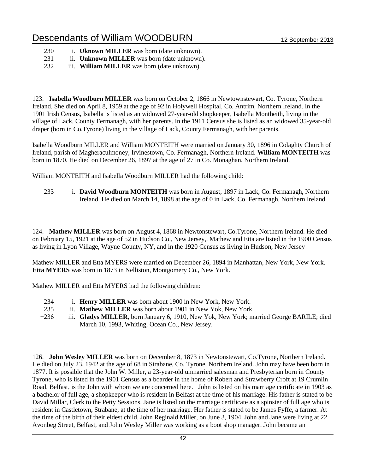| 230 |  |  | 1. <b>Uknown MILLER</b> was born (date unknown). |  |  |  |  |  |
|-----|--|--|--------------------------------------------------|--|--|--|--|--|
|-----|--|--|--------------------------------------------------|--|--|--|--|--|

- 231 ii. **Unknown MILLER** was born (date unknown).
- 232 iii. **William MILLER** was born (date unknown).

123. **Isabella Woodburn MILLER** was born on October 2, 1866 in Newtownstewart, Co. Tyrone, Northern Ireland. She died on April 8, 1959 at the age of 92 in Holywell Hospital, Co. Antrim, Northern Ireland. In the 1901 Irish Census, Isabella is listed as an widowed 27-year-old shopkeeper, Isabella Montheith, living in the village of Lack, County Fermanagh, with her parents. In the 1911 Census she is listed as an widowed 35-year-old draper (born in Co.Tyrone) living in the village of Lack, County Fermanagh, with her parents.

Isabella Woodburn MILLER and William MONTEITH were married on January 30, 1896 in Colaghty Church of Ireland, parish of Magheraculmoney, Irvinestown, Co. Fermanagh, Northern Ireland. **William MONTEITH** was born in 1870. He died on December 26, 1897 at the age of 27 in Co. Monaghan, Northern Ireland.

William MONTEITH and Isabella Woodburn MILLER had the following child:

233 i. **David Woodburn MONTEITH** was born in August, 1897 in Lack, Co. Fermanagh, Northern Ireland. He died on March 14, 1898 at the age of 0 in Lack, Co. Fermanagh, Northern Ireland.

124. **Mathew MILLER** was born on August 4, 1868 in Newtonstewart, Co.Tyrone, Northern Ireland. He died on February 15, 1921 at the age of 52 in Hudson Co., New Jersey,. Mathew and Etta are listed in the 1900 Census as living in Lyon Village, Wayne County, NY, and in the 1920 Census as living in Hudson, New Jersey

Mathew MILLER and Etta MYERS were married on December 26, 1894 in Manhattan, New York, New York. **Etta MYERS** was born in 1873 in Nelliston, Montgomery Co., New York.

Mathew MILLER and Etta MYERS had the following children:

- 234 i. **Henry MILLER** was born about 1900 in New York, New York.
- 235 ii. **Mathew MILLER** was born about 1901 in New Yok, New York.
- +236 iii. **Gladys MILLER**, born January 6, 1910, New Yok, New York; married George BARILE; died March 10, 1993, Whiting, Ocean Co., New Jersey.

126. **John Wesley MILLER** was born on December 8, 1873 in Newtonstewart, Co.Tyrone, Northern Ireland. He died on July 23, 1942 at the age of 68 in Strabane, Co. Tyrone, Northern Ireland. John may have been born in 1877. It is possible that the John W. Miller, a 23-year-old unmarried salesman and Presbyterian born in County Tyrone, who is listed in the 1901 Census as a boarder in the home of Robert and Strawberry Croft at 19 Crumlin Road, Belfast, is the John with whom we are concerned here. John is listed on his marriage certificate in 1903 as a bachelor of full age, a shopkeeper who is resident in Belfast at the time of his marriage. His father is stated to be David Millar, Clerk to the Petty Sessions. Jane is listed on the marriage certificate as a spinster of full age who is resident in Castletown, Strabane, at the time of her marriage. Her father is stated to be James Fyffe, a farmer. At the time of the birth of their eldest child, John Reginald Miller, on June 3, 1904, John and Jane were living at 22 Avonbeg Street, Belfast, and John Wesley Miller was working as a boot shop manager. John became an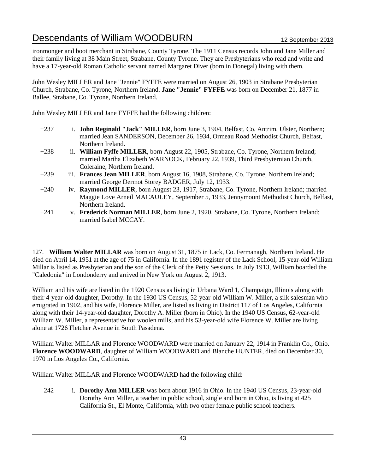ironmonger and boot merchant in Strabane, County Tyrone. The 1911 Census records John and Jane Miller and their family living at 38 Main Street, Strabane, County Tyrone. They are Presbyterians who read and write and have a 17-year-old Roman Catholic servant named Margaret Diver (born in Donegal) living with them.

John Wesley MILLER and Jane "Jennie" FYFFE were married on August 26, 1903 in Strabane Presbyterian Church, Strabane, Co. Tyrone, Northern Ireland. **Jane "Jennie" FYFFE** was born on December 21, 1877 in Ballee, Strabane, Co. Tyrone, Northern Ireland.

John Wesley MILLER and Jane FYFFE had the following children:

- +237 i. **John Reginald "Jack" MILLER**, born June 3, 1904, Belfast, Co. Antrim, Ulster, Northern; married Jean SANDERSON, December 26, 1934, Ormeau Road Methodist Church, Belfast, Northern Ireland.
- +238 ii. **William Fyffe MILLER**, born August 22, 1905, Strabane, Co. Tyrone, Northern Ireland; married Martha Elizabeth WARNOCK, February 22, 1939, Third Presbyternian Church, Coleraine, Northern Ireland.
- +239 iii. **Frances Jean MILLER**, born August 16, 1908, Strabane, Co. Tyrone, Northern Ireland; married George Dermot Storey BADGER, July 12, 1933.
- +240 iv. **Raymond MILLER**, born August 23, 1917, Strabane, Co. Tyrone, Northern Ireland; married Maggie Love Arneil MACAULEY, September 5, 1933, Jennymount Methodist Church, Belfast, Northern Ireland.
- +241 v. **Frederick Norman MILLER**, born June 2, 1920, Strabane, Co. Tyrone, Northern Ireland; married Isabel MCCAY.

127. **William Walter MILLAR** was born on August 31, 1875 in Lack, Co. Fermanagh, Northern Ireland. He died on April 14, 1951 at the age of 75 in California. In the 1891 register of the Lack School, 15-year-old William Millar is listed as Presbyterian and the son of the Clerk of the Petty Sessions. In July 1913, William boarded the "Caledonia" in Londonderry and arrived in New York on August 2, 1913.

William and his wife are listed in the 1920 Census as living in Urbana Ward 1, Champaign, Illinois along with their 4-year-old daughter, Dorothy. In the 1930 US Census, 52-year-old William W. Miller, a silk salesman who emigrated in 1902, and his wife, Florence Miller, are listed as living in District 117 of Los Angeles, California along with their 14-year-old daughter, Dorothy A. Miller (born in Ohio). In the 1940 US Census, 62-year-old William W. Miller, a representative for woolen mills, and his 53-year-old wife Florence W. Miller are living alone at 1726 Fletcher Avenue in South Pasadena.

William Walter MILLAR and Florence WOODWARD were married on January 22, 1914 in Franklin Co., Ohio. **Florence WOODWARD**, daughter of William WOODWARD and Blanche HUNTER, died on December 30, 1970 in Los Angeles Co., California.

William Walter MILLAR and Florence WOODWARD had the following child:

242 i. **Dorothy Ann MILLER** was born about 1916 in Ohio. In the 1940 US Census, 23-year-old Dorothy Ann Miller, a teacher in public school, single and born in Ohio, is living at 425 California St., El Monte, California, with two other female public school teachers.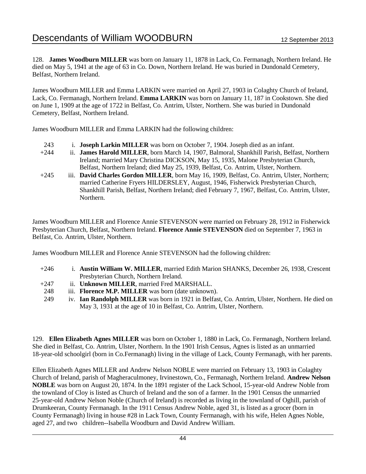128. **James Woodburn MILLER** was born on January 11, 1878 in Lack, Co. Fermanagh, Northern Ireland. He died on May 5, 1941 at the age of 63 in Co. Down, Northern Ireland. He was buried in Dundonald Cemetery, Belfast, Northern Ireland.

James Woodburn MILLER and Emma LARKIN were married on April 27, 1903 in Colaghty Church of Ireland, Lack, Co. Fermanagh, Northern Ireland. **Emma LARKIN** was born on January 11, 187 in Cookstown. She died on June 1, 1909 at the age of 1722 in Belfast, Co. Antrim, Ulster, Northern. She was buried in Dundonald Cemetery, Belfast, Northern Ireland.

James Woodburn MILLER and Emma LARKIN had the following children:

- 243 i. **Joseph Larkin MILLER** was born on October 7, 1904. Joseph died as an infant.
- +244 ii. **James Harold MILLER**, born March 14, 1907, Balmoral, Shankhill Parish, Belfast, Northern Ireland; married Mary Christina DICKSON, May 15, 1935, Malone Presbyterian Church, Belfast, Northern Ireland; died May 25, 1939, Belfast, Co. Antrim, Ulster, Northern.
- +245 iii. **David Charles Gordon MILLER**, born May 16, 1909, Belfast, Co. Antrim, Ulster, Northern; married Catherine Fryers HILDERSLEY, August, 1946, Fisherwick Presbyterian Church, Shankhill Parish, Belfast, Northern Ireland; died February 7, 1967, Belfast, Co. Antrim, Ulster, Northern.

James Woodburn MILLER and Florence Annie STEVENSON were married on February 28, 1912 in Fisherwick Presbyterian Church, Belfast, Northern Ireland. **Florence Annie STEVENSON** died on September 7, 1963 in Belfast, Co. Antrim, Ulster, Northern.

James Woodburn MILLER and Florence Annie STEVENSON had the following children:

- +246 i. **Austin William W. MILLER**, married Edith Marion SHANKS, December 26, 1938, Crescent Presbyterian Church, Northern Ireland.
- +247 ii. **Unknown MILLER**, married Fred MARSHALL.
- 248 iii. **Florence M.P. MILLER** was born (date unknown).
- 249 iv. **Ian Randolph MILLER** was born in 1921 in Belfast, Co. Antrim, Ulster, Northern. He died on May 3, 1931 at the age of 10 in Belfast, Co. Antrim, Ulster, Northern.

129. **Ellen Elizabeth Agnes MILLER** was born on October 1, 1880 in Lack, Co. Fermanagh, Northern Ireland. She died in Belfast, Co. Antrim, Ulster, Northern. In the 1901 Irish Census, Agnes is listed as an unmarried 18-year-old schoolgirl (born in Co.Fermanagh) living in the village of Lack, County Fermanagh, with her parents.

Ellen Elizabeth Agnes MILLER and Andrew Nelson NOBLE were married on February 13, 1903 in Colaghty Church of Ireland, parish of Magheraculmoney, Irvinestown, Co., Fermanagh, Northern Ireland. **Andrew Nelson NOBLE** was born on August 20, 1874. In the 1891 register of the Lack School, 15-year-old Andrew Noble from the townland of Cloy is listed as Church of Ireland and the son of a farmer. In the 1901 Census the unmarried 25-year-old Andrew Nelson Noble (Church of Ireland) is recorded as living in the townland of Oghill, parish of Drumkeeran, County Fermanagh. In the 1911 Census Andrew Noble, aged 31, is listed as a grocer (born in County Fermanagh) living in house #28 in Lack Town, County Fermanagh, with his wife, Helen Agnes Noble, aged 27, and two children--Isabella Woodburn and David Andrew William.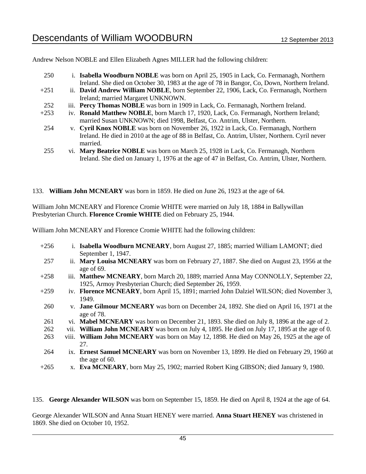Andrew Nelson NOBLE and Ellen Elizabeth Agnes MILLER had the following children:

| 250    | i. Isabella Woodburn NOBLE was born on April 25, 1905 in Lack, Co. Fermanagh, Northern          |
|--------|-------------------------------------------------------------------------------------------------|
|        | Ireland. She died on October 30, 1983 at the age of 78 in Bangor, Co, Down, Northern Ireland.   |
| $+251$ | ii. David Andrew William NOBLE, born September 22, 1906, Lack, Co. Fermanagh, Northern          |
|        | Ireland; married Margaret UNKNOWN.                                                              |
| 252    | iii. Percy Thomas NOBLE was born in 1909 in Lack, Co. Fermanagh, Northern Ireland.              |
| $+253$ | iv. Ronald Matthew NOBLE, born March 17, 1920, Lack, Co. Fermanagh, Northern Ireland;           |
|        | married Susan UNKNOWN; died 1998, Belfast, Co. Antrim, Ulster, Northern.                        |
| 254    | v. Cyril Knox NOBLE was born on November 26, 1922 in Lack, Co. Fermanagh, Northern              |
|        | Ireland. He died in 2010 at the age of 88 in Belfast, Co. Antrim, Ulster, Northern. Cyril never |
|        | married.                                                                                        |
| つくぐ    | vi Mory Restrice NORI E was been an March 25, 1028 in Leek Co. Fermanagh, Northern              |

255 vi. **Mary Beatrice NOBLE** was born on March 25, 1928 in Lack, Co. Fermanagh, Northern Ireland. She died on January 1, 1976 at the age of 47 in Belfast, Co. Antrim, Ulster, Northern.

133. **William John MCNEARY** was born in 1859. He died on June 26, 1923 at the age of 64.

William John MCNEARY and Florence Cromie WHITE were married on July 18, 1884 in Ballywillan Presbyterian Church. **Florence Cromie WHITE** died on February 25, 1944.

William John MCNEARY and Florence Cromie WHITE had the following children:

| $+256$ | i. Isabella Woodburn MCNEARY, born August 27, 1885; married William LAMONT; died<br>September 1, 1947.                                           |
|--------|--------------------------------------------------------------------------------------------------------------------------------------------------|
| 257    | ii. Mary Louisa MCNEARY was born on February 27, 1887. She died on August 23, 1956 at the<br>age of 69.                                          |
| $+258$ | iii. Matthew MCNEARY, born March 20, 1889; married Anna May CONNOLLY, September 22,<br>1925, Armoy Presbyterian Church; died September 26, 1959. |
| $+259$ | iv. Florence MCNEARY, born April 15, 1891; married John Dalziel WILSON; died November 3,<br>1949.                                                |
| 260    | v. Jane Gilmour MCNEARY was born on December 24, 1892. She died on April 16, 1971 at the<br>age of 78.                                           |
| 261    | vi. Mabel MCNEARY was born on December 21, 1893. She died on July 8, 1896 at the age of 2.                                                       |
| 262    | vii. William John MCNEARY was born on July 4, 1895. He died on July 17, 1895 at the age of 0.                                                    |
| 263    | viii. William John MCNEARY was born on May 12, 1898. He died on May 26, 1925 at the age of                                                       |
|        | 27.                                                                                                                                              |
| 264    | ix. Ernest Samuel MCNEARY was born on November 13, 1899. He died on February 29, 1960 at                                                         |
|        | the age of 60.                                                                                                                                   |
| $+265$ | x. Eva MCNEARY, born May 25, 1902; married Robert King GIBSON; died January 9, 1980.                                                             |

135. **George Alexander WILSON** was born on September 15, 1859. He died on April 8, 1924 at the age of 64.

George Alexander WILSON and Anna Stuart HENEY were married. **Anna Stuart HENEY** was christened in 1869. She died on October 10, 1952.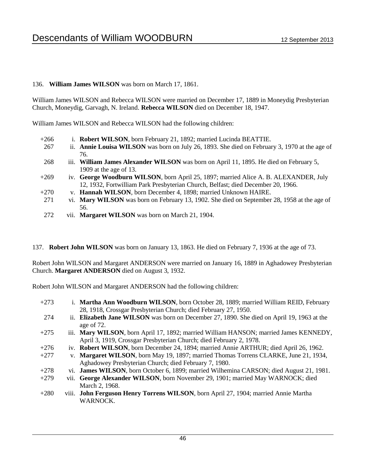## 136. **William James WILSON** was born on March 17, 1861.

William James WILSON and Rebecca WILSON were married on December 17, 1889 in Moneydig Presbyterian Church, Moneydig, Garvagh, N. Ireland. **Rebecca WILSON** died on December 18, 1947.

William James WILSON and Rebecca WILSON had the following children:

- +266 i. **Robert WILSON**, born February 21, 1892; married Lucinda BEATTIE.
- 267 ii. **Annie Louisa WILSON** was born on July 26, 1893. She died on February 3, 1970 at the age of 76.
- 268 iii. **William James Alexander WILSON** was born on April 11, 1895. He died on February 5, 1909 at the age of 13.
- +269 iv. **George Woodburn WILSON**, born April 25, 1897; married Alice A. B. ALEXANDER, July 12, 1932, Fortwilliam Park Presbyterian Church, Belfast; died December 20, 1966.
- +270 v. **Hannah WILSON**, born December 4, 1898; married Unknown HAIRE.
- 271 vi. **Mary WILSON** was born on February 13, 1902. She died on September 28, 1958 at the age of 56.
- 272 vii. **Margaret WILSON** was born on March 21, 1904.
- 137. **Robert John WILSON** was born on January 13, 1863. He died on February 7, 1936 at the age of 73.

Robert John WILSON and Margaret ANDERSON were married on January 16, 1889 in Aghadowey Presbyterian Church. **Margaret ANDERSON** died on August 3, 1932.

Robert John WILSON and Margaret ANDERSON had the following children:

+273 i. **Martha Ann Woodburn WILSON**, born October 28, 1889; married William REID, February 28, 1918, Crossgar Presbyterian Church; died February 27, 1950. 274 ii. **Elizabeth Jane WILSON** was born on December 27, 1890. She died on April 19, 1963 at the age of 72. +275 iii. **Mary WILSON**, born April 17, 1892; married William HANSON; married James KENNEDY, April 3, 1919, Crossgar Presbyterian Church; died February 2, 1978. +276 iv. **Robert WILSON**, born December 24, 1894; married Annie ARTHUR; died April 26, 1962. +277 v. **Margaret WILSON**, born May 19, 1897; married Thomas Torrens CLARKE, June 21, 1934, Aghadowey Presbyterian Church; died February 7, 1980. +278 vi. **James WILSON**, born October 6, 1899; married Wilhemina CARSON; died August 21, 1981. +279 vii. **George Alexander WILSON**, born November 29, 1901; married May WARNOCK; died March 2, 1968. +280 viii. **John Ferguson Henry Torrens WILSON**, born April 27, 1904; married Annie Martha WARNOCK.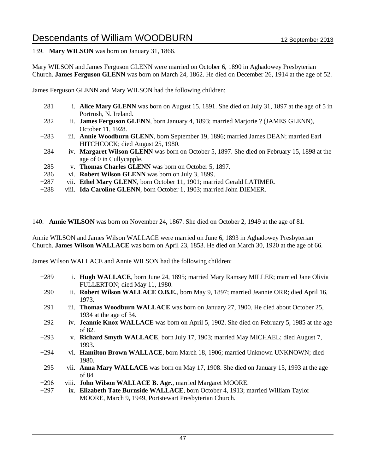139. **Mary WILSON** was born on January 31, 1866.

Mary WILSON and James Ferguson GLENN were married on October 6, 1890 in Aghadowey Presbyterian Church. **James Ferguson GLENN** was born on March 24, 1862. He died on December 26, 1914 at the age of 52.

James Ferguson GLENN and Mary WILSON had the following children:

- 281 i. **Alice Mary GLENN** was born on August 15, 1891. She died on July 31, 1897 at the age of 5 in Portrush, N. Ireland. +282 ii. **James Ferguson GLENN**, born January 4, 1893; married Marjorie ? (JAMES GLENN),
- October 11, 1928.
- +283 iii. **Annie Woodburn GLENN**, born September 19, 1896; married James DEAN; married Earl HITCHCOCK; died August 25, 1980.
- 284 iv. **Margaret Wilson GLENN** was born on October 5, 1897. She died on February 15, 1898 at the age of 0 in Cullycapple.
- 285 v. **Thomas Charles GLENN** was born on October 5, 1897.
- 286 vi. **Robert Wilson GLENN** was born on July 3, 1899.
- +287 vii. **Ethel Mary GLENN**, born October 11, 1901; married Gerald LATIMER.
- +288 viii. **Ida Caroline GLENN**, born October 1, 1903; married John DIEMER.

140. **Annie WILSON** was born on November 24, 1867. She died on October 2, 1949 at the age of 81.

Annie WILSON and James Wilson WALLACE were married on June 6, 1893 in Aghadowey Presbyterian Church. **James Wilson WALLACE** was born on April 23, 1853. He died on March 30, 1920 at the age of 66.

James Wilson WALLACE and Annie WILSON had the following children:

- +289 i. **Hugh WALLACE**, born June 24, 1895; married Mary Ramsey MILLER; married Jane Olivia FULLERTON; died May 11, 1980.
- +290 ii. **Robert Wilson WALLACE O.B.E.**, born May 9, 1897; married Jeannie ORR; died April 16, 1973.
- 291 iii. **Thomas Woodburn WALLACE** was born on January 27, 1900. He died about October 25, 1934 at the age of 34.
- 292 iv. **Jeannie Knox WALLACE** was born on April 5, 1902. She died on February 5, 1985 at the age of 82.
- +293 v. **Richard Smyth WALLACE**, born July 17, 1903; married May MICHAEL; died August 7, 1993.
- +294 vi. **Hamilton Brown WALLACE**, born March 18, 1906; married Unknown UNKNOWN; died 1980.
- 295 vii. **Anna Mary WALLACE** was born on May 17, 1908. She died on January 15, 1993 at the age of 84.
- +296 viii. **John Wilson WALLACE B. Agr.**, married Margaret MOORE.
- +297 ix. **Elizabeth Tate Burnside WALLACE**, born October 4, 1913; married William Taylor MOORE, March 9, 1949, Portstewart Presbyterian Church.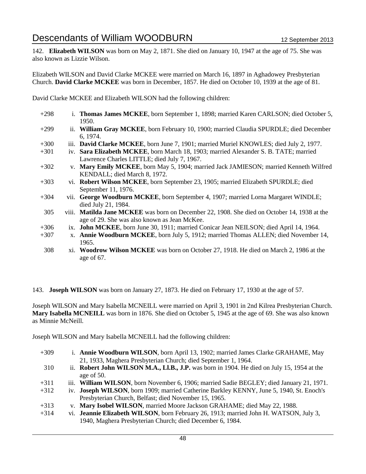142. **Elizabeth WILSON** was born on May 2, 1871. She died on January 10, 1947 at the age of 75. She was also known as Lizzie Wilson.

Elizabeth WILSON and David Clarke MCKEE were married on March 16, 1897 in Aghadowey Presbyterian Church. **David Clarke MCKEE** was born in December, 1857. He died on October 10, 1939 at the age of 81.

David Clarke MCKEE and Elizabeth WILSON had the following children:

- +298 i. **Thomas James MCKEE**, born September 1, 1898; married Karen CARLSON; died October 5, 1950. +299 ii. **William Gray MCKEE**, born February 10, 1900; married Claudia SPURDLE; died December 6, 1974. +300 iii. **David Clarke MCKEE**, born June 7, 1901; married Muriel KNOWLES; died July 2, 1977. +301 iv. **Sara Elizabeth MCKEE**, born March 18, 1903; married Alexander S. B. TATE; married Lawrence Charles LITTLE; died July 7, 1967. +302 v. **Mary Emily MCKEE**, born May 5, 1904; married Jack JAMIESON; married Kenneth Wilfred KENDALL; died March 8, 1972. +303 vi. **Robert Wilson MCKEE**, born September 23, 1905; married Elizabeth SPURDLE; died September 11, 1976. +304 vii. **George Woodburn MCKEE**, born September 4, 1907; married Lorna Margaret WINDLE; died July 21, 1984. 305 viii. **Matilda Jane MCKEE** was born on December 22, 1908. She died on October 14, 1938 at the age of 29. She was also known as Jean McKee. +306 ix. **John MCKEE**, born June 30, 1911; married Conicar Jean NEILSON; died April 14, 1964. +307 x. **Annie Woodburn MCKEE**, born July 5, 1912; married Thomas ALLEN; died November 14, 1965.
	- 308 xi. **Woodrow Wilson MCKEE** was born on October 27, 1918. He died on March 2, 1986 at the age of 67.

143. **Joseph WILSON** was born on January 27, 1873. He died on February 17, 1930 at the age of 57.

Joseph WILSON and Mary Isabella MCNEILL were married on April 3, 1901 in 2nd Kilrea Presbyterian Church. **Mary Isabella MCNEILL** was born in 1876. She died on October 5, 1945 at the age of 69. She was also known as Minnie McNeill.

Joseph WILSON and Mary Isabella MCNEILL had the following children:

| $+309$ | i. Annie Woodburn WILSON, born April 13, 1902; married James Clarke GRAHAME, May<br>21, 1933, Maghera Presbyterian Church; died September 1, 1964. |
|--------|----------------------------------------------------------------------------------------------------------------------------------------------------|
| 310    | ii. Robert John WILSON M.A., Ll.B., J.P. was born in 1904. He died on July 15, 1954 at the                                                         |
|        | age of 50.                                                                                                                                         |
| $+311$ | iii. William WILSON, born November 6, 1906; married Sadie BEGLEY; died January 21, 1971.                                                           |
| $+312$ | iv. Joseph WILSON, born 1909; married Catherine Barkley KENNY, June 5, 1940, St. Enoch's                                                           |
|        | Presbyterian Church, Belfast; died November 15, 1965.                                                                                              |
| $+313$ | v. Mary Isobel WILSON, married Moore Jackson GRAHAME; died May 22, 1988.                                                                           |
| $+314$ | vi. Jeannie Elizabeth WILSON, born February 26, 1913; married John H. WATSON, July 3,                                                              |
|        | 1940, Maghera Presbyterian Church; died December 6, 1984.                                                                                          |
|        |                                                                                                                                                    |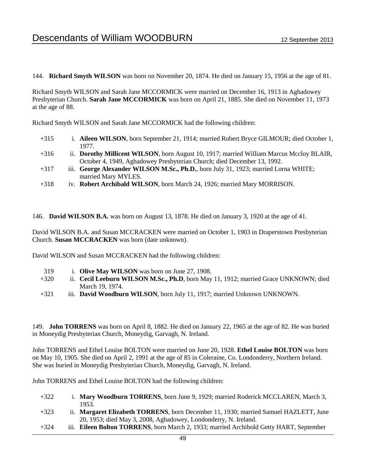144. **Richard Smyth WILSON** was born on November 20, 1874. He died on January 15, 1956 at the age of 81.

Richard Smyth WILSON and Sarah Jane MCCORMICK were married on December 16, 1913 in Aghadowey Presbyterian Church. **Sarah Jane MCCORMICK** was born on April 21, 1885. She died on November 11, 1973 at the age of 88.

Richard Smyth WILSON and Sarah Jane MCCORMICK had the following children:

- +315 i. **Aileen WILSON**, born September 21, 1914; married Robert Bryce GILMOUR; died October 1, 1977.
- +316 ii. **Dorothy Millicent WILSON**, born August 10, 1917; married William Marcus Mccloy BLAIR, October 4, 1949, Aghadowey Presbyterian Church; died December 13, 1992.
- +317 iii. **George Alexander WILSON M.Sc., Ph.D.**, born July 31, 1923; married Lorna WHITE; married Mary MYLES.
- +318 iv. **Robert Archibald WILSON**, born March 24, 1926; married Mary MORRISON.

146. **David WILSON B.A.** was born on August 13, 1878. He died on January 3, 1920 at the age of 41.

David WILSON B.A. and Susan MCCRACKEN were married on October 1, 1903 in Draperstown Presbyterian Church. **Susan MCCRACKEN** was born (date unknown).

David WILSON and Susan MCCRACKEN had the following children:

- 319 i. **Olive May WILSON** was born on June 27, 1908.
- +320 ii. **Cecil Leeburn WILSON M.Sc., Ph.D**, born May 11, 1912; married Grace UNKNOWN; died March 19, 1974.
- +321 iii. **David Woodburn WILSON**, born July 11, 1917; married Unknown UNKNOWN.

149. **John TORRENS** was born on April 8, 1882. He died on January 22, 1965 at the age of 82. He was buried in Moneydig Presbyterian Church, Moneydig, Garvagh, N. Ireland.

John TORRENS and Ethel Louise BOLTON were married on June 20, 1928. **Ethel Louise BOLTON** was born on May 10, 1905. She died on April 2, 1991 at the age of 85 in Coleraine, Co. Londonderry, Northern Ireland. She was buried in Moneydig Presbyterian Church, Moneydig, Garvagh, N. Ireland.

John TORRENS and Ethel Louise BOLTON had the following children:

- +322 i. **Mary Woodburn TORRENS**, born June 9, 1929; married Roderick MCCLAREN, March 3, 1953.
- +323 ii. **Margaret Elizabeth TORRENS**, born December 11, 1930; married Samuel HAZLETT, June 20, 1953; died May 3, 2008, Aghadowey, Londonderry, N. Ireland.
- +324 iii. **Eileen Bolton TORRENS**, born March 2, 1933; married Archibold Getty HART, September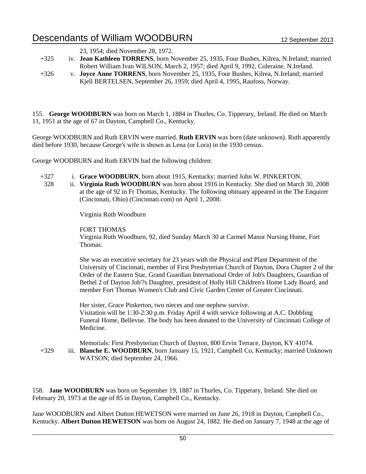23, 1954; died November 28, 1972.

- +325 iv. **Jean Kathleen TORRENS**, born November 25, 1935, Four Bushes, Kilrea, N.Ireland; married Robert William Ivan WILSON, March 2, 1957; died April 9, 1992, Coleraine, N.Ireland.
- +326 v. **Joyce Anne TORRENS**, born November 25, 1935, Four Bushes, Kilrea, N.Ireland; married Kjell BERTELSEN, September 26, 1959; died April 4, 1995, Raufoss, Norway.

155. **George WOODBURN** was born on March 1, 1884 in Thurles, Co. Tipperary, Ireland. He died on March 11, 1951 at the age of 67 in Dayton, Campbell Co., Kentucky.

George WOODBURN and Ruth ERVIN were married. **Ruth ERVIN** was born (date unknown). Ruth apparently died before 1930, because George's wife is shown as Lena (or Lora) in the 1930 census.

George WOODBURN and Ruth ERVIN had the following children:

- +327 i. **Grace WOODBURN**, born about 1915, Kentucky; married John W. PINKERTON.
- 328 ii. **Virginia Ruth WOODBURN** was born about 1916 in Kentucky. She died on March 30, 2008 at the age of 92 in Ft Thomas, Kentucky. The following obituary appeared in the The Enquirer (Cincinnati, Ohio) (Cincinnati.com) on April 1, 2008:

Virginia Ruth Woodburn

FORT THOMAS

Virginia Ruth Woodburn, 92, died Sunday March 30 at Carmel Manor Nursing Home, Fort Thomas.

She was an executive secretary for 23 years with the Physical and Plant Department of the University of Cincinnati, member of First Presbyterian Church of Dayton, Dora Chapter 2 of the Order of the Eastern Star, Grand Guardian International Order of Job's Daughters, Guardian of Bethel 2 of Dayton Job'?s Daughter, president of Holly Hill Children's Home Lady Board, and member Fort Thomas Women's Club and Civic Garden Center of Greater Cincinnati.

Her sister, Grace Pinkerton, two nieces and one nephew survive. Visitation will be 1:30-2:30 p.m. Friday April 4 with service following at A.C. Dobbling Funeral Home, Bellevue. The body has been donated to the University of Cincinnati College of Medicine.

Memorials: First Presbyterian Church of Dayton, 800 Ervin Terrace, Dayton, KY 41074. +329 iii. **Blanche E. WOODBURN**, born January 15, 1921, Campbell Co, Kentucky; married Unknown WATSON; died September 24, 1966.

158. **Jane WOODBURN** was born on September 19, 1887 in Thurles, Co. Tipperary, Ireland. She died on February 20, 1973 at the age of 85 in Dayton, Campbell Co., Kentucky.

Jane WOODBURN and Albert Dutton HEWETSON were married on June 26, 1918 in Dayton, Campbell Co., Kentucky. **Albert Dutton HEWETSON** was born on August 24, 1882. He died on January 7, 1948 at the age of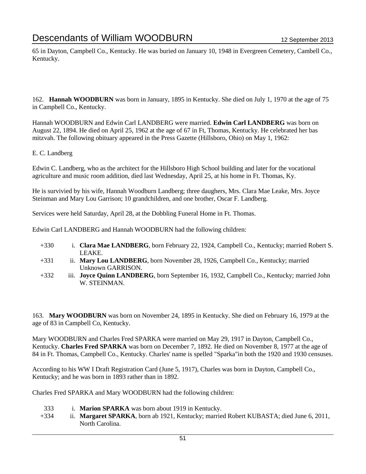65 in Dayton, Campbell Co., Kentucky. He was buried on January 10, 1948 in Evergreen Cemetery, Cambell Co., Kentucky.

162. **Hannah WOODBURN** was born in January, 1895 in Kentucky. She died on July 1, 1970 at the age of 75 in Campbell Co., Kentucky.

Hannah WOODBURN and Edwin Carl LANDBERG were married. **Edwin Carl LANDBERG** was born on August 22, 1894. He died on April 25, 1962 at the age of 67 in Ft, Thomas, Kentucky. He celebrated her bas mitzvah. The following obituary appeared in the Press Gazette (Hillsboro, Ohio) on May 1, 1962:

### E. C. Landberg

Edwin C. Landberg, who as the architect for the Hillsboro High School building and later for the vocational agriculture and music room addition, died last Wednesday, April 25, at his home in Ft. Thomas, Ky.

He is survivied by his wife, Hannah Woodburn Landberg; three daughers, Mrs. Clara Mae Leake, Mrs. Joyce Steinman and Mary Lou Garrison; 10 grandchildren, and one brother, Oscar F. Landberg.

Services were held Saturday, April 28, at the Dobbling Funeral Home in Ft. Thomas.

Edwin Carl LANDBERG and Hannah WOODBURN had the following children:

- +330 i. **Clara Mae LANDBERG**, born February 22, 1924, Campbell Co., Kentucky; married Robert S. LEAKE.
- +331 ii. **Mary Lou LANDBERG**, born November 28, 1926, Campbell Co., Kentucky; married Unknown GARRISON.
- +332 iii. **Joyce Quinn LANDBERG**, born September 16, 1932, Campbell Co., Kentucky; married John W. STEINMAN.

163. **Mary WOODBURN** was born on November 24, 1895 in Kentucky. She died on February 16, 1979 at the age of 83 in Campbell Co, Kentucky.

Mary WOODBURN and Charles Fred SPARKA were married on May 29, 1917 in Dayton, Campbell Co., Kentucky. **Charles Fred SPARKA** was born on December 7, 1892. He died on November 8, 1977 at the age of 84 in Ft. Thomas, Campbell Co., Kentucky. Charles' name is spelled "Sparka"in both the 1920 and 1930 censuses.

According to his WW I Draft Registration Card (June 5, 1917), Charles was born in Dayton, Campbell Co., Kentucky; and he was born in 1893 rather than in 1892.

Charles Fred SPARKA and Mary WOODBURN had the following children:

- 333 i. **Marion SPARKA** was born about 1919 in Kentucky.
- +334 ii. **Margaret SPARKA**, born ab 1921, Kentucky; married Robert KUBASTA; died June 6, 2011, North Carolina.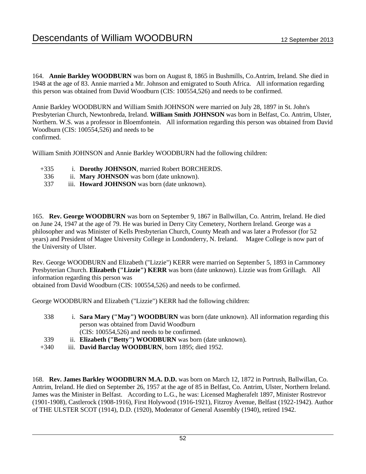164. **Annie Barkley WOODBURN** was born on August 8, 1865 in Bushmills, Co.Antrim, Ireland. She died in 1948 at the age of 83. Annie married a Mr. Johnson and emigrated to South Africa. All information regarding this person was obtained from David Woodburn (CIS: 100554,526) and needs to be confirmed.

Annie Barkley WOODBURN and William Smith JOHNSON were married on July 28, 1897 in St. John's Presbyterian Church, Newtonbreda, Ireland. **William Smith JOHNSON** was born in Belfast, Co. Antrim, Ulster, Northern. W.S. was a professor in Bloemfontein. All information regarding this person was obtained from David Woodburn (CIS: 100554,526) and needs to be confirmed.

William Smith JOHNSON and Annie Barkley WOODBURN had the following children:

- +335 i. **Dorothy JOHNSON**, married Robert BORCHERDS.
- 336 ii. **Mary JOHNSON** was born (date unknown).
- 337 iii. **Howard JOHNSON** was born (date unknown).

165. **Rev. George WOODBURN** was born on September 9, 1867 in Ballwillan, Co. Antrim, Ireland. He died on June 24, 1947 at the age of 79. He was buried in Derry City Cemetery, Northern Ireland. George was a philosopher and was Minister of Kells Presbyterian Church, County Meath and was later a Professor (for 52 years) and President of Magee University College in Londonderry, N. Ireland. Magee College is now part of the University of Ulster.

Rev. George WOODBURN and Elizabeth ("Lizzie") KERR were married on September 5, 1893 in Carnmoney Presbyterian Church. **Elizabeth ("Lizzie") KERR** was born (date unknown). Lizzie was from Grillagh. All information regarding this person was

obtained from David Woodburn (CIS: 100554,526) and needs to be confirmed.

George WOODBURN and Elizabeth ("Lizzie") KERR had the following children:

| 338  | i. Sara Mary ("May") WOODBURN was born (date unknown). All information regarding this |
|------|---------------------------------------------------------------------------------------|
|      | person was obtained from David Woodburn                                               |
|      | $(CIS: 100554, 526)$ and needs to be confirmed.                                       |
| 339  | ii. Elizabeth ("Betty") WOODBURN was born (date unknown).                             |
| +340 | iii. David Barclay WOODBURN, born 1895; died 1952.                                    |

168. **Rev. James Barkley WOODBURN M.A. D.D.** was born on March 12, 1872 in Portrush, Ballwillan, Co. Antrim, Ireland. He died on September 26, 1957 at the age of 85 in Belfast, Co. Antrim, Ulster, Northern Ireland. James was the Minister in Belfast. According to L.G., he was: Licensed Magherafelt 1897, Minister Rostrevor (1901-1908), Castlerock (1908-1916), First Holywood (1916-1921), Fitzroy Avenue, Belfast (1922-1942). Author of THE ULSTER SCOT (1914), D.D. (1920), Moderator of General Assembly (1940), retired 1942.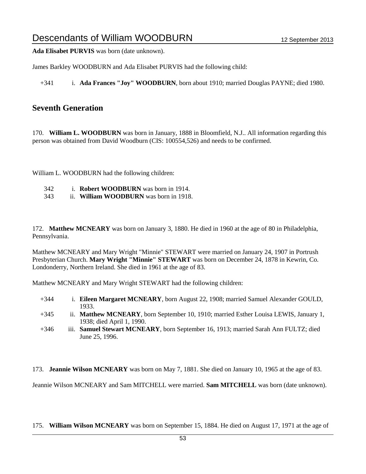**Ada Elisabet PURVIS** was born (date unknown).

James Barkley WOODBURN and Ada Elisabet PURVIS had the following child:

+341 i. **Ada Frances "Joy" WOODBURN**, born about 1910; married Douglas PAYNE; died 1980.

## **Seventh Generation**

170. **William L. WOODBURN** was born in January, 1888 in Bloomfield, N.J.. All information regarding this person was obtained from David Woodburn (CIS: 100554,526) and needs to be confirmed.

William L. WOODBURN had the following children:

- 342 i. **Robert WOODBURN** was born in 1914.
- 343 ii. **William WOODBURN** was born in 1918.

172. **Matthew MCNEARY** was born on January 3, 1880. He died in 1960 at the age of 80 in Philadelphia, Pennsylvania.

Matthew MCNEARY and Mary Wright "Minnie" STEWART were married on January 24, 1907 in Portrush Presbyterian Church. **Mary Wright "Minnie" STEWART** was born on December 24, 1878 in Kewrin, Co. Londonderry, Northern Ireland. She died in 1961 at the age of 83.

Matthew MCNEARY and Mary Wright STEWART had the following children:

- +344 i. **Eileen Margaret MCNEARY**, born August 22, 1908; married Samuel Alexander GOULD, 1933.
- +345 ii. **Matthew MCNEARY**, born September 10, 1910; married Esther Louisa LEWIS, January 1, 1938; died April 1, 1990.
- +346 iii. **Samuel Stewart MCNEARY**, born September 16, 1913; married Sarah Ann FULTZ; died June 25, 1996.

173. **Jeannie Wilson MCNEARY** was born on May 7, 1881. She died on January 10, 1965 at the age of 83.

Jeannie Wilson MCNEARY and Sam MITCHELL were married. **Sam MITCHELL** was born (date unknown).

175. **William Wilson MCNEARY** was born on September 15, 1884. He died on August 17, 1971 at the age of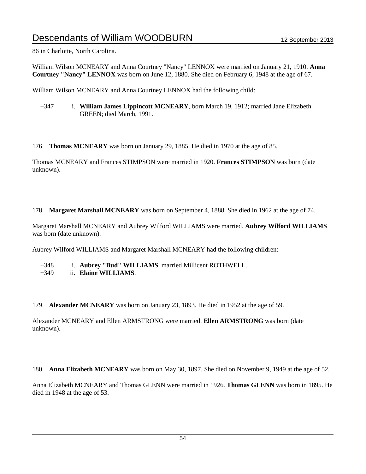86 in Charlotte, North Carolina.

William Wilson MCNEARY and Anna Courtney "Nancy" LENNOX were married on January 21, 1910. **Anna Courtney "Nancy" LENNOX** was born on June 12, 1880. She died on February 6, 1948 at the age of 67.

William Wilson MCNEARY and Anna Courtney LENNOX had the following child:

+347 i. **William James Lippincott MCNEARY**, born March 19, 1912; married Jane Elizabeth GREEN; died March, 1991.

176. **Thomas MCNEARY** was born on January 29, 1885. He died in 1970 at the age of 85.

Thomas MCNEARY and Frances STIMPSON were married in 1920. **Frances STIMPSON** was born (date unknown).

178. **Margaret Marshall MCNEARY** was born on September 4, 1888. She died in 1962 at the age of 74.

Margaret Marshall MCNEARY and Aubrey Wilford WILLIAMS were married. **Aubrey Wilford WILLIAMS** was born (date unknown).

Aubrey Wilford WILLIAMS and Margaret Marshall MCNEARY had the following children:

- +348 i. **Aubrey "Bud" WILLIAMS**, married Millicent ROTHWELL.
- +349 ii. **Elaine WILLIAMS**.

179. **Alexander MCNEARY** was born on January 23, 1893. He died in 1952 at the age of 59.

Alexander MCNEARY and Ellen ARMSTRONG were married. **Ellen ARMSTRONG** was born (date unknown).

180. **Anna Elizabeth MCNEARY** was born on May 30, 1897. She died on November 9, 1949 at the age of 52.

Anna Elizabeth MCNEARY and Thomas GLENN were married in 1926. **Thomas GLENN** was born in 1895. He died in 1948 at the age of 53.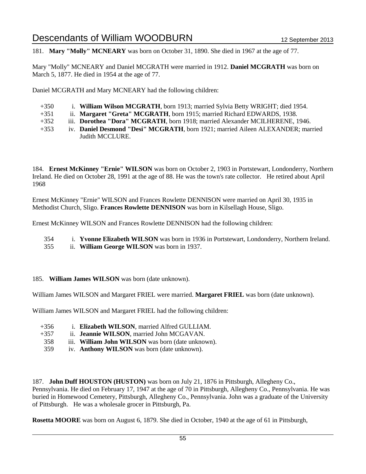181. **Mary "Molly" MCNEARY** was born on October 31, 1890. She died in 1967 at the age of 77.

Mary "Molly" MCNEARY and Daniel MCGRATH were married in 1912. **Daniel MCGRATH** was born on March 5, 1877. He died in 1954 at the age of 77.

Daniel MCGRATH and Mary MCNEARY had the following children:

- +350 i. **William Wilson MCGRATH**, born 1913; married Sylvia Betty WRIGHT; died 1954.
- +351 ii. **Margaret "Greta" MCGRATH**, born 1915; married Richard EDWARDS, 1938.
- +352 iii. **Dorothea "Dora" MCGRATH**, born 1918; married Alexander MCILHERENE, 1946.
- +353 iv. **Daniel Desmond "Desi" MCGRATH**, born 1921; married Aileen ALEXANDER; married Judith MCCLURE.

184. **Ernest McKinney "Ernie" WILSON** was born on October 2, 1903 in Portstewart, Londonderry, Northern Ireland. He died on October 28, 1991 at the age of 88. He was the town's rate collector. He retired about April 1968

Ernest McKinney "Ernie" WILSON and Frances Rowlette DENNISON were married on April 30, 1935 in Methodist Church, Sligo. **Frances Rowlette DENNISON** was born in Kilsellagh House, Sligo.

Ernest McKinney WILSON and Frances Rowlette DENNISON had the following children:

354 i. **Yvonne Elizabeth WILSON** was born in 1936 in Portstewart, Londonderry, Northern Ireland.

355 ii. **William George WILSON** was born in 1937.

### 185. **William James WILSON** was born (date unknown).

William James WILSON and Margaret FRIEL were married. **Margaret FRIEL** was born (date unknown).

William James WILSON and Margaret FRIEL had the following children:

- +356 i. **Elizabeth WILSON**, married Alfred GULLIAM.
- +357 ii. **Jeannie WILSON**, married John MCGAVAN.
- 358 iii. **William John WILSON** was born (date unknown).
- 359 iv. **Anthony WILSON** was born (date unknown).

187. **John Duff HOUSTON (HUSTON)** was born on July 21, 1876 in Pittsburgh, Allegheny Co.,

Pennsylvania. He died on February 17, 1947 at the age of 70 in Pittsburgh, Allegheny Co., Pennsylvania. He was buried in Homewood Cemetery, Pittsburgh, Allegheny Co., Pennsylvania. John was a graduate of the University of Pittsburgh. He was a wholesale grocer in Pittsburgh, Pa.

**Rosetta MOORE** was born on August 6, 1879. She died in October, 1940 at the age of 61 in Pittsburgh,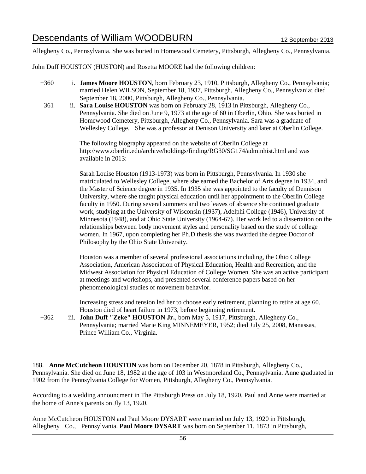Allegheny Co., Pennsylvania. She was buried in Homewood Cemetery, Pittsburgh, Allegheny Co., Pennsylvania.

John Duff HOUSTON (HUSTON) and Rosetta MOORE had the following children:

- +360 i. **James Moore HOUSTON**, born February 23, 1910, Pittsburgh, Allegheny Co., Pennsylvania; married Helen WILSON, September 18, 1937, Pittsburgh, Allegheny Co., Pennsylvania; died September 18, 2000, Pittsburgh, Allegheny Co., Pennsylvania.
- 361 ii. **Sara Louise HOUSTON** was born on February 28, 1913 in Pittsburgh, Allegheny Co., Pennsylvania. She died on June 9, 1973 at the age of 60 in Oberlin, Ohio. She was buried in Homewood Cemetery, Pittsburgh, Allegheny Co., Pennsylvania. Sara was a graduate of Wellesley College. She was a professor at Denison University and later at Oberlin College.

The following biography appeared on the website of Oberlin College at http://www.oberlin.edu/archive/holdings/finding/RG30/SG174/adminhist.html and was available in 2013:

Sarah Louise Houston (1913-1973) was born in Pittsburgh, Pennsylvania. In 1930 she matriculated to Wellesley College, where she earned the Bachelor of Arts degree in 1934, and the Master of Science degree in 1935. In 1935 she was appointed to the faculty of Dennison University, where she taught physical education until her appointment to the Oberlin College faculty in 1950. During several summers and two leaves of absence she continued graduate work, studying at the University of Wisconsin (1937), Adelphi College (1946), University of Minnesota (1948), and at Ohio State University (1964-67). Her work led to a dissertation on the relationships between body movement styles and personality based on the study of college women. In 1967, upon completing her Ph.D thesis she was awarded the degree Doctor of Philosophy by the Ohio State University.

Houston was a member of several professional associations including, the Ohio College Association, American Association of Physical Education, Health and Recreation, and the Midwest Association for Physical Education of College Women. She was an active participant at meetings and workshops, and presented several conference papers based on her phenomenological studies of movement behavior.

Increasing stress and tension led her to choose early retirement, planning to retire at age 60. Houston died of heart failure in 1973, before beginning retirement.

+362 iii. **John Duff "Zeke" HOUSTON Jr.**, born May 5, 1917, Pittsburgh, Allegheny Co., Pennsylvania; married Marie King MINNEMEYER, 1952; died July 25, 2008, Manassas, Prince William Co., Virginia.

188. **Anne McCutcheon HOUSTON** was born on December 20, 1878 in Pittsburgh, Allegheny Co., Pennsylvania. She died on June 18, 1982 at the age of 103 in Westmoreland Co., Pennsylvania. Anne graduated in 1902 from the Pennsylvania College for Women, Pittsburgh, Allegheny Co., Pennsylvania.

According to a wedding announcment in The Pittsburgh Press on July 18, 1920, Paul and Anne were married at the home of Anne's parents on Jly 13, 1920.

Anne McCutcheon HOUSTON and Paul Moore DYSART were married on July 13, 1920 in Pittsburgh, Allegheny Co., Pennsylvania. **Paul Moore DYSART** was born on September 11, 1873 in Pittsburgh,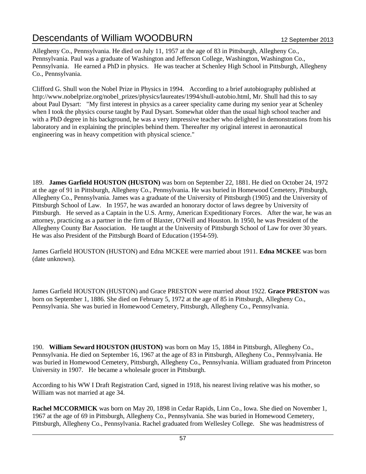Allegheny Co., Pennsylvania. He died on July 11, 1957 at the age of 83 in Pittsburgh, Allegheny Co., Pennsylvania. Paul was a graduate of Washington and Jefferson College, Washington, Washington Co., Pennsylvania. He earned a PhD in physics. He was teacher at Schenley High School in Pittsburgh, Allegheny Co., Pennsylvania.

Clifford G. Shull won the Nobel Prize in Physics in 1994. According to a brief autobiography published at http://www.nobelprize.org/nobel\_prizes/physics/laureates/1994/shull-autobio.html, Mr. Shull had this to say about Paul Dysart: "My first interest in physics as a career speciality came during my senior year at Schenley when I took the physics course taught by Paul Dysart. Somewhat older than the usual high school teacher and with a PhD degree in his background, he was a very impressive teacher who delighted in demonstrations from his laboratory and in explaining the principles behind them. Thereafter my original interest in aeronautical engineering was in heavy competition with physical science."

189. **James Garfield HOUSTON (HUSTON)** was born on September 22, 1881. He died on October 24, 1972 at the age of 91 in Pittsburgh, Allegheny Co., Pennsylvania. He was buried in Homewood Cemetery, Pittsburgh, Allegheny Co., Pennsylvania. James was a graduate of the University of Pittsburgh (1905) and the University of Pittsburgh School of Law. In 1957, he was awarded an honorary doctor of laws degree by University of Pittsburgh. He served as a Captain in the U.S. Army, American Expeditionary Forces. After the war, he was an attorney, practicing as a partner in the firm of Blaxter, O'Neill and Houston. In 1950, he was President of the Allegheny County Bar Association. He taught at the University of Pittsburgh School of Law for over 30 years. He was also President of the Pittsburgh Board of Education (1954-59).

James Garfield HOUSTON (HUSTON) and Edna MCKEE were married about 1911. **Edna MCKEE** was born (date unknown).

James Garfield HOUSTON (HUSTON) and Grace PRESTON were married about 1922. **Grace PRESTON** was born on September 1, 1886. She died on February 5, 1972 at the age of 85 in Pittsburgh, Allegheny Co., Pennsylvania. She was buried in Homewood Cemetery, Pittsburgh, Allegheny Co., Pennsylvania.

190. **William Seward HOUSTON (HUSTON)** was born on May 15, 1884 in Pittsburgh, Allegheny Co., Pennsylvania. He died on September 16, 1967 at the age of 83 in Pittsburgh, Allegheny Co., Pennsylvania. He was buried in Homewood Cemetery, Pittsburgh, Allegheny Co., Pennsylvania. William graduated from Princeton University in 1907. He became a wholesale grocer in Pittsburgh.

According to his WW I Draft Registration Card, signed in 1918, his nearest living relative was his mother, so William was not married at age 34.

**Rachel MCCORMICK** was born on May 20, 1898 in Cedar Rapids, Linn Co., Iowa. She died on November 1, 1967 at the age of 69 in Pittsburgh, Allegheny Co., Pennsylvania. She was buried in Homewood Cemetery, Pittsburgh, Allegheny Co., Pennsylvania. Rachel graduated from Wellesley College. She was headmistress of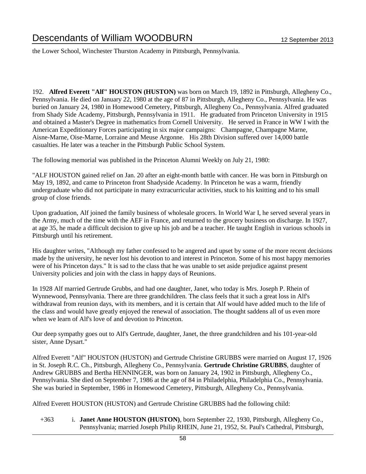the Lower School, Winchester Thurston Academy in Pittsburgh, Pennsylvania.

192. **Alfred Everett "Alf" HOUSTON (HUSTON)** was born on March 19, 1892 in Pittsburgh, Allegheny Co., Pennsylvania. He died on January 22, 1980 at the age of 87 in Pittsburgh, Allegheny Co., Pennsylvania. He was buried on January 24, 1980 in Homewood Cemetery, Pittsburgh, Allegheny Co., Pennsylvania. Alfred graduated from Shady Side Academy, Pittsburgh, Pennsylvania in 1911. He graduated from Princeton University in 1915 and obtained a Master's Degree in mathematics from Cornell University. He served in France in WW I with the American Expeditionary Forces participating in six major campaigns: Champagne, Champagne Marne, Aisne-Marne, Oise-Marne, Lorraine and Meuse Argonne. His 28th Division suffered over 14,000 battle casualties. He later was a teacher in the Pittsburgh Public School System.

The following memorial was published in the Princeton Alumni Weekly on July 21, 1980:

"ALF HOUSTON gained relief on Jan. 20 after an eight-month battle with cancer. He was born in Pittsburgh on May 19, 1892, and came to Princeton front Shadyside Academy. In Princeton he was a warm, friendly undergraduate who did not participate in many extracurricular activities, stuck to his knitting and to his small group of close friends.

Upon graduation, Alf joined the family business of wholesale grocers. In World War I, he served several years in the Army, much of the time with the AEF in France, and returned to the grocery business on discharge. In 1927, at age 35, he made a difficult decision to give up his job and be a teacher. He taught English in various schools in Pittsburgh until his retirement.

His daughter writes, "Although my father confessed to be angered and upset by some of the more recent decisions made by the university, he never lost his devotion to and interest in Princeton. Some of his most happy memories were of his Princeton days." It is sad to the class that he was unable to set aside prejudice against present University policies and join with the class in happy days of Reunions.

In 1928 Alf married Gertrude Grubbs, and had one daughter, Janet, who today is Mrs. Joseph P. Rhein of Wynnewood, Pennsylvania. There are three grandchildren. The class feels that it such a great loss in Alf's withdrawal from reunion days, with its members, and it is certain that Alf would have added much to the life of the class and would have greatly enjoyed the renewal of association. The thought saddens all of us even more when we learn of Alf's love of and devotion to Princeton.

Our deep sympathy goes out to Alf's Gertrude, daughter, Janet, the three grandchildren and his 101-year-old sister, Anne Dysart."

Alfred Everett "Alf" HOUSTON (HUSTON) and Gertrude Christine GRUBBS were married on August 17, 1926 in St. Joseph R.C. Ch., Pittsburgh, Allegheny Co., Pennsylvania. **Gertrude Christine GRUBBS**, daughter of Andrew GRUBBS and Bertha HENNINGER, was born on January 24, 1902 in Pittsburgh, Allegheny Co., Pennsylvania. She died on September 7, 1986 at the age of 84 in Philadelphia, Philadelphia Co., Pennsylvania. She was buried in September, 1986 in Homewood Cemetery, Pittsburgh, Allegheny Co., Pennsylvania.

Alfred Everett HOUSTON (HUSTON) and Gertrude Christine GRUBBS had the following child:

+363 i. **Janet Anne HOUSTON (HUSTON)**, born September 22, 1930, Pittsburgh, Allegheny Co., Pennsylvania; married Joseph Philip RHEIN, June 21, 1952, St. Paul's Cathedral, Pittsburgh,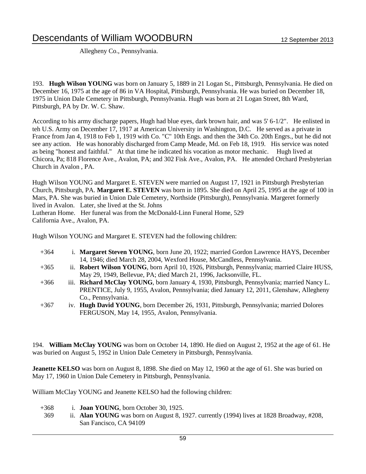Allegheny Co., Pennsylvania.

193. **Hugh Wilson YOUNG** was born on January 5, 1889 in 21 Logan St., Pittsburgh, Pennsylvania. He died on December 16, 1975 at the age of 86 in VA Hospital, Pittsburgh, Pennsylvania. He was buried on December 18, 1975 in Union Dale Cemetery in Pittsburgh, Pennsylvania. Hugh was born at 21 Logan Street, 8th Ward, Pittsburgh, PA by Dr. W. C. Shaw.

According to his army discharge papers, Hugh had blue eyes, dark brown hair, and was 5' 6-1/2". He enlisted in teh U.S. Army on December 17, 1917 at American University in Washington, D.C. He served as a private in France from Jan 4, 1918 to Feb 1, 1919 with Co. "C" 10th Engs. and then the 34th Co. 20th Engrs., but he did not see any action. He was honorably discharged from Camp Meade, Md. on Feb 18, 1919. His service was noted as being "honest and faithful." At that time he indicated his vocation as motor mechanic. Hugh lived at Chicora, Pa; 818 Florence Ave., Avalon, PA; and 302 Fisk Ave., Avalon, PA. He attended Orchard Presbyterian Church in Avalon , PA.

Hugh Wilson YOUNG and Margaret E. STEVEN were married on August 17, 1921 in Pittsburgh Presbyterian Church, Pittsburgh, PA. **Margaret E. STEVEN** was born in 1895. She died on April 25, 1995 at the age of 100 in Mars, PA. She was buried in Union Dale Cemetery, Northside (Pittsburgh), Pennsylvania. Margeret formerly lived in Avalon. Later, she lived at the St. Johns Lutheran Home. Her funeral was from the McDonald-Linn Funeral Home, 529

California Ave., Avalon, PA.

Hugh Wilson YOUNG and Margaret E. STEVEN had the following children:

- +364 i. **Margaret Steven YOUNG**, born June 20, 1922; married Gordon Lawrence HAYS, December 14, 1946; died March 28, 2004, Wexford House, McCandless, Pennsylvania.
- +365 ii. **Robert Wilson YOUNG**, born April 10, 1926, Pittsburgh, Pennsylvania; married Claire HUSS, May 29, 1949, Bellevue, PA; died March 21, 1996, Jacksonville, FL.
- +366 iii. **Richard McClay YOUNG**, born January 4, 1930, Pittsburgh, Pennsylvania; married Nancy L. PRENTICE, July 9, 1955, Avalon, Pennsylvania; died January 12, 2011, Glenshaw, Allegheny Co., Pennsylvania.
- +367 iv. **Hugh David YOUNG**, born December 26, 1931, Pittsburgh, Pennsylvania; married Dolores FERGUSON, May 14, 1955, Avalon, Pennsylvania.

194. **William McClay YOUNG** was born on October 14, 1890. He died on August 2, 1952 at the age of 61. He was buried on August 5, 1952 in Union Dale Cemetery in Pittsburgh, Pennsylvania.

**Jeanette KELSO** was born on August 8, 1898. She died on May 12, 1960 at the age of 61. She was buried on May 17, 1960 in Union Dale Cemetery in Pittsburgh, Pennsylvania.

William McClay YOUNG and Jeanette KELSO had the following children:

+368 i. **Joan YOUNG**, born October 30, 1925. 369 ii. **Alan YOUNG** was born on August 8, 1927. currently (1994) lives at 1828 Broadway, #208, San Fancisco, CA 94109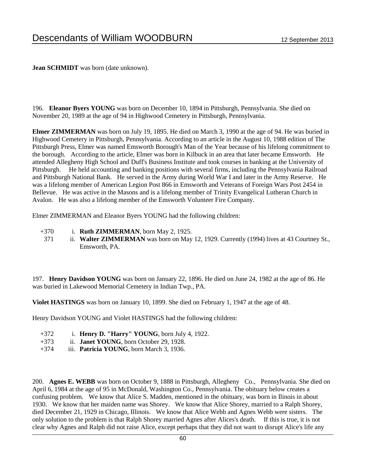**Jean SCHMIDT** was born (date unknown).

196. **Eleanor Byers YOUNG** was born on December 10, 1894 in Pittsburgh, Pennsylvania. She died on November 20, 1989 at the age of 94 in Highwood Cemetery in Pittsburgh, Pennsylvania.

**Elmer ZIMMERMAN** was born on July 19, 1895. He died on March 3, 1990 at the age of 94. He was buried in Highwood Cemetery in Pittsburgh, Pennsylvania. According to an article in the August 10, 1988 edition of The Pittsburgh Press, Elmer was named Emsworth Borough's Man of the Year because of his lifelong commitment to the borough. According to the article, Elmer was born in Kilbuck in an area that later became Emsworth. He attended Allegheny High School and Duff's Business Institute and took courses in banking at the University of Pittsburgh. He held accounting and banking positions with several firms, including the Pennsylvania Railroad and Pittsburgh National Bank. He served in the Army during World War I and later in the Army Reserve. He was a lifelong member of American Legion Post 866 in Emsworth and Veterans of Foreign Wars Post 2454 in Bellevue. He was active in the Masons and is a lifelong member of Trinity Evangelical Lutheran Church in Avalon. He was also a lifelong member of the Emsworth Volunteer Fire Company.

Elmer ZIMMERMAN and Eleanor Byers YOUNG had the following children:

- +370 i. **Ruth ZIMMERMAN**, born May 2, 1925.
- 371 ii. Walter ZIMMERMAN was born on May 12, 1929. Currently (1994) lives at 43 Courtney St., Emsworth, PA.

197. **Henry Davidson YOUNG** was born on January 22, 1896. He died on June 24, 1982 at the age of 86. He was buried in Lakewood Memorial Cemetery in Indian Twp., PA.

**Violet HASTINGS** was born on January 10, 1899. She died on February 1, 1947 at the age of 48.

Henry Davidson YOUNG and Violet HASTINGS had the following children:

- +372 i. **Henry D. "Harry" YOUNG**, born July 4, 1922.
- +373 ii. **Janet YOUNG**, born October 29, 1928.
- +374 iii. **Patricia YOUNG**, born March 3, 1936.

200. **Agnes E. WEBB** was born on October 9, 1888 in Pittsburgh, Allegheny Co., Pennsylvania. She died on April 6, 1984 at the age of 95 in McDonald, Washington Co., Pennsylvania. The obituary below creates a confusing problem. We know that Alice S. Madden, mentioned in the obituary, was born in Ilinois in about 1930. We know that her maiden name was Shorey. We know that Alice Shorey, married to a Ralph Shorey, died December 21, 1929 in Chicago, Illinois. We know that Alice Webb and Agnes Webb were sisters. The only solution to the problem is that Ralph Shorey married Agnes after Alices's death. If this is true, it is not clear why Agnes and Ralph did not raise Alice, except perhaps that they did not want to disrupt Alice's life any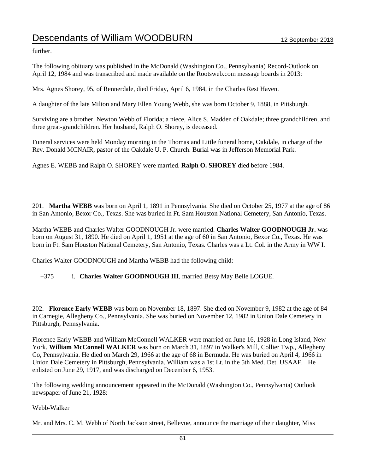further.

The following obituary was published in the McDonald (Washington Co., Pennsylvania) Record-Outlook on April 12, 1984 and was transcribed and made available on the Rootsweb.com message boards in 2013:

Mrs. Agnes Shorey, 95, of Rennerdale, died Friday, April 6, 1984, in the Charles Rest Haven.

A daughter of the late Milton and Mary Ellen Young Webb, she was born October 9, 1888, in Pittsburgh.

Surviving are a brother, Newton Webb of Florida; a niece, Alice S. Madden of Oakdale; three grandchildren, and three great-grandchildren. Her husband, Ralph O. Shorey, is deceased.

Funeral services were held Monday morning in the Thomas and Little funeral home, Oakdale, in charge of the Rev. Donald MCNAIR, pastor of the Oakdale U. P. Church. Burial was in Jefferson Memorial Park.

Agnes E. WEBB and Ralph O. SHOREY were married. **Ralph O. SHOREY** died before 1984.

201. **Martha WEBB** was born on April 1, 1891 in Pennsylvania. She died on October 25, 1977 at the age of 86 in San Antonio, Bexor Co., Texas. She was buried in Ft. Sam Houston National Cemetery, San Antonio, Texas.

Martha WEBB and Charles Walter GOODNOUGH Jr. were married. **Charles Walter GOODNOUGH Jr.** was born on August 31, 1890. He died on April 1, 1951 at the age of 60 in San Antonio, Bexor Co., Texas. He was born in Ft. Sam Houston National Cemetery, San Antonio, Texas. Charles was a Lt. Col. in the Army in WW I.

Charles Walter GOODNOUGH and Martha WEBB had the following child:

+375 i. **Charles Walter GOODNOUGH III**, married Betsy May Belle LOGUE.

202. **Florence Early WEBB** was born on November 18, 1897. She died on November 9, 1982 at the age of 84 in Carnegie, Allegheny Co., Pennsylvania. She was buried on November 12, 1982 in Union Dale Cemetery in Pittsburgh, Pennsylvania.

Florence Early WEBB and William McConnell WALKER were married on June 16, 1928 in Long Island, New York. **William McConnell WALKER** was born on March 31, 1897 in Walker's Mill, Collier Twp., Allegheny Co, Pennsylvania. He died on March 29, 1966 at the age of 68 in Bermuda. He was buried on April 4, 1966 in Union Dale Cemetery in Pittsburgh, Pennsylvania. William was a 1st Lt. in the 5th Med. Det. USAAF. He enlisted on June 29, 1917, and was discharged on December 6, 1953.

The following wedding announcement appeared in the McDonald (Washington Co., Pennsylvania) Outlook newspaper of June 21, 1928:

Webb-Walker

Mr. and Mrs. C. M. Webb of North Jackson street, Bellevue, announce the marriage of their daughter, Miss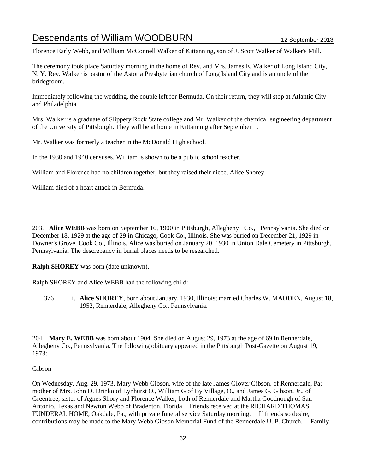Florence Early Webb, and William McConnell Walker of Kittanning, son of J. Scott Walker of Walker's Mill.

The ceremony took place Saturday morning in the home of Rev. and Mrs. James E. Walker of Long Island City, N. Y. Rev. Walker is pastor of the Astoria Presbyterian church of Long Island City and is an uncle of the bridegroom.

Immediately following the wedding, the couple left for Bermuda. On their return, they will stop at Atlantic City and Philadelphia.

Mrs. Walker is a graduate of Slippery Rock State college and Mr. Walker of the chemical engineering department of the University of Pittsburgh. They will be at home in Kittanning after September 1.

Mr. Walker was formerly a teacher in the McDonald High school.

In the 1930 and 1940 censuses, William is shown to be a public school teacher.

William and Florence had no children together, but they raised their niece, Alice Shorey.

William died of a heart attack in Bermuda.

203. **Alice WEBB** was born on September 16, 1900 in Pittsburgh, Allegheny Co., Pennsylvania. She died on December 18, 1929 at the age of 29 in Chicago, Cook Co., Illinois. She was buried on December 21, 1929 in Downer's Grove, Cook Co., Illinois. Alice was buried on January 20, 1930 in Union Dale Cemetery in Pittsburgh, Pennsylvania. The descrepancy in burial places needs to be researched.

**Ralph SHOREY** was born (date unknown).

Ralph SHOREY and Alice WEBB had the following child:

+376 i. **Alice SHOREY**, born about January, 1930, Illinois; married Charles W. MADDEN, August 18, 1952, Rennerdale, Allegheny Co., Pennsylvania.

204. **Mary E. WEBB** was born about 1904. She died on August 29, 1973 at the age of 69 in Rennerdale, Allegheny Co., Pennsylvania. The following obituary appeared in the Pittsburgh Post-Gazette on August 19, 1973:

### Gibson

On Wednesday, Aug. 29, 1973, Mary Webb Gibson, wife of the late James Glover Gibson, of Rennerdale, Pa; mother of Mrs. John D. Drinko of Lynhurst O., William G of By Village, O., and James G. Gibson, Jr., of Greentree; sister of Agnes Shory and Florence Walker, both of Rennerdale and Martha Goodnough of San Antonio, Texas and Newton Webb of Bradenton, Florida. Friends received at the RICHARD THOMAS FUNDERAL HOME, Oakdale, Pa., with private funeral service Saturday morning. If friends so desire, contributions may be made to the Mary Webb Gibson Memorial Fund of the Rennerdale U. P. Church. Family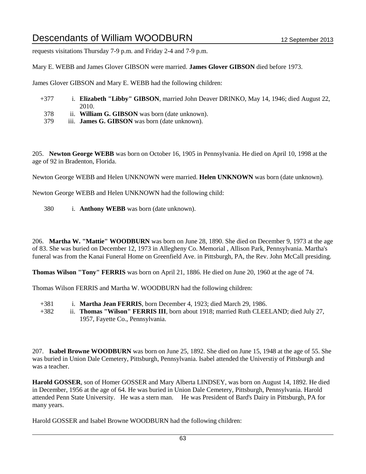requests visitations Thursday 7-9 p.m. and Friday 2-4 and 7-9 p.m.

Mary E. WEBB and James Glover GIBSON were married. **James Glover GIBSON** died before 1973.

James Glover GIBSON and Mary E. WEBB had the following children:

- +377 i. **Elizabeth "Libby" GIBSON**, married John Deaver DRINKO, May 14, 1946; died August 22, 2010.
- 378 ii. **William G. GIBSON** was born (date unknown).
- 379 iii. **James G. GIBSON** was born (date unknown).

205. **Newton George WEBB** was born on October 16, 1905 in Pennsylvania. He died on April 10, 1998 at the age of 92 in Bradenton, Florida.

Newton George WEBB and Helen UNKNOWN were married. **Helen UNKNOWN** was born (date unknown).

Newton George WEBB and Helen UNKNOWN had the following child:

380 i. **Anthony WEBB** was born (date unknown).

206. **Martha W. "Mattie" WOODBURN** was born on June 28, 1890. She died on December 9, 1973 at the age of 83. She was buried on December 12, 1973 in Allegheny Co. Memorial , Allison Park, Pennsylvania. Martha's funeral was from the Kanai Funeral Home on Greenfield Ave. in Pittsburgh, PA, the Rev. John McCall presiding.

**Thomas Wilson "Tony" FERRIS** was born on April 21, 1886. He died on June 20, 1960 at the age of 74.

Thomas Wilson FERRIS and Martha W. WOODBURN had the following children:

- +381 i. **Martha Jean FERRIS**, born December 4, 1923; died March 29, 1986.
- +382 ii. **Thomas "Wilson" FERRIS III**, born about 1918; married Ruth CLEELAND; died July 27, 1957, Fayette Co., Pennsylvania.

207. **Isabel Browne WOODBURN** was born on June 25, 1892. She died on June 15, 1948 at the age of 55. She was buried in Union Dale Cemetery, Pittsburgh, Pennsylvania. Isabel attended the Universtiy of Pittsburgh and was a teacher.

**Harold GOSSER**, son of Homer GOSSER and Mary Alberta LINDSEY, was born on August 14, 1892. He died in December, 1956 at the age of 64. He was buried in Union Dale Cemetery, Pittsburgh, Pennsylvania. Harold attended Penn State University. He was a stern man. He was President of Bard's Dairy in Pittsburgh, PA for many years.

Harold GOSSER and Isabel Browne WOODBURN had the following children: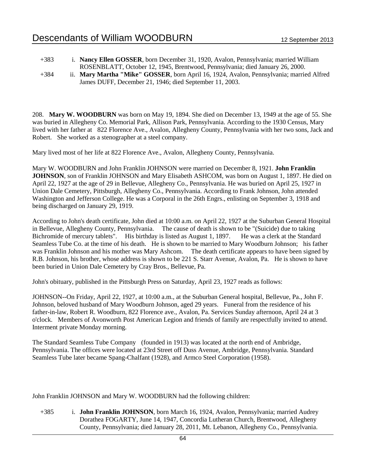- +383 i. **Nancy Ellen GOSSER**, born December 31, 1920, Avalon, Pennsylvania; married William ROSENBLATT, October 12, 1945, Brentwood, Pennsylvania; died January 26, 2000.
- +384 ii. **Mary Martha "Mike" GOSSER**, born April 16, 1924, Avalon, Pennsylvania; married Alfred James DUFF, December 21, 1946; died September 11, 2003.

208. **Mary W. WOODBURN** was born on May 19, 1894. She died on December 13, 1949 at the age of 55. She was buried in Allegheny Co. Memorial Park, Allison Park, Pennsylvania. According to the 1930 Census, Mary lived with her father at 822 Florence Ave., Avalon, Allegheny County, Pennsylvania with her two sons, Jack and Robert. She worked as a stenographer at a steel company.

Mary lived most of her life at 822 Florence Ave., Avalon, Allegheny County, Pennsylvania.

Mary W. WOODBURN and John Franklin JOHNSON were married on December 8, 1921. **John Franklin JOHNSON**, son of Franklin JOHNSON and Mary Elisabeth ASHCOM, was born on August 1, 1897. He died on April 22, 1927 at the age of 29 in Bellevue, Allegheny Co., Pennsylvania. He was buried on April 25, 1927 in Union Dale Cemetery, Pittsburgh, Allegheny Co., Pennsylvania. According to Frank Johnson, John attended Washington and Jefferson College. He was a Corporal in the 26th Engrs., enlisting on September 3, 1918 and being discharged on January 29, 1919.

According to John's death certificate, John died at 10:00 a.m. on April 22, 1927 at the Suburban General Hospital in Bellevue, Allegheny County, Pennsylvania. The cause of death is shown to be "(Suicide) due to taking Bichromide of mercury tablets". His birthday is listed as August 1, 1897. He was a clerk at the Standard Seamless Tube Co. at the time of his death. He is shown to be married to Mary Woodburn Johnson; his father was Franklin Johnson and his mother was Mary Ashcom. The death certificate appears to have been signed by R.B. Johnson, his brother, whose address is shown to be 221 S. Starr Avenue, Avalon, Pa. He is shown to have been buried in Union Dale Cemetery by Cray Bros., Bellevue, Pa.

John's obituary, published in the Pittsburgh Press on Saturday, April 23, 1927 reads as follows:

JOHNSON--On Friday, April 22, 1927, at 10:00 a.m., at the Suburban General hospital, Bellevue, Pa., John F. Johnson, beloved husband of Mary Woodburn Johnson, aged 29 years. Funeral from the residence of his father-in-law, Robert R. Woodburn, 822 Florence ave., Avalon, Pa. Services Sunday afternoon, April 24 at 3 o'clock. Members of Avonworth Post American Legion and friends of family are respectfully invited to attend. Interment private Monday morning.

The Standard Seamless Tube Company (founded in 1913) was located at the north end of Ambridge, Pennsylvania. The offices were located at 23rd Street off Duss Avenue, Ambridge, Pennsylvania. Standard Seamless Tube later became Spang-Chalfant (1928), and Armco Steel Corporation (1958).

John Franklin JOHNSON and Mary W. WOODBURN had the following children:

+385 i. **John Franklin JOHNSON**, born March 16, 1924, Avalon, Pennsylvania; married Audrey Dorathea FOGARTY, June 14, 1947, Concordia Lutheran Church, Brentwood, Allegheny County, Pennsylvania; died January 28, 2011, Mt. Lebanon, Allegheny Co., Pennsylvania.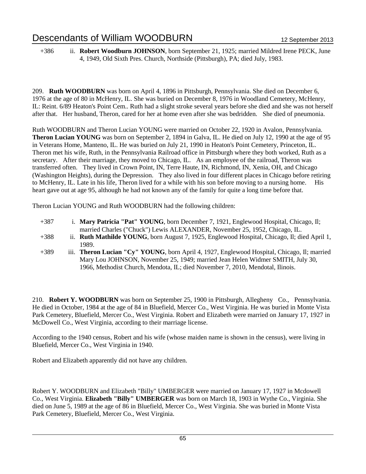+386 ii. **Robert Woodburn JOHNSON**, born September 21, 1925; married Mildred Irene PECK, June 4, 1949, Old Sixth Pres. Church, Northside (Pittsburgh), PA; died July, 1983.

209. **Ruth WOODBURN** was born on April 4, 1896 in Pittsburgh, Pennsylvania. She died on December 6, 1976 at the age of 80 in McHenry, IL. She was buried on December 8, 1976 in Woodland Cemetery, McHenry, IL: Reint. 6/89 Heaton's Point Cem.. Ruth had a slight stroke several years before she died and she was not herself after that. Her husband, Theron, cared for her at home even after she was bedridden. She died of pneumonia.

Ruth WOODBURN and Theron Lucian YOUNG were married on October 22, 1920 in Avalon, Pennsylvania. **Theron Lucian YOUNG** was born on September 2, 1894 in Galva, IL. He died on July 12, 1990 at the age of 95 in Veterans Home, Manteno, IL. He was buried on July 21, 1990 in Heaton's Point Cemetery, Princeton, IL. Theron met his wife, Ruth, in the Pennsylvania Railroad office in Pittsburgh where they both worked, Ruth as a secretary. After their marriage, they moved to Chicago, IL. As an employee of the railroad, Theron was transferred often. They lived in Crown Point, IN, Terre Haute, IN, Richmond, IN, Xenia, OH, and Chicago (Washington Heights), during the Depression. They also lived in four different places in Chicago before retiring to McHenry, IL. Late in his life, Theron lived for a while with his son before moving to a nursing home. His heart gave out at age 95, although he had not known any of the family for quite a long time before that.

Theron Lucian YOUNG and Ruth WOODBURN had the following children:

| $+387$ | i. Mary Patricia "Pat" YOUNG, born December 7, 1921, Englewood Hospital, Chicago, II;                |
|--------|------------------------------------------------------------------------------------------------------|
|        | married Charles ("Chuck") Lewis ALEXANDER, November 25, 1952, Chicago, IL.                           |
| $+388$ | ii. <b>Ruth Mathilde YOUNG</b> , born August 7, 1925, Englewood Hospital, Chicago, II; died April 1, |
|        | 1989.                                                                                                |
| $+389$ | iii. Theron Lucian "Cy" YOUNG, born April 4, 1927, Englewood Hospital, Chicago, II; married          |
|        | Mary Lou JOHNSON, November 25, 1949; married Jean Helen Widmer SMITH, July 30                        |

OHNSON, November 25, 1949; married Jean Helen Widmer SMITH, July 30, 1966, Methodist Church, Mendota, IL; died November 7, 2010, Mendotal, Ilinois.

210. **Robert Y. WOODBURN** was born on September 25, 1900 in Pittsburgh, Allegheny Co., Pennsylvania. He died in October, 1984 at the age of 84 in Bluefield, Mercer Co., West Virginia. He was buried in Monte Vista Park Cemetery, Bluefield, Mercer Co., West Virginia. Robert and Elizabeth were married on January 17, 1927 in McDowell Co., West Virginia, according to their marriage license.

According to the 1940 census, Robert and his wife (whose maiden name is shown in the census), were living in Bluefield, Mercer Co., West Virginia in 1940.

Robert and Elizabeth apparently did not have any children.

Robert Y. WOODBURN and Elizabeth "Billy" UMBERGER were married on January 17, 1927 in Mcdowell Co., West Virginia. **Elizabeth "Billy" UMBERGER** was born on March 18, 1903 in Wythe Co., Virginia. She died on June 5, 1989 at the age of 86 in Bluefield, Mercer Co., West Virginia. She was buried in Monte Vista Park Cemetery, Bluefield, Mercer Co., West Virginia.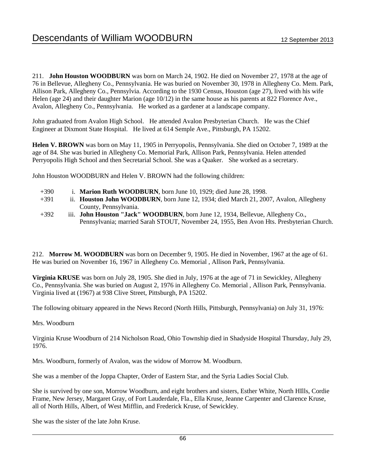211. **John Houston WOODBURN** was born on March 24, 1902. He died on November 27, 1978 at the age of 76 in Bellevue, Allegheny Co., Pennsylvania. He was buried on November 30, 1978 in Allegheny Co. Mem. Park, Allison Park, Allegheny Co., Pennsylvia. According to the 1930 Census, Houston (age 27), lived with his wife Helen (age 24) and their daughter Marion (age 10/12) in the same house as his parents at 822 Florence Ave., Avalon, Allegheny Co., Pennsylvania. He worked as a gardener at a landscape company.

John graduated from Avalon High School. He attended Avalon Presbyterian Church. He was the Chief Engineer at Dixmont State Hospital. He lived at 614 Semple Ave., Pittsburgh, PA 15202.

**Helen V. BROWN** was born on May 11, 1905 in Perryopolis, Pennsylvania. She died on October 7, 1989 at the age of 84. She was buried in Allegheny Co. Memorial Park, Allison Park, Pennsylvania. Helen attended Perryopolis High School and then Secretarial School. She was a Quaker. She worked as a secretary.

John Houston WOODBURN and Helen V. BROWN had the following children:

- +390 i. **Marion Ruth WOODBURN**, born June 10, 1929; died June 28, 1998.
- +391 ii. **Houston John WOODBURN**, born June 12, 1934; died March 21, 2007, Avalon, Allegheny County, Pennsylvania.
- +392 iii. **John Houston "Jack" WOODBURN**, born June 12, 1934, Bellevue, Allegheny Co., Pennsylvania; married Sarah STOUT, November 24, 1955, Ben Avon Hts. Presbyterian Church.

212. **Morrow M. WOODBURN** was born on December 9, 1905. He died in November, 1967 at the age of 61. He was buried on November 16, 1967 in Allegheny Co. Memorial , Allison Park, Pennsylvania.

**Virginia KRUSE** was born on July 28, 1905. She died in July, 1976 at the age of 71 in Sewickley, Allegheny Co., Pennsylvania. She was buried on August 2, 1976 in Allegheny Co. Memorial , Allison Park, Pennsylvania. Virginia lived at (1967) at 938 Clive Street, Pittsburgh, PA 15202.

The following obituary appeared in the News Record (North Hills, Pittsburgh, Pennsylvania) on July 31, 1976:

### Mrs. Woodburn

Virginia Kruse Woodburn of 214 Nicholson Road, Ohio Township died in Shadyside Hospital Thursday, July 29, 1976.

Mrs. Woodburn, formerly of Avalon, was the widow of Morrow M. Woodburn.

She was a member of the Joppa Chapter, Order of Eastern Star, and the Syria Ladies Social Club.

She is survived by one son, Morrow Woodburn, and eight brothers and sisters, Esther White, North HIlls, Cordie Frame, New Jersey, Margaret Gray, of Fort Lauderdale, Fla., Ella Kruse, Jeanne Carpenter and Clarence Kruse, all of North Hills, Albert, of West Mifflin, and Frederick Kruse, of Sewickley.

She was the sister of the late John Kruse.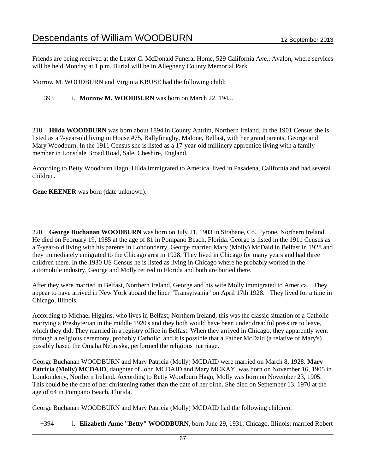Friends are being received at the Lester C. McDonald Funeral Home, 529 California Ave., Avalon, where services will be held Monday at 1 p.m. Burial will be in Allegheny County Memorial Park.

Morrow M. WOODBURN and Virginia KRUSE had the following child:

393 i. **Morrow M. WOODBURN** was born on March 22, 1945.

218. **Hilda WOODBURN** was born about 1894 in County Antrim, Northern Ireland. In the 1901 Census she is listed as a 7-year-old living in House #75, Ballyfinaghy, Malone, Belfast, with her grandparents, George and Mary Woodburn. In the 1911 Census she is listed as a 17-year-old millinery apprentice living with a family member in Lonsdale Broad Road, Sale, Cheshire, England.

According to Betty Woodburn Hagn, Hilda immigrated to America, lived in Pasadena, California and had several children.

**Gene KEENER** was born (date unknown).

220. **George Buchanan WOODBURN** was born on July 21, 1903 in Strabane, Co. Tyrone, Northern Ireland. He died on February 19, 1985 at the age of 81 in Pompano Beach, Florida. George is listed in the 1911 Census as a 7-year-old living with his parents in Londonderry. George married Mary (Molly) McDaid in Belfast in 1928 and they immediately emigrated to the Chicago area in 1928. They lived in Chicago for many years and had three children there. In the 1930 US Census he is listed as living in Chicago where he probably worked in the automobile industry. George and Molly retired to Florida and both are buried there.

After they were married in Belfast, Northern Ireland, George and his wife Molly immigrated to America. They appear to have arrived in New York aboard the liner "Transylvania" on April 17th 1928. They lived for a time in Chicago, Illinois.

According to Michael Higgins, who lives in Belfast, Northern Ireland, this was the classic situation of a Catholic marrying a Presbyterian in the middle 1920's and they both would have been under dreadful pressure to leave, which they did. They married in a registry office in Belfast. When they arrived in Chicago, they apparently went through a religious ceremony, probably Catholic, and it is possible that a Father McDaid (a relative of Mary's), possibly based the Omaha Nebraska, performed the religious marriage.

George Buchanan WOODBURN and Mary Patricia (Molly) MCDAID were married on March 8, 1928. **Mary Patricia (Molly) MCDAID**, daughter of John MCDAID and Mary MCKAY, was born on November 16, 1905 in Londonderry, Northern Ireland. According to Betty Woodburn Hagn, Molly was born on November 23, 1905. This could be the date of her christening rather than the date of her birth. She died on September 13, 1970 at the age of 64 in Pompano Beach, Florida.

George Buchanan WOODBURN and Mary Patricia (Molly) MCDAID had the following children:

+394 i. **Elizabeth Anne "Betty" WOODBURN**, born June 29, 1931, Chicago, Illinois; married Robert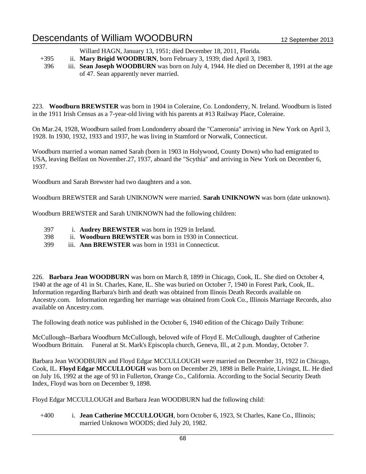Willard HAGN, January 13, 1951; died December 18, 2011, Florida.

- +395 ii. **Mary Brigid WOODBURN**, born February 3, 1939; died April 3, 1983.
- 396 iii. **Sean Joseph WOODBURN** was born on July 4, 1944. He died on December 8, 1991 at the age of 47. Sean apparently never married.

223. **Woodburn BREWSTER** was born in 1904 in Coleraine, Co. Londonderry, N. Ireland. Woodburn is listed in the 1911 Irish Census as a 7-year-old living with his parents at #13 Railway Place, Coleraine.

On Mar.24, 1928, Woodburn sailed from Londonderry aboard the "Cameronia" arriving in New York on April 3, 1928. In 1930, 1932, 1933 and 1937, he was living in Stamford or Norwalk, Connecticut.

Woodburn married a woman named Sarah (born in 1903 in Holywood, County Down) who had emigrated to USA, leaving Belfast on November.27, 1937, aboard the "Scythia" and arriving in New York on December 6, 1937.

Woodburn and Sarah Brewster had two daughters and a son.

Woodburn BREWSTER and Sarah UNIKNOWN were married. **Sarah UNIKNOWN** was born (date unknown).

Woodburn BREWSTER and Sarah UNIKNOWN had the following children:

- 397 i. **Audrey BREWSTER** was born in 1929 in Ireland.
- 398 ii. **Woodburn BREWSTER** was born in 1930 in Connecticut.
- 399 iii. **Ann BREWSTER** was born in 1931 in Connecticut.

226. **Barbara Jean WOODBURN** was born on March 8, 1899 in Chicago, Cook, IL. She died on October 4, 1940 at the age of 41 in St. Charles, Kane, IL. She was buried on October 7, 1940 in Forest Park, Cook, IL. Information regarding Barbara's birth and death was obtained from Ilinois Death Records available on Ancestry.com. Information regarding her marriage was obtained from Cook Co., Illinois Marriage Records, also available on Ancestry.com.

The following death notice was published in the October 6, 1940 edition of the Chicago Daily Tribune:

McCullough--Barbara Woodburn McCullough, beloved wife of Floyd E. McCullough, daughter of Catherine Woodburn Brittain. Funeral at St. Mark's Episcopla church, Geneva, Ill., at 2 p.m. Monday, October 7.

Barbara Jean WOODBURN and Floyd Edgar MCCULLOUGH were married on December 31, 1922 in Chicago, Cook, IL. **Floyd Edgar MCCULLOUGH** was born on December 29, 1898 in Belle Prairie, Livingst, IL. He died on July 16, 1992 at the age of 93 in Fullerton, Orange Co., California. According to the Social Security Death Index, Floyd was born on December 9, 1898.

Floyd Edgar MCCULLOUGH and Barbara Jean WOODBURN had the following child:

+400 i. **Jean Catherine MCCULLOUGH**, born October 6, 1923, St Charles, Kane Co., Illinois; married Unknown WOODS; died July 20, 1982.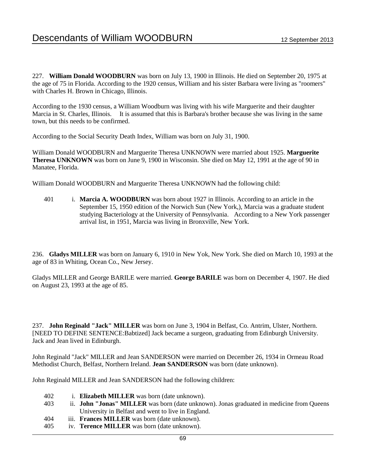227. **William Donald WOODBURN** was born on July 13, 1900 in Illinois. He died on September 20, 1975 at the age of 75 in Florida. According to the 1920 census, William and his sister Barbara were living as "roomers" with Charles H. Brown in Chicago, Illinois.

According to the 1930 census, a William Woodburn was living with his wife Marguerite and their daughter Marcia in St. Charles, Illinois. It is assumed that this is Barbara's brother because she was living in the same town, but this needs to be confirmed.

According to the Social Security Death Index, William was born on July 31, 1900.

William Donald WOODBURN and Marguerite Theresa UNKNOWN were married about 1925. **Marguerite Theresa UNKNOWN** was born on June 9, 1900 in Wisconsin. She died on May 12, 1991 at the age of 90 in Manatee, Florida.

William Donald WOODBURN and Marguerite Theresa UNKNOWN had the following child:

401 i. **Marcia A. WOODBURN** was born about 1927 in Illinois. According to an article in the September 15, 1950 edition of the Norwich Sun (New York,), Marcia was a graduate student studying Bacteriology at the University of Pennsylvania. According to a New York passenger arrival list, in 1951, Marcia was living in Bronxville, New York.

236. **Gladys MILLER** was born on January 6, 1910 in New Yok, New York. She died on March 10, 1993 at the age of 83 in Whiting, Ocean Co., New Jersey.

Gladys MILLER and George BARILE were married. **George BARILE** was born on December 4, 1907. He died on August 23, 1993 at the age of 85.

237. **John Reginald "Jack" MILLER** was born on June 3, 1904 in Belfast, Co. Antrim, Ulster, Northern. [NEED TO DEFINE SENTENCE:Babtized] Jack became a surgeon, graduating from Edinburgh University. Jack and Jean lived in Edinburgh.

John Reginald "Jack" MILLER and Jean SANDERSON were married on December 26, 1934 in Ormeau Road Methodist Church, Belfast, Northern Ireland. **Jean SANDERSON** was born (date unknown).

John Reginald MILLER and Jean SANDERSON had the following children:

 i. **Elizabeth MILLER** was born (date unknown). ii. **John "Jonas" MILLER** was born (date unknown). Jonas graduated in medicine from Queens University in Belfast and went to live in England. iii. **Frances MILLER** was born (date unknown). iv. **Terence MILLER** was born (date unknown).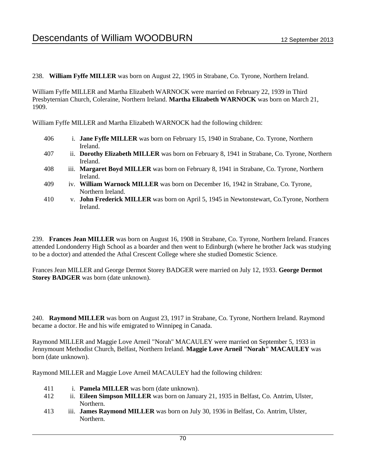238. **William Fyffe MILLER** was born on August 22, 1905 in Strabane, Co. Tyrone, Northern Ireland.

William Fyffe MILLER and Martha Elizabeth WARNOCK were married on February 22, 1939 in Third Presbyternian Church, Coleraine, Northern Ireland. **Martha Elizabeth WARNOCK** was born on March 21, 1909.

William Fyffe MILLER and Martha Elizabeth WARNOCK had the following children:

- 406 i. **Jane Fyffe MILLER** was born on February 15, 1940 in Strabane, Co. Tyrone, Northern Ireland.
- 407 ii. **Dorothy Elizabeth MILLER** was born on February 8, 1941 in Strabane, Co. Tyrone, Northern Ireland.
- 408 iii. **Margaret Boyd MILLER** was born on February 8, 1941 in Strabane, Co. Tyrone, Northern Ireland.
- 409 iv. **William Warnock MILLER** was born on December 16, 1942 in Strabane, Co. Tyrone, Northern Ireland.
- 410 v. **John Frederick MILLER** was born on April 5, 1945 in Newtonstewart, Co.Tyrone, Northern Ireland.

239. **Frances Jean MILLER** was born on August 16, 1908 in Strabane, Co. Tyrone, Northern Ireland. Frances attended Londonderry High School as a boarder and then went to Edinburgh (where he brother Jack was studying to be a doctor) and attended the Athal Crescent College where she studied Domestic Science.

Frances Jean MILLER and George Dermot Storey BADGER were married on July 12, 1933. **George Dermot Storey BADGER** was born (date unknown).

240. **Raymond MILLER** was born on August 23, 1917 in Strabane, Co. Tyrone, Northern Ireland. Raymond became a doctor. He and his wife emigrated to Winnipeg in Canada.

Raymond MILLER and Maggie Love Arneil "Norah" MACAULEY were married on September 5, 1933 in Jennymount Methodist Church, Belfast, Northern Ireland. **Maggie Love Arneil "Norah" MACAULEY** was born (date unknown).

Raymond MILLER and Maggie Love Arneil MACAULEY had the following children:

- 411 i. **Pamela MILLER** was born (date unknown).
- 412 ii. **Eileen Simpson MILLER** was born on January 21, 1935 in Belfast, Co. Antrim, Ulster, Northern.
- 413 iii. **James Raymond MILLER** was born on July 30, 1936 in Belfast, Co. Antrim, Ulster, Northern.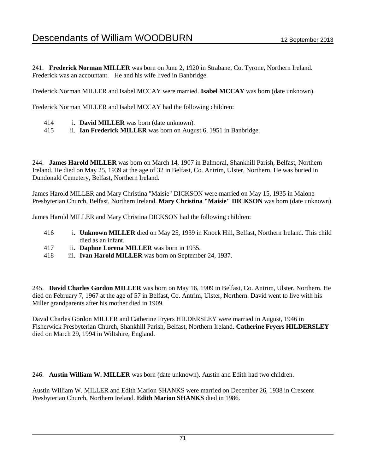241. **Frederick Norman MILLER** was born on June 2, 1920 in Strabane, Co. Tyrone, Northern Ireland. Frederick was an accountant. He and his wife lived in Banbridge.

Frederick Norman MILLER and Isabel MCCAY were married. **Isabel MCCAY** was born (date unknown).

Frederick Norman MILLER and Isabel MCCAY had the following children:

- 414 i. **David MILLER** was born (date unknown).
- 415 ii. **Ian Frederick MILLER** was born on August 6, 1951 in Banbridge.

244. **James Harold MILLER** was born on March 14, 1907 in Balmoral, Shankhill Parish, Belfast, Northern Ireland. He died on May 25, 1939 at the age of 32 in Belfast, Co. Antrim, Ulster, Northern. He was buried in Dundonald Cemetery, Belfast, Northern Ireland.

James Harold MILLER and Mary Christina "Maisie" DICKSON were married on May 15, 1935 in Malone Presbyterian Church, Belfast, Northern Ireland. **Mary Christina "Maisie" DICKSON** was born (date unknown).

James Harold MILLER and Mary Christina DICKSON had the following children:

- 416 i. **Unknown MILLER** died on May 25, 1939 in Knock Hill, Belfast, Northern Ireland. This child died as an infant.
- 417 ii. **Daphne Lorena MILLER** was born in 1935.
- 418 iii. **Ivan Harold MILLER** was born on September 24, 1937.

245. **David Charles Gordon MILLER** was born on May 16, 1909 in Belfast, Co. Antrim, Ulster, Northern. He died on February 7, 1967 at the age of 57 in Belfast, Co. Antrim, Ulster, Northern. David went to live with his Miller grandparents after his mother died in 1909.

David Charles Gordon MILLER and Catherine Fryers HILDERSLEY were married in August, 1946 in Fisherwick Presbyterian Church, Shankhill Parish, Belfast, Northern Ireland. **Catherine Fryers HILDERSLEY** died on March 29, 1994 in Wiltshire, England.

246. **Austin William W. MILLER** was born (date unknown). Austin and Edith had two children.

Austin William W. MILLER and Edith Marion SHANKS were married on December 26, 1938 in Crescent Presbyterian Church, Northern Ireland. **Edith Marion SHANKS** died in 1986.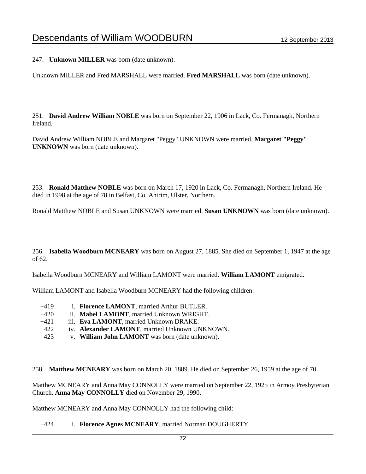247. **Unknown MILLER** was born (date unknown).

Unknown MILLER and Fred MARSHALL were married. **Fred MARSHALL** was born (date unknown).

251. **David Andrew William NOBLE** was born on September 22, 1906 in Lack, Co. Fermanagh, Northern Ireland.

David Andrew William NOBLE and Margaret "Peggy" UNKNOWN were married. **Margaret "Peggy" UNKNOWN** was born (date unknown).

253. **Ronald Matthew NOBLE** was born on March 17, 1920 in Lack, Co. Fermanagh, Northern Ireland. He died in 1998 at the age of 78 in Belfast, Co. Antrim, Ulster, Northern.

Ronald Matthew NOBLE and Susan UNKNOWN were married. **Susan UNKNOWN** was born (date unknown).

256. **Isabella Woodburn MCNEARY** was born on August 27, 1885. She died on September 1, 1947 at the age of 62.

Isabella Woodburn MCNEARY and William LAMONT were married. **William LAMONT** emigrated.

William LAMONT and Isabella Woodburn MCNEARY had the following children:

- +419 i. **Florence LAMONT**, married Arthur BUTLER.
- +420 ii. **Mabel LAMONT**, married Unknown WRIGHT.
- +421 iii. **Eva LAMONT**, married Unknown DRAKE.
- +422 iv. **Alexander LAMONT**, married Unknown UNKNOWN.
- 423 v. **William John LAMONT** was born (date unknown).

258. **Matthew MCNEARY** was born on March 20, 1889. He died on September 26, 1959 at the age of 70.

Matthew MCNEARY and Anna May CONNOLLY were married on September 22, 1925 in Armoy Presbyterian Church. **Anna May CONNOLLY** died on November 29, 1990.

Matthew MCNEARY and Anna May CONNOLLY had the following child:

### +424 i. **Florence Agnes MCNEARY**, married Norman DOUGHERTY.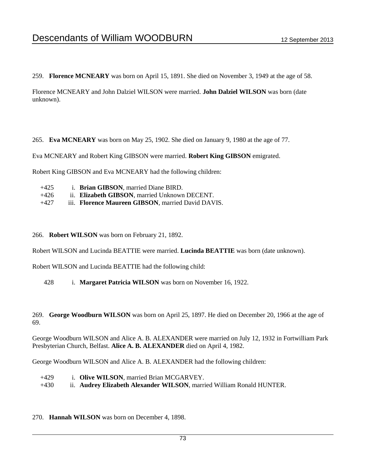259. **Florence MCNEARY** was born on April 15, 1891. She died on November 3, 1949 at the age of 58.

Florence MCNEARY and John Dalziel WILSON were married. **John Dalziel WILSON** was born (date unknown).

265. **Eva MCNEARY** was born on May 25, 1902. She died on January 9, 1980 at the age of 77.

Eva MCNEARY and Robert King GIBSON were married. **Robert King GIBSON** emigrated.

Robert King GIBSON and Eva MCNEARY had the following children:

+425 i. **Brian GIBSON**, married Diane BIRD. +426 ii. **Elizabeth GIBSON**, married Unknown DECENT. +427 iii. **Florence Maureen GIBSON**, married David DAVIS.

#### 266. **Robert WILSON** was born on February 21, 1892.

Robert WILSON and Lucinda BEATTIE were married. **Lucinda BEATTIE** was born (date unknown).

Robert WILSON and Lucinda BEATTIE had the following child:

428 i. **Margaret Patricia WILSON** was born on November 16, 1922.

269. **George Woodburn WILSON** was born on April 25, 1897. He died on December 20, 1966 at the age of 69.

George Woodburn WILSON and Alice A. B. ALEXANDER were married on July 12, 1932 in Fortwilliam Park Presbyterian Church, Belfast. **Alice A. B. ALEXANDER** died on April 4, 1982.

George Woodburn WILSON and Alice A. B. ALEXANDER had the following children:

- +429 i. **Olive WILSON**, married Brian MCGARVEY.
- +430 ii. **Audrey Elizabeth Alexander WILSON**, married William Ronald HUNTER.
- 270. **Hannah WILSON** was born on December 4, 1898.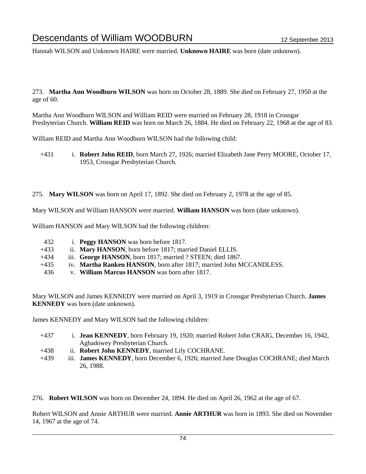Hannah WILSON and Unknown HAIRE were married. **Unknown HAIRE** was born (date unknown).

273. **Martha Ann Woodburn WILSON** was born on October 28, 1889. She died on February 27, 1950 at the age of 60.

Martha Ann Woodburn WILSON and William REID were married on February 28, 1918 in Crossgar Presbyterian Church. **William REID** was born on March 26, 1884. He died on February 22, 1968 at the age of 83.

William REID and Martha Ann Woodburn WILSON had the following child:

- +431 i. **Robert John REID**, born March 27, 1926; married Elizabeth Jane Perry MOORE, October 17, 1953, Crossgar Presbyterian Church.
- 275. **Mary WILSON** was born on April 17, 1892. She died on February 2, 1978 at the age of 85.

Mary WILSON and William HANSON were married. **William HANSON** was born (date unknown).

William HANSON and Mary WILSON had the following children:

- 432 i. **Peggy HANSON** was born before 1817.
- +433 ii. **Mary HANSON**, born before 1817; married Daniel ELLIS.
- +434 iii. **George HANSON**, born 1817; married ? STEEN; died 1867.
- +435 iv. **Martha Ranken HANSON**, born after 1817; married John MCCANDLESS.
- 436 v. **William Marcus HANSON** was born after 1817.

Mary WILSON and James KENNEDY were married on April 3, 1919 in Crossgar Presbyterian Church. **James KENNEDY** was born (date unknown).

James KENNEDY and Mary WILSON had the following children:

- +437 i. **Jean KENNEDY**, born February 19, 1920; married Robert John CRAIG, December 16, 1942, Aghadowey Presbyterian Church.
- +438 ii. **Robert John KENNEDY**, married Lily COCHRANE.
- +439 iii. **James KENNEDY**, born December 6, 1926; married Jane Douglas COCHRANE; died March 26, 1988.

276. **Robert WILSON** was born on December 24, 1894. He died on April 26, 1962 at the age of 67.

Robert WILSON and Annie ARTHUR were married. **Annie ARTHUR** was born in 1893. She died on November 14, 1967 at the age of 74.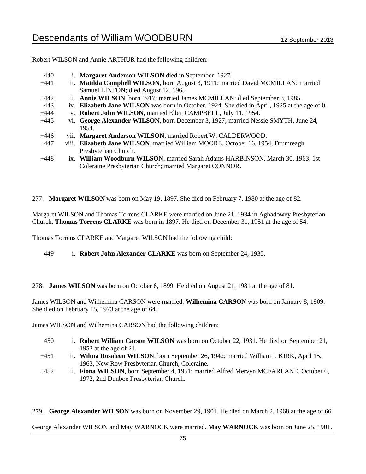Robert WILSON and Annie ARTHUR had the following children:

| 440    | i. Margaret Anderson WILSON died in September, 1927.                                          |
|--------|-----------------------------------------------------------------------------------------------|
| $+441$ | ii. Matilda Campbell WILSON, born August 3, 1911; married David MCMILLAN; married             |
|        | Samuel LINTON; died August 12, 1965.                                                          |
| $+442$ | iii. Annie WILSON, born 1917; married James MCMILLAN; died September 3, 1985.                 |
| 443    | iv. Elizabeth Jane WILSON was born in October, 1924. She died in April, 1925 at the age of 0. |
| $+444$ | v. Robert John WILSON, married Ellen CAMPBELL, July 11, 1954.                                 |
| $+445$ | vi. George Alexander WILSON, born December 3, 1927; married Nessie SMYTH, June 24,            |
|        | 1954.                                                                                         |
| $+446$ | vii. Margaret Anderson WILSON, married Robert W. CALDERWOOD.                                  |
| $+447$ | viii. Elizabeth Jane WILSON, married William MOORE, October 16, 1954, Drumreagh               |
|        | Presbyterian Church.                                                                          |
| $+448$ | ix. William Woodburn WILSON, married Sarah Adams HARBINSON, March 30, 1963, 1st               |
|        | Coleraine Presbyterian Church; married Margaret CONNOR.                                       |

277. **Margaret WILSON** was born on May 19, 1897. She died on February 7, 1980 at the age of 82.

Margaret WILSON and Thomas Torrens CLARKE were married on June 21, 1934 in Aghadowey Presbyterian Church. **Thomas Torrens CLARKE** was born in 1897. He died on December 31, 1951 at the age of 54.

Thomas Torrens CLARKE and Margaret WILSON had the following child:

449 i. **Robert John Alexander CLARKE** was born on September 24, 1935.

278. **James WILSON** was born on October 6, 1899. He died on August 21, 1981 at the age of 81.

James WILSON and Wilhemina CARSON were married. **Wilhemina CARSON** was born on January 8, 1909. She died on February 15, 1973 at the age of 64.

James WILSON and Wilhemina CARSON had the following children:

- 450 i. **Robert William Carson WILSON** was born on October 22, 1931. He died on September 21, 1953 at the age of 21.
- +451 ii. **Wilma Rosaleen WILSON**, born September 26, 1942; married William J. KIRK, April 15, 1963, New Row Presbyterian Church, Coleraine.
- +452 iii. **Fiona WILSON**, born September 4, 1951; married Alfred Mervyn MCFARLANE, October 6, 1972, 2nd Dunboe Presbyterian Church.

279. **George Alexander WILSON** was born on November 29, 1901. He died on March 2, 1968 at the age of 66.

George Alexander WILSON and May WARNOCK were married. **May WARNOCK** was born on June 25, 1901.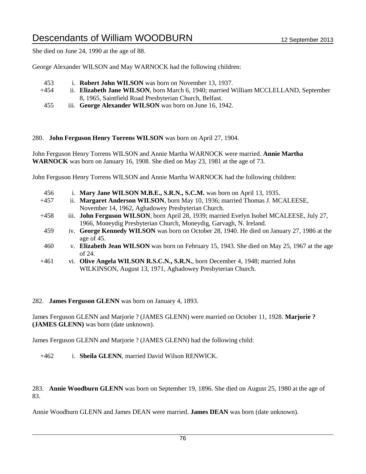She died on June 24, 1990 at the age of 88.

George Alexander WILSON and May WARNOCK had the following children:

- 453 i. **Robert John WILSON** was born on November 13, 1937.
- +454 ii. **Elizabeth Jane WILSON**, born March 6, 1940; married William MCCLELLAND, September 8, 1965, Saintfield Road Presbyterian Church, Belfast.
- 455 iii. **George Alexander WILSON** was born on June 16, 1942.

#### 280. **John Ferguson Henry Torrens WILSON** was born on April 27, 1904.

John Ferguson Henry Torrens WILSON and Annie Martha WARNOCK were married. **Annie Martha WARNOCK** was born on January 16, 1908. She died on May 23, 1981 at the age of 73.

John Ferguson Henry Torrens WILSON and Annie Martha WARNOCK had the following children:

| 456    |            | i. Mary Jane WILSON M.B.E., S.R.N., S.C.M. was born on April 13, 1935.                      |
|--------|------------|---------------------------------------------------------------------------------------------|
| $+457$ |            | ii. Margaret Anderson WILSON, born May 10, 1936; married Thomas J. MCALEESE,                |
|        |            | November 14, 1962, Aghadowey Presbyterian Church.                                           |
| $+458$ |            | iii. John Ferguson WILSON, born April 28, 1939; married Evelyn Isobel MCALEESE, July 27,    |
|        |            | 1966, Moneydig Presbyterian Church, Moneydig, Garvagh, N. Ireland.                          |
| 459    |            | iv. George Kennedy WILSON was born on October 28, 1940. He died on January 27, 1986 at the  |
|        |            | age of 45.                                                                                  |
| 460    |            | v. Elizabeth Jean WILSON was born on February 15, 1943. She died on May 25, 1967 at the age |
|        |            | of $24$ .                                                                                   |
| 1/61   | <b>T71</b> | $\bullet$ Olive Angela WII SON R S C N $\bullet$ R D N born December 4, 1948; married John  |

+461 vi. **Olive Angela WILSON R.S.C.N., S.R.N.**, born December 4, 1948; married John WILKINSON, August 13, 1971, Aghadowey Presbyterian Church.

### 282. **James Ferguson GLENN** was born on January 4, 1893.

James Ferguson GLENN and Marjorie ? (JAMES GLENN) were married on October 11, 1928. **Marjorie ? (JAMES GLENN)** was born (date unknown).

James Ferguson GLENN and Marjorie ? (JAMES GLENN) had the following child:

+462 i. **Sheila GLENN**, married David Wilson RENWICK.

283. **Annie Woodburn GLENN** was born on September 19, 1896. She died on August 25, 1980 at the age of 83.

Annie Woodburn GLENN and James DEAN were married. **James DEAN** was born (date unknown).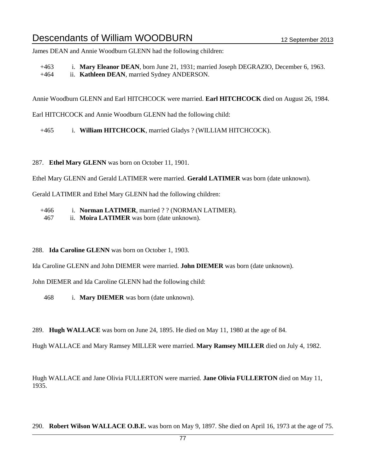James DEAN and Annie Woodburn GLENN had the following children:

+463 i. **Mary Eleanor DEAN**, born June 21, 1931; married Joseph DEGRAZIO, December 6, 1963. +464 ii. **Kathleen DEAN**, married Sydney ANDERSON.

Annie Woodburn GLENN and Earl HITCHCOCK were married. **Earl HITCHCOCK** died on August 26, 1984.

Earl HITCHCOCK and Annie Woodburn GLENN had the following child:

+465 i. **William HITCHCOCK**, married Gladys ? (WILLIAM HITCHCOCK).

287. **Ethel Mary GLENN** was born on October 11, 1901.

Ethel Mary GLENN and Gerald LATIMER were married. **Gerald LATIMER** was born (date unknown).

Gerald LATIMER and Ethel Mary GLENN had the following children:

+466 i. **Norman LATIMER**, married ? ? (NORMAN LATIMER).

467 ii. **Moira LATIMER** was born (date unknown).

288. **Ida Caroline GLENN** was born on October 1, 1903.

Ida Caroline GLENN and John DIEMER were married. **John DIEMER** was born (date unknown).

John DIEMER and Ida Caroline GLENN had the following child:

468 i. **Mary DIEMER** was born (date unknown).

289. **Hugh WALLACE** was born on June 24, 1895. He died on May 11, 1980 at the age of 84.

Hugh WALLACE and Mary Ramsey MILLER were married. **Mary Ramsey MILLER** died on July 4, 1982.

Hugh WALLACE and Jane Olivia FULLERTON were married. **Jane Olivia FULLERTON** died on May 11, 1935.

290. **Robert Wilson WALLACE O.B.E.** was born on May 9, 1897. She died on April 16, 1973 at the age of 75.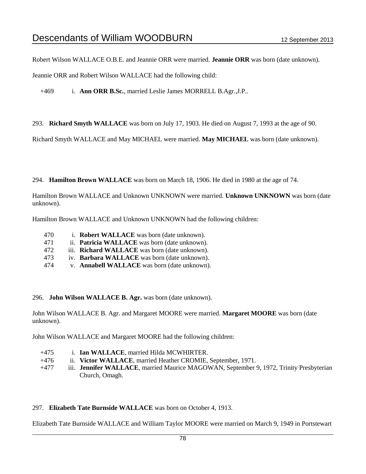Robert Wilson WALLACE O.B.E. and Jeannie ORR were married. **Jeannie ORR** was born (date unknown).

Jeannie ORR and Robert Wilson WALLACE had the following child:

+469 i. **Ann ORR B.Sc.**, married Leslie James MORRELL B.Agr.,J.P..

293. **Richard Smyth WALLACE** was born on July 17, 1903. He died on August 7, 1993 at the age of 90.

Richard Smyth WALLACE and May MICHAEL were married. **May MICHAEL** was born (date unknown).

294. **Hamilton Brown WALLACE** was born on March 18, 1906. He died in 1980 at the age of 74.

Hamilton Brown WALLACE and Unknown UNKNOWN were married. **Unknown UNKNOWN** was born (date unknown).

Hamilton Brown WALLACE and Unknown UNKNOWN had the following children:

- 470 i. **Robert WALLACE** was born (date unknown).
- 471 ii. **Patricia WALLACE** was born (date unknown).
- 472 iii. **Richard WALLACE** was born (date unknown).
- 473 iv. **Barbara WALLACE** was born (date unknown).
- 474 v. **Annabell WALLACE** was born (date unknown).

296. **John Wilson WALLACE B. Agr.** was born (date unknown).

John Wilson WALLACE B. Agr. and Margaret MOORE were married. **Margaret MOORE** was born (date unknown).

John Wilson WALLACE and Margaret MOORE had the following children:

- +475 i. **Ian WALLACE**, married Hilda MCWHIRTER.
- +476 ii. **Victor WALLACE**, married Heather CROMIE, September, 1971.
- +477 iii. **Jennifer WALLACE**, married Maurice MAGOWAN, September 9, 1972, Trinity Presbyterian Church, Omagh.

### 297. **Elizabeth Tate Burnside WALLACE** was born on October 4, 1913.

Elizabeth Tate Burnside WALLACE and William Taylor MOORE were married on March 9, 1949 in Portstewart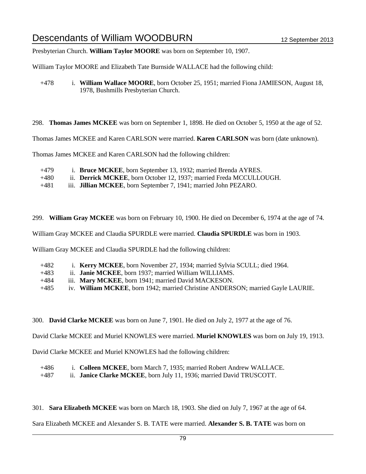Presbyterian Church. **William Taylor MOORE** was born on September 10, 1907.

William Taylor MOORE and Elizabeth Tate Burnside WALLACE had the following child:

+478 i. **William Wallace MOORE**, born October 25, 1951; married Fiona JAMIESON, August 18, 1978, Bushmills Presbyterian Church.

298. **Thomas James MCKEE** was born on September 1, 1898. He died on October 5, 1950 at the age of 52.

Thomas James MCKEE and Karen CARLSON were married. **Karen CARLSON** was born (date unknown).

Thomas James MCKEE and Karen CARLSON had the following children:

| +479   | i. Bruce MCKEE, born September 13, 1932; married Brenda AYRES.              |
|--------|-----------------------------------------------------------------------------|
| $+480$ | ii. <b>Derrick MCKEE</b> , born October 12, 1937; married Freda MCCULLOUGH. |

+481 iii. **Jillian MCKEE**, born September 7, 1941; married John PEZARO.

299. **William Gray MCKEE** was born on February 10, 1900. He died on December 6, 1974 at the age of 74.

William Gray MCKEE and Claudia SPURDLE were married. **Claudia SPURDLE** was born in 1903.

William Gray MCKEE and Claudia SPURDLE had the following children:

| +482 |  | <i>i.</i> <b>Kerry MCKEE</b> , born November 27, 1934; married Sylvia SCULL; died 1964. |  |  |  |  |  |
|------|--|-----------------------------------------------------------------------------------------|--|--|--|--|--|
|      |  |                                                                                         |  |  |  |  |  |

- +483 ii. **Janie MCKEE**, born 1937; married William WILLIAMS.
- +484 iii. **Mary MCKEE**, born 1941; married David MACKESON.
- +485 iv. **William MCKEE**, born 1942; married Christine ANDERSON; married Gayle LAURIE.

300. **David Clarke MCKEE** was born on June 7, 1901. He died on July 2, 1977 at the age of 76.

David Clarke MCKEE and Muriel KNOWLES were married. **Muriel KNOWLES** was born on July 19, 1913.

David Clarke MCKEE and Muriel KNOWLES had the following children:

| $+486$ |  | i. Colleen MCKEE, born March 7, 1935; married Robert Andrew WALLACE. |
|--------|--|----------------------------------------------------------------------|
|--------|--|----------------------------------------------------------------------|

+487 ii. **Janice Clarke MCKEE**, born July 11, 1936; married David TRUSCOTT.

301. **Sara Elizabeth MCKEE** was born on March 18, 1903. She died on July 7, 1967 at the age of 64.

Sara Elizabeth MCKEE and Alexander S. B. TATE were married. **Alexander S. B. TATE** was born on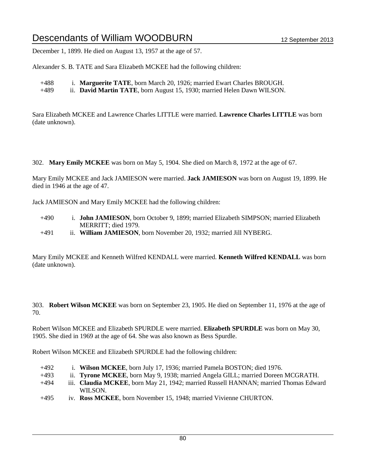December 1, 1899. He died on August 13, 1957 at the age of 57.

Alexander S. B. TATE and Sara Elizabeth MCKEE had the following children:

- +488 i. **Marguerite TATE**, born March 20, 1926; married Ewart Charles BROUGH.
- +489 ii. **David Martin TATE**, born August 15, 1930; married Helen Dawn WILSON.

Sara Elizabeth MCKEE and Lawrence Charles LITTLE were married. **Lawrence Charles LITTLE** was born (date unknown).

302. **Mary Emily MCKEE** was born on May 5, 1904. She died on March 8, 1972 at the age of 67.

Mary Emily MCKEE and Jack JAMIESON were married. **Jack JAMIESON** was born on August 19, 1899. He died in 1946 at the age of 47.

Jack JAMIESON and Mary Emily MCKEE had the following children:

- +490 i. **John JAMIESON**, born October 9, 1899; married Elizabeth SIMPSON; married Elizabeth MERRITT; died 1979.
- +491 ii. **William JAMIESON**, born November 20, 1932; married Jill NYBERG.

Mary Emily MCKEE and Kenneth Wilfred KENDALL were married. **Kenneth Wilfred KENDALL** was born (date unknown).

303. **Robert Wilson MCKEE** was born on September 23, 1905. He died on September 11, 1976 at the age of 70.

Robert Wilson MCKEE and Elizabeth SPURDLE were married. **Elizabeth SPURDLE** was born on May 30, 1905. She died in 1969 at the age of 64. She was also known as Bess Spurdle.

Robert Wilson MCKEE and Elizabeth SPURDLE had the following children:

- +492 i. **Wilson MCKEE**, born July 17, 1936; married Pamela BOSTON; died 1976.
- +493 ii. **Tyrone MCKEE**, born May 9, 1938; married Angela GILL; married Doreen MCGRATH.
- +494 iii. **Claudia MCKEE**, born May 21, 1942; married Russell HANNAN; married Thomas Edward WILSON.
- +495 iv. **Ross MCKEE**, born November 15, 1948; married Vivienne CHURTON.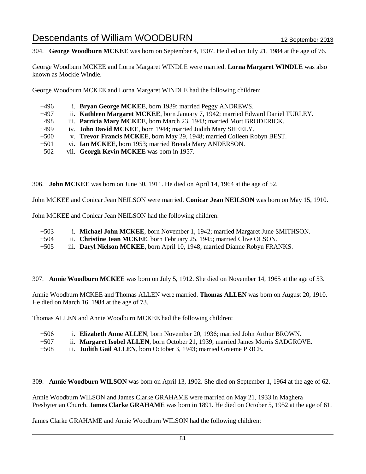304. **George Woodburn MCKEE** was born on September 4, 1907. He died on July 21, 1984 at the age of 76.

George Woodburn MCKEE and Lorna Margaret WINDLE were married. **Lorna Margaret WINDLE** was also known as Mockie Windle.

George Woodburn MCKEE and Lorna Margaret WINDLE had the following children:

- +496 i. **Bryan George MCKEE**, born 1939; married Peggy ANDREWS. +497 ii. **Kathleen Margaret MCKEE**, born January 7, 1942; married Edward Daniel TURLEY. +498 iii. **Patricia Mary MCKEE**, born March 23, 1943; married Mort BRODERICK. +499 iv. **John David MCKEE**, born 1944; married Judith Mary SHEELY. +500 v. **Trevor Francis MCKEE**, born May 29, 1948; married Colleen Robyn BEST. +501 vi. **Ian MCKEE**, born 1953; married Brenda Mary ANDERSON. 502 vii. **Georgh Kevin MCKEE** was born in 1957.
- 

306. **John MCKEE** was born on June 30, 1911. He died on April 14, 1964 at the age of 52.

John MCKEE and Conicar Jean NEILSON were married. **Conicar Jean NEILSON** was born on May 15, 1910.

John MCKEE and Conicar Jean NEILSON had the following children:

| $+503$ | i. Michael John MCKEE, born November 1, 1942; married Margaret June SMITHSON. |
|--------|-------------------------------------------------------------------------------|
| $+504$ | ii. Christine Jean MCKEE, born February 25, 1945; married Clive OLSON.        |
| $+505$ | iii. Daryl Nielson MCKEE, born April 10, 1948; married Dianne Robyn FRANKS.   |

307. **Annie Woodburn MCKEE** was born on July 5, 1912. She died on November 14, 1965 at the age of 53.

Annie Woodburn MCKEE and Thomas ALLEN were married. **Thomas ALLEN** was born on August 20, 1910. He died on March 16, 1984 at the age of 73.

Thomas ALLEN and Annie Woodburn MCKEE had the following children:

- +506 i. **Elizabeth Anne ALLEN**, born November 20, 1936; married John Arthur BROWN.
- +507 ii. **Margaret Isobel ALLEN**, born October 21, 1939; married James Morris SADGROVE.
- +508 iii. **Judith Gail ALLEN**, born October 3, 1943; married Graeme PRICE.

309. **Annie Woodburn WILSON** was born on April 13, 1902. She died on September 1, 1964 at the age of 62.

Annie Woodburn WILSON and James Clarke GRAHAME were married on May 21, 1933 in Maghera Presbyterian Church. **James Clarke GRAHAME** was born in 1891. He died on October 5, 1952 at the age of 61.

James Clarke GRAHAME and Annie Woodburn WILSON had the following children: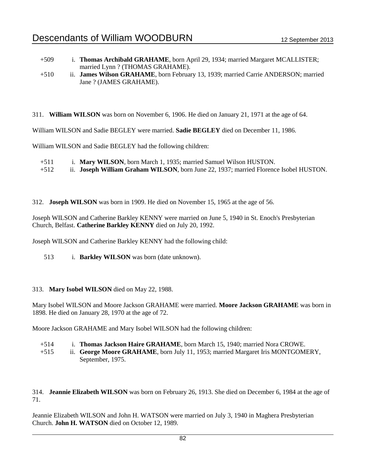| $+509$ | i. Thomas Archibald GRAHAME, born April 29, 1934; married Margaret MCALLISTER;     |
|--------|------------------------------------------------------------------------------------|
|        | married Lynn? (THOMAS GRAHAME).                                                    |
| $+510$ | ii. James Wilson GRAHAME, born February 13, 1939; married Carrie ANDERSON; married |
|        | Jane? (JAMES GRAHAME).                                                             |

311. **William WILSON** was born on November 6, 1906. He died on January 21, 1971 at the age of 64.

William WILSON and Sadie BEGLEY were married. **Sadie BEGLEY** died on December 11, 1986.

William WILSON and Sadie BEGLEY had the following children:

+511 i. **Mary WILSON**, born March 1, 1935; married Samuel Wilson HUSTON.

+512 ii. **Joseph William Graham WILSON**, born June 22, 1937; married Florence Isobel HUSTON.

312. **Joseph WILSON** was born in 1909. He died on November 15, 1965 at the age of 56.

Joseph WILSON and Catherine Barkley KENNY were married on June 5, 1940 in St. Enoch's Presbyterian Church, Belfast. **Catherine Barkley KENNY** died on July 20, 1992.

Joseph WILSON and Catherine Barkley KENNY had the following child:

513 i. **Barkley WILSON** was born (date unknown).

### 313. **Mary Isobel WILSON** died on May 22, 1988.

Mary Isobel WILSON and Moore Jackson GRAHAME were married. **Moore Jackson GRAHAME** was born in 1898. He died on January 28, 1970 at the age of 72.

Moore Jackson GRAHAME and Mary Isobel WILSON had the following children:

- +514 i. **Thomas Jackson Haire GRAHAME**, born March 15, 1940; married Nora CROWE.
- +515 ii. **George Moore GRAHAME**, born July 11, 1953; married Margaret Iris MONTGOMERY, September, 1975.

314. **Jeannie Elizabeth WILSON** was born on February 26, 1913. She died on December 6, 1984 at the age of 71.

Jeannie Elizabeth WILSON and John H. WATSON were married on July 3, 1940 in Maghera Presbyterian Church. **John H. WATSON** died on October 12, 1989.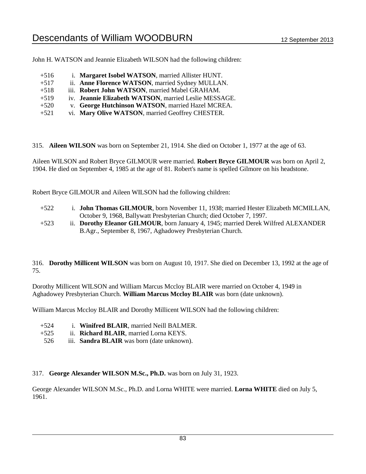John H. WATSON and Jeannie Elizabeth WILSON had the following children:

| i. Margaret Isobel WATSON, married Allister HUNT.     |
|-------------------------------------------------------|
| ii. Anne Florence WATSON, married Sydney MULLAN.      |
| iii. Robert John WATSON, married Mabel GRAHAM.        |
| iv. Jeannie Elizabeth WATSON, married Leslie MESSAGE. |
| v. George Hutchinson WATSON, married Hazel MCREA.     |
|                                                       |

+521 vi. **Mary Olive WATSON**, married Geoffrey CHESTER.

315. **Aileen WILSON** was born on September 21, 1914. She died on October 1, 1977 at the age of 63.

Aileen WILSON and Robert Bryce GILMOUR were married. **Robert Bryce GILMOUR** was born on April 2, 1904. He died on September 4, 1985 at the age of 81. Robert's name is spelled Gilmore on his headstone.

Robert Bryce GILMOUR and Aileen WILSON had the following children:

- +522 i. **John Thomas GILMOUR**, born November 11, 1938; married Hester Elizabeth MCMILLAN, October 9, 1968, Ballywatt Presbyterian Church; died October 7, 1997.
- +523 ii. **Dorothy Eleanor GILMOUR**, born January 4, 1945; married Derek Wilfred ALEXANDER B.Agr., September 8, 1967, Aghadowey Presbyterian Church.

316. **Dorothy Millicent WILSON** was born on August 10, 1917. She died on December 13, 1992 at the age of 75.

Dorothy Millicent WILSON and William Marcus Mccloy BLAIR were married on October 4, 1949 in Aghadowey Presbyterian Church. **William Marcus Mccloy BLAIR** was born (date unknown).

William Marcus Mccloy BLAIR and Dorothy Millicent WILSON had the following children:

- +524 i. **Winifred BLAIR**, married Neill BALMER.
- +525 ii. **Richard BLAIR**, married Lorna KEYS.
- 526 iii. **Sandra BLAIR** was born (date unknown).

317. **George Alexander WILSON M.Sc., Ph.D.** was born on July 31, 1923.

George Alexander WILSON M.Sc., Ph.D. and Lorna WHITE were married. **Lorna WHITE** died on July 5, 1961.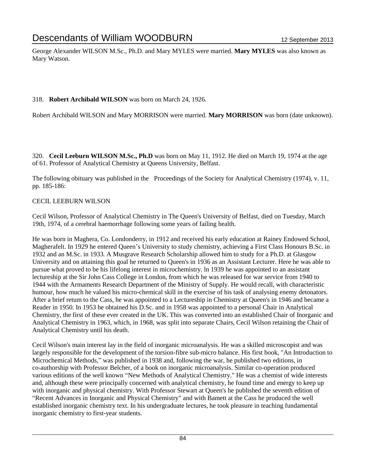George Alexander WILSON M.Sc., Ph.D. and Mary MYLES were married. **Mary MYLES** was also known as Mary Watson.

### 318. **Robert Archibald WILSON** was born on March 24, 1926.

Robert Archibald WILSON and Mary MORRISON were married. **Mary MORRISON** was born (date unknown).

320. **Cecil Leeburn WILSON M.Sc., Ph.D** was born on May 11, 1912. He died on March 19, 1974 at the age of 61. Professor of Analytical Chemistry at Queens University, Belfast.

The following obituary was published in the Proceedings of the Society for Analytical Chemistry (1974), v. 11, pp. 185-186:

### CECIL LEEBURN WILSON

Cecil Wilson, Professor of Analytical Chemistry in The Queen's University of Belfast, died on Tuesday, March 19th, 1974, of a cerebral haemorrhage following some years of failing health.

He was born in Maghera, Co. Londonderry, in 1912 and received his early education at Rainey Endowed School, Magherafelt. In 1929 he entered Queen's University to study chemistry, achieving a First Class Honours B.Sc. in 1932 and an M.Sc. in 1933. A Musgrave Research Scholarship allowed him to study for a Ph.D. at Glasgow University and on attaining this goal he returned to Queen's in 1936 as an Assistant Lecturer. Here he was able to pursue what proved to be his lifelong interest in microchemistry. ln 1939 he was appointed to an assistant lectureship at the Sir John Cass College in London, from which he was released for war service from 1940 to 1944 with the Armaments Research Department of the Ministry of Supply. He would recall, with characteristic humour, how much he valued his micro-chemical skill in the exercise of his task of analysing enemy detonators. After a brief retum to the Cass, he was appointed to a Lectureship in Chemistry at Queen's in 1946 and became a Reader in 1950. In 1953 he obtained his D.Sc. and in 1958 was appointed to a personal Chair in Analytical Chemistry, the first of these ever created in the UK. This was converted into an established Chair of Inorganic and Analytical Chemistry in 1963, which, in 1968, was split into separate Chairs, Cecil Wilson retaining the Chair of Analytical Chemistry until his death.

Cecil Wilson's main interest lay in the field of inorganic microanalysis. He was a skilled microscopist and was largely responsible for the development of the torsion-fibre sub-micro balance. His first book, "An Introduction to Microchemical Methods," was published in 1938 and, following the war, he published two editions, in co-authorship with Professor Belcher, of a book on inorganic microanalysis. Similar co-operation produced various editions of the well known "New Methods of Analytical Chemistry." He was a chemist of wide interests and, although these were principally concerned with analytical chemistry, he found time and energy to keep up with inorganic and physical chemistry. With Professor Stewart at Queen's he published the seventh edition of "Recent Advances in Inorganic and Physical Chemistry" and with Bamett at the Cass he produced the well established inorganic chemistry text. In his undergraduate lectures, he took pleasure in teaching fundamental inorganic chemistry to first-year students.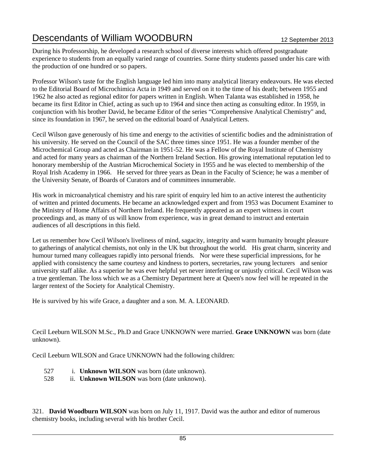During his Professorship, he developed a research school of diverse interests which offered postgraduate experience to students from an equally varied range of countries. Sorne thirty students passed under his care with the production of one hundred or so papers.

Professor Wilson's taste for the English language led him into many analytical literary endeavours. He was elected to the Editorial Board of Microchimica Acta in 1949 and served on it to the time of his death; between 1955 and 1962 he also acted as regional editor for papers written in English. When Talanta was established in 1958, he became its first Editor in Chief, acting as such up to 1964 and since then acting as consulting editor. In 1959, in conjunction with his brother David, he became Editor of the series "Comprehensive Analytical Chemistry" and, since its foundation in 1967, he served on the editorial board of Analytical Letters.

Cecil Wilson gave generously of his time and energy to the activities of scientific bodies and the administration of his university. He served on the Council of the SAC three times since 1951. He was a founder member of the Microchemical Group and acted as Chairman in 1951-52. He was a Fellow of the Royal Institute of Chemistry and acted for many years as chairman of the Northern Ireland Section. His growing intemational reputation led to honorary membership of the Austrian Microchemical Society in 1955 and he was elected to membership of the Royal Irish Academy in 1966. He served for three years as Dean in the Faculty of Science; he was a member of the University Senate, of Boards of Curators and of committees innumerable.

His work in microanalytical chemistry and his rare spirit of enquiry led him to an active interest the authenticity of written and printed documents. He became an acknowledged expert and from 1953 was Document Examiner to the Ministry of Home Affairs of Northern Ireland. He frequently appeared as an expert witness in court proceedings and, as many of us will know from experience, was in great demand to instruct and entertain audiences of all descriptions in this field.

Let us remember how Cecil Wilson's liveliness of mind, sagacity, integrity and warm humanity brought pleasure to gatherings of analytical chemists, not only in the UK but throughout the world. His great charm, sincerity and humour turned many colleagues rapidly into personal friends. Nor were these superficial impressions, for he applied with consistency the same courtesy and kindness to porters, secretaries, raw young lecturers and senior university staff alike. As a superior he was ever helpful yet never interfering or unjustly critical. Cecil Wilson was a true gentleman. The loss which we as a Chemistry Department here at Queen's now feel will he repeated in the larger rentext of the Society for Analytical Chemistry.

He is survived by his wife Grace, a daughter and a son. M. A. LEONARD.

Cecil Leeburn WILSON M.Sc., Ph.D and Grace UNKNOWN were married. **Grace UNKNOWN** was born (date unknown).

Cecil Leeburn WILSON and Grace UNKNOWN had the following children:

- 527 i. **Unknown WILSON** was born (date unknown).
- 528 ii. **Unknown WILSON** was born (date unknown).

321. **David Woodburn WILSON** was born on July 11, 1917. David was the author and editor of numerous chemistry books, including several with his brother Cecil.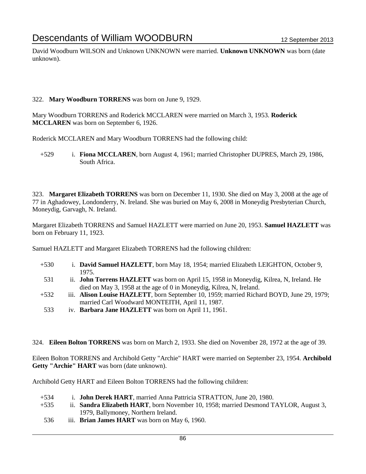David Woodburn WILSON and Unknown UNKNOWN were married. **Unknown UNKNOWN** was born (date unknown).

### 322. **Mary Woodburn TORRENS** was born on June 9, 1929.

Mary Woodburn TORRENS and Roderick MCCLAREN were married on March 3, 1953. **Roderick MCCLAREN** was born on September 6, 1926.

Roderick MCCLAREN and Mary Woodburn TORRENS had the following child:

+529 i. **Fiona MCCLAREN**, born August 4, 1961; married Christopher DUPRES, March 29, 1986, South Africa.

323. **Margaret Elizabeth TORRENS** was born on December 11, 1930. She died on May 3, 2008 at the age of 77 in Aghadowey, Londonderry, N. Ireland. She was buried on May 6, 2008 in Moneydig Presbyterian Church, Moneydig, Garvagh, N. Ireland.

Margaret Elizabeth TORRENS and Samuel HAZLETT were married on June 20, 1953. **Samuel HAZLETT** was born on February 11, 1923.

Samuel HAZLETT and Margaret Elizabeth TORRENS had the following children:

- +530 i. **David Samuel HAZLETT**, born May 18, 1954; married Elizabeth LEIGHTON, October 9, 1975.
- 531 ii. **John Torrens HAZLETT** was born on April 15, 1958 in Moneydig, Kilrea, N, Ireland. He died on May 3, 1958 at the age of 0 in Moneydig, Kilrea, N, Ireland.
- +532 iii. **Alison Louise HAZLETT**, born September 10, 1959; married Richard BOYD, June 29, 1979; married Carl Woodward MONTEITH, April 11, 1987.
- 533 iv. **Barbara Jane HAZLETT** was born on April 11, 1961.

324. **Eileen Bolton TORRENS** was born on March 2, 1933. She died on November 28, 1972 at the age of 39.

Eileen Bolton TORRENS and Archibold Getty "Archie" HART were married on September 23, 1954. **Archibold Getty "Archie" HART** was born (date unknown).

Archibold Getty HART and Eileen Bolton TORRENS had the following children:

- +534 i. **John Derek HART**, married Anna Pattricia STRATTON, June 20, 1980.
- +535 ii. **Sandra Elizabeth HART**, born November 10, 1958; married Desmond TAYLOR, August 3, 1979, Ballymoney, Northern Ireland.
- 536 iii. **Brian James HART** was born on May 6, 1960.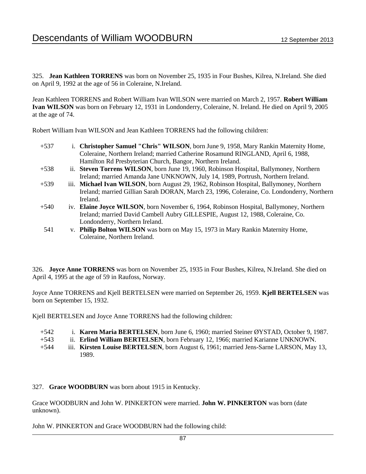325. **Jean Kathleen TORRENS** was born on November 25, 1935 in Four Bushes, Kilrea, N.Ireland. She died on April 9, 1992 at the age of 56 in Coleraine, N.Ireland.

Jean Kathleen TORRENS and Robert William Ivan WILSON were married on March 2, 1957. **Robert William Ivan WILSON** was born on February 12, 1931 in Londonderry, Coleraine, N. Ireland. He died on April 9, 2005 at the age of 74.

Robert William Ivan WILSON and Jean Kathleen TORRENS had the following children:

- +537 i. **Christopher Samuel "Chris" WILSON**, born June 9, 1958, Mary Rankin Maternity Home, Coleraine, Northern Ireland; married Catherine Rosamund RINGLAND, April 6, 1988, Hamilton Rd Presbyterian Church, Bangor, Northern Ireland.
- +538 ii. **Steven Torrens WILSON**, born June 19, 1960, Robinson Hospital, Ballymoney, Northern Ireland; married Amanda Jane UNKNOWN, July 14, 1989, Portrush, Northern Ireland.
- +539 iii. **Michael Ivan WILSON**, born August 29, 1962, Robinson Hospital, Ballymoney, Northern Ireland; married Gillian Sarah DORAN, March 23, 1996, Coleraine, Co. Londonderry, Northern Ireland.
- +540 iv. **Elaine Joyce WILSON**, born November 6, 1964, Robinson Hospital, Ballymoney, Northern Ireland; married David Cambell Aubry GILLESPIE, August 12, 1988, Coleraine, Co. Londonderry, Northern Ireland.
- 541 v. **Philip Bolton WILSON** was born on May 15, 1973 in Mary Rankin Maternity Home, Coleraine, Northern Ireland.

326. **Joyce Anne TORRENS** was born on November 25, 1935 in Four Bushes, Kilrea, N.Ireland. She died on April 4, 1995 at the age of 59 in Raufoss, Norway.

Joyce Anne TORRENS and Kjell BERTELSEN were married on September 26, 1959. **Kjell BERTELSEN** was born on September 15, 1932.

Kjell BERTELSEN and Joyce Anne TORRENS had the following children:

- +542 i. **Karen Maria BERTELSEN**, born June 6, 1960; married Steiner ØYSTAD, October 9, 1987.
- +543 ii. **Erlind William BERTELSEN**, born February 12, 1966; married Karianne UNKNOWN.
- +544 iii. **Kirsten Louise BERTELSEN**, born August 6, 1961; married Jens-Sarne LARSON, May 13, 1989.

327. **Grace WOODBURN** was born about 1915 in Kentucky.

Grace WOODBURN and John W. PINKERTON were married. **John W. PINKERTON** was born (date unknown).

John W. PINKERTON and Grace WOODBURN had the following child: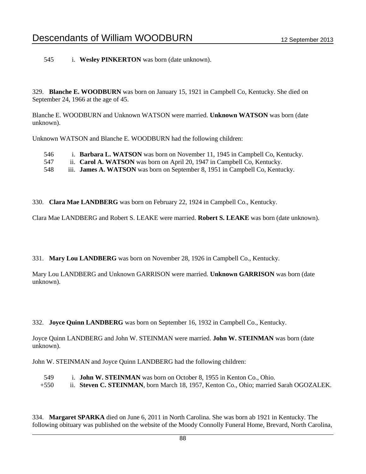545 i. **Wesley PINKERTON** was born (date unknown).

329. **Blanche E. WOODBURN** was born on January 15, 1921 in Campbell Co, Kentucky. She died on September 24, 1966 at the age of 45.

Blanche E. WOODBURN and Unknown WATSON were married. **Unknown WATSON** was born (date unknown).

Unknown WATSON and Blanche E. WOODBURN had the following children:

| 546 | i. <b>Barbara L. WATSON</b> was born on November 11, 1945 in Campbell Co, Kentucky. |
|-----|-------------------------------------------------------------------------------------|
| 547 | ii. Carol A. WATSON was born on April 20, 1947 in Campbell Co, Kentucky.            |
| 548 | iii. <b>James A. WATSON</b> was born on September 8, 1951 in Campbell Co, Kentucky. |

330. **Clara Mae LANDBERG** was born on February 22, 1924 in Campbell Co., Kentucky.

Clara Mae LANDBERG and Robert S. LEAKE were married. **Robert S. LEAKE** was born (date unknown).

331. **Mary Lou LANDBERG** was born on November 28, 1926 in Campbell Co., Kentucky.

Mary Lou LANDBERG and Unknown GARRISON were married. **Unknown GARRISON** was born (date unknown).

332. **Joyce Quinn LANDBERG** was born on September 16, 1932 in Campbell Co., Kentucky.

Joyce Quinn LANDBERG and John W. STEINMAN were married. **John W. STEINMAN** was born (date unknown).

John W. STEINMAN and Joyce Quinn LANDBERG had the following children:

549 i. **John W. STEINMAN** was born on October 8, 1955 in Kenton Co., Ohio. +550 ii. **Steven C. STEINMAN**, born March 18, 1957, Kenton Co., Ohio; married Sarah OGOZALEK.

334. **Margaret SPARKA** died on June 6, 2011 in North Carolina. She was born ab 1921 in Kentucky. The following obituary was published on the website of the Moody Connolly Funeral Home, Brevard, North Carolina,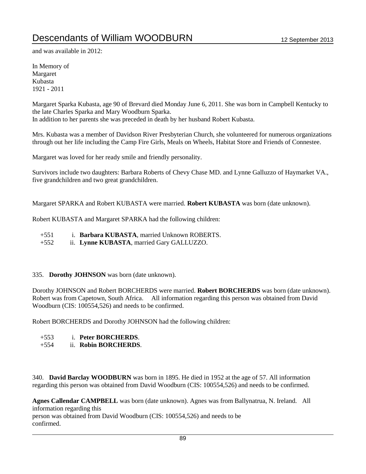and was available in 2012:

In Memory of Margaret Kubasta 1921 - 2011

Margaret Sparka Kubasta, age 90 of Brevard died Monday June 6, 2011. She was born in Campbell Kentucky to the late Charles Sparka and Mary Woodburn Sparka. In addition to her parents she was preceded in death by her husband Robert Kubasta.

Mrs. Kubasta was a member of Davidson River Presbyterian Church, she volunteered for numerous organizations through out her life including the Camp Fire Girls, Meals on Wheels, Habitat Store and Friends of Connestee.

Margaret was loved for her ready smile and friendly personality.

Survivors include two daughters: Barbara Roberts of Chevy Chase MD. and Lynne Galluzzo of Haymarket VA., five grandchildren and two great grandchildren.

Margaret SPARKA and Robert KUBASTA were married. **Robert KUBASTA** was born (date unknown).

Robert KUBASTA and Margaret SPARKA had the following children:

- +551 i. **Barbara KUBASTA**, married Unknown ROBERTS.
- +552 ii. **Lynne KUBASTA**, married Gary GALLUZZO.

#### 335. **Dorothy JOHNSON** was born (date unknown).

Dorothy JOHNSON and Robert BORCHERDS were married. **Robert BORCHERDS** was born (date unknown). Robert was from Capetown, South Africa. All information regarding this person was obtained from David Woodburn (CIS: 100554,526) and needs to be confirmed.

Robert BORCHERDS and Dorothy JOHNSON had the following children:

- +553 i. **Peter BORCHERDS**.
- +554 ii. **Robin BORCHERDS**.

340. **David Barclay WOODBURN** was born in 1895. He died in 1952 at the age of 57. All information regarding this person was obtained from David Woodburn (CIS: 100554,526) and needs to be confirmed.

**Agnes Callendar CAMPBELL** was born (date unknown). Agnes was from Ballynatrua, N. Ireland. All information regarding this person was obtained from David Woodburn (CIS: 100554,526) and needs to be confirmed.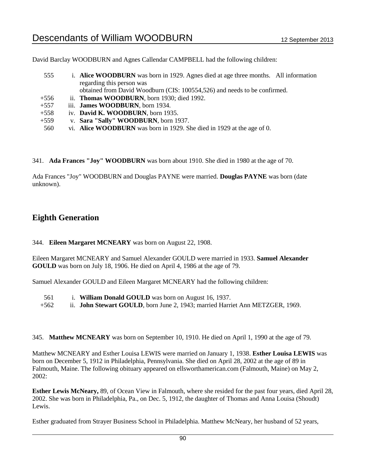David Barclay WOODBURN and Agnes Callendar CAMPBELL had the following children:

| 555    | i. Alice WOODBURN was born in 1929. Agnes died at age three months. All information |
|--------|-------------------------------------------------------------------------------------|
|        | regarding this person was                                                           |
|        | obtained from David Woodburn (CIS: 100554,526) and needs to be confirmed.           |
| $+556$ | ii. Thomas WOODBURN, born 1930; died 1992.                                          |
| $+557$ | iii. <b>James WOODBURN</b> , born 1934.                                             |
| $+558$ | iv. David K. WOODBURN, born 1935.                                                   |
| $+559$ | v. Sara "Sally" WOODBURN, born 1937.                                                |
| 560    | vi. Alice WOODBURN was born in 1929. She died in 1929 at the age of 0.              |

341. **Ada Frances "Joy" WOODBURN** was born about 1910. She died in 1980 at the age of 70.

Ada Frances "Joy" WOODBURN and Douglas PAYNE were married. **Douglas PAYNE** was born (date unknown).

### **Eighth Generation**

344. **Eileen Margaret MCNEARY** was born on August 22, 1908.

Eileen Margaret MCNEARY and Samuel Alexander GOULD were married in 1933. **Samuel Alexander GOULD** was born on July 18, 1906. He died on April 4, 1986 at the age of 79.

Samuel Alexander GOULD and Eileen Margaret MCNEARY had the following children:

- 561 i. **William Donald GOULD** was born on August 16, 1937.
- +562 ii. **John Stewart GOULD**, born June 2, 1943; married Harriet Ann METZGER, 1969.

345. **Matthew MCNEARY** was born on September 10, 1910. He died on April 1, 1990 at the age of 79.

Matthew MCNEARY and Esther Louisa LEWIS were married on January 1, 1938. **Esther Louisa LEWIS** was born on December 5, 1912 in Philadelphia, Pennsylvania. She died on April 28, 2002 at the age of 89 in Falmouth, Maine. The following obituary appeared on ellsworthamerican.com (Falmouth, Maine) on May 2, 2002:

**Esther Lewis McNeary,** 89, of Ocean View in Falmouth, where she resided for the past four years, died April 28, 2002. She was born in Philadelphia, Pa., on Dec. 5, 1912, the daughter of Thomas and Anna Louisa (Shoudt) Lewis.

Esther graduated from Strayer Business School in Philadelphia. Matthew McNeary, her husband of 52 years,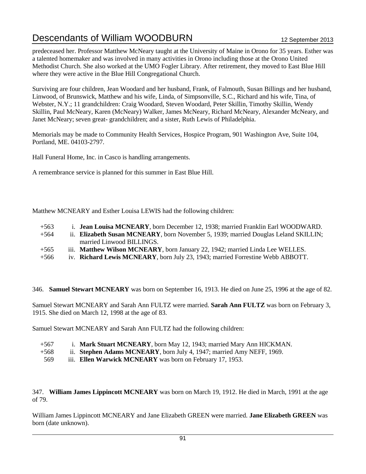predeceased her. Professor Matthew McNeary taught at the University of Maine in Orono for 35 years. Esther was a talented homemaker and was involved in many activities in Orono including those at the Orono United Methodist Church. She also worked at the UMO Fogler Library. After retirement, they moved to East Blue Hill where they were active in the Blue Hill Congregational Church.

Surviving are four children, Jean Woodard and her husband, Frank, of Falmouth, Susan Billings and her husband, Linwood, of Brunswick, Matthew and his wife, Linda, of Simpsonville, S.C., Richard and his wife, Tina, of Webster, N.Y.; 11 grandchildren: Craig Woodard, Steven Woodard, Peter Skillin, Timothy Skillin, Wendy Skillin, Paul McNeary, Karen (McNeary) Walker, James McNeary, Richard McNeary, Alexander McNeary, and Janet McNeary; seven great- grandchildren; and a sister, Ruth Lewis of Philadelphia.

Memorials may be made to Community Health Services, Hospice Program, 901 Washington Ave, Suite 104, Portland, ME. 04103-2797.

Hall Funeral Home, Inc. in Casco is handling arrangements.

A remembrance service is planned for this summer in East Blue Hill.

Matthew MCNEARY and Esther Louisa LEWIS had the following children:

- +563 i. **Jean Louisa MCNEARY**, born December 12, 1938; married Franklin Earl WOODWARD.
- +564 ii. **Elizabeth Susan MCNEARY**, born November 5, 1939; married Douglas Leland SKILLIN; married Linwood BILLINGS.
- +565 iii. **Matthew Wilson MCNEARY**, born January 22, 1942; married Linda Lee WELLES.
- +566 iv. **Richard Lewis MCNEARY**, born July 23, 1943; married Forrestine Webb ABBOTT.

346. **Samuel Stewart MCNEARY** was born on September 16, 1913. He died on June 25, 1996 at the age of 82.

Samuel Stewart MCNEARY and Sarah Ann FULTZ were married. **Sarah Ann FULTZ** was born on February 3, 1915. She died on March 12, 1998 at the age of 83.

Samuel Stewart MCNEARY and Sarah Ann FULTZ had the following children:

- +567 i. **Mark Stuart MCNEARY**, born May 12, 1943; married Mary Ann HICKMAN.
- +568 ii. **Stephen Adams MCNEARY**, born July 4, 1947; married Amy NEFF, 1969.
- 569 iii. **Ellen Warwick MCNEARY** was born on February 17, 1953.

347. **William James Lippincott MCNEARY** was born on March 19, 1912. He died in March, 1991 at the age of 79.

William James Lippincott MCNEARY and Jane Elizabeth GREEN were married. **Jane Elizabeth GREEN** was born (date unknown).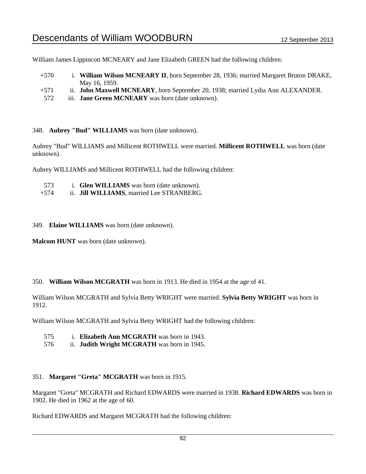William James Lippincott MCNEARY and Jane Elizabeth GREEN had the following children:

- +570 i. **William Wilson MCNEARY II**, born September 28, 1936; married Margaret Bruton DRAKE, May 16, 1959.
- +571 ii. **John Maxwell MCNEARY**, born September 20, 1938; married Lydia Ann ALEXANDER.
- 572 iii. **Jane Green MCNEARY** was born (date unknown).

348. **Aubrey "Bud" WILLIAMS** was born (date unknown).

Aubrey "Bud" WILLIAMS and Millicent ROTHWELL were married. **Millicent ROTHWELL** was born (date unknown).

Aubrey WILLIAMS and Millicent ROTHWELL had the following children:

| 573 | i. Glen WILLIAMS was born (date unknown). |  |
|-----|-------------------------------------------|--|
|     | ____ _____ _ _ _ . _ _                    |  |

- +574 ii. **Jill WILLIAMS**, married Lee STRANBERG.
- 349. **Elaine WILLIAMS** was born (date unknown).

**Malcom HUNT** was born (date unknown).

### 350. **William Wilson MCGRATH** was born in 1913. He died in 1954 at the age of 41.

William Wilson MCGRATH and Sylvia Betty WRIGHT were married. **Sylvia Betty WRIGHT** was born in 1912.

William Wilson MCGRATH and Sylvia Betty WRIGHT had the following children:

- 575 i. **Elizabeth Ann MCGRATH** was born in 1943.
- 576 ii. **Judith Wright MCGRATH** was born in 1945.

### 351. **Margaret "Greta" MCGRATH** was born in 1915.

Margaret "Greta" MCGRATH and Richard EDWARDS were married in 1938. **Richard EDWARDS** was born in 1902. He died in 1962 at the age of 60.

Richard EDWARDS and Margaret MCGRATH had the following children: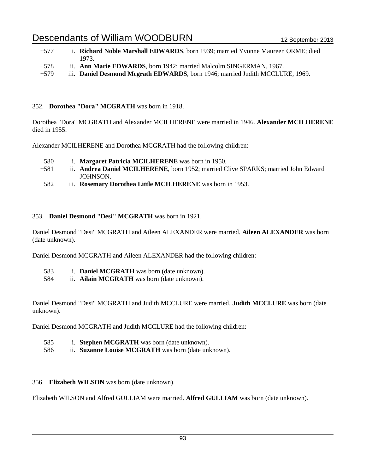| $+577$ | i. Richard Noble Marshall EDWARDS, born 1939; married Yvonne Maureen ORME; died |
|--------|---------------------------------------------------------------------------------|
|        | 1973.                                                                           |
| $+578$ | ii. <b>Ann Marie EDWARDS</b> , born 1942; married Malcolm SINGERMAN, 1967.      |
| $+579$ | iii. Daniel Desmond Mcgrath EDWARDS, born 1946; married Judith MCCLURE, 1969.   |

#### 352. **Dorothea "Dora" MCGRATH** was born in 1918.

Dorothea "Dora" MCGRATH and Alexander MCILHERENE were married in 1946. **Alexander MCILHERENE** died in 1955.

Alexander MCILHERENE and Dorothea MCGRATH had the following children:

- 580 i. **Margaret Patricia MCILHERENE** was born in 1950.
- +581 ii. **Andrea Daniel MCILHERENE**, born 1952; married Clive SPARKS; married John Edward JOHNSON.
- 582 iii. **Rosemary Dorothea Little MCILHERENE** was born in 1953.

#### 353. **Daniel Desmond "Desi" MCGRATH** was born in 1921.

Daniel Desmond "Desi" MCGRATH and Aileen ALEXANDER were married. **Aileen ALEXANDER** was born (date unknown).

Daniel Desmond MCGRATH and Aileen ALEXANDER had the following children:

- 583 i. **Daniel MCGRATH** was born (date unknown).
- 584 ii. **Ailain MCGRATH** was born (date unknown).

Daniel Desmond "Desi" MCGRATH and Judith MCCLURE were married. **Judith MCCLURE** was born (date unknown).

Daniel Desmond MCGRATH and Judith MCCLURE had the following children:

- 585 i. **Stephen MCGRATH** was born (date unknown).
- 586 ii. **Suzanne Louise MCGRATH** was born (date unknown).

### 356. **Elizabeth WILSON** was born (date unknown).

Elizabeth WILSON and Alfred GULLIAM were married. **Alfred GULLIAM** was born (date unknown).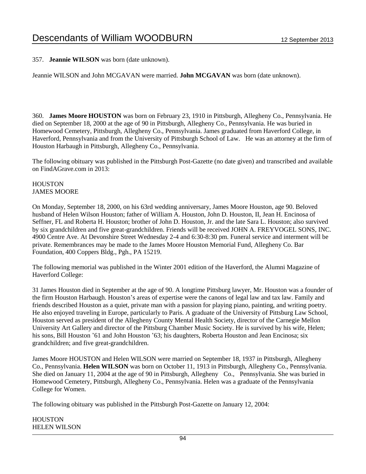357. **Jeannie WILSON** was born (date unknown).

Jeannie WILSON and John MCGAVAN were married. **John MCGAVAN** was born (date unknown).

360. **James Moore HOUSTON** was born on February 23, 1910 in Pittsburgh, Allegheny Co., Pennsylvania. He died on September 18, 2000 at the age of 90 in Pittsburgh, Allegheny Co., Pennsylvania. He was buried in Homewood Cemetery, Pittsburgh, Allegheny Co., Pennsylvania. James graduated from Haverford College, in Haverford, Pennsylvania and from the University of Pittsburgh School of Law. He was an attorney at the firm of Houston Harbaugh in Pittsburgh, Allegheny Co., Pennsylvania.

The following obituary was published in the Pittsburgh Post-Gazette (no date given) and transcribed and available on FindAGrave.com in 2013:

#### **HOUSTON** JAMES MOORE

On Monday, September 18, 2000, on his 63rd wedding anniversary, James Moore Houston, age 90. Beloved husband of Helen Wilson Houston; father of William A. Houston, John D. Houston, II, Jean H. Encinosa of Seffner, FL and Roberta H. Houston; brother of John D. Houston, Jr. and the late Sara L. Houston; also survived by six grandchildren and five great-grandchildren. Friends will be received JOHN A. FREYVOGEL SONS, INC. 4900 Centre Ave. At Devonshire Street Wednesday 2-4 and 6:30-8:30 pm. Funeral service and interment will be private. Remembrances may be made to the James Moore Houston Memorial Fund, Allegheny Co. Bar Foundation, 400 Coppers Bldg., Pgh., PA 15219.

The following memorial was published in the Winter 2001 edition of the Haverford, the Alumni Magazine of Haverford College:

31 James Houston died in September at the age of 90. A longtime Pittsburg lawyer, Mr. Houston was a founder of the firm Houston Harbaugh. Houston's areas of expertise were the canons of legal law and tax law. Family and friends described Houston as a quiet, private man with a passion for playing piano, painting, and writing poetry. He also enjoyed traveling in Europe, particularly to Paris. A graduate of the University of Pittsburg Law School, Houston served as president of the Allegheny County Mental Health Society, director of the Carnegie Mellon University Art Gallery and director of the Pittsburg Chamber Music Society. He is survived by his wife, Helen; his sons, Bill Houston '61 and John Houston '63; his daughters, Roberta Houston and Jean Encinosa; six grandchildren; and five great-grandchildren.

James Moore HOUSTON and Helen WILSON were married on September 18, 1937 in Pittsburgh, Allegheny Co., Pennsylvania. **Helen WILSON** was born on October 11, 1913 in Pittsburgh, Allegheny Co., Pennsylvania. She died on January 11, 2004 at the age of 90 in Pittsburgh, Allegheny Co., Pennsylvania. She was buried in Homewood Cemetery, Pittsburgh, Allegheny Co., Pennsylvania. Helen was a graduate of the Pennsylvania College for Women.

The following obituary was published in the Pittsburgh Post-Gazette on January 12, 2004:

**HOUSTON** HELEN WILSON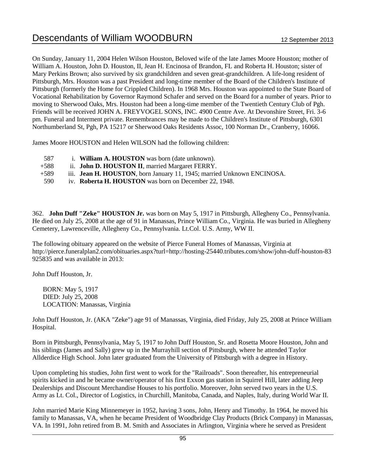On Sunday, January 11, 2004 Helen Wilson Houston, Beloved wife of the late James Moore Houston; mother of William A. Houston, John D. Houston, II, Jean H. Encinosa of Brandon, FL and Roberta H. Houston; sister of Mary Perkins Brown; also survived by six grandchildren and seven great-grandchildren. A life-long resident of Pittsburgh, Mrs. Houston was a past President and long-time member of the Board of the Children's Institute of Pittsburgh (formerly the Home for Crippled Children). In 1968 Mrs. Houston was appointed to the State Board of Vocational Rehabilitation by Governor Raymond Schafer and served on the Board for a number of years. Prior to moving to Sherwood Oaks, Mrs. Houston had been a long-time member of the Twentieth Century Club of Pgh. Friends will be received JOHN A. FREYVOGEL SONS, INC. 4900 Centre Ave. At Devonshire Street, Fri. 3-6 pm. Funeral and Interment private. Remembrances may be made to the Children's Institute of Pittsburgh, 6301 Northumberland St, Pgh, PA 15217 or Sherwood Oaks Residents Assoc, 100 Norman Dr., Cranberry, 16066.

James Moore HOUSTON and Helen WILSON had the following children:

- 587 i. **William A. HOUSTON** was born (date unknown).
- +588 ii. **John D. HOUSTON II**, married Margaret FERRY.
- +589 iii. **Jean H. HOUSTON**, born January 11, 1945; married Unknown ENCINOSA.
- 590 iv. **Roberta H. HOUSTON** was born on December 22, 1948.

362. **John Duff "Zeke" HOUSTON Jr.** was born on May 5, 1917 in Pittsburgh, Allegheny Co., Pennsylvania. He died on July 25, 2008 at the age of 91 in Manassas, Prince William Co., Virginia. He was buried in Allegheny Cemetery, Lawrenceville, Allegheny Co., Pennsylvania. Lt.Col. U.S. Army, WW II.

The following obituary appeared on the website of Pierce Funeral Homes of Manassas, Virginia at http://pierce.funeralplan2.com/obituaries.aspx?turl=http://hosting-25440.tributes.com/show/john-duff-houston-83 925835 and was available in 2013:

John Duff Houston, Jr.

 BORN: May 5, 1917 DIED: July 25, 2008 LOCATION: Manassas, Virginia

John Duff Houston, Jr. (AKA "Zeke") age 91 of Manassas, Virginia, died Friday, July 25, 2008 at Prince William Hospital.

Born in Pittsburgh, Pennsylvania, May 5, 1917 to John Duff Houston, Sr. and Rosetta Moore Houston, John and his siblings (James and Sally) grew up in the Murrayhill section of Pittsburgh, where he attended Taylor Allderdice High School. John later graduated from the University of Pittsburgh with a degree in History.

Upon completing his studies, John first went to work for the "Railroads". Soon thereafter, his entrepreneurial spirits kicked in and he became owner/operator of his first Exxon gas station in Squirrel Hill, later adding Jeep Dealerships and Discount Merchandise Houses to his portfolio. Moreover, John served two years in the U.S. Army as Lt. Col., Director of Logistics, in Churchill, Manitoba, Canada, and Naples, Italy, during World War II.

John married Marie King Minnemeyer in 1952, having 3 sons, John, Henry and Timothy. In 1964, he moved his family to Manassas, VA, when he became President of Woodbridge Clay Products (Brick Company) in Manassas, VA. In 1991, John retired from B. M. Smith and Associates in Arlington, Virginia where he served as President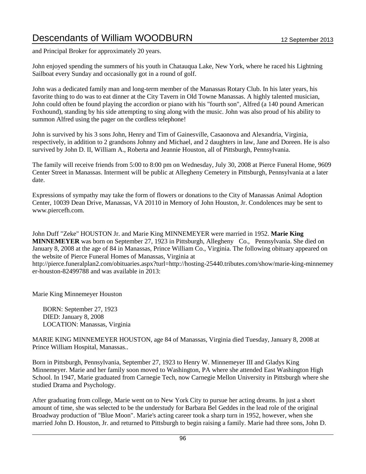and Principal Broker for approximately 20 years.

John enjoyed spending the summers of his youth in Chatauqua Lake, New York, where he raced his Lightning Sailboat every Sunday and occasionally got in a round of golf.

John was a dedicated family man and long-term member of the Manassas Rotary Club. In his later years, his favorite thing to do was to eat dinner at the City Tavern in Old Towne Manassas. A highly talented musician, John could often be found playing the accordion or piano with his "fourth son", Alfred (a 140 pound American Foxhound), standing by his side attempting to sing along with the music. John was also proud of his ability to summon Alfred using the pager on the cordless telephone!

John is survived by his 3 sons John, Henry and Tim of Gainesville, Casaonova and Alexandria, Virginia, respectively, in addition to 2 grandsons Johnny and Michael, and 2 daughters in law, Jane and Doreen. He is also survived by John D. II, William A., Roberta and Jeannie Houston, all of Pittsburgh, Pennsylvania.

The family will receive friends from 5:00 to 8:00 pm on Wednesday, July 30, 2008 at Pierce Funeral Home, 9609 Center Street in Manassas. Interment will be public at Allegheny Cemetery in Pittsburgh, Pennsylvania at a later date.

Expressions of sympathy may take the form of flowers or donations to the City of Manassas Animal Adoption Center, 10039 Dean Drive, Manassas, VA 20110 in Memory of John Houston, Jr. Condolences may be sent to www.piercefh.com.

John Duff "Zeke" HOUSTON Jr. and Marie King MINNEMEYER were married in 1952. **Marie King MINNEMEYER** was born on September 27, 1923 in Pittsburgh, Allegheny Co., Pennsylvania. She died on January 8, 2008 at the age of 84 in Manassas, Prince William Co., Virginia. The following obituary appeared on the website of Pierce Funeral Homes of Manassas, Virginia at

http://pierce.funeralplan2.com/obituaries.aspx?turl=http://hosting-25440.tributes.com/show/marie-king-minnemey er-houston-82499788 and was available in 2013:

Marie King Minnemeyer Houston

 BORN: September 27, 1923 DIED: January 8, 2008 LOCATION: Manassas, Virginia

MARIE KING MINNEMEYER HOUSTON, age 84 of Manassas, Virginia died Tuesday, January 8, 2008 at Prince William Hospital, Manassas..

Born in Pittsburgh, Pennsylvania, September 27, 1923 to Henry W. Minnemeyer III and Gladys King Minnemeyer. Marie and her family soon moved to Washington, PA where she attended East Washington High School. In 1947, Marie graduated from Carnegie Tech, now Carnegie Mellon University in Pittsburgh where she studied Drama and Psychology.

After graduating from college, Marie went on to New York City to pursue her acting dreams. In just a short amount of time, she was selected to be the understudy for Barbara Bel Geddes in the lead role of the original Broadway production of "Blue Moon". Marie's acting career took a sharp turn in 1952, however, when she married John D. Houston, Jr. and returned to Pittsburgh to begin raising a family. Marie had three sons, John D.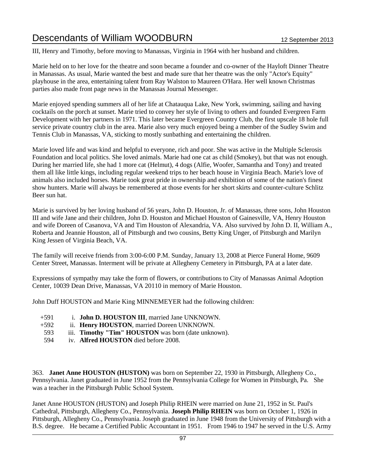III, Henry and Timothy, before moving to Manassas, Virginia in 1964 with her husband and children.

Marie held on to her love for the theatre and soon became a founder and co-owner of the Hayloft Dinner Theatre in Manassas. As usual, Marie wanted the best and made sure that her theatre was the only "Actor's Equity" playhouse in the area, entertaining talent from Ray Walston to Maureen O'Hara. Her well known Christmas parties also made front page news in the Manassas Journal Messenger.

Marie enjoyed spending summers all of her life at Chatauqua Lake, New York, swimming, sailing and having cocktails on the porch at sunset. Marie tried to convey her style of living to others and founded Evergreen Farm Development with her partners in 1971. This later became Evergreen Country Club, the first upscale 18 hole full service private country club in the area. Marie also very much enjoyed being a member of the Sudley Swim and Tennis Club in Manassas, VA, sticking to mostly sunbathing and entertaining the children.

Marie loved life and was kind and helpful to everyone, rich and poor. She was active in the Multiple Sclerosis Foundation and local politics. She loved animals. Marie had one cat as child (Smokey), but that was not enough. During her married life, she had 1 more cat (Helmut), 4 dogs (Alfie, Woofer, Samantha and Tony) and treated them all like little kings, including regular weekend trips to her beach house in Virginia Beach. Marie's love of animals also included horses. Marie took great pride in ownership and exhibition of some of the nation's finest show hunters. Marie will always be remembered at those events for her short skirts and counter-culture Schlitz Beer sun hat.

Marie is survived by her loving husband of 56 years, John D. Houston, Jr. of Manassas, three sons, John Houston III and wife Jane and their children, John D. Houston and Michael Houston of Gainesville, VA, Henry Houston and wife Doreen of Casanova, VA and Tim Houston of Alexandria, VA. Also survived by John D. II, William A., Roberta and Jeannie Houston, all of Pittsburgh and two cousins, Betty King Unger, of Pittsburgh and Marilyn King Jessen of Virginia Beach, VA.

The family will receive friends from 3:00-6:00 P.M. Sunday, January 13, 2008 at Pierce Funeral Home, 9609 Center Street, Manassas. Interment will be private at Allegheny Cemetery in Pittsburgh, PA at a later date.

Expressions of sympathy may take the form of flowers, or contributions to City of Manassas Animal Adoption Center, 10039 Dean Drive, Manassas, VA 20110 in memory of Marie Houston.

John Duff HOUSTON and Marie King MINNEMEYER had the following children:

- +591 i. **John D. HOUSTON III**, married Jane UNKNOWN.
- +592 ii. **Henry HOUSTON**, married Doreen UNKNOWN.
- 593 iii. **Timothy "Tim" HOUSTON** was born (date unknown).
- 594 iv. **Alfred HOUSTON** died before 2008.

363. **Janet Anne HOUSTON (HUSTON)** was born on September 22, 1930 in Pittsburgh, Allegheny Co., Pennsylvania. Janet graduated in June 1952 from the Pennsylvania College for Women in Pittsburgh, Pa. She was a teacher in the Pittsburgh Public School System.

Janet Anne HOUSTON (HUSTON) and Joseph Philip RHEIN were married on June 21, 1952 in St. Paul's Cathedral, Pittsburgh, Allegheny Co., Pennsylvania. **Joseph Philip RHEIN** was born on October 1, 1926 in Pittsburgh, Allegheny Co., Pennsylvania. Joseph graduated in June 1948 from the University of Pittsburgh with a B.S. degree. He became a Certified Public Accountant in 1951. From 1946 to 1947 he served in the U.S. Army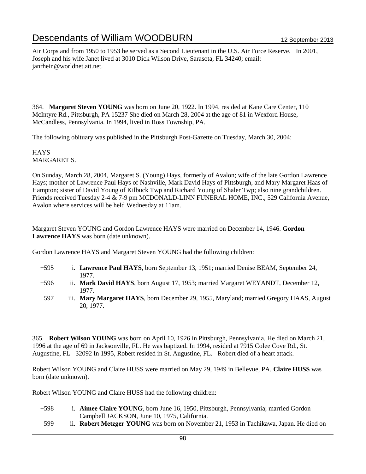Air Corps and from 1950 to 1953 he served as a Second Lieutenant in the U.S. Air Force Reserve. In 2001, Joseph and his wife Janet lived at 3010 Dick Wilson Drive, Sarasota, FL 34240; email: janrhein@worldnet.att.net.

364. **Margaret Steven YOUNG** was born on June 20, 1922. In 1994, resided at Kane Care Center, 110 McIntyre Rd., Pittsburgh, PA 15237 She died on March 28, 2004 at the age of 81 in Wexford House, McCandless, Pennsylvania. In 1994, lived in Ross Township, PA.

The following obituary was published in the Pittsburgh Post-Gazette on Tuesday, March 30, 2004:

**HAYS** MARGARET S.

On Sunday, March 28, 2004, Margaret S. (Young) Hays, formerly of Avalon; wife of the late Gordon Lawrence Hays; mother of Lawrence Paul Hays of Nashville, Mark David Hays of Pittsburgh, and Mary Margaret Haas of Hampton; sister of David Young of Kilbuck Twp and Richard Young of Shaler Twp; also nine grandchildren. Friends received Tuesday 2-4 & 7-9 pm MCDONALD-LINN FUNERAL HOME, INC., 529 California Avenue, Avalon where services will be held Wednesday at 11am.

Margaret Steven YOUNG and Gordon Lawrence HAYS were married on December 14, 1946. **Gordon Lawrence HAYS** was born (date unknown).

Gordon Lawrence HAYS and Margaret Steven YOUNG had the following children:

- +595 i. **Lawrence Paul HAYS**, born September 13, 1951; married Denise BEAM, September 24, 1977.
- +596 ii. **Mark David HAYS**, born August 17, 1953; married Margaret WEYANDT, December 12, 1977.
- +597 iii. **Mary Margaret HAYS**, born December 29, 1955, Maryland; married Gregory HAAS, August 20, 1977.

365. **Robert Wilson YOUNG** was born on April 10, 1926 in Pittsburgh, Pennsylvania. He died on March 21, 1996 at the age of 69 in Jacksonville, FL. He was baptized. In 1994, resided at 7915 Colee Cove Rd., St. Augustine, FL 32092 In 1995, Robert resided in St. Augustine, FL. Robert died of a heart attack.

Robert Wilson YOUNG and Claire HUSS were married on May 29, 1949 in Bellevue, PA. **Claire HUSS** was born (date unknown).

Robert Wilson YOUNG and Claire HUSS had the following children:

- +598 i. **Aimee Claire YOUNG**, born June 16, 1950, Pittsburgh, Pennsylvania; married Gordon Campbell JACKSON, June 10, 1975, California.
- 599 ii. **Robert Metzger YOUNG** was born on November 21, 1953 in Tachikawa, Japan. He died on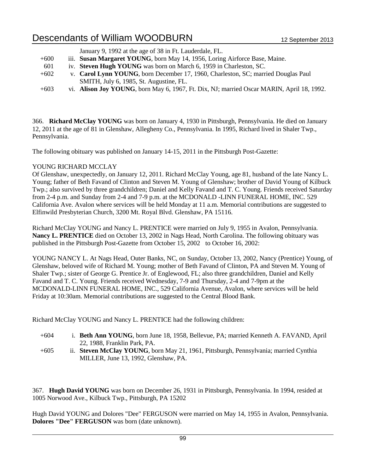|        | January 9, 1992 at the age of 38 in Ft. Lauderdale, FL.                                   |
|--------|-------------------------------------------------------------------------------------------|
| $+600$ | iii. Susan Margaret YOUNG, born May 14, 1956, Loring Airforce Base, Maine.                |
| 601    | iv. Steven Hugh YOUNG was born on March 6, 1959 in Charleston, SC.                        |
| $+602$ | v. Carol Lynn YOUNG, born December 17, 1960, Charleston, SC; married Douglas Paul         |
|        | SMITH, July 6, 1985, St. Augustine, FL.                                                   |
| $+603$ | vi. Alison Joy YOUNG, born May 6, 1967, Ft. Dix, NJ; married Oscar MARIN, April 18, 1992. |

366. **Richard McClay YOUNG** was born on January 4, 1930 in Pittsburgh, Pennsylvania. He died on January 12, 2011 at the age of 81 in Glenshaw, Allegheny Co., Pennsylvania. In 1995, Richard lived in Shaler Twp., Pennsylvania.

The following obituary was published on January 14-15, 2011 in the Pittsburgh Post-Gazette:

### YOUNG RICHARD MCCLAY

Of Glenshaw, unexpectedly, on January 12, 2011. Richard McClay Young, age 81, husband of the late Nancy L. Young; father of Beth Favand of Clinton and Steven M. Young of Glenshaw; brother of David Young of Kilbuck Twp.; also survived by three grandchildren; Daniel and Kelly Favand and T. C. Young. Friends received Saturday from 2-4 p.m. and Sunday from 2-4 and 7-9 p.m. at the MCDONALD -LINN FUNERAL HOME, INC. 529 California Ave. Avalon where services will be held Monday at 11 a.m. Memorial contributions are suggested to Elfinwild Presbyterian Church, 3200 Mt. Royal Blvd. Glenshaw, PA 15116.

Richard McClay YOUNG and Nancy L. PRENTICE were married on July 9, 1955 in Avalon, Pennsylvania. **Nancy L. PRENTICE** died on October 13, 2002 in Nags Head, North Carolina. The following obituary was published in the Pittsburgh Post-Gazette from October 15, 2002 to October 16, 2002:

YOUNG NANCY L. At Nags Head, Outer Banks, NC, on Sunday, October 13, 2002, Nancy (Prentice) Young, of Glenshaw, beloved wife of Richard M. Young; mother of Beth Favand of Clinton, PA and Steven M. Young of Shaler Twp.; sister of George G. Prentice Jr. of Englewood, FL; also three grandchildren, Daniel and Kelly Favand and T. C. Young. Friends received Wednesday, 7-9 and Thursday, 2-4 and 7-9pm at the MCDONALD-LINN FUNERAL HOME, INC., 529 California Avenue, Avalon, where services will be held Friday at 10:30am. Memorial contributions are suggested to the Central Blood Bank.

Richard McClay YOUNG and Nancy L. PRENTICE had the following children:

- +604 i. **Beth Ann YOUNG**, born June 18, 1958, Bellevue, PA; married Kenneth A. FAVAND, April 22, 1988, Franklin Park, PA.
- +605 ii. **Steven McClay YOUNG**, born May 21, 1961, Pittsburgh, Pennsylvania; married Cynthia MILLER, June 13, 1992, Glenshaw, PA.

367. **Hugh David YOUNG** was born on December 26, 1931 in Pittsburgh, Pennsylvania. In 1994, resided at 1005 Norwood Ave., Kilbuck Twp., Pittsburgh, PA 15202

Hugh David YOUNG and Dolores "Dee" FERGUSON were married on May 14, 1955 in Avalon, Pennsylvania. **Dolores "Dee" FERGUSON** was born (date unknown).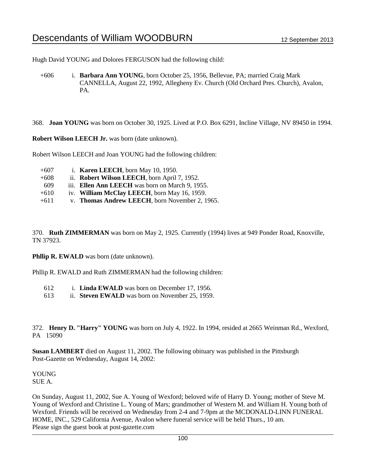Hugh David YOUNG and Dolores FERGUSON had the following child:

+606 i. **Barbara Ann YOUNG**, born October 25, 1956, Bellevue, PA; married Craig Mark CANNELLA, August 22, 1992, Allegheny Ev. Church (Old Orchard Pres. Church), Avalon, PA.

368. **Joan YOUNG** was born on October 30, 1925. Lived at P.O. Box 6291, Incline Village, NV 89450 in 1994.

**Robert Wilson LEECH Jr.** was born (date unknown).

Robert Wilson LEECH and Joan YOUNG had the following children:

+607 i. **Karen LEECH**, born May 10, 1950. +608 ii. **Robert Wilson LEECH**, born April 7, 1952. 609 iii. **Ellen Ann LEECH** was born on March 9, 1955. +610 iv. **William McClay LEECH**, born May 16, 1959. +611 v. **Thomas Andrew LEECH**, born November 2, 1965.

370. **Ruth ZIMMERMAN** was born on May 2, 1925. Currently (1994) lives at 949 Ponder Road, Knoxville, TN 37923.

**Phllip R. EWALD** was born (date unknown).

Phllip R. EWALD and Ruth ZIMMERMAN had the following children:

| 1. Linda EWALD was born on December 17, 1956.<br>612 |  |
|------------------------------------------------------|--|
|------------------------------------------------------|--|

613 ii. **Steven EWALD** was born on November 25, 1959.

372. **Henry D. "Harry" YOUNG** was born on July 4, 1922. In 1994, resided at 2665 Weinman Rd., Wexford, PA 15090

**Susan LAMBERT** died on August 11, 2002. The following obituary was published in the Pittsburgh Post-Gazette on Wednesday, August 14, 2002:

YOUNG SUE A.

On Sunday, August 11, 2002, Sue A. Young of Wexford; beloved wife of Harry D. Young; mother of Steve M. Young of Wexford and Christine L. Young of Mars; grandmother of Western M. and William H. Young both of Wexford. Friends will be received on Wednesday from 2-4 and 7-9pm at the MCDONALD-LINN FUNERAL HOME, INC., 529 California Avenue, Avalon where funeral service will be held Thurs., 10 am. Please sign the guest book at post-gazette.com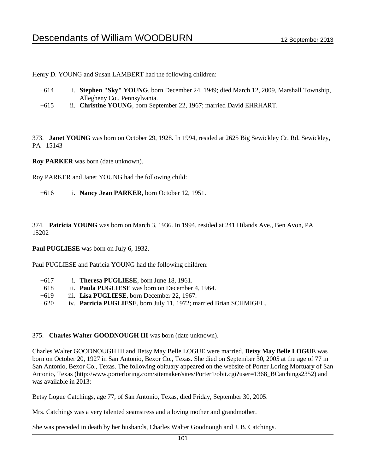Henry D. YOUNG and Susan LAMBERT had the following children:

- +614 i. **Stephen "Sky" YOUNG**, born December 24, 1949; died March 12, 2009, Marshall Township, Allegheny Co., Pennsylvania.
- +615 ii. **Christine YOUNG**, born September 22, 1967; married David EHRHART.

373. **Janet YOUNG** was born on October 29, 1928. In 1994, resided at 2625 Big Sewickley Cr. Rd. Sewickley, PA 15143

**Roy PARKER** was born (date unknown).

Roy PARKER and Janet YOUNG had the following child:

+616 i. **Nancy Jean PARKER**, born October 12, 1951.

374. **Patricia YOUNG** was born on March 3, 1936. In 1994, resided at 241 Hilands Ave., Ben Avon, PA 15202

**Paul PUGLIESE** was born on July 6, 1932.

Paul PUGLIESE and Patricia YOUNG had the following children:

| $+617$ | i. Theresa PUGLIESE, born June 18, 1961.                           |
|--------|--------------------------------------------------------------------|
| -618   | ii. <b>Paula PUGLIESE</b> was born on December 4, 1964.            |
| $+619$ | iii. Lisa PUGLIESE, born December 22, 1967.                        |
| $+620$ | iv. Patricia PUGLIESE, born July 11, 1972; married Brian SCHMIGEL. |

#### 375. **Charles Walter GOODNOUGH III** was born (date unknown).

Charles Walter GOODNOUGH III and Betsy May Belle LOGUE were married. **Betsy May Belle LOGUE** was born on October 20, 1927 in San Antonio, Bexor Co., Texas. She died on September 30, 2005 at the age of 77 in San Antonio, Bexor Co., Texas. The following obituary appeared on the website of Porter Loring Mortuary of San Antonio, Texas (http://www.porterloring.com/sitemaker/sites/Porter1/obit.cgi?user=1368\_BCatchings2352) and was available in 2013:

Betsy Logue Catchings, age 77, of San Antonio, Texas, died Friday, September 30, 2005.

Mrs. Catchings was a very talented seamstress and a loving mother and grandmother.

She was preceded in death by her husbands, Charles Walter Goodnough and J. B. Catchings.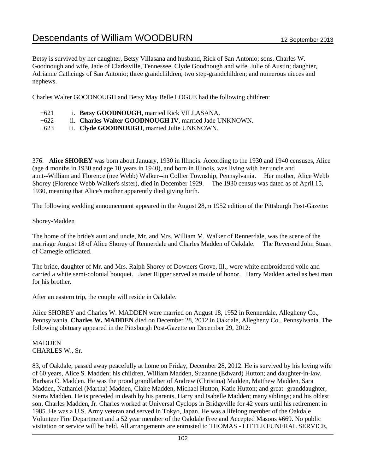Betsy is survived by her daughter, Betsy Villasana and husband, Rick of San Antonio; sons, Charles W. Goodnough and wife, Jade of Clarksville, Tennessee, Clyde Goodnough and wife, Julie of Austin; daughter, Adrianne Cathcings of San Antonio; three grandchildren, two step-grandchildren; and numerous nieces and nephews.

Charles Walter GOODNOUGH and Betsy May Belle LOGUE had the following children:

- +622 ii. **Charles Walter GOODNOUGH IV**, married Jade UNKNOWN.
- +623 iii. **Clyde GOODNOUGH**, married Julie UNKNOWN.

376. **Alice SHOREY** was born about January, 1930 in Illinois. According to the 1930 and 1940 censuses, Alice (age 4 months in 1930 and age 10 years in 1940), and born in Illinois, was living with her uncle and aunt--William and Florence (nee Webb) Walker--in Collier Township, Pennsylvania. Her mother, Alice Webb Shorey (Florence Webb Walker's sister), died in December 1929. The 1930 census was dated as of April 15, 1930, meaning that Alice's mother apparently died giving birth.

The following wedding announcement appeared in the August 28,m 1952 edition of the Pittsburgh Post-Gazette:

#### Shorey-Madden

The home of the bride's aunt and uncle, Mr. and Mrs. William M. Walker of Rennerdale, was the scene of the marriage August 18 of Alice Shorey of Rennerdale and Charles Madden of Oakdale. The Reverend John Stuart of Carnegie officiated.

The bride, daughter of Mr. and Mrs. Ralph Shorey of Downers Grove, Ill., wore white embroidered voile and carried a white semi-colonial bouquet. Janet Ripper served as maide of honor. Harry Madden acted as best man for his brother.

After an eastern trip, the couple will reside in Oakdale.

Alice SHOREY and Charles W. MADDEN were married on August 18, 1952 in Rennerdale, Allegheny Co., Pennsylvania. **Charles W. MADDEN** died on December 28, 2012 in Oakdale, Allegheny Co., Pennsylvania. The following obituary appeared in the Pittsburgh Post-Gazette on December 29, 2012:

MADDEN CHARLES W., Sr.

83, of Oakdale, passed away peacefully at home on Friday, December 28, 2012. He is survived by his loving wife of 60 years, Alice S. Madden; his children, William Madden, Suzanne (Edward) Hutton; and daughter-in-law, Barbara C. Madden. He was the proud grandfather of Andrew (Christina) Madden, Matthew Madden, Sara Madden, Nathaniel (Martha) Madden, Claire Madden, Michael Hutton, Katie Hutton; and great- granddaughter, Sierra Madden. He is preceded in death by his parents, Harry and Isabelle Madden; many siblings; and his oldest son, Charles Madden, Jr. Charles worked at Universal Cyclops in Bridgeville for 42 years until his retirement in 1985. He was a U.S. Army veteran and served in Tokyo, Japan. He was a lifelong member of the Oakdale Volunteer Fire Department and a 52 year member of the Oakdale Free and Accepted Masons #669. No public visitation or service will be held. All arrangements are entrusted to THOMAS - LITTLE FUNERAL SERVICE,

<sup>+621</sup> i. **Betsy GOODNOUGH**, married Rick VILLASANA.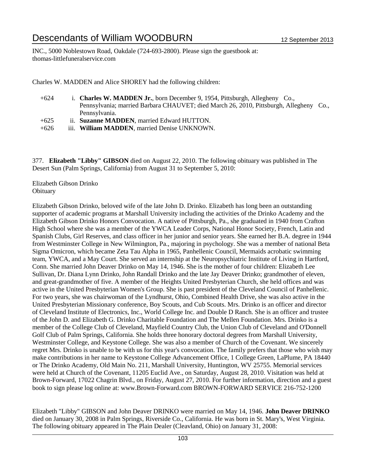INC., 5000 Noblestown Road, Oakdale (724-693-2800). Please sign the guestbook at: thomas-littlefuneralservice.com

Charles W. MADDEN and Alice SHOREY had the following children:

- +624 i. **Charles W. MADDEN Jr.**, born December 9, 1954, Pittsburgh, Allegheny Co., Pennsylvania; married Barbara CHAUVET; died March 26, 2010, Pittsburgh, Allegheny Co., Pennsylvania. +625 ii. **Suzanne MADDEN**, married Edward HUTTON.
- +626 iii. **William MADDEN**, married Denise UNKNOWN.

377. **Elizabeth "Libby" GIBSON** died on August 22, 2010. The following obituary was published in The Desert Sun (Palm Springs, California) from August 31 to September 5, 2010:

Elizabeth Gibson Drinko **Obituary** 

Elizabeth Gibson Drinko, beloved wife of the late John D. Drinko. Elizabeth has long been an outstanding supporter of academic programs at Marshall University including the activities of the Drinko Academy and the Elizabeth Gibson Drinko Honors Convocation. A native of Pittsburgh, Pa., she graduated in 1940 from Crafton High School where she was a member of the YWCA Leader Corps, National Honor Society, French, Latin and Spanish Clubs, Girl Reserves, and class officer in her junior and senior years. She earned her B.A. degree in 1944 from Westminster College in New Wilmington, Pa., majoring in psychology. She was a member of national Beta Sigma Omicron, which became Zeta Tau Alpha in 1965, Panhellenic Council, Mermaids acrobatic swimming team, YWCA, and a May Court. She served an internship at the Neuropsychiatric Institute of Living in Hartford, Conn. She married John Deaver Drinko on May 14, 1946. She is the mother of four children: Elizabeth Lee Sullivan, Dr. Diana Lynn Drinko, John Randall Drinko and the late Jay Deaver Drinko; grandmother of eleven, and great-grandmother of five. A member of the Heights United Presbyterian Church, she held offices and was active in the United Presbyterian Women's Group. She is past president of the Cleveland Council of Panhellenic. For two years, she was chairwoman of the Lyndhurst, Ohio, Combined Health Drive, she was also active in the United Presbyterian Missionary conference, Boy Scouts, and Cub Scouts. Mrs. Drinko is an officer and director of Cleveland Institute of Electronics, Inc., World College Inc. and Double D Ranch. She is an officer and trustee of the John D. and Elizabeth G. Drinko Charitable Foundation and The Mellen Foundation. Mrs. Drinko is a member of the College Club of Cleveland, Mayfield Country Club, the Union Club of Cleveland and O'Donnell Golf Club of Palm Springs, California. She holds three honorary doctoral degrees from Marshall University, Westminster College, and Keystone College. She was also a member of Church of the Covenant. We sincerely regret Mrs. Drinko is unable to be with us for this year's convocation. The family prefers that those who wish may make contributions in her name to Keystone College Advancement Office, 1 College Green, LaPlume, PA 18440 or The Drinko Academy, Old Main No. 211, Marshall University, Huntington, WV 25755. Memorial services were held at Church of the Covenant, 11205 Euclid Ave., on Saturday, August 28, 2010. Visitation was held at Brown-Forward, 17022 Chagrin Blvd., on Friday, August 27, 2010. For further information, direction and a guest book to sign please log online at: www.Brown-Forward.com BROWN-FORWARD SERVICE 216-752-1200

Elizabeth "Libby" GIBSON and John Deaver DRINKO were married on May 14, 1946. **John Deaver DRINKO** died on January 30, 2008 in Palm Springs, Riverside Co., California. He was born in St. Mary's, West Virginia. The following obituary appeared in The Plain Dealer (Cleavland, Ohio) on January 31, 2008: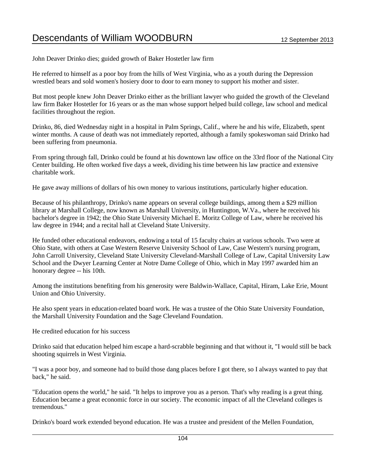John Deaver Drinko dies; guided growth of Baker Hostetler law firm

He referred to himself as a poor boy from the hills of West Virginia, who as a youth during the Depression wrestled bears and sold women's hosiery door to door to earn money to support his mother and sister.

But most people knew John Deaver Drinko either as the brilliant lawyer who guided the growth of the Cleveland law firm Baker Hostetler for 16 years or as the man whose support helped build college, law school and medical facilities throughout the region.

Drinko, 86, died Wednesday night in a hospital in Palm Springs, Calif., where he and his wife, Elizabeth, spent winter months. A cause of death was not immediately reported, although a family spokeswoman said Drinko had been suffering from pneumonia.

From spring through fall, Drinko could be found at his downtown law office on the 33rd floor of the National City Center building. He often worked five days a week, dividing his time between his law practice and extensive charitable work.

He gave away millions of dollars of his own money to various institutions, particularly higher education.

Because of his philanthropy, Drinko's name appears on several college buildings, among them a \$29 million library at Marshall College, now known as Marshall University, in Huntington, W.Va., where he received his bachelor's degree in 1942; the Ohio State University Michael E. Moritz College of Law, where he received his law degree in 1944; and a recital hall at Cleveland State University.

He funded other educational endeavors, endowing a total of 15 faculty chairs at various schools. Two were at Ohio State, with others at Case Western Reserve University School of Law, Case Western's nursing program, John Carroll University, Cleveland State University Cleveland-Marshall College of Law, Capital University Law School and the Dwyer Learning Center at Notre Dame College of Ohio, which in May 1997 awarded him an honorary degree -- his 10th.

Among the institutions benefiting from his generosity were Baldwin-Wallace, Capital, Hiram, Lake Erie, Mount Union and Ohio University.

He also spent years in education-related board work. He was a trustee of the Ohio State University Foundation, the Marshall University Foundation and the Sage Cleveland Foundation.

He credited education for his success

Drinko said that education helped him escape a hard-scrabble beginning and that without it, "I would still be back shooting squirrels in West Virginia.

"I was a poor boy, and someone had to build those dang places before I got there, so I always wanted to pay that back," he said.

"Education opens the world," he said. "It helps to improve you as a person. That's why reading is a great thing. Education became a great economic force in our society. The economic impact of all the Cleveland colleges is tremendous."

Drinko's board work extended beyond education. He was a trustee and president of the Mellen Foundation,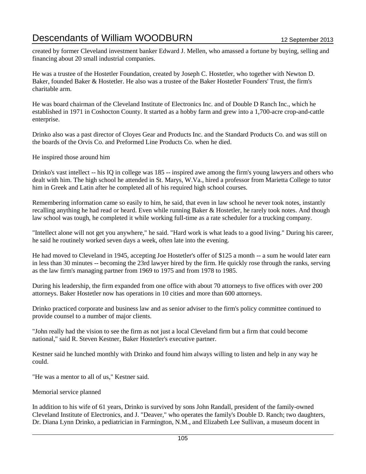created by former Cleveland investment banker Edward J. Mellen, who amassed a fortune by buying, selling and financing about 20 small industrial companies.

He was a trustee of the Hostetler Foundation, created by Joseph C. Hostetler, who together with Newton D. Baker, founded Baker & Hostetler. He also was a trustee of the Baker Hostetler Founders' Trust, the firm's charitable arm.

He was board chairman of the Cleveland Institute of Electronics Inc. and of Double D Ranch Inc., which he established in 1971 in Coshocton County. It started as a hobby farm and grew into a 1,700-acre crop-and-cattle enterprise.

Drinko also was a past director of Cloyes Gear and Products Inc. and the Standard Products Co. and was still on the boards of the Orvis Co. and Preformed Line Products Co. when he died.

He inspired those around him

Drinko's vast intellect -- his IQ in college was 185 -- inspired awe among the firm's young lawyers and others who dealt with him. The high school he attended in St. Marys, W.Va., hired a professor from Marietta College to tutor him in Greek and Latin after he completed all of his required high school courses.

Remembering information came so easily to him, he said, that even in law school he never took notes, instantly recalling anything he had read or heard. Even while running Baker & Hostetler, he rarely took notes. And though law school was tough, he completed it while working full-time as a rate scheduler for a trucking company.

"Intellect alone will not get you anywhere," he said. "Hard work is what leads to a good living." During his career, he said he routinely worked seven days a week, often late into the evening.

He had moved to Cleveland in 1945, accepting Joe Hostetler's offer of \$125 a month -- a sum he would later earn in less than 30 minutes -- becoming the 23rd lawyer hired by the firm. He quickly rose through the ranks, serving as the law firm's managing partner from 1969 to 1975 and from 1978 to 1985.

During his leadership, the firm expanded from one office with about 70 attorneys to five offices with over 200 attorneys. Baker Hostetler now has operations in 10 cities and more than 600 attorneys.

Drinko practiced corporate and business law and as senior adviser to the firm's policy committee continued to provide counsel to a number of major clients.

"John really had the vision to see the firm as not just a local Cleveland firm but a firm that could become national," said R. Steven Kestner, Baker Hostetler's executive partner.

Kestner said he lunched monthly with Drinko and found him always willing to listen and help in any way he could.

"He was a mentor to all of us," Kestner said.

Memorial service planned

In addition to his wife of 61 years, Drinko is survived by sons John Randall, president of the family-owned Cleveland Institute of Electronics, and J. "Deaver," who operates the family's Double D. Ranch; two daughters, Dr. Diana Lynn Drinko, a pediatrician in Farmington, N.M., and Elizabeth Lee Sullivan, a museum docent in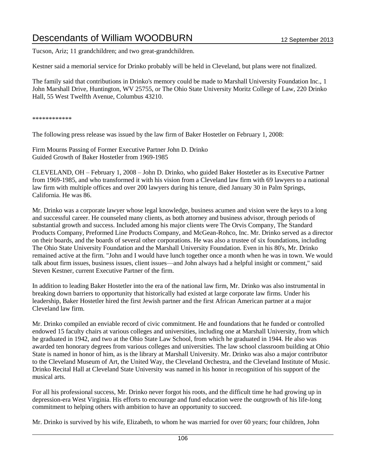Tucson, Ariz; 11 grandchildren; and two great-grandchildren.

Kestner said a memorial service for Drinko probably will be held in Cleveland, but plans were not finalized.

The family said that contributions in Drinko's memory could be made to Marshall University Foundation Inc., 1 John Marshall Drive, Huntington, WV 25755, or The Ohio State University Moritz College of Law, 220 Drinko Hall, 55 West Twelfth Avenue, Columbus 43210.

\*\*\*\*\*\*\*\*\*\*\*\*

The following press release was issued by the law firm of Baker Hostetler on February 1, 2008:

Firm Mourns Passing of Former Executive Partner John D. Drinko Guided Growth of Baker Hostetler from 1969-1985

CLEVELAND, OH – February 1, 2008 – John D. Drinko, who guided Baker Hostetler as its Executive Partner from 1969-1985, and who transformed it with his vision from a Cleveland law firm with 69 lawyers to a national law firm with multiple offices and over 200 lawyers during his tenure, died January 30 in Palm Springs, California. He was 86.

Mr. Drinko was a corporate lawyer whose legal knowledge, business acumen and vision were the keys to a long and successful career. He counseled many clients, as both attorney and business advisor, through periods of substantial growth and success. Included among his major clients were The Orvis Company, The Standard Products Company, Preformed Line Products Company, and McGean-Rohco, Inc. Mr. Drinko served as a director on their boards, and the boards of several other corporations. He was also a trustee of six foundations, including The Ohio State University Foundation and the Marshall University Foundation. Even in his 80's, Mr. Drinko remained active at the firm. "John and I would have lunch together once a month when he was in town. We would talk about firm issues, business issues, client issues—and John always had a helpful insight or comment," said Steven Kestner, current Executive Partner of the firm.

In addition to leading Baker Hostetler into the era of the national law firm, Mr. Drinko was also instrumental in breaking down barriers to opportunity that historically had existed at large corporate law firms. Under his leadership, Baker Hostetler hired the first Jewish partner and the first African American partner at a major Cleveland law firm.

Mr. Drinko compiled an enviable record of civic commitment. He and foundations that he funded or controlled endowed 15 faculty chairs at various colleges and universities, including one at Marshall University, from which he graduated in 1942, and two at the Ohio State Law School, from which he graduated in 1944. He also was awarded ten honorary degrees from various colleges and universities. The law school classroom building at Ohio State is named in honor of him, as is the library at Marshall University. Mr. Drinko was also a major contributor to the Cleveland Museum of Art, the United Way, the Cleveland Orchestra, and the Cleveland Institute of Music. Drinko Recital Hall at Cleveland State University was named in his honor in recognition of his support of the musical arts.

For all his professional success, Mr. Drinko never forgot his roots, and the difficult time he had growing up in depression-era West Virginia. His efforts to encourage and fund education were the outgrowth of his life-long commitment to helping others with ambition to have an opportunity to succeed.

Mr. Drinko is survived by his wife, Elizabeth, to whom he was married for over 60 years; four children, John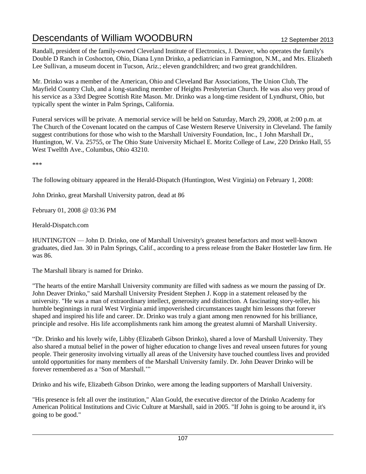Randall, president of the family-owned Cleveland Institute of Electronics, J. Deaver, who operates the family's Double D Ranch in Coshocton, Ohio, Diana Lynn Drinko, a pediatrician in Farmington, N.M., and Mrs. Elizabeth Lee Sullivan, a museum docent in Tucson, Ariz.; eleven grandchildren; and two great grandchildren.

Mr. Drinko was a member of the American, Ohio and Cleveland Bar Associations, The Union Club, The Mayfield Country Club, and a long-standing member of Heights Presbyterian Church. He was also very proud of his service as a 33rd Degree Scottish Rite Mason. Mr. Drinko was a long-time resident of Lyndhurst, Ohio, but typically spent the winter in Palm Springs, California.

Funeral services will be private. A memorial service will be held on Saturday, March 29, 2008, at 2:00 p.m. at The Church of the Covenant located on the campus of Case Western Reserve University in Cleveland. The family suggest contributions for those who wish to the Marshall University Foundation, Inc., 1 John Marshall Dr., Huntington, W. Va. 25755, or The Ohio State University Michael E. Moritz College of Law, 220 Drinko Hall, 55 West Twelfth Ave., Columbus, Ohio 43210.

\*\*\*

The following obituary appeared in the Herald-Dispatch (Huntington, West Virginia) on February 1, 2008:

John Drinko, great Marshall University patron, dead at 86

February 01, 2008 @ 03:36 PM

Herald-Dispatch.com

HUNTINGTON — John D. Drinko, one of Marshall University's greatest benefactors and most well-known graduates, died Jan. 30 in Palm Springs, Calif., according to a press release from the Baker Hostetler law firm. He was 86.

The Marshall library is named for Drinko.

"The hearts of the entire Marshall University community are filled with sadness as we mourn the passing of Dr. John Deaver Drinko," said Marshall University President Stephen J. Kopp in a statement released by the university. "He was a man of extraordinary intellect, generosity and distinction. A fascinating story-teller, his humble beginnings in rural West Virginia amid impoverished circumstances taught him lessons that forever shaped and inspired his life and career. Dr. Drinko was truly a giant among men renowned for his brilliance, principle and resolve. His life accomplishments rank him among the greatest alumni of Marshall University.

"Dr. Drinko and his lovely wife, Libby (Elizabeth Gibson Drinko), shared a love of Marshall University. They also shared a mutual belief in the power of higher education to change lives and reveal unseen futures for young people. Their generosity involving virtually all areas of the University have touched countless lives and provided untold opportunities for many members of the Marshall University family. Dr. John Deaver Drinko will be forever remembered as a 'Son of Marshall.'"

Drinko and his wife, Elizabeth Gibson Drinko, were among the leading supporters of Marshall University.

"His presence is felt all over the institution," Alan Gould, the executive director of the Drinko Academy for American Political Institutions and Civic Culture at Marshall, said in 2005. "If John is going to be around it, it's going to be good."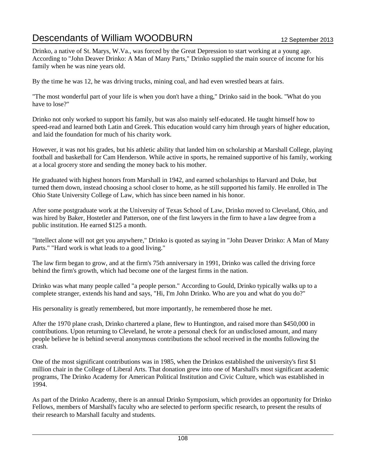Drinko, a native of St. Marys, W.Va., was forced by the Great Depression to start working at a young age. According to "John Deaver Drinko: A Man of Many Parts," Drinko supplied the main source of income for his family when he was nine years old.

By the time he was 12, he was driving trucks, mining coal, and had even wrestled bears at fairs.

"The most wonderful part of your life is when you don't have a thing," Drinko said in the book. "What do you have to lose?"

Drinko not only worked to support his family, but was also mainly self-educated. He taught himself how to speed-read and learned both Latin and Greek. This education would carry him through years of higher education, and laid the foundation for much of his charity work.

However, it was not his grades, but his athletic ability that landed him on scholarship at Marshall College, playing football and basketball for Cam Henderson. While active in sports, he remained supportive of his family, working at a local grocery store and sending the money back to his mother.

He graduated with highest honors from Marshall in 1942, and earned scholarships to Harvard and Duke, but turned them down, instead choosing a school closer to home, as he still supported his family. He enrolled in The Ohio State University College of Law, which has since been named in his honor.

After some postgraduate work at the University of Texas School of Law, Drinko moved to Cleveland, Ohio, and was hired by Baker, Hostetler and Patterson, one of the first lawyers in the firm to have a law degree from a public institution. He earned \$125 a month.

"Intellect alone will not get you anywhere," Drinko is quoted as saying in "John Deaver Drinko: A Man of Many Parts." "Hard work is what leads to a good living."

The law firm began to grow, and at the firm's 75th anniversary in 1991, Drinko was called the driving force behind the firm's growth, which had become one of the largest firms in the nation.

Drinko was what many people called "a people person." According to Gould, Drinko typically walks up to a complete stranger, extends his hand and says, "Hi, I'm John Drinko. Who are you and what do you do?"

His personality is greatly remembered, but more importantly, he remembered those he met.

After the 1970 plane crash, Drinko chartered a plane, flew to Huntington, and raised more than \$450,000 in contributions. Upon returning to Cleveland, he wrote a personal check for an undisclosed amount, and many people believe he is behind several anonymous contributions the school received in the months following the crash.

One of the most significant contributions was in 1985, when the Drinkos established the university's first \$1 million chair in the College of Liberal Arts. That donation grew into one of Marshall's most significant academic programs, The Drinko Academy for American Political Institution and Civic Culture, which was established in 1994.

As part of the Drinko Academy, there is an annual Drinko Symposium, which provides an opportunity for Drinko Fellows, members of Marshall's faculty who are selected to perform specific research, to present the results of their research to Marshall faculty and students.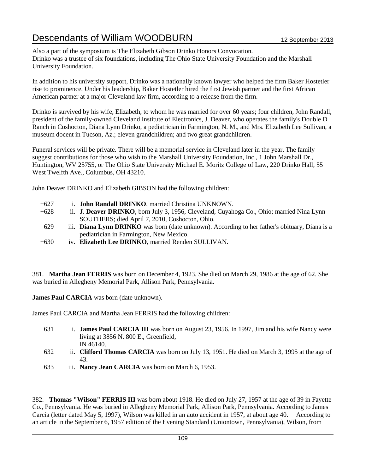Also a part of the symposium is The Elizabeth Gibson Drinko Honors Convocation. Drinko was a trustee of six foundations, including The Ohio State University Foundation and the Marshall University Foundation.

In addition to his university support, Drinko was a nationally known lawyer who helped the firm Baker Hostetler rise to prominence. Under his leadership, Baker Hostetler hired the first Jewish partner and the first African American partner at a major Cleveland law firm, according to a release from the firm.

Drinko is survived by his wife, Elizabeth, to whom he was married for over 60 years; four children, John Randall, president of the family-owned Cleveland Institute of Electronics, J. Deaver, who operates the family's Double D Ranch in Coshocton, Diana Lynn Drinko, a pediatrician in Farmington, N. M., and Mrs. Elizabeth Lee Sullivan, a museum docent in Tucson, Az.; eleven grandchildren; and two great grandchildren.

Funeral services will be private. There will be a memorial service in Cleveland later in the year. The family suggest contributions for those who wish to the Marshall University Foundation, Inc., 1 John Marshall Dr., Huntington, WV 25755, or The Ohio State University Michael E. Moritz College of Law, 220 Drinko Hall, 55 West Twelfth Ave., Columbus, OH 43210.

John Deaver DRINKO and Elizabeth GIBSON had the following children:

- +627 i. **John Randall DRINKO**, married Christina UNKNOWN.
- +628 ii. **J. Deaver DRINKO**, born July 3, 1956, Cleveland, Cuyahoga Co., Ohio; married Nina Lynn SOUTHERS; died April 7, 2010, Coshocton, Ohio.
- 629 iii. **Diana Lynn DRINKO** was born (date unknown). According to her father's obituary, Diana is a pediatrician in Farmington, New Mexico.
- +630 iv. **Elizabeth Lee DRINKO**, married Renden SULLIVAN.

381. **Martha Jean FERRIS** was born on December 4, 1923. She died on March 29, 1986 at the age of 62. She was buried in Allegheny Memorial Park, Allison Park, Pennsylvania.

**James Paul CARCIA** was born (date unknown).

James Paul CARCIA and Martha Jean FERRIS had the following children:

- 631 i. **James Paul CARCIA III** was born on August 23, 1956. In 1997, Jim and his wife Nancy were living at 3856 N. 800 E., Greenfield, IN 46140.
- 632 ii. **Clifford Thomas CARCIA** was born on July 13, 1951. He died on March 3, 1995 at the age of 43.
- 633 iii. **Nancy Jean CARCIA** was born on March 6, 1953.

382. **Thomas "Wilson" FERRIS III** was born about 1918. He died on July 27, 1957 at the age of 39 in Fayette Co., Pennsylvania. He was buried in Allegheny Memorial Park, Allison Park, Pennsylvania. According to James Carcia (letter dated May 5, 1997), Wilson was killed in an auto accident in 1957, at about age 40. According to an article in the September 6, 1957 edition of the Evening Standard (Uniontown, Pennsylvania), Wilson, from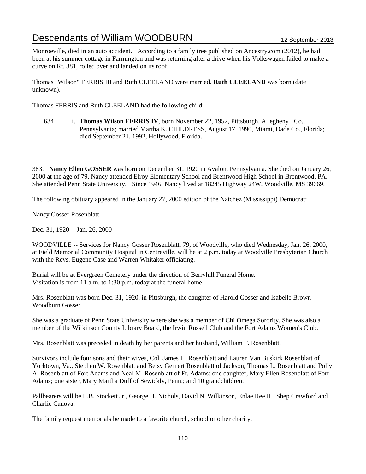Monroeville, died in an auto accident. According to a family tree published on Ancestry.com (2012), he had been at his summer cottage in Farmington and was returning after a drive when his Volkswagen failed to make a curve on Rt. 381, rolled over and landed on its roof.

Thomas "Wilson" FERRIS III and Ruth CLEELAND were married. **Ruth CLEELAND** was born (date unknown).

Thomas FERRIS and Ruth CLEELAND had the following child:

+634 i. **Thomas Wilson FERRIS IV**, born November 22, 1952, Pittsburgh, Allegheny Co., Pennsylvania; married Martha K. CHILDRESS, August 17, 1990, Miami, Dade Co., Florida; died September 21, 1992, Hollywood, Florida.

383. **Nancy Ellen GOSSER** was born on December 31, 1920 in Avalon, Pennsylvania. She died on January 26, 2000 at the age of 79. Nancy attended Elroy Elementary School and Brentwood High School in Brentwood, PA. She attended Penn State University. Since 1946, Nancy lived at 18245 Highway 24W, Woodville, MS 39669.

The following obituary appeared in the January 27, 2000 edition of the Natchez (Mississippi) Democrat:

Nancy Gosser Rosenblatt

Dec. 31, 1920 -- Jan. 26, 2000

WOODVILLE -- Services for Nancy Gosser Rosenblatt, 79, of Woodville, who died Wednesday, Jan. 26, 2000, at Field Memorial Community Hospital in Centreville, will be at 2 p.m. today at Woodville Presbyterian Church with the Revs. Eugene Case and Warren Whitaker officiating.

Burial will be at Evergreen Cemetery under the direction of Berryhill Funeral Home. Visitation is from 11 a.m. to 1:30 p.m. today at the funeral home.

Mrs. Rosenblatt was born Dec. 31, 1920, in Pittsburgh, the daughter of Harold Gosser and Isabelle Brown Woodburn Gosser.

She was a graduate of Penn State University where she was a member of Chi Omega Sorority. She was also a member of the Wilkinson County Library Board, the Irwin Russell Club and the Fort Adams Women's Club.

Mrs. Rosenblatt was preceded in death by her parents and her husband, William F. Rosenblatt.

Survivors include four sons and their wives, Col. James H. Rosenblatt and Lauren Van Buskirk Rosenblatt of Yorktown, Va., Stephen W. Rosenblatt and Betsy Gernert Rosenblatt of Jackson, Thomas L. Rosenblatt and Polly A. Rosenblatt of Fort Adams and Neal M. Rosenblatt of Ft. Adams; one daughter, Mary Ellen Rosenblatt of Fort Adams; one sister, Mary Martha Duff of Sewickly, Penn.; and 10 grandchildren.

Pallbearers will be L.B. Stockett Jr., George H. Nichols, David N. Wilkinson, Enlae Ree III, Shep Crawford and Charlie Canova.

The family request memorials be made to a favorite church, school or other charity.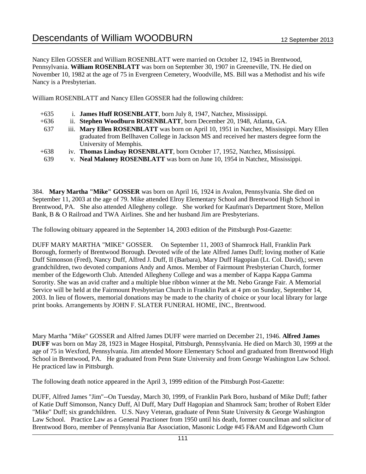Nancy Ellen GOSSER and William ROSENBLATT were married on October 12, 1945 in Brentwood, Pennsylvania. **William ROSENBLATT** was born on September 30, 1907 in Greeneville, TN. He died on November 10, 1982 at the age of 75 in Evergreen Cemetery, Woodville, MS. Bill was a Methodist and his wife Nancy is a Presbyterian.

William ROSENBLATT and Nancy Ellen GOSSER had the following children:

| $+635$ | i. <b>James Huff ROSENBLATT</b> , born July 8, 1947, Natchez, Mississippi.                |
|--------|-------------------------------------------------------------------------------------------|
| $+636$ | ii. Stephen Woodburn ROSENBLATT, born December 20, 1948, Atlanta, GA.                     |
| 637    | iii. Mary Ellen ROSENBLATT was born on April 10, 1951 in Natchez, Mississippi. Mary Ellen |
|        | graduated from Bellhaven College in Jackson MS and received her masters degree form the   |
|        | University of Memphis.                                                                    |
| $+638$ | iv. Thomas Lindsay ROSENBLATT, born October 17, 1952, Natchez, Mississippi.               |
| 639    | v. Neal Maloney ROSENBLATT was born on June 10, 1954 in Natchez, Mississippi.             |

384. **Mary Martha "Mike" GOSSER** was born on April 16, 1924 in Avalon, Pennsylvania. She died on September 11, 2003 at the age of 79. Mike attended Elroy Elementary School and Brentwood High School in Brentwood, PA. She also attended Allegheny college. She worked for Kaufman's Department Store, Mellon Bank, B & O Railroad and TWA Airlines. She and her husband Jim are Presbyterians.

The following obituary appeared in the September 14, 2003 edition of the Pittsburgh Post-Gazette:

DUFF MARY MARTHA "MIKE" GOSSER. On September 11, 2003 of Shamrock Hall, Franklin Park Borough, formerly of Brentwood Borough. Devoted wife of the late Alfred James Duff; loving mother of Katie Duff Simonson (Fred), Nancy Duff, Alfred J. Duff, II (Barbara), Mary Duff Hagopian (Lt. Col. David),; seven grandchildren, two devoted companions Andy and Amos. Member of Fairmount Presbyterian Church, former member of the Edgeworth Club. Attended Allegheny College and was a member of Kappa Kappa Gamma Sorority. She was an avid crafter and a multiple blue ribbon winner at the Mt. Nebo Grange Fair. A Memorial Service will be held at the Fairmount Presbyterian Church in Franklin Park at 4 pm on Sunday, September 14, 2003. In lieu of flowers, memorial donations may be made to the charity of choice or your local library for large print books. Arrangements by JOHN F. SLATER FUNERAL HOME, INC., Brentwood.

Mary Martha "Mike" GOSSER and Alfred James DUFF were married on December 21, 1946. **Alfred James DUFF** was born on May 28, 1923 in Magee Hospital, Pittsburgh, Pennsylvania. He died on March 30, 1999 at the age of 75 in Wexford, Pennsylvania. Jim attended Moore Elementary School and graduated from Brentwood High School in Brentwood, PA. He graduated from Penn State University and from George Washington Law School. He practiced law in Pittsburgh.

The following death notice appeared in the April 3, 1999 edition of the Pittsburgh Post-Gazette:

DUFF, Alfred James "Jim"--On Tuesday, March 30, 1999, of Franklin Park Boro, husband of Mike Duff; father of Katie Duff Simonson, Nancy Duff, Al Duff, Mary Duff Hagopian and Shamrock Sam; brother of Robert Elder "Mike" Duff; six grandchildren. U.S. Navy Veteran, graduate of Penn State University & George Washington Law School. Practice Law as a General Practioner from 1950 until his death, former councilman and solicitor of Brentwood Boro, member of Pennsylvania Bar Association, Masonic Lodge #45 F&AM and Edgeworth Clum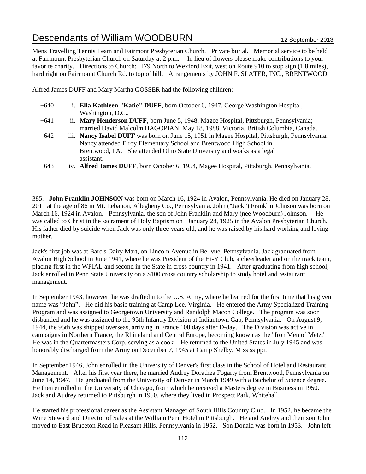Mens Travelling Tennis Team and Fairmont Presbyterian Church. Private burial. Memorial service to be held at Fairmount Presbyterian Church on Saturday at 2 p.m. In lieu of flowers please make contributions to your favorite charity. Directions to Church: I79 North to Wexford Exit, west on Route 910 to stop sign (1.8 miles), hard right on Fairmount Church Rd. to top of hill. Arrangements by JOHN F. SLATER, INC., BRENTWOOD.

Alfred James DUFF and Mary Martha GOSSER had the following children:

- +640 i. **Ella Kathleen "Katie" DUFF**, born October 6, 1947, George Washington Hospital, Washington, D.C..
- +641 ii. **Mary Henderson DUFF**, born June 5, 1948, Magee Hospital, Pittsburgh, Pennsylvania; married David Malcolm HAGOPIAN, May 18, 1988, Victoria, British Columbia, Canada.
- 642 iii. **Nancy Isabel DUFF** was born on June 15, 1951 in Magee Hospital, Pittsburgh, Pennsylvania. Nancy attended Elroy Elementary School and Brentwood High School in Brentwood, PA. She attended Ohio State Universtiy and works as a legal assistant.
- +643 iv. **Alfred James DUFF**, born October 6, 1954, Magee Hospital, Pittsburgh, Pennsylvania.

385. **John Franklin JOHNSON** was born on March 16, 1924 in Avalon, Pennsylvania. He died on January 28, 2011 at the age of 86 in Mt. Lebanon, Allegheny Co., Pennsylvania. John ("Jack") Franklin Johnson was born on March 16, 1924 in Avalon, Pennsylvania, the son of John Franklin and Mary (nee Woodburn) Johnson. He was called to Christ in the sacrament of Holy Baptism on January 28, 1925 in the Avalon Presbyterian Church. His father died by suicide when Jack was only three years old, and he was raised by his hard working and loving mother.

Jack's first job was at Bard's Dairy Mart, on Lincoln Avenue in Bellvue, Pennsylvania. Jack graduated from Avalon High School in June 1941, where he was President of the Hi-Y Club, a cheerleader and on the track team, placing first in the WPIAL and second in the State in cross country in 1941. After graduating from high school, Jack enrolled in Penn State University on a \$100 cross country scholarship to study hotel and restaurant management.

In September 1943, however, he was drafted into the U.S. Army, where he learned for the first time that his given name was "John". He did his basic training at Camp Lee, Virginia. He entered the Army Specialized Training Program and was assigned to Georgetown University and Randolph Macon College. The program was soon disbanded and he was assigned to the 95th Infantry Division at Indiantown Gap, Pennsylvania. On August 9, 1944, the 95th was shipped overseas, arriving in France 100 days after D-day. The Division was active in campaigns in Northern France, the Rhineland and Central Europe, becoming known as the "Iron Men of Metz." He was in the Quartermasters Corp, serving as a cook. He returned to the United States in July 1945 and was honorably discharged from the Army on December 7, 1945 at Camp Shelby, Mississippi.

In September 1946, John enrolled in the University of Denver's first class in the School of Hotel and Restaurant Management. After his first year there, he married Audrey Dorathea Fogarty from Brentwood, Pennsylvania on June 14, 1947. He graduated from the University of Denver in March 1949 with a Bachelor of Science degree. He then enrolled in the University of Chicago, from which he received a Masters degree in Business in 1950. Jack and Audrey returned to Pittsburgh in 1950, where they lived in Prospect Park, Whitehall.

He started his professional career as the Assistant Manager of South Hills Country Club. In 1952, he became the Wine Steward and Director of Sales at the William Penn Hotel in Pittsburgh. He and Audrey and their son John moved to East Bruceton Road in Pleasant Hills, Pennsylvania in 1952. Son Donald was born in 1953. John left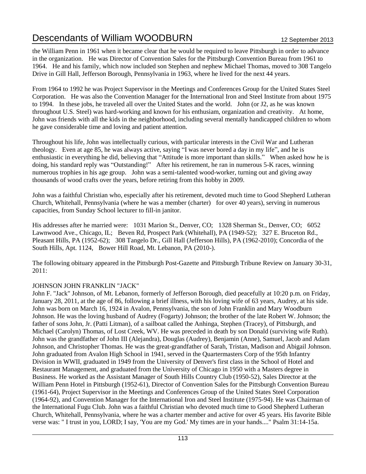the William Penn in 1961 when it became clear that he would be required to leave Pittsburgh in order to advance in the organization. He was Director of Convention Sales for the Pittsburgh Convention Bureau from 1961 to 1964. He and his family, which now included son Stephen and nephew Michael Thomas, moved to 308 Tangelo Drive in Gill Hall, Jefferson Borough, Pennsylvania in 1963, where he lived for the next 44 years.

From 1964 to 1992 he was Project Supervisor in the Meetings and Conferences Group for the United States Steel Corporation. He was also the Convention Manager for the International Iron and Steel Institute from about 1975 to 1994. In these jobs, he traveled all over the United States and the world. John (or J2, as he was known throughout U.S. Steel) was hard-working and known for his enthusiam, organization and creativity. At home, John was friends with all the kids in the neighborhood, including several mentally handicapped children to whom he gave considerable time and loving and patient attention.

Throughout his life, John was intellectually curious, with particular interests in the Civil War and Lutheran theology. Even at age 85, he was always active, saying "I was never bored a day in my life", and he is enthusiastic in everything he did, believing that "Attitude is more important than skills." When asked how he is doing, his standard reply was "Outstanding!" After his retirement, he ran in numerous 5-K races, winning numerous trophies in his age group. John was a semi-talented wood-worker, turning out and giving away thousands of wood crafts over the years, before retiring from this hobby in 2009.

John was a faithful Christian who, especially after his retirement, devoted much time to Good Shepherd Lutheran Church, Whitehall, Pennsylvania (where he was a member (charter) for over 40 years), serving in numerous capacities, from Sunday School lecturer to fill-in janitor.

His addresses after he married were: 1031 Marion St., Denver, CO; 1328 Sherman St., Denver, CO; 6052 Lawnwood Ave., Chicago, IL; Beven Rd, Prospect Park (Whitehall), PA (1949-52); 327 E. Bruceton Rd., Pleasant Hills, PA (1952-62); 308 Tangelo Dr., Gill Hall (Jefferson Hills), PA (1962-2010); Concordia of the South Hills, Apt. 1124, Bower Hill Road, Mt. Lebanon, PA (2010-).

The following obituary appeared in the Pittsburgh Post-Gazette and Pittsburgh Tribune Review on January 30-31, 2011:

# JOHNSON JOHN FRANKLIN "JACK"

John F. "Jack" Johnson, of Mt. Lebanon, formerly of Jefferson Borough, died peacefully at 10:20 p.m. on Friday, January 28, 2011, at the age of 86, following a brief illness, with his loving wife of 63 years, Audrey, at his side. John was born on March 16, 1924 in Avalon, Pennsylvania, the son of John Franklin and Mary Woodburn Johnson. He was the loving husband of Audrey (Fogarty) Johnson; the brother of the late Robert W. Johnson; the father of sons John, Jr. (Patti Litman), of a sailboat called the Anhinga, Stephen (Tracey), of Pittsburgh, and Michael (Carolyn) Thomas, of Lost Creek, WV. He was preceded in death by son Donald (surviving wife Ruth). John was the grandfather of John III (Alejandra), Douglas (Audrey), Benjamin (Anne), Samuel, Jacob and Adam Johnson, and Christopher Thomas. He was the great-grandfather of Sarah, Tristan, Madison and Abigail Johnson. John graduated from Avalon High School in 1941, served in the Quartermasters Corp of the 95th Infantry Division in WWII, graduated in 1949 from the University of Denver's first class in the School of Hotel and Restaurant Management, and graduated from the University of Chicago in 1950 with a Masters degree in Business. He worked as the Assistant Manager of South Hills Country Club (1950-52), Sales Director at the William Penn Hotel in Pittsburgh (1952-61), Director of Convention Sales for the Pittsburgh Convention Bureau (1961-64), Project Supervisor in the Meetings and Conferences Group of the United States Steel Corporation (1964-92), and Convention Manager for the International Iron and Steel Institute (1975-94). He was Chairman of the International Fugu Club. John was a faithful Christian who devoted much time to Good Shepherd Lutheran Church, Whitehall, Pennsylvania, where he was a charter member and active for over 45 years. His favorite Bible verse was: " I trust in you, LORD; I say, 'You are my God.' My times are in your hands...." Psalm 31:14-15a.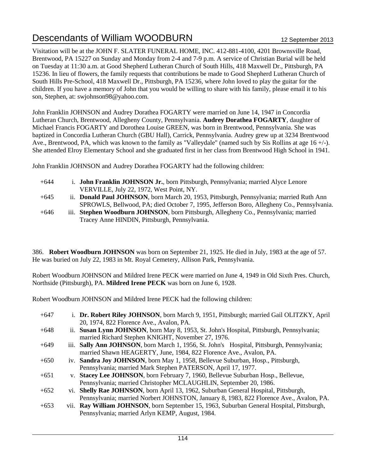Visitation will be at the JOHN F. SLATER FUNERAL HOME, INC. 412-881-4100, 4201 Brownsville Road, Brentwood, PA 15227 on Sunday and Monday from 2-4 and 7-9 p.m. A service of Christian Burial will be held on Tuesday at 11:30 a.m. at Good Shepherd Lutheran Church of South Hills, 418 Maxwell Dr., Pittsburgh, PA 15236. In lieu of flowers, the family requests that contributions be made to Good Shepherd Lutheran Church of South Hills Pre-School, 418 Maxwell Dr., Pittsburgh, PA 15236, where John loved to play the guitar for the children. If you have a memory of John that you would be willing to share with his family, please email it to his son, Stephen, at: swjohnson98@yahoo.com.

John Franklin JOHNSON and Audrey Dorathea FOGARTY were married on June 14, 1947 in Concordia Lutheran Church, Brentwood, Allegheny County, Pennsylvania. **Audrey Dorathea FOGARTY**, daughter of Michael Francis FOGARTY and Dorothea Louise GREEN, was born in Brentwood, Pennsylvania. She was baptized in Concordia Lutheran Church (GBU Hall), Carrick, Pennsylvania. Audrey grew up at 3234 Brentwood Ave., Brentwood, PA, which was known to the family as "Valleydale" (named such by Sis Rollins at age 16 +/-). She attended Elroy Elementary School and she graduated first in her class from Brentwood High School in 1941.

John Franklin JOHNSON and Audrey Dorathea FOGARTY had the following children:

- +644 i. **John Franklin JOHNSON Jr.**, born Pittsburgh, Pennsylvania; married Alyce Lenore VERVILLE, July 22, 1972, West Point, NY.
- +645 ii. **Donald Paul JOHNSON**, born March 20, 1953, Pittsburgh, Pennsylvania; married Ruth Ann SPROWLS, Bellwood, PA; died October 7, 1995, Jefferson Boro, Allegheny Co., Pennsylvania.
- +646 iii. **Stephen Woodburn JOHNSON**, born Pittsburgh, Allegheny Co., Pennsylvania; married Tracey Anne HINDIN, Pittsburgh, Pennsylvania.

386. **Robert Woodburn JOHNSON** was born on September 21, 1925. He died in July, 1983 at the age of 57. He was buried on July 22, 1983 in Mt. Royal Cemetery, Allison Park, Pennsylvania.

Robert Woodburn JOHNSON and Mildred Irene PECK were married on June 4, 1949 in Old Sixth Pres. Church, Northside (Pittsburgh), PA. **Mildred Irene PECK** was born on June 6, 1928.

Robert Woodburn JOHNSON and Mildred Irene PECK had the following children:

| $+647$ | i. Dr. Robert Riley JOHNSON, born March 9, 1951, Pittsburgh; married Gail OLITZKY, April   |
|--------|--------------------------------------------------------------------------------------------|
|        | 20, 1974, 822 Florence Ave., Avalon, PA.                                                   |
| $+648$ | ii. Susan Lynn JOHNSON, born May 8, 1953, St. John's Hospital, Pittsburgh, Pennsylvania;   |
|        | married Richard Stephen KNIGHT, November 27, 1976.                                         |
| $+649$ | iii. Sally Ann JOHNSON, born March 1, 1956, St. John's Hospital, Pittsburgh, Pennsylvania; |
|        | married Shawn HEAGERTY, June, 1984, 822 Florence Ave., Avalon, PA.                         |
| $+650$ | iv. Sandra Joy JOHNSON, born May 1, 1958, Bellevue Suburban, Hosp., Pittsburgh,            |
|        | Pennsylvania; married Mark Stephen PATERSON, April 17, 1977.                               |
| $+651$ | v. Stacey Lee JOHNSON, born February 7, 1960, Bellevue Suburban Hosp., Bellevue,           |
|        | Pennsylvania; married Christopher MCLAUGHLIN, September 20, 1986.                          |
| $+652$ | vi. Shelly Rae JOHNSON, born April 13, 1962, Suburban General Hospital, Pittsburgh,        |
|        | Pennsylvania; married Norbert JOHNSTON, January 8, 1983, 822 Florence Ave., Avalon, PA.    |
| $+653$ | vii. Ray William JOHNSON, born September 15, 1963, Suburban General Hospital, Pittsburgh,  |
|        | Pennsylvania; married Arlyn KEMP, August, 1984.                                            |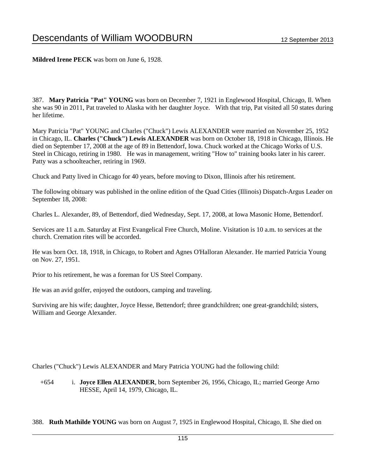**Mildred Irene PECK** was born on June 6, 1928.

387. **Mary Patricia "Pat" YOUNG** was born on December 7, 1921 in Englewood Hospital, Chicago, Il. When she was 90 in 2011, Pat traveled to Alaska with her daughter Joyce. With that trip, Pat visited all 50 states during her lifetime.

Mary Patricia "Pat" YOUNG and Charles ("Chuck") Lewis ALEXANDER were married on November 25, 1952 in Chicago, IL. **Charles ("Chuck") Lewis ALEXANDER** was born on October 18, 1918 in Chicago, Illinois. He died on September 17, 2008 at the age of 89 in Bettendorf, Iowa. Chuck worked at the Chicago Works of U.S. Steel in Chicago, retiring in 1980. He was in management, writing "How to" training books later in his career. Patty was a schoolteacher, retiring in 1969.

Chuck and Patty lived in Chicago for 40 years, before moving to Dixon, Illinois after his retirement.

The following obituary was published in the online edition of the Quad Cities (Illinois) Dispatch-Argus Leader on September 18, 2008:

Charles L. Alexander, 89, of Bettendorf, died Wednesday, Sept. 17, 2008, at Iowa Masonic Home, Bettendorf.

Services are 11 a.m. Saturday at First Evangelical Free Church, Moline. Visitation is 10 a.m. to services at the church. Cremation rites will be accorded.

He was born Oct. 18, 1918, in Chicago, to Robert and Agnes O'Halloran Alexander. He married Patricia Young on Nov. 27, 1951.

Prior to his retirement, he was a foreman for US Steel Company.

He was an avid golfer, enjoyed the outdoors, camping and traveling.

Surviving are his wife; daughter, Joyce Hesse, Bettendorf; three grandchildren; one great-grandchild; sisters, William and George Alexander.

Charles ("Chuck") Lewis ALEXANDER and Mary Patricia YOUNG had the following child:

+654 i. **Joyce Ellen ALEXANDER**, born September 26, 1956, Chicago, IL; married George Arno HESSE, April 14, 1979, Chicago, IL.

388. **Ruth Mathilde YOUNG** was born on August 7, 1925 in Englewood Hospital, Chicago, Il. She died on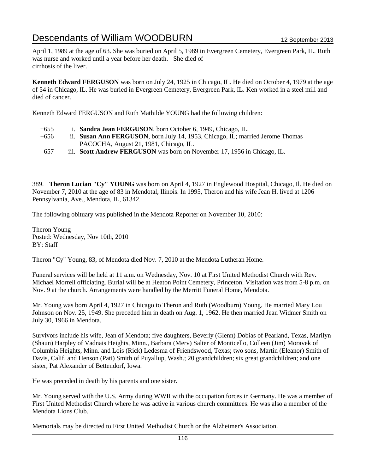April 1, 1989 at the age of 63. She was buried on April 5, 1989 in Evergreen Cemetery, Evergreen Park, IL. Ruth was nurse and worked until a year before her death. She died of cirrhosis of the liver.

**Kenneth Edward FERGUSON** was born on July 24, 1925 in Chicago, IL. He died on October 4, 1979 at the age of 54 in Chicago, IL. He was buried in Evergreen Cemetery, Evergreen Park, IL. Ken worked in a steel mill and died of cancer.

Kenneth Edward FERGUSON and Ruth Mathilde YOUNG had the following children:

| $+655$ | i. Sandra Jean FERGUSON, born October 6, 1949, Chicago, IL.                    |
|--------|--------------------------------------------------------------------------------|
| $+656$ | ii. Susan Ann FERGUSON, born July 14, 1953, Chicago, IL; married Jerome Thomas |
|        | PACOCHA, August 21, 1981, Chicago, IL.                                         |
| 657    | iii. Scott Andrew FERGUSON was born on November 17, 1956 in Chicago, IL.       |

389. **Theron Lucian "Cy" YOUNG** was born on April 4, 1927 in Englewood Hospital, Chicago, Il. He died on November 7, 2010 at the age of 83 in Mendotal, Ilinois. In 1995, Theron and his wife Jean H. lived at 1206 Pennsylvania, Ave., Mendota, IL, 61342.

The following obituary was published in the Mendota Reporter on November 10, 2010:

Theron Young Posted: Wednesday, Nov 10th, 2010 BY: Staff

Theron "Cy" Young, 83, of Mendota died Nov. 7, 2010 at the Mendota Lutheran Home.

Funeral services will be held at 11 a.m. on Wednesday, Nov. 10 at First United Methodist Church with Rev. Michael Morrell officiating. Burial will be at Heaton Point Cemetery, Princeton. Visitation was from 5-8 p.m. on Nov. 9 at the church. Arrangements were handled by the Merritt Funeral Home, Mendota.

Mr. Young was born April 4, 1927 in Chicago to Theron and Ruth (Woodburn) Young. He married Mary Lou Johnson on Nov. 25, 1949. She preceded him in death on Aug. 1, 1962. He then married Jean Widmer Smith on July 30, 1966 in Mendota.

Survivors include his wife, Jean of Mendota; five daughters, Beverly (Glenn) Dobias of Pearland, Texas, Marilyn (Shaun) Harpley of Vadnais Heights, Minn., Barbara (Merv) Salter of Monticello, Colleen (Jim) Moravek of Columbia Heights, Minn. and Lois (Rick) Ledesma of Friendswood, Texas; two sons, Martin (Eleanor) Smith of Davis, Calif. and Henson (Pati) Smith of Puyallup, Wash.; 20 grandchildren; six great grandchildren; and one sister, Pat Alexander of Bettendorf, Iowa.

He was preceded in death by his parents and one sister.

Mr. Young served with the U.S. Army during WWII with the occupation forces in Germany. He was a member of First United Methodist Church where he was active in various church committees. He was also a member of the Mendota Lions Club.

Memorials may be directed to First United Methodist Church or the Alzheimer's Association.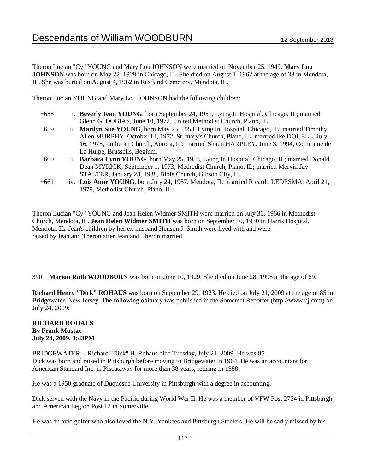Theron Lucian "Cy" YOUNG and Mary Lou JOHNSON were married on November 25, 1949. **Mary Lou JOHNSON** was born on May 22, 1929 in Chicago, IL. She died on August 1, 1962 at the age of 33 in Mendota, IL. She was buried on August 4, 1962 in Restland Cemetery, Mendota, IL.

Theron Lucian YOUNG and Mary Lou JOHNSON had the following children:

- +658 i. **Beverly Jean YOUNG**, born September 24, 1951, Lying In Hospital, Chicago, IL; married Glenn G. DOBIAS, June 10, 1972, United Methodist Church, Plano, IL.
- +659 ii. **Marilyn Sue YOUNG**, born May 25, 1953, Lying In Hospital, Chicago, IL; married Timothy Allen MURPHY, October 14, 1972, St. mary's Church, Plano, IL; married Ike DOUELL, July 16, 1978, Lutheran Church, Aurora, IL; married Shaun HARPLEY, June 3, 1994, Commune de La Hulpe, Brussells, Begium.
- +660 iii. **Barbara Lynn YOUNG**, born May 25, 1953, Lying In Hospital, Chicago, IL; married Donald Dean MYRICK, September 1, 1973, Methodist Church, Plano, IL; married Mervin Jay STALTER, January 23, 1988, Bible Church, Gibson City, IL.
- +661 iv. **Lois Anne YOUNG**, born July 24, 1957, Mendota, IL; married Ricardo LEDESMA, April 21, 1979, Methodist Church, Plano, IL.

Theron Lucian "Cy" YOUNG and Jean Helen Widmer SMITH were married on July 30, 1966 in Methodist Church, Mendota, IL. **Jean Helen Widmer SMITH** was born on September 10, 1930 in Harris Hospital, Mendota, IL. Jean's children by her ex-husband Henson J. Smith were lived with and were raised by Jean and Theron after Jean and Theron married.

390. **Marion Ruth WOODBURN** was born on June 10, 1929. She died on June 28, 1998 at the age of 69.

**Richard Henry "Dick" ROHAUS** was born on September 29, 1923. He died on July 21, 2009 at the age of 85 in Bridgewater, New Jersey. The following obituary was published in the Somerset Reporter (http://www.nj.com) on July 24, 2009:

### **RICHARD ROHAUS By Frank Mustac July 24, 2009, 3:43PM**

BRIDGEWATER -- Richard "Dick" H. Rohaus died Tuesday, July 21, 2009. He was 85. Dick was born and raised in Pittsburgh before moving to Bridgewater in 1964. He was an accountant for American Standard Inc. in Piscataway for more than 38 years, retiring in 1988.

He was a 1950 graduate of Duquesne University in Pittsburgh with a degree in accounting.

Dick served with the Navy in the Pacific during World War II. He was a member of VFW Post 2754 in Pittsburgh and American Legion Post 12 in Somerville.

He was an avid golfer who also loved the N.Y. Yankees and Pittsburgh Steelers. He will be sadly missed by his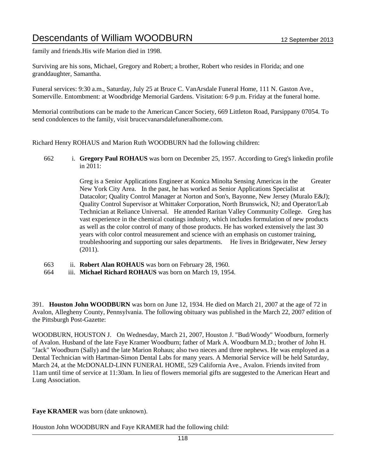family and friends.His wife Marion died in 1998.

Surviving are his sons, Michael, Gregory and Robert; a brother, Robert who resides in Florida; and one granddaughter, Samantha.

Funeral services: 9:30 a.m., Saturday, July 25 at Bruce C. VanArsdale Funeral Home, 111 N. Gaston Ave., Somerville. Entombment: at Woodbridge Memorial Gardens. Visitation: 6-9 p.m. Friday at the funeral home.

Memorial contributions can be made to the American Cancer Society, 669 Littleton Road, Parsippany 07054. To send condolences to the family, visit brucecvanarsdalefuneralhome.com.

Richard Henry ROHAUS and Marion Ruth WOODBURN had the following children:

662 i. **Gregory Paul ROHAUS** was born on December 25, 1957. According to Greg's linkedin profile in 2011:

> Greg is a Senior Applications Engineer at Konica Minolta Sensing Americas in the Greater New York City Area. In the past, he has worked as Senior Applications Specialist at Datacolor; Quality Control Manager at Norton and Son's, Bayonne, New Jersey (Muralo E&J); Quality Control Supervisor at Whittaker Corporation, North Brunswick, NJ; and Operator/Lab Technician at Reliance Universal. He attended Raritan Valley Community College. Greg has vast experience in the chemical coatings industry, which includes formulation of new products as well as the color control of many of those products. He has worked extensively the last 30 years with color control measurement and science with an emphasis on customer training, troubleshooring and supporting our sales departments. He lives in Bridgewater, New Jersey (2011).

- 663 ii. **Robert Alan ROHAUS** was born on February 28, 1960.
- 664 iii. **Michael Richard ROHAUS** was born on March 19, 1954.

391. **Houston John WOODBURN** was born on June 12, 1934. He died on March 21, 2007 at the age of 72 in Avalon, Allegheny County, Pennsylvania. The following obituary was published in the March 22, 2007 edition of the Pittsburgh Post-Gazette:

WOODBURN, HOUSTON J. On Wednesday, March 21, 2007, Houston J. "Bud/Woody" Woodburn, formerly of Avalon. Husband of the late Faye Kramer Woodburn; father of Mark A. Woodburn M.D.; brother of John H. "Jack" Woodburn (Sally) and the late Marion Rohaus; also two nieces and three nephews. He was employed as a Dental Technician with Hartman-Simon Dental Labs for many years. A Memorial Service will be held Saturday, March 24, at the McDONALD-LINN FUNERAL HOME, 529 California Ave., Avalon. Friends invited from 11am until time of service at 11:30am. In lieu of flowers memorial gifts are suggested to the American Heart and Lung Association.

**Faye KRAMER** was born (date unknown).

Houston John WOODBURN and Faye KRAMER had the following child: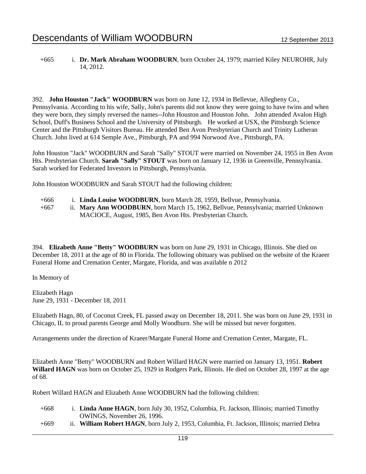### +665 i. **Dr. Mark Abraham WOODBURN**, born October 24, 1979; married Kiley NEUROHR, July 14, 2012.

392. **John Houston "Jack" WOODBURN** was born on June 12, 1934 in Bellevue, Allegheny Co., Pennsylvania. According to his wife, Sally, John's parents did not know they were going to have twins and when they were born, they simply reversed the names--John Houston and Houston John. John attended Avalon High School, Duff's Business School and the University of Pittsburgh. He worked at USX, the Pittsburgh Science Center and the Pittsburgh Visitors Bureau. He attended Ben Avon Presbyterian Church and Trinity Lutheran Church. John lived at 614 Semple Ave., Pittsburgh, PA and 994 Norwood Ave., Pittsburgh, PA.

John Houston "Jack" WOODBURN and Sarah "Sally" STOUT were married on November 24, 1955 in Ben Avon Hts. Presbyterian Church. **Sarah "Sally" STOUT** was born on January 12, 1936 in Greenville, Pennsylvania. Sarah worked for Federated Investors in Pittsburgh, Pennsylvania.

John Houston WOODBURN and Sarah STOUT had the following children:

- +666 i. **Linda Louise WOODBURN**, born March 28, 1959, Bellvue, Pennsylvania.
- +667 ii. **Mary Ann WOODBURN**, born March 15, 1962, Bellvue, Pennsylvania; married Unknown MACIOCE, August, 1985, Ben Avon Hts. Presbyterian Church.

394. **Elizabeth Anne "Betty" WOODBURN** was born on June 29, 1931 in Chicago, Illinois. She died on December 18, 2011 at the age of 80 in Florida. The following obituary was publised on the website of the Kraeer Funeral Home and Cremation Center, Margate, Florida, and was available n 2012

In Memory of

Elizabeth Hagn June 29, 1931 - December 18, 2011

Elizabeth Hagn, 80, of Coconut Creek, FL passed away on December 18, 2011. She was born on June 29, 1931 in Chicago, IL to proud parents George amd Molly Woodburn. She will be missed but never forgotten.

Arrangements under the direction of Kraeer/Margate Funeral Home and Cremation Center, Margate, FL.

Elizabeth Anne "Betty" WOODBURN and Robert Willard HAGN were married on January 13, 1951. **Robert Willard HAGN** was born on October 25, 1929 in Rodgers Park, Illinois. He died on October 28, 1997 at the age of 68.

Robert Willard HAGN and Elizabeth Anne WOODBURN had the following children:

- +668 i. **Linda Anne HAGN**, born July 30, 1952, Columbia, Ft. Jackson, Illinois; married Timothy OWINGS, November 26, 1996.
- +669 ii. **William Robert HAGN**, born July 2, 1953, Columbia, Ft. Jackson, Illinois; married Debra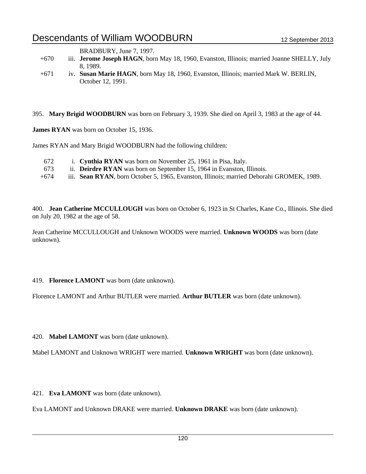BRADBURY, June 7, 1997.

- +670 iii. **Jerome Joseph HAGN**, born May 18, 1960, Evanston, Illinois; married Joanne SHELLY, July 8, 1989.
- +671 iv. **Susan Marie HAGN**, born May 18, 1960, Evanston, Illinois; married Mark W. BERLIN, October 12, 1991.

395. **Mary Brigid WOODBURN** was born on February 3, 1939. She died on April 3, 1983 at the age of 44.

**James RYAN** was born on October 15, 1936.

James RYAN and Mary Brigid WOODBURN had the following children:

- 672 i. **Cynthia RYAN** was born on November 25, 1961 in Pisa, Italy.
- 673 ii. **Deirdre RYAN** was born on September 15, 1964 in Evanston, Illinois.
- +674 iii. **Sean RYAN**, born October 5, 1965, Evanston, Illinois; married Deborahi GROMEK, 1989.

400. **Jean Catherine MCCULLOUGH** was born on October 6, 1923 in St Charles, Kane Co., Illinois. She died on July 20, 1982 at the age of 58.

Jean Catherine MCCULLOUGH and Unknown WOODS were married. **Unknown WOODS** was born (date unknown).

### 419. **Florence LAMONT** was born (date unknown).

Florence LAMONT and Arthur BUTLER were married. **Arthur BUTLER** was born (date unknown).

420. **Mabel LAMONT** was born (date unknown).

Mabel LAMONT and Unknown WRIGHT were married. **Unknown WRIGHT** was born (date unknown).

421. **Eva LAMONT** was born (date unknown).

Eva LAMONT and Unknown DRAKE were married. **Unknown DRAKE** was born (date unknown).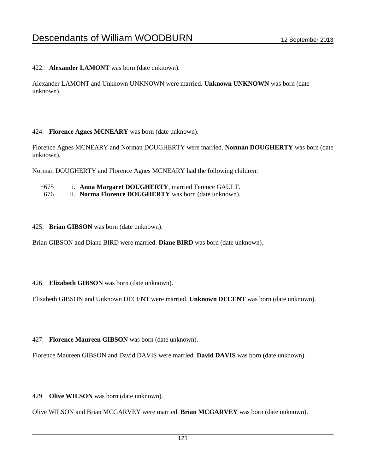422. **Alexander LAMONT** was born (date unknown).

Alexander LAMONT and Unknown UNKNOWN were married. **Unknown UNKNOWN** was born (date unknown).

### 424. **Florence Agnes MCNEARY** was born (date unknown).

Florence Agnes MCNEARY and Norman DOUGHERTY were married. **Norman DOUGHERTY** was born (date unknown).

Norman DOUGHERTY and Florence Agnes MCNEARY had the following children:

- +675 i. **Anna Margaret DOUGHERTY**, married Terence GAULT.
- 676 ii. **Norma Florence DOUGHERTY** was born (date unknown).
- 425. **Brian GIBSON** was born (date unknown).

Brian GIBSON and Diane BIRD were married. **Diane BIRD** was born (date unknown).

### 426. **Elizabeth GIBSON** was born (date unknown).

Elizabeth GIBSON and Unknown DECENT were married. **Unknown DECENT** was born (date unknown).

427. **Florence Maureen GIBSON** was born (date unknown).

Florence Maureen GIBSON and David DAVIS were married. **David DAVIS** was born (date unknown).

429. **Olive WILSON** was born (date unknown).

Olive WILSON and Brian MCGARVEY were married. **Brian MCGARVEY** was born (date unknown).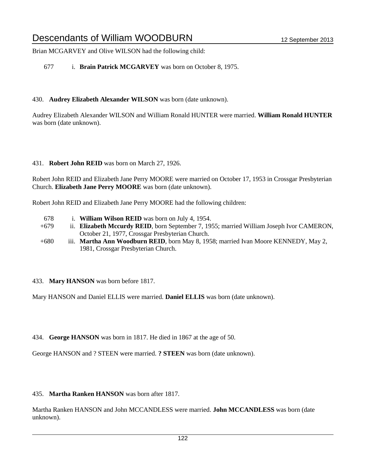Brian MCGARVEY and Olive WILSON had the following child:

677 i. **Brain Patrick MCGARVEY** was born on October 8, 1975.

# 430. **Audrey Elizabeth Alexander WILSON** was born (date unknown).

Audrey Elizabeth Alexander WILSON and William Ronald HUNTER were married. **William Ronald HUNTER** was born (date unknown).

# 431. **Robert John REID** was born on March 27, 1926.

Robert John REID and Elizabeth Jane Perry MOORE were married on October 17, 1953 in Crossgar Presbyterian Church. **Elizabeth Jane Perry MOORE** was born (date unknown).

Robert John REID and Elizabeth Jane Perry MOORE had the following children:

- 678 i. **William Wilson REID** was born on July 4, 1954.
- +679 ii. **Elizabeth Mccurdy REID**, born September 7, 1955; married William Joseph Ivor CAMERON, October 21, 1977, Crossgar Presbyterian Church.
- +680 iii. **Martha Ann Woodburn REID**, born May 8, 1958; married Ivan Moore KENNEDY, May 2, 1981, Crossgar Presbyterian Church.

# 433. **Mary HANSON** was born before 1817.

Mary HANSON and Daniel ELLIS were married. **Daniel ELLIS** was born (date unknown).

434. **George HANSON** was born in 1817. He died in 1867 at the age of 50.

George HANSON and ? STEEN were married. **? STEEN** was born (date unknown).

# 435. **Martha Ranken HANSON** was born after 1817.

Martha Ranken HANSON and John MCCANDLESS were married. **John MCCANDLESS** was born (date unknown).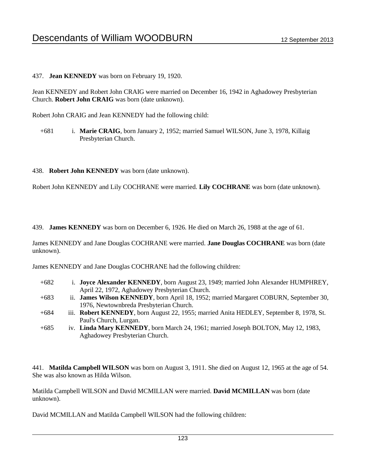### 437. **Jean KENNEDY** was born on February 19, 1920.

Jean KENNEDY and Robert John CRAIG were married on December 16, 1942 in Aghadowey Presbyterian Church. **Robert John CRAIG** was born (date unknown).

Robert John CRAIG and Jean KENNEDY had the following child:

+681 i. **Marie CRAIG**, born January 2, 1952; married Samuel WILSON, June 3, 1978, Killaig Presbyterian Church.

### 438. **Robert John KENNEDY** was born (date unknown).

Robert John KENNEDY and Lily COCHRANE were married. **Lily COCHRANE** was born (date unknown).

439. **James KENNEDY** was born on December 6, 1926. He died on March 26, 1988 at the age of 61.

James KENNEDY and Jane Douglas COCHRANE were married. **Jane Douglas COCHRANE** was born (date unknown).

James KENNEDY and Jane Douglas COCHRANE had the following children:

- +682 i. **Joyce Alexander KENNEDY**, born August 23, 1949; married John Alexander HUMPHREY, April 22, 1972, Aghadowey Presbyterian Church.
- +683 ii. **James Wilson KENNEDY**, born April 18, 1952; married Margaret COBURN, September 30, 1976, Newtownbreda Presbyterian Church.
- +684 iii. **Robert KENNEDY**, born August 22, 1955; married Anita HEDLEY, September 8, 1978, St. Paul's Church, Lurgan.
- +685 iv. **Linda Mary KENNEDY**, born March 24, 1961; married Joseph BOLTON, May 12, 1983, Aghadowey Presbyterian Church.

441. **Matilda Campbell WILSON** was born on August 3, 1911. She died on August 12, 1965 at the age of 54. She was also known as Hilda Wilson.

Matilda Campbell WILSON and David MCMILLAN were married. **David MCMILLAN** was born (date unknown).

David MCMILLAN and Matilda Campbell WILSON had the following children: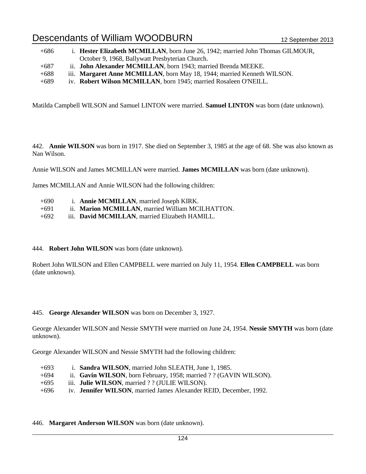| $+686$ | i. Hester Elizabeth MCMILLAN, born June 26, 1942; married John Thomas GILMOUR, |
|--------|--------------------------------------------------------------------------------|
|        | October 9, 1968, Ballywatt Presbyterian Church.                                |
| $+687$ | ii. John Alexander MCMILLAN, born 1943; married Brenda MEEKE.                  |
| $+688$ | iii. Margaret Anne MCMILLAN, born May 18, 1944; married Kenneth WILSON.        |
| $+689$ | iv. Robert Wilson MCMILLAN, born 1945; married Rosaleen O'NEILL.               |

Matilda Campbell WILSON and Samuel LINTON were married. **Samuel LINTON** was born (date unknown).

442. **Annie WILSON** was born in 1917. She died on September 3, 1985 at the age of 68. She was also known as Nan Wilson.

Annie WILSON and James MCMILLAN were married. **James MCMILLAN** was born (date unknown).

James MCMILLAN and Annie WILSON had the following children:

- +690 i. **Annie MCMILLAN**, married Joseph KIRK.
- +691 ii. **Marion MCMILLAN**, married William MCILHATTON.
- +692 iii. **David MCMILLAN**, married Elizabeth HAMILL.

### 444. **Robert John WILSON** was born (date unknown).

Robert John WILSON and Ellen CAMPBELL were married on July 11, 1954. **Ellen CAMPBELL** was born (date unknown).

### 445. **George Alexander WILSON** was born on December 3, 1927.

George Alexander WILSON and Nessie SMYTH were married on June 24, 1954. **Nessie SMYTH** was born (date unknown).

George Alexander WILSON and Nessie SMYTH had the following children:

- +693 i. **Sandra WILSON**, married John SLEATH, June 1, 1985.
- +694 ii. **Gavin WILSON**, born February, 1958; married ? ? (GAVIN WILSON).
- +695 iii. **Julie WILSON**, married ? ? (JULIE WILSON).
- +696 iv. **Jennifer WILSON**, married James Alexander REID, December, 1992.

### 446. **Margaret Anderson WILSON** was born (date unknown).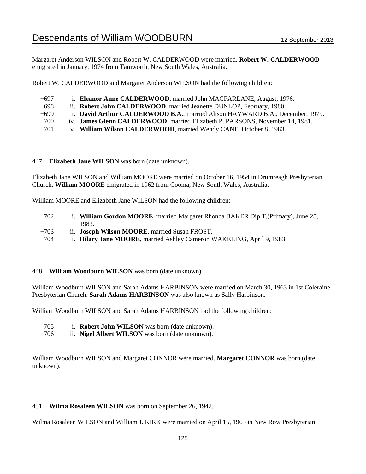Margaret Anderson WILSON and Robert W. CALDERWOOD were married. **Robert W. CALDERWOOD** emigrated in January, 1974 from Tamworth, New South Wales, Australia.

Robert W. CALDERWOOD and Margaret Anderson WILSON had the following children:

| $+697$ |  | 1. Eleanor Anne CALDERWOOD, married John MACFARLANE, August, 1976. |  |
|--------|--|--------------------------------------------------------------------|--|
|        |  |                                                                    |  |

- +698 ii. **Robert John CALDERWOOD**, married Jeanette DUNLOP, February, 1980.
- +699 iii. **David Arthur CALDERWOOD B.A.**, married Alison HAYWARD B.A., December, 1979.
- +700 iv. **James Glenn CALDERWOOD**, married Elizabeth P. PARSONS, November 14, 1981.
- +701 v. **William Wilson CALDERWOOD**, married Wendy CANE, October 8, 1983.

### 447. **Elizabeth Jane WILSON** was born (date unknown).

Elizabeth Jane WILSON and William MOORE were married on October 16, 1954 in Drumreagh Presbyterian Church. **William MOORE** emigrated in 1962 from Cooma, New South Wales, Australia.

William MOORE and Elizabeth Jane WILSON had the following children:

- +702 i. **William Gordon MOORE**, married Margaret Rhonda BAKER Dip.T.(Primary), June 25, 1983.
- +703 ii. **Joseph Wilson MOORE**, married Susan FROST.
- +704 iii. **Hilary Jane MOORE**, married Ashley Cameron WAKELING, April 9, 1983.

### 448. **William Woodburn WILSON** was born (date unknown).

William Woodburn WILSON and Sarah Adams HARBINSON were married on March 30, 1963 in 1st Coleraine Presbyterian Church. **Sarah Adams HARBINSON** was also known as Sally Harbinson.

William Woodburn WILSON and Sarah Adams HARBINSON had the following children:

- 705 i. **Robert John WILSON** was born (date unknown).
- 706 ii. **Nigel Albert WILSON** was born (date unknown).

William Woodburn WILSON and Margaret CONNOR were married. **Margaret CONNOR** was born (date unknown).

### 451. **Wilma Rosaleen WILSON** was born on September 26, 1942.

Wilma Rosaleen WILSON and William J. KIRK were married on April 15, 1963 in New Row Presbyterian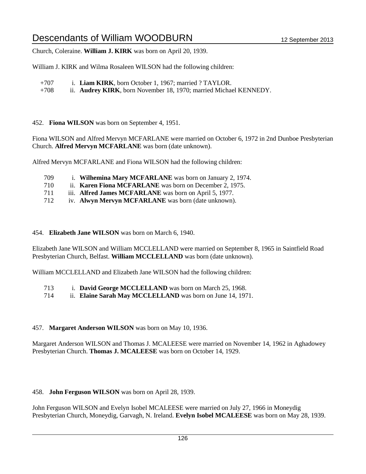Church, Coleraine. **William J. KIRK** was born on April 20, 1939.

William J. KIRK and Wilma Rosaleen WILSON had the following children:

- +707 i. **Liam KIRK**, born October 1, 1967; married ? TAYLOR.
- +708 ii. **Audrey KIRK**, born November 18, 1970; married Michael KENNEDY.

452. **Fiona WILSON** was born on September 4, 1951.

Fiona WILSON and Alfred Mervyn MCFARLANE were married on October 6, 1972 in 2nd Dunboe Presbyterian Church. **Alfred Mervyn MCFARLANE** was born (date unknown).

Alfred Mervyn MCFARLANE and Fiona WILSON had the following children:

- 709 i. **Wilhemina Mary MCFARLANE** was born on January 2, 1974.
- 710 ii. **Karen Fiona MCFARLANE** was born on December 2, 1975.
- 711 iii. **Alfred James MCFARLANE** was born on April 5, 1977.
- 712 iv. **Alwyn Mervyn MCFARLANE** was born (date unknown).

### 454. **Elizabeth Jane WILSON** was born on March 6, 1940.

Elizabeth Jane WILSON and William MCCLELLAND were married on September 8, 1965 in Saintfield Road Presbyterian Church, Belfast. **William MCCLELLAND** was born (date unknown).

William MCCLELLAND and Elizabeth Jane WILSON had the following children:

- 713 i. **David George MCCLELLAND** was born on March 25, 1968.
- 714 ii. **Elaine Sarah May MCCLELLAND** was born on June 14, 1971.

# 457. **Margaret Anderson WILSON** was born on May 10, 1936.

Margaret Anderson WILSON and Thomas J. MCALEESE were married on November 14, 1962 in Aghadowey Presbyterian Church. **Thomas J. MCALEESE** was born on October 14, 1929.

# 458. **John Ferguson WILSON** was born on April 28, 1939.

John Ferguson WILSON and Evelyn Isobel MCALEESE were married on July 27, 1966 in Moneydig Presbyterian Church, Moneydig, Garvagh, N. Ireland. **Evelyn Isobel MCALEESE** was born on May 28, 1939.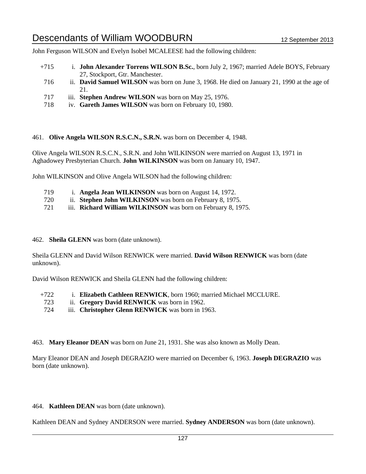John Ferguson WILSON and Evelyn Isobel MCALEESE had the following children:

- +715 i. **John Alexander Torrens WILSON B.Sc.**, born July 2, 1967; married Adele BOYS, February 27, Stockport, Gtr. Manchester.
- 716 ii. **David Samuel WILSON** was born on June 3, 1968. He died on January 21, 1990 at the age of 21.
- 717 iii. **Stephen Andrew WILSON** was born on May 25, 1976.
- 718 iv. **Gareth James WILSON** was born on February 10, 1980.

461. **Olive Angela WILSON R.S.C.N., S.R.N.** was born on December 4, 1948.

Olive Angela WILSON R.S.C.N., S.R.N. and John WILKINSON were married on August 13, 1971 in Aghadowey Presbyterian Church. **John WILKINSON** was born on January 10, 1947.

John WILKINSON and Olive Angela WILSON had the following children:

- 719 i. **Angela Jean WILKINSON** was born on August 14, 1972.
- 720 ii. **Stephen John WILKINSON** was born on February 8, 1975.
- 721 iii. **Richard William WILKINSON** was born on February 8, 1975.
- 462. **Sheila GLENN** was born (date unknown).

Sheila GLENN and David Wilson RENWICK were married. **David Wilson RENWICK** was born (date unknown).

David Wilson RENWICK and Sheila GLENN had the following children:

- +722 i. **Elizabeth Cathleen RENWICK**, born 1960; married Michael MCCLURE.
	- 723 ii. **Gregory David RENWICK** was born in 1962.
- 724 iii. **Christopher Glenn RENWICK** was born in 1963.

463. **Mary Eleanor DEAN** was born on June 21, 1931. She was also known as Molly Dean.

Mary Eleanor DEAN and Joseph DEGRAZIO were married on December 6, 1963. **Joseph DEGRAZIO** was born (date unknown).

464. **Kathleen DEAN** was born (date unknown).

Kathleen DEAN and Sydney ANDERSON were married. **Sydney ANDERSON** was born (date unknown).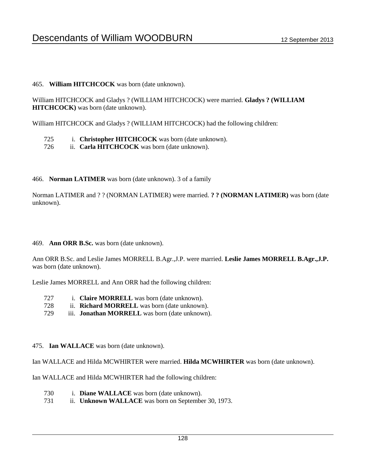# 465. **William HITCHCOCK** was born (date unknown).

William HITCHCOCK and Gladys ? (WILLIAM HITCHCOCK) were married. **Gladys ? (WILLIAM HITCHCOCK)** was born (date unknown).

William HITCHCOCK and Gladys ? (WILLIAM HITCHCOCK) had the following children:

- 725 i. **Christopher HITCHCOCK** was born (date unknown).
- 726 ii. **Carla HITCHCOCK** was born (date unknown).

# 466. **Norman LATIMER** was born (date unknown). 3 of a family

Norman LATIMER and ? ? (NORMAN LATIMER) were married. **? ? (NORMAN LATIMER)** was born (date unknown).

469. **Ann ORR B.Sc.** was born (date unknown).

Ann ORR B.Sc. and Leslie James MORRELL B.Agr.,J.P. were married. **Leslie James MORRELL B.Agr.,J.P.** was born (date unknown).

Leslie James MORRELL and Ann ORR had the following children:

- 727 i. **Claire MORRELL** was born (date unknown).
- 728 ii. **Richard MORRELL** was born (date unknown).
- 729 iii. **Jonathan MORRELL** was born (date unknown).
- 475. **Ian WALLACE** was born (date unknown).

Ian WALLACE and Hilda MCWHIRTER were married. **Hilda MCWHIRTER** was born (date unknown).

Ian WALLACE and Hilda MCWHIRTER had the following children:

- 730 i. **Diane WALLACE** was born (date unknown).
- 731 ii. **Unknown WALLACE** was born on September 30, 1973.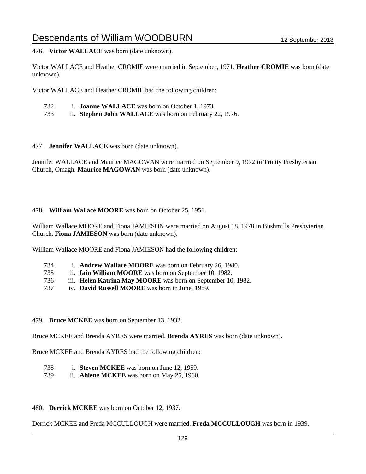476. **Victor WALLACE** was born (date unknown).

Victor WALLACE and Heather CROMIE were married in September, 1971. **Heather CROMIE** was born (date unknown).

Victor WALLACE and Heather CROMIE had the following children:

- 732 i. **Joanne WALLACE** was born on October 1, 1973.
- 733 ii. **Stephen John WALLACE** was born on February 22, 1976.

477. **Jennifer WALLACE** was born (date unknown).

Jennifer WALLACE and Maurice MAGOWAN were married on September 9, 1972 in Trinity Presbyterian Church, Omagh. **Maurice MAGOWAN** was born (date unknown).

### 478. **William Wallace MOORE** was born on October 25, 1951.

William Wallace MOORE and Fiona JAMIESON were married on August 18, 1978 in Bushmills Presbyterian Church. **Fiona JAMIESON** was born (date unknown).

William Wallace MOORE and Fiona JAMIESON had the following children:

- 734 i. **Andrew Wallace MOORE** was born on February 26, 1980.
- 735 ii. **Iain William MOORE** was born on September 10, 1982.
- 736 iii. **Helen Katrina May MOORE** was born on September 10, 1982.
- 737 iv. **David Russell MOORE** was born in June, 1989.

### 479. **Bruce MCKEE** was born on September 13, 1932.

Bruce MCKEE and Brenda AYRES were married. **Brenda AYRES** was born (date unknown).

Bruce MCKEE and Brenda AYRES had the following children:

- 738 i. **Steven MCKEE** was born on June 12, 1959.
- 739 ii. **Ahlene MCKEE** was born on May 25, 1960.

### 480. **Derrick MCKEE** was born on October 12, 1937.

Derrick MCKEE and Freda MCCULLOUGH were married. **Freda MCCULLOUGH** was born in 1939.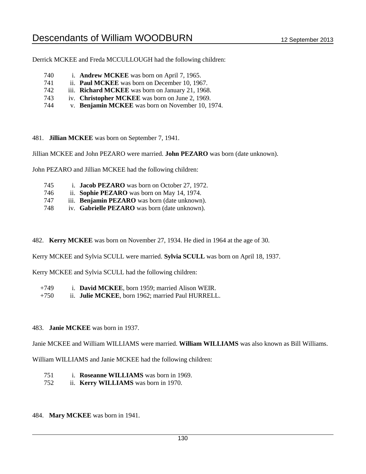Derrick MCKEE and Freda MCCULLOUGH had the following children:

- 740 i. **Andrew MCKEE** was born on April 7, 1965.
- 741 ii. **Paul MCKEE** was born on December 10, 1967.
- 742 iii. **Richard MCKEE** was born on January 21, 1968.
- 743 iv. **Christopher MCKEE** was born on June 2, 1969.
- 744 v. **Benjamin MCKEE** was born on November 10, 1974.
- 481. **Jillian MCKEE** was born on September 7, 1941.

Jillian MCKEE and John PEZARO were married. **John PEZARO** was born (date unknown).

John PEZARO and Jillian MCKEE had the following children:

- 745 i. **Jacob PEZARO** was born on October 27, 1972.
- 746 ii. **Sophie PEZARO** was born on May 14, 1974.
- 747 iii. **Benjamin PEZARO** was born (date unknown).
- 748 iv. **Gabrielle PEZARO** was born (date unknown).
- 482. **Kerry MCKEE** was born on November 27, 1934. He died in 1964 at the age of 30.

Kerry MCKEE and Sylvia SCULL were married. **Sylvia SCULL** was born on April 18, 1937.

Kerry MCKEE and Sylvia SCULL had the following children:

- +749 i. **David MCKEE**, born 1959; married Alison WEIR.
- +750 ii. **Julie MCKEE**, born 1962; married Paul HURRELL.
- 483. **Janie MCKEE** was born in 1937.

Janie MCKEE and William WILLIAMS were married. **William WILLIAMS** was also known as Bill Williams.

William WILLIAMS and Janie MCKEE had the following children:

- 751 i. **Roseanne WILLIAMS** was born in 1969.
- 752 ii. **Kerry WILLIAMS** was born in 1970.
- 484. **Mary MCKEE** was born in 1941.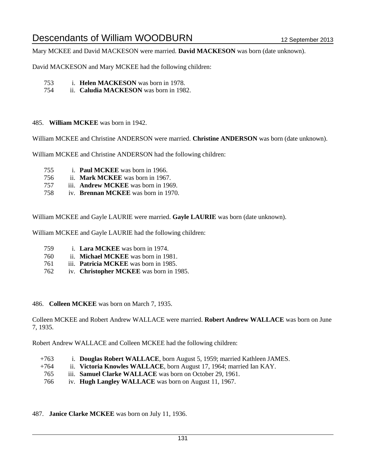Mary MCKEE and David MACKESON were married. **David MACKESON** was born (date unknown).

David MACKESON and Mary MCKEE had the following children:

- 753 i. **Helen MACKESON** was born in 1978.
- 754 ii. **Caludia MACKESON** was born in 1982.

### 485. **William MCKEE** was born in 1942.

William MCKEE and Christine ANDERSON were married. **Christine ANDERSON** was born (date unknown).

William MCKEE and Christine ANDERSON had the following children:

- 755 i. **Paul MCKEE** was born in 1966.
- 756 ii. **Mark MCKEE** was born in 1967.
- 757 iii. **Andrew MCKEE** was born in 1969.
- 758 iv. **Brennan MCKEE** was born in 1970.

William MCKEE and Gayle LAURIE were married. **Gayle LAURIE** was born (date unknown).

William MCKEE and Gayle LAURIE had the following children:

- 759 i. **Lara MCKEE** was born in 1974.
- 760 ii. **Michael MCKEE** was born in 1981.
- 761 iii. **Patricia MCKEE** was born in 1985.
- 762 iv. **Christopher MCKEE** was born in 1985.

### 486. **Colleen MCKEE** was born on March 7, 1935.

Colleen MCKEE and Robert Andrew WALLACE were married. **Robert Andrew WALLACE** was born on June 7, 1935.

Robert Andrew WALLACE and Colleen MCKEE had the following children:

- +763 i. **Douglas Robert WALLACE**, born August 5, 1959; married Kathleen JAMES.
- +764 ii. **Victoria Knowles WALLACE**, born August 17, 1964; married Ian KAY.
- 765 iii. **Samuel Clarke WALLACE** was born on October 29, 1961.
- 766 iv. **Hugh Langley WALLACE** was born on August 11, 1967.

### 487. **Janice Clarke MCKEE** was born on July 11, 1936.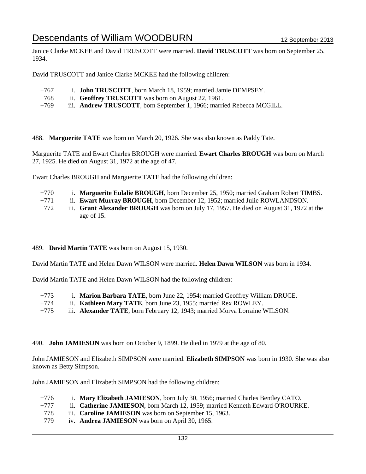Janice Clarke MCKEE and David TRUSCOTT were married. **David TRUSCOTT** was born on September 25, 1934.

David TRUSCOTT and Janice Clarke MCKEE had the following children:

- +767 i. **John TRUSCOTT**, born March 18, 1959; married Jamie DEMPSEY.
- 768 ii. **Geoffrey TRUSCOTT** was born on August 22, 1961.
- +769 iii. **Andrew TRUSCOTT**, born September 1, 1966; married Rebecca MCGILL.

488. **Marguerite TATE** was born on March 20, 1926. She was also known as Paddy Tate.

Marguerite TATE and Ewart Charles BROUGH were married. **Ewart Charles BROUGH** was born on March 27, 1925. He died on August 31, 1972 at the age of 47.

Ewart Charles BROUGH and Marguerite TATE had the following children:

- +770 i. **Marguerite Eulalie BROUGH**, born December 25, 1950; married Graham Robert TIMBS.
- +771 ii. **Ewart Murray BROUGH**, born December 12, 1952; married Julie ROWLANDSON.
- 772 iii. **Grant Alexander BROUGH** was born on July 17, 1957. He died on August 31, 1972 at the age of 15.

# 489. **David Martin TATE** was born on August 15, 1930.

David Martin TATE and Helen Dawn WILSON were married. **Helen Dawn WILSON** was born in 1934.

David Martin TATE and Helen Dawn WILSON had the following children:

+773 i. **Marion Barbara TATE**, born June 22, 1954; married Geoffrey William DRUCE.

- +774 ii. **Kathleen Mary TATE**, born June 23, 1955; married Rex ROWLEY.
- +775 iii. **Alexander TATE**, born February 12, 1943; married Morva Lorraine WILSON.
- 490. **John JAMIESON** was born on October 9, 1899. He died in 1979 at the age of 80.

John JAMIESON and Elizabeth SIMPSON were married. **Elizabeth SIMPSON** was born in 1930. She was also known as Betty Simpson.

John JAMIESON and Elizabeth SIMPSON had the following children:

- +776 i. **Mary Elizabeth JAMIESON**, born July 30, 1956; married Charles Bentley CATO.
- +777 ii. **Catherine JAMIESON**, born March 12, 1959; married Kenneth Edward O'ROURKE.
- 778 iii. **Caroline JAMIESON** was born on September 15, 1963.
- 779 iv. **Andrea JAMIESON** was born on April 30, 1965.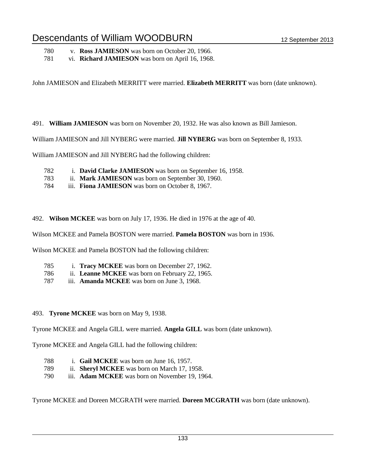780 v. **Ross JAMIESON** was born on October 20, 1966.

781 vi. **Richard JAMIESON** was born on April 16, 1968.

John JAMIESON and Elizabeth MERRITT were married. **Elizabeth MERRITT** was born (date unknown).

491. **William JAMIESON** was born on November 20, 1932. He was also known as Bill Jamieson.

William JAMIESON and Jill NYBERG were married. **Jill NYBERG** was born on September 8, 1933.

William JAMIESON and Jill NYBERG had the following children:

- 782 i. **David Clarke JAMIESON** was born on September 16, 1958.
- 783 ii. **Mark JAMIESON** was born on September 30, 1960.
- 784 iii. **Fiona JAMIESON** was born on October 8, 1967.

492. **Wilson MCKEE** was born on July 17, 1936. He died in 1976 at the age of 40.

Wilson MCKEE and Pamela BOSTON were married. **Pamela BOSTON** was born in 1936.

Wilson MCKEE and Pamela BOSTON had the following children:

- 785 i. **Tracy MCKEE** was born on December 27, 1962.
- 786 ii. **Leanne MCKEE** was born on February 22, 1965.
- 787 iii. **Amanda MCKEE** was born on June 3, 1968.

### 493. **Tyrone MCKEE** was born on May 9, 1938.

Tyrone MCKEE and Angela GILL were married. **Angela GILL** was born (date unknown).

Tyrone MCKEE and Angela GILL had the following children:

- 788 i. **Gail MCKEE** was born on June 16, 1957. 789 ii. **Sheryl MCKEE** was born on March 17, 1958.
- 790 iii. **Adam MCKEE** was born on November 19, 1964.

Tyrone MCKEE and Doreen MCGRATH were married. **Doreen MCGRATH** was born (date unknown).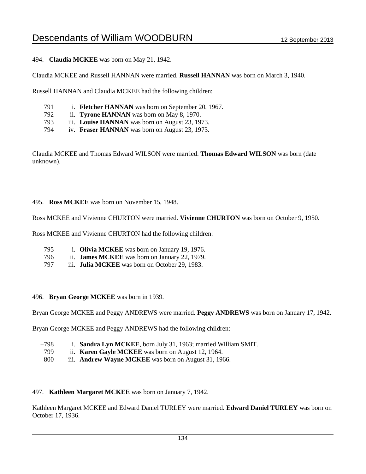494. **Claudia MCKEE** was born on May 21, 1942.

Claudia MCKEE and Russell HANNAN were married. **Russell HANNAN** was born on March 3, 1940.

Russell HANNAN and Claudia MCKEE had the following children:

- 791 i. **Fletcher HANNAN** was born on September 20, 1967.
- 792 ii. **Tyrone HANNAN** was born on May 8, 1970.
- 793 iii. **Louise HANNAN** was born on August 23, 1973.
- 794 iv. **Fraser HANNAN** was born on August 23, 1973.

Claudia MCKEE and Thomas Edward WILSON were married. **Thomas Edward WILSON** was born (date unknown).

#### 495. **Ross MCKEE** was born on November 15, 1948.

Ross MCKEE and Vivienne CHURTON were married. **Vivienne CHURTON** was born on October 9, 1950.

Ross MCKEE and Vivienne CHURTON had the following children:

- 795 i. **Olivia MCKEE** was born on January 19, 1976.
- 796 ii. **James MCKEE** was born on January 22, 1979.
- 797 iii. **Julia MCKEE** was born on October 29, 1983.

### 496. **Bryan George MCKEE** was born in 1939.

Bryan George MCKEE and Peggy ANDREWS were married. **Peggy ANDREWS** was born on January 17, 1942.

Bryan George MCKEE and Peggy ANDREWS had the following children:

- +798 i. **Sandra Lyn MCKEE**, born July 31, 1963; married William SMIT.
- 799 ii. **Karen Gayle MCKEE** was born on August 12, 1964.
- 800 iii. **Andrew Wayne MCKEE** was born on August 31, 1966.

### 497. **Kathleen Margaret MCKEE** was born on January 7, 1942.

Kathleen Margaret MCKEE and Edward Daniel TURLEY were married. **Edward Daniel TURLEY** was born on October 17, 1936.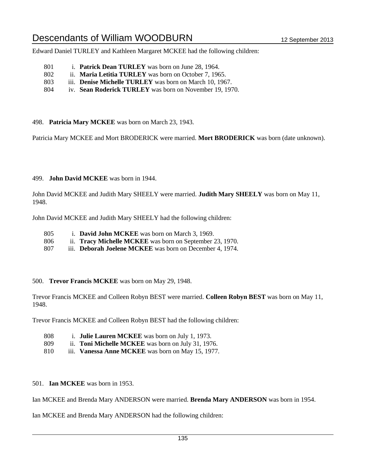Edward Daniel TURLEY and Kathleen Margaret MCKEE had the following children:

- 801 i. **Patrick Dean TURLEY** was born on June 28, 1964.
- 802 ii. **Maria Letitia TURLEY** was born on October 7, 1965.
- 803 iii. **Denise Michelle TURLEY** was born on March 10, 1967.
- 804 iv. **Sean Roderick TURLEY** was born on November 19, 1970.

498. **Patricia Mary MCKEE** was born on March 23, 1943.

Patricia Mary MCKEE and Mort BRODERICK were married. **Mort BRODERICK** was born (date unknown).

### 499. **John David MCKEE** was born in 1944.

John David MCKEE and Judith Mary SHEELY were married. **Judith Mary SHEELY** was born on May 11, 1948.

John David MCKEE and Judith Mary SHEELY had the following children:

- 805 i. **David John MCKEE** was born on March 3, 1969.
- 806 ii. **Tracy Michelle MCKEE** was born on September 23, 1970.
- 807 iii. **Deborah Joelene MCKEE** was born on December 4, 1974.

### 500. **Trevor Francis MCKEE** was born on May 29, 1948.

Trevor Francis MCKEE and Colleen Robyn BEST were married. **Colleen Robyn BEST** was born on May 11, 1948.

Trevor Francis MCKEE and Colleen Robyn BEST had the following children:

- 808 i. **Julie Lauren MCKEE** was born on July 1, 1973.
- 809 ii. **Toni Michelle MCKEE** was born on July 31, 1976.
- 810 iii. **Vanessa Anne MCKEE** was born on May 15, 1977.
- 501. **Ian MCKEE** was born in 1953.

Ian MCKEE and Brenda Mary ANDERSON were married. **Brenda Mary ANDERSON** was born in 1954.

Ian MCKEE and Brenda Mary ANDERSON had the following children: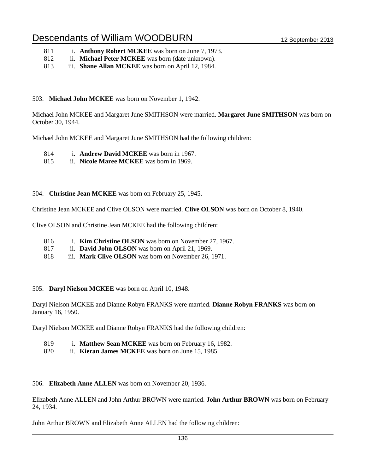- 811 i. **Anthony Robert MCKEE** was born on June 7, 1973.
- 812 ii. **Michael Peter MCKEE** was born (date unknown).
- 813 iii. **Shane Allan MCKEE** was born on April 12, 1984.

### 503. **Michael John MCKEE** was born on November 1, 1942.

Michael John MCKEE and Margaret June SMITHSON were married. **Margaret June SMITHSON** was born on October 30, 1944.

Michael John MCKEE and Margaret June SMITHSON had the following children:

- 814 i. **Andrew David MCKEE** was born in 1967.
- 815 ii. **Nicole Maree MCKEE** was born in 1969.

### 504. **Christine Jean MCKEE** was born on February 25, 1945.

Christine Jean MCKEE and Clive OLSON were married. **Clive OLSON** was born on October 8, 1940.

Clive OLSON and Christine Jean MCKEE had the following children:

- 816 i. **Kim Christine OLSON** was born on November 27, 1967.
- 817 ii. **David John OLSON** was born on April 21, 1969.
- 818 iii. **Mark Clive OLSON** was born on November 26, 1971.

### 505. **Daryl Nielson MCKEE** was born on April 10, 1948.

Daryl Nielson MCKEE and Dianne Robyn FRANKS were married. **Dianne Robyn FRANKS** was born on January 16, 1950.

Daryl Nielson MCKEE and Dianne Robyn FRANKS had the following children:

- 819 i. **Matthew Sean MCKEE** was born on February 16, 1982.
- 820 ii. **Kieran James MCKEE** was born on June 15, 1985.

### 506. **Elizabeth Anne ALLEN** was born on November 20, 1936.

Elizabeth Anne ALLEN and John Arthur BROWN were married. **John Arthur BROWN** was born on February 24, 1934.

John Arthur BROWN and Elizabeth Anne ALLEN had the following children: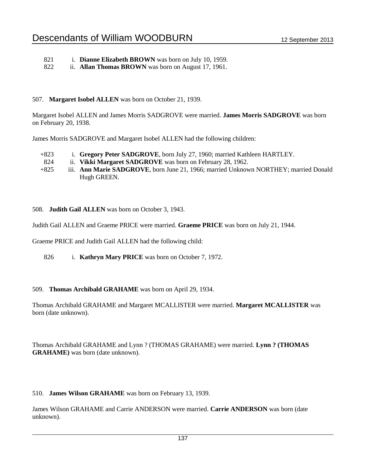- 821 i. **Dianne Elizabeth BROWN** was born on July 10, 1959.
- 822 ii. **Allan Thomas BROWN** was born on August 17, 1961.

# 507. **Margaret Isobel ALLEN** was born on October 21, 1939.

Margaret Isobel ALLEN and James Morris SADGROVE were married. **James Morris SADGROVE** was born on February 20, 1938.

James Morris SADGROVE and Margaret Isobel ALLEN had the following children:

- +823 i. **Gregory Peter SADGROVE**, born July 27, 1960; married Kathleen HARTLEY.
- 824 ii. **Vikki Margaret SADGROVE** was born on February 28, 1962.
- +825 iii. **Ann Marie SADGROVE**, born June 21, 1966; married Unknown NORTHEY; married Donald Hugh GREEN.
- 508. **Judith Gail ALLEN** was born on October 3, 1943.

Judith Gail ALLEN and Graeme PRICE were married. **Graeme PRICE** was born on July 21, 1944.

Graeme PRICE and Judith Gail ALLEN had the following child:

826 i. **Kathryn Mary PRICE** was born on October 7, 1972.

# 509. **Thomas Archibald GRAHAME** was born on April 29, 1934.

Thomas Archibald GRAHAME and Margaret MCALLISTER were married. **Margaret MCALLISTER** was born (date unknown).

Thomas Archibald GRAHAME and Lynn ? (THOMAS GRAHAME) were married. **Lynn ? (THOMAS GRAHAME)** was born (date unknown).

# 510. **James Wilson GRAHAME** was born on February 13, 1939.

James Wilson GRAHAME and Carrie ANDERSON were married. **Carrie ANDERSON** was born (date unknown).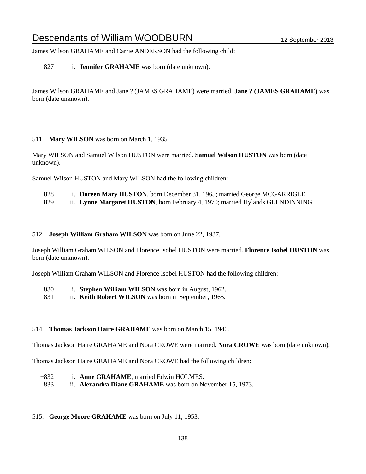James Wilson GRAHAME and Carrie ANDERSON had the following child:

# 827 i. **Jennifer GRAHAME** was born (date unknown).

James Wilson GRAHAME and Jane ? (JAMES GRAHAME) were married. **Jane ? (JAMES GRAHAME)** was born (date unknown).

### 511. **Mary WILSON** was born on March 1, 1935.

Mary WILSON and Samuel Wilson HUSTON were married. **Samuel Wilson HUSTON** was born (date unknown).

Samuel Wilson HUSTON and Mary WILSON had the following children:

| $+828$        |  |                |  |  | i. Doreen Mary HUSTON, born December 31, 1965; married George MCGARRIGLE. |  |
|---------------|--|----------------|--|--|---------------------------------------------------------------------------|--|
| $\sim$ $\sim$ |  | $\overline{1}$ |  |  | $\cdots$                                                                  |  |

### +829 ii. **Lynne Margaret HUSTON**, born February 4, 1970; married Hylands GLENDINNING.

### 512. **Joseph William Graham WILSON** was born on June 22, 1937.

Joseph William Graham WILSON and Florence Isobel HUSTON were married. **Florence Isobel HUSTON** was born (date unknown).

Joseph William Graham WILSON and Florence Isobel HUSTON had the following children:

- 830 i. **Stephen William WILSON** was born in August, 1962.
- 831 ii. **Keith Robert WILSON** was born in September, 1965.

# 514. **Thomas Jackson Haire GRAHAME** was born on March 15, 1940.

Thomas Jackson Haire GRAHAME and Nora CROWE were married. **Nora CROWE** was born (date unknown).

Thomas Jackson Haire GRAHAME and Nora CROWE had the following children:

- +832 i. **Anne GRAHAME**, married Edwin HOLMES.
- 833 ii. **Alexandra Diane GRAHAME** was born on November 15, 1973.

# 515. **George Moore GRAHAME** was born on July 11, 1953.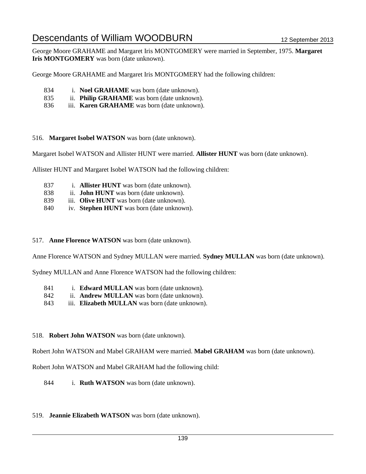George Moore GRAHAME and Margaret Iris MONTGOMERY were married in September, 1975. **Margaret Iris MONTGOMERY** was born (date unknown).

George Moore GRAHAME and Margaret Iris MONTGOMERY had the following children:

- 834 i. **Noel GRAHAME** was born (date unknown).
- 835 ii. **Philip GRAHAME** was born (date unknown).
- 836 iii. **Karen GRAHAME** was born (date unknown).

### 516. **Margaret Isobel WATSON** was born (date unknown).

Margaret Isobel WATSON and Allister HUNT were married. **Allister HUNT** was born (date unknown).

Allister HUNT and Margaret Isobel WATSON had the following children:

- 837 i. **Allister HUNT** was born (date unknown).
- 838 ii. **John HUNT** was born (date unknown).
- 839 iii. **Olive HUNT** was born (date unknown).
- 840 iv. **Stephen HUNT** was born (date unknown).

### 517. **Anne Florence WATSON** was born (date unknown).

Anne Florence WATSON and Sydney MULLAN were married. **Sydney MULLAN** was born (date unknown).

Sydney MULLAN and Anne Florence WATSON had the following children:

- 841 i. **Edward MULLAN** was born (date unknown).
- 842 ii. **Andrew MULLAN** was born (date unknown).
- 843 iii. **Elizabeth MULLAN** was born (date unknown).

# 518. **Robert John WATSON** was born (date unknown).

Robert John WATSON and Mabel GRAHAM were married. **Mabel GRAHAM** was born (date unknown).

Robert John WATSON and Mabel GRAHAM had the following child:

844 i. **Ruth WATSON** was born (date unknown).

# 519. **Jeannie Elizabeth WATSON** was born (date unknown).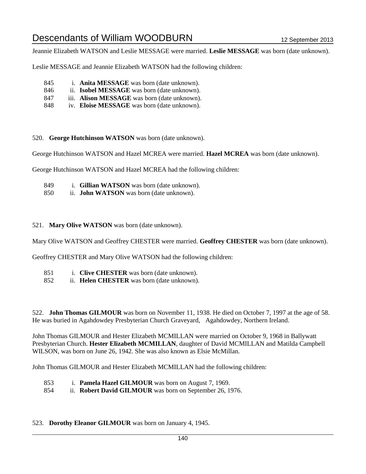Jeannie Elizabeth WATSON and Leslie MESSAGE were married. **Leslie MESSAGE** was born (date unknown).

Leslie MESSAGE and Jeannie Elizabeth WATSON had the following children:

- 845 i. **Anita MESSAGE** was born (date unknown).
- 846 ii. **Isobel MESSAGE** was born (date unknown).
- 847 iii. **Alison MESSAGE** was born (date unknown).
- 848 iv. **Eloise MESSAGE** was born (date unknown).

520. **George Hutchinson WATSON** was born (date unknown).

George Hutchinson WATSON and Hazel MCREA were married. **Hazel MCREA** was born (date unknown).

George Hutchinson WATSON and Hazel MCREA had the following children:

- 849 i. **Gillian WATSON** was born (date unknown).
- 850 ii. **John WATSON** was born (date unknown).

521. **Mary Olive WATSON** was born (date unknown).

Mary Olive WATSON and Geoffrey CHESTER were married. **Geoffrey CHESTER** was born (date unknown).

Geoffrey CHESTER and Mary Olive WATSON had the following children:

- 851 i. **Clive CHESTER** was born (date unknown).
- 852 ii. **Helen CHESTER** was born (date unknown).

522. **John Thomas GILMOUR** was born on November 11, 1938. He died on October 7, 1997 at the age of 58. He was buried in Agahdowdey Presbyterian Church Graveyard, Agahdowdey, Northern Ireland.

John Thomas GILMOUR and Hester Elizabeth MCMILLAN were married on October 9, 1968 in Ballywatt Presbyterian Church. **Hester Elizabeth MCMILLAN**, daughter of David MCMILLAN and Matilda Campbell WILSON, was born on June 26, 1942. She was also known as Elsie McMillan.

John Thomas GILMOUR and Hester Elizabeth MCMILLAN had the following children:

- 853 i. **Pamela Hazel GILMOUR** was born on August 7, 1969.
- 854 ii. **Robert David GILMOUR** was born on September 26, 1976.

# 523. **Dorothy Eleanor GILMOUR** was born on January 4, 1945.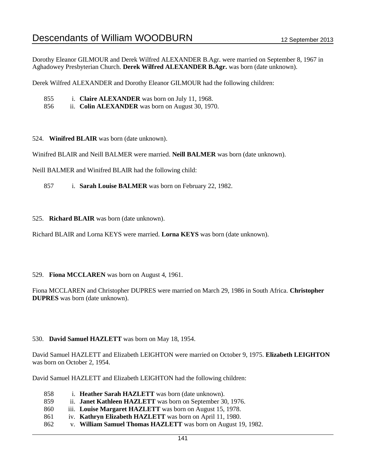Dorothy Eleanor GILMOUR and Derek Wilfred ALEXANDER B.Agr. were married on September 8, 1967 in Aghadowey Presbyterian Church. **Derek Wilfred ALEXANDER B.Agr.** was born (date unknown).

Derek Wilfred ALEXANDER and Dorothy Eleanor GILMOUR had the following children:

- 855 i. **Claire ALEXANDER** was born on July 11, 1968.
- 856 ii. **Colin ALEXANDER** was born on August 30, 1970.

524. **Winifred BLAIR** was born (date unknown).

Winifred BLAIR and Neill BALMER were married. **Neill BALMER** was born (date unknown).

Neill BALMER and Winifred BLAIR had the following child:

857 i. **Sarah Louise BALMER** was born on February 22, 1982.

525. **Richard BLAIR** was born (date unknown).

Richard BLAIR and Lorna KEYS were married. **Lorna KEYS** was born (date unknown).

### 529. **Fiona MCCLAREN** was born on August 4, 1961.

Fiona MCCLAREN and Christopher DUPRES were married on March 29, 1986 in South Africa. **Christopher DUPRES** was born (date unknown).

# 530. **David Samuel HAZLETT** was born on May 18, 1954.

David Samuel HAZLETT and Elizabeth LEIGHTON were married on October 9, 1975. **Elizabeth LEIGHTON** was born on October 2, 1954.

David Samuel HAZLETT and Elizabeth LEIGHTON had the following children:

| 858 | i. Heather Sarah HAZLETT was born (date unknown).                 |
|-----|-------------------------------------------------------------------|
| 859 | ii. <b>Janet Kathleen HAZLETT</b> was born on September 30, 1976. |
| 860 | iii. Louise Margaret HAZLETT was born on August 15, 1978.         |
| 861 | iv. Kathryn Elizabeth HAZLETT was born on April 11, 1980.         |
| 862 | v. William Samuel Thomas HAZLETT was born on August 19, 1982.     |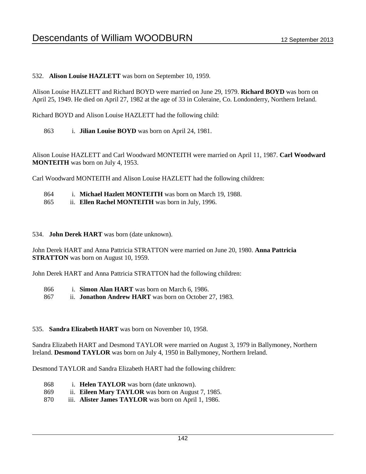# 532. **Alison Louise HAZLETT** was born on September 10, 1959.

Alison Louise HAZLETT and Richard BOYD were married on June 29, 1979. **Richard BOYD** was born on April 25, 1949. He died on April 27, 1982 at the age of 33 in Coleraine, Co. Londonderry, Northern Ireland.

Richard BOYD and Alison Louise HAZLETT had the following child:

863 i. **Jilian Louise BOYD** was born on April 24, 1981.

Alison Louise HAZLETT and Carl Woodward MONTEITH were married on April 11, 1987. **Carl Woodward MONTEITH** was born on July 4, 1953.

Carl Woodward MONTEITH and Alison Louise HAZLETT had the following children:

- 864 i. **Michael Hazlett MONTEITH** was born on March 19, 1988.
- 865 ii. **Ellen Rachel MONTEITH** was born in July, 1996.

### 534. **John Derek HART** was born (date unknown).

John Derek HART and Anna Pattricia STRATTON were married on June 20, 1980. **Anna Pattricia STRATTON** was born on August 10, 1959.

John Derek HART and Anna Pattricia STRATTON had the following children:

- 866 i. **Simon Alan HART** was born on March 6, 1986.
- 867 ii. **Jonathon Andrew HART** was born on October 27, 1983.

# 535. **Sandra Elizabeth HART** was born on November 10, 1958.

Sandra Elizabeth HART and Desmond TAYLOR were married on August 3, 1979 in Ballymoney, Northern Ireland. **Desmond TAYLOR** was born on July 4, 1950 in Ballymoney, Northern Ireland.

Desmond TAYLOR and Sandra Elizabeth HART had the following children:

- 868 i. **Helen TAYLOR** was born (date unknown).
- 869 ii. **Eileen Mary TAYLOR** was born on August 7, 1985.
- 870 iii. **Alister James TAYLOR** was born on April 1, 1986.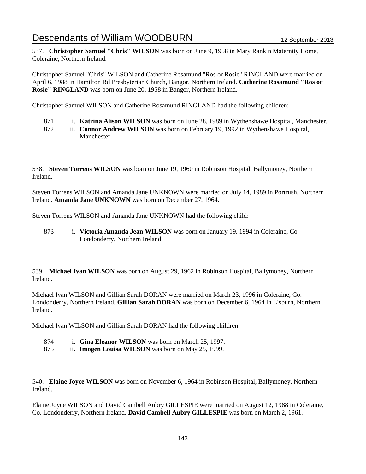537. **Christopher Samuel "Chris" WILSON** was born on June 9, 1958 in Mary Rankin Maternity Home, Coleraine, Northern Ireland.

Christopher Samuel "Chris" WILSON and Catherine Rosamund "Ros or Rosie" RINGLAND were married on April 6, 1988 in Hamilton Rd Presbyterian Church, Bangor, Northern Ireland. **Catherine Rosamund "Ros or Rosie" RINGLAND** was born on June 20, 1958 in Bangor, Northern Ireland.

Christopher Samuel WILSON and Catherine Rosamund RINGLAND had the following children:

- 871 i. **Katrina Alison WILSON** was born on June 28, 1989 in Wythenshawe Hospital, Manchester.
- 872 ii. **Connor Andrew WILSON** was born on February 19, 1992 in Wythenshawe Hospital, Manchester.

538. **Steven Torrens WILSON** was born on June 19, 1960 in Robinson Hospital, Ballymoney, Northern Ireland.

Steven Torrens WILSON and Amanda Jane UNKNOWN were married on July 14, 1989 in Portrush, Northern Ireland. **Amanda Jane UNKNOWN** was born on December 27, 1964.

Steven Torrens WILSON and Amanda Jane UNKNOWN had the following child:

873 i. **Victoria Amanda Jean WILSON** was born on January 19, 1994 in Coleraine, Co. Londonderry, Northern Ireland.

539. **Michael Ivan WILSON** was born on August 29, 1962 in Robinson Hospital, Ballymoney, Northern Ireland.

Michael Ivan WILSON and Gillian Sarah DORAN were married on March 23, 1996 in Coleraine, Co. Londonderry, Northern Ireland. **Gillian Sarah DORAN** was born on December 6, 1964 in Lisburn, Northern Ireland.

Michael Ivan WILSON and Gillian Sarah DORAN had the following children:

- 874 i. **Gina Eleanor WILSON** was born on March 25, 1997.
- 875 ii. **Imogen Louisa WILSON** was born on May 25, 1999.

540. **Elaine Joyce WILSON** was born on November 6, 1964 in Robinson Hospital, Ballymoney, Northern Ireland.

Elaine Joyce WILSON and David Cambell Aubry GILLESPIE were married on August 12, 1988 in Coleraine, Co. Londonderry, Northern Ireland. **David Cambell Aubry GILLESPIE** was born on March 2, 1961.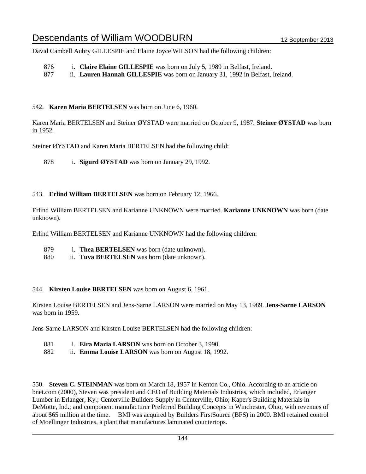David Cambell Aubry GILLESPIE and Elaine Joyce WILSON had the following children:

- 876 i. **Claire Elaine GILLESPIE** was born on July 5, 1989 in Belfast, Ireland.
- 877 ii. **Lauren Hannah GILLESPIE** was born on January 31, 1992 in Belfast, Ireland.

### 542. **Karen Maria BERTELSEN** was born on June 6, 1960.

Karen Maria BERTELSEN and Steiner ØYSTAD were married on October 9, 1987. **Steiner ØYSTAD** was born in 1952.

Steiner ØYSTAD and Karen Maria BERTELSEN had the following child:

878 i. **Sigurd ØYSTAD** was born on January 29, 1992.

### 543. **Erlind William BERTELSEN** was born on February 12, 1966.

Erlind William BERTELSEN and Karianne UNKNOWN were married. **Karianne UNKNOWN** was born (date unknown).

Erlind William BERTELSEN and Karianne UNKNOWN had the following children:

879 i. **Thea BERTELSEN** was born (date unknown).

880 ii. **Tuva BERTELSEN** was born (date unknown).

### 544. **Kirsten Louise BERTELSEN** was born on August 6, 1961.

Kirsten Louise BERTELSEN and Jens-Sarne LARSON were married on May 13, 1989. **Jens-Sarne LARSON** was born in 1959.

Jens-Sarne LARSON and Kirsten Louise BERTELSEN had the following children:

- 881 i. **Eira Maria LARSON** was born on October 3, 1990.
- 882 ii. **Emma Louise LARSON** was born on August 18, 1992.

550. **Steven C. STEINMAN** was born on March 18, 1957 in Kenton Co., Ohio. According to an article on bnet.com (2000), Steven was president and CEO of Building Materials Industries, which included, Erlanger Lumber in Erlanger, Ky.; Centerville Builders Supply in Centerville, Ohio; Kaper's Building Materials in DeMotte, Ind.; and component manufacturer Preferred Building Concepts in Winchester, Ohio, with revenues of about \$65 million at the time. BMI was acquired by Builders FirstSource (BFS) in 2000. BMI retained control of Moellinger Industries, a plant that manufactures laminated countertops.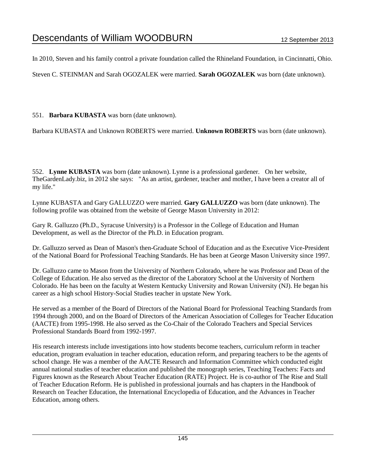In 2010, Steven and his family control a private foundation called the Rhineland Foundation, in Cincinnatti, Ohio.

Steven C. STEINMAN and Sarah OGOZALEK were married. **Sarah OGOZALEK** was born (date unknown).

551. **Barbara KUBASTA** was born (date unknown).

Barbara KUBASTA and Unknown ROBERTS were married. **Unknown ROBERTS** was born (date unknown).

552. **Lynne KUBASTA** was born (date unknown). Lynne is a professional gardener. On her website, TheGardenLady.biz, in 2012 she says: "As an artist, gardener, teacher and mother, I have been a creator all of my life."

Lynne KUBASTA and Gary GALLUZZO were married. **Gary GALLUZZO** was born (date unknown). The following profile was obtained from the website of George Mason University in 2012:

Gary R. Galluzzo (Ph.D., Syracuse University) is a Professor in the College of Education and Human Development, as well as the Director of the Ph.D. in Education program.

Dr. Galluzzo served as Dean of Mason's then-Graduate School of Education and as the Executive Vice-President of the National Board for Professional Teaching Standards. He has been at George Mason University since 1997.

Dr. Galluzzo came to Mason from the University of Northern Colorado, where he was Professor and Dean of the College of Education. He also served as the director of the Laboratory School at the University of Northern Colorado. He has been on the faculty at Western Kentucky University and Rowan University (NJ). He began his career as a high school History-Social Studies teacher in upstate New York.

He served as a member of the Board of Directors of the National Board for Professional Teaching Standards from 1994 through 2000, and on the Board of Directors of the American Association of Colleges for Teacher Education (AACTE) from 1995-1998. He also served as the Co-Chair of the Colorado Teachers and Special Services Professional Standards Board from 1992-1997.

His research interests include investigations into how students become teachers, curriculum reform in teacher education, program evaluation in teacher education, education reform, and preparing teachers to be the agents of school change. He was a member of the AACTE Research and Information Committee which conducted eight annual national studies of teacher education and published the monograph series, Teaching Teachers: Facts and Figures known as the Research About Teacher Education (RATE) Project. He is co-author of The Rise and Stall of Teacher Education Reform. He is published in professional journals and has chapters in the Handbook of Research on Teacher Education, the International Encyclopedia of Education, and the Advances in Teacher Education, among others.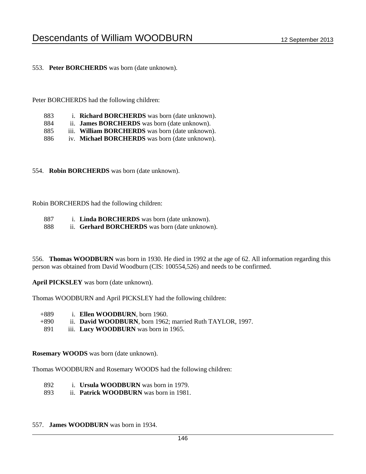553. **Peter BORCHERDS** was born (date unknown).

Peter BORCHERDS had the following children:

| 883 |  | 1. Richard BORCHERDS was born (date unknown). |
|-----|--|-----------------------------------------------|
|-----|--|-----------------------------------------------|

- 884 ii. **James BORCHERDS** was born (date unknown).
- 885 iii. **William BORCHERDS** was born (date unknown).
- 886 iv. **Michael BORCHERDS** was born (date unknown).

554. **Robin BORCHERDS** was born (date unknown).

Robin BORCHERDS had the following children:

- 887 i. **Linda BORCHERDS** was born (date unknown).
- 888 ii. **Gerhard BORCHERDS** was born (date unknown).

556. **Thomas WOODBURN** was born in 1930. He died in 1992 at the age of 62. All information regarding this person was obtained from David Woodburn (CIS: 100554,526) and needs to be confirmed.

**April PICKSLEY** was born (date unknown).

Thomas WOODBURN and April PICKSLEY had the following children:

- +889 i. **Ellen WOODBURN**, born 1960.
- +890 ii. **David WOODBURN**, born 1962; married Ruth TAYLOR, 1997.
- 891 iii. **Lucy WOODBURN** was born in 1965.

**Rosemary WOODS** was born (date unknown).

Thomas WOODBURN and Rosemary WOODS had the following children:

- 892 i. **Ursula WOODBURN** was born in 1979.
- 893 ii. **Patrick WOODBURN** was born in 1981.
- 557. **James WOODBURN** was born in 1934.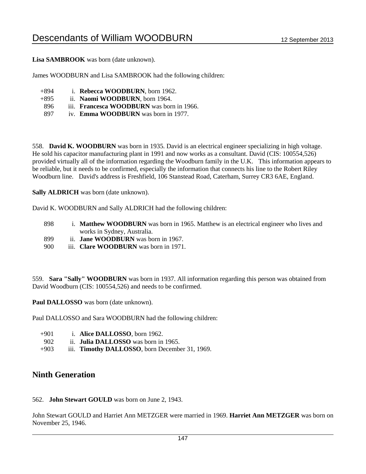**Lisa SAMBROOK** was born (date unknown).

James WOODBURN and Lisa SAMBROOK had the following children:

- +894 i. **Rebecca WOODBURN**, born 1962.
- +895 ii. **Naomi WOODBURN**, born 1964.
- 896 iii. **Francesca WOODBURN** was born in 1966.
- 897 iv. **Emma WOODBURN** was born in 1977.

558. **David K. WOODBURN** was born in 1935. David is an electrical engineer specializing in high voltage. He sold his capacitor manufacturing plant in 1991 and now works as a consultant. David (CIS: 100554,526) provided virtually all of the information regarding the Woodburn family in the U.K. This information appears to be reliable, but it needs to be confirmed, especially the information that connects his line to the Robert Riley Woodburn line. David's address is Freshfield, 106 Stanstead Road, Caterham, Surrey CR3 6AE, England.

**Sally ALDRICH** was born (date unknown).

David K. WOODBURN and Sally ALDRICH had the following children:

- 898 i. **Matthew WOODBURN** was born in 1965. Matthew is an electrical engineer who lives and works in Sydney, Australia.
- 899 ii. **Jane WOODBURN** was born in 1967.
- 900 iii. **Clare WOODBURN** was born in 1971.

559. **Sara "Sally" WOODBURN** was born in 1937. All information regarding this person was obtained from David Woodburn (CIS: 100554,526) and needs to be confirmed.

**Paul DALLOSSO** was born (date unknown).

Paul DALLOSSO and Sara WOODBURN had the following children:

- +901 i. **Alice DALLOSSO**, born 1962.
- 902 ii. **Julia DALLOSSO** was born in 1965.
- +903 iii. **Timothy DALLOSSO**, born December 31, 1969.

## **Ninth Generation**

## 562. **John Stewart GOULD** was born on June 2, 1943.

John Stewart GOULD and Harriet Ann METZGER were married in 1969. **Harriet Ann METZGER** was born on November 25, 1946.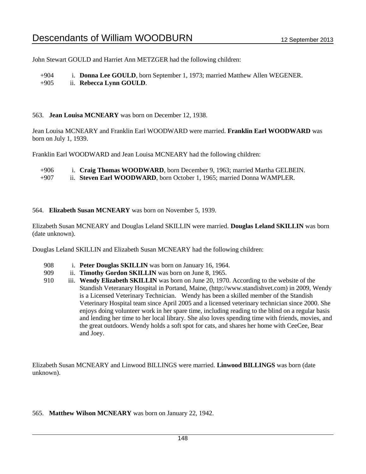John Stewart GOULD and Harriet Ann METZGER had the following children:

+904 i. **Donna Lee GOULD**, born September 1, 1973; married Matthew Allen WEGENER. +905 ii. **Rebecca Lynn GOULD**.

### 563. **Jean Louisa MCNEARY** was born on December 12, 1938.

Jean Louisa MCNEARY and Franklin Earl WOODWARD were married. **Franklin Earl WOODWARD** was born on July 1, 1939.

Franklin Earl WOODWARD and Jean Louisa MCNEARY had the following children:

- +906 i. **Craig Thomas WOODWARD**, born December 9, 1963; married Martha GELBEIN.
- +907 ii. **Steven Earl WOODWARD**, born October 1, 1965; married Donna WAMPLER.

#### 564. **Elizabeth Susan MCNEARY** was born on November 5, 1939.

Elizabeth Susan MCNEARY and Douglas Leland SKILLIN were married. **Douglas Leland SKILLIN** was born (date unknown).

Douglas Leland SKILLIN and Elizabeth Susan MCNEARY had the following children:

- 908 i. **Peter Douglas SKILLIN** was born on January 16, 1964.
- 909 ii. **Timothy Gordon SKILLIN** was born on June 8, 1965.
- 910 iii. **Wendy Elizabeth SKILLIN** was born on June 20, 1970. According to the website of the Standish Veteranary Hospital in Portand, Maine, (http://www.standishvet.com) in 2009, Wendy is a Licensed Veterinary Technician. Wendy has been a skilled member of the Standish Veterinary Hospital team since April 2005 and a licensed veterinary technician since 2000. She enjoys doing volunteer work in her spare time, including reading to the blind on a regular basis and lending her time to her local library. She also loves spending time with friends, movies, and the great outdoors. Wendy holds a soft spot for cats, and shares her home with CeeCee, Bear and Joey.

Elizabeth Susan MCNEARY and Linwood BILLINGS were married. **Linwood BILLINGS** was born (date unknown).

#### 565. **Matthew Wilson MCNEARY** was born on January 22, 1942.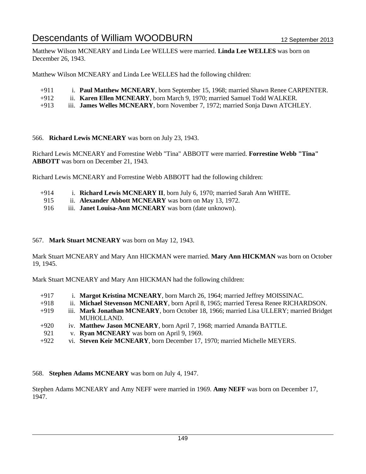Matthew Wilson MCNEARY and Linda Lee WELLES were married. **Linda Lee WELLES** was born on December 26, 1943.

Matthew Wilson MCNEARY and Linda Lee WELLES had the following children:

- +911 i. **Paul Matthew MCNEARY**, born September 15, 1968; married Shawn Renee CARPENTER.
- +912 ii. **Karen Ellen MCNEARY**, born March 9, 1970; married Samuel Todd WALKER.
- +913 iii. **James Welles MCNEARY**, born November 7, 1972; married Sonja Dawn ATCHLEY.

566. **Richard Lewis MCNEARY** was born on July 23, 1943.

Richard Lewis MCNEARY and Forrestine Webb "Tina" ABBOTT were married. **Forrestine Webb "Tina" ABBOTT** was born on December 21, 1943.

Richard Lewis MCNEARY and Forrestine Webb ABBOTT had the following children:

- +914 i. **Richard Lewis MCNEARY II**, born July 6, 1970; married Sarah Ann WHITE.
- 915 ii. **Alexander Abbott MCNEARY** was born on May 13, 1972.
- 916 iii. **Janet Louisa-Ann MCNEARY** was born (date unknown).

#### 567. **Mark Stuart MCNEARY** was born on May 12, 1943.

Mark Stuart MCNEARY and Mary Ann HICKMAN were married. **Mary Ann HICKMAN** was born on October 19, 1945.

Mark Stuart MCNEARY and Mary Ann HICKMAN had the following children:

- +917 i. **Margot Kristina MCNEARY**, born March 26, 1964; married Jeffrey MOISSINAC.
- +918 ii. **Michael Stevenson MCNEARY**, born April 8, 1965; married Teresa Renee RICHARDSON.
- +919 iii. **Mark Jonathan MCNEARY**, born October 18, 1966; married Lisa ULLERY; married Bridget MUHOLLAND.
- +920 iv. **Matthew Jason MCNEARY**, born April 7, 1968; married Amanda BATTLE.
- 921 v. **Ryan MCNEARY** was born on April 9, 1969.
- +922 vi. **Steven Keir MCNEARY**, born December 17, 1970; married Michelle MEYERS.

568. **Stephen Adams MCNEARY** was born on July 4, 1947.

Stephen Adams MCNEARY and Amy NEFF were married in 1969. **Amy NEFF** was born on December 17, 1947.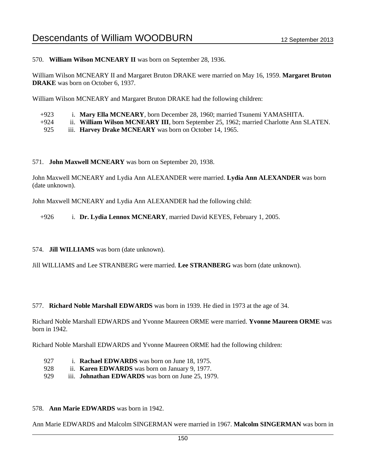570. **William Wilson MCNEARY II** was born on September 28, 1936.

William Wilson MCNEARY II and Margaret Bruton DRAKE were married on May 16, 1959. **Margaret Bruton DRAKE** was born on October 6, 1937.

William Wilson MCNEARY and Margaret Bruton DRAKE had the following children:

| $+923$ |  |  |  |  |  | i. Mary Ella MCNEARY, born December 28, 1960; married Tsunemi YAMASHITA. |  |
|--------|--|--|--|--|--|--------------------------------------------------------------------------|--|
|        |  |  |  |  |  |                                                                          |  |

- +924 ii. **William Wilson MCNEARY III**, born September 25, 1962; married Charlotte Ann SLATEN.
- 925 iii. **Harvey Drake MCNEARY** was born on October 14, 1965.

#### 571. **John Maxwell MCNEARY** was born on September 20, 1938.

John Maxwell MCNEARY and Lydia Ann ALEXANDER were married. **Lydia Ann ALEXANDER** was born (date unknown).

John Maxwell MCNEARY and Lydia Ann ALEXANDER had the following child:

+926 i. **Dr. Lydia Lennox MCNEARY**, married David KEYES, February 1, 2005.

574. **Jill WILLIAMS** was born (date unknown).

Jill WILLIAMS and Lee STRANBERG were married. **Lee STRANBERG** was born (date unknown).

#### 577. **Richard Noble Marshall EDWARDS** was born in 1939. He died in 1973 at the age of 34.

Richard Noble Marshall EDWARDS and Yvonne Maureen ORME were married. **Yvonne Maureen ORME** was born in 1942.

Richard Noble Marshall EDWARDS and Yvonne Maureen ORME had the following children:

- 927 i. **Rachael EDWARDS** was born on June 18, 1975.
- 928 ii. **Karen EDWARDS** was born on January 9, 1977.
- 929 iii. **Johnathan EDWARDS** was born on June 25, 1979.

#### 578. **Ann Marie EDWARDS** was born in 1942.

Ann Marie EDWARDS and Malcolm SINGERMAN were married in 1967. **Malcolm SINGERMAN** was born in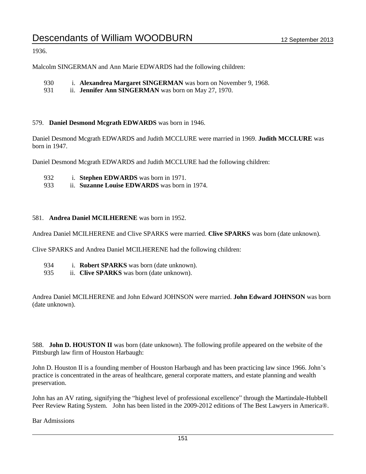1936.

Malcolm SINGERMAN and Ann Marie EDWARDS had the following children:

- 930 i. **Alexandrea Margaret SINGERMAN** was born on November 9, 1968.
- 931 ii. **Jennifer Ann SINGERMAN** was born on May 27, 1970.

#### 579. **Daniel Desmond Mcgrath EDWARDS** was born in 1946.

Daniel Desmond Mcgrath EDWARDS and Judith MCCLURE were married in 1969. **Judith MCCLURE** was born in 1947.

Daniel Desmond Mcgrath EDWARDS and Judith MCCLURE had the following children:

- 932 i. **Stephen EDWARDS** was born in 1971.
- 933 ii. **Suzanne Louise EDWARDS** was born in 1974.

#### 581. **Andrea Daniel MCILHERENE** was born in 1952.

Andrea Daniel MCILHERENE and Clive SPARKS were married. **Clive SPARKS** was born (date unknown).

Clive SPARKS and Andrea Daniel MCILHERENE had the following children:

- 934 i. **Robert SPARKS** was born (date unknown).
- 935 ii. **Clive SPARKS** was born (date unknown).

Andrea Daniel MCILHERENE and John Edward JOHNSON were married. **John Edward JOHNSON** was born (date unknown).

588. **John D. HOUSTON II** was born (date unknown). The following profile appeared on the website of the Pittsburgh law firm of Houston Harbaugh:

John D. Houston II is a founding member of Houston Harbaugh and has been practicing law since 1966. John's practice is concentrated in the areas of healthcare, general corporate matters, and estate planning and wealth preservation.

John has an AV rating, signifying the "highest level of professional excellence" through the Martindale-Hubbell Peer Review Rating System. John has been listed in the 2009-2012 editions of The Best Lawyers in America®.

Bar Admissions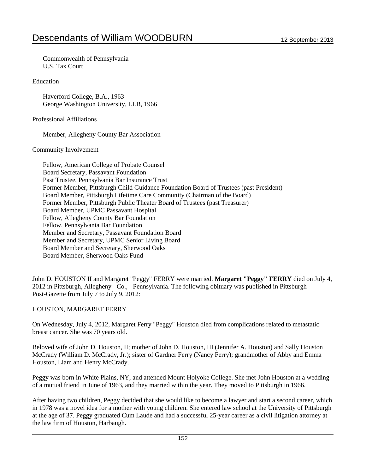Commonwealth of Pennsylvania U.S. Tax Court

Education

 Haverford College, B.A., 1963 George Washington University, LLB, 1966

#### Professional Affiliations

Member, Allegheny County Bar Association

### Community Involvement

 Fellow, American College of Probate Counsel Board Secretary, Passavant Foundation Past Trustee, Pennsylvania Bar Insurance Trust Former Member, Pittsburgh Child Guidance Foundation Board of Trustees (past President) Board Member, Pittsburgh Lifetime Care Community (Chairman of the Board) Former Member, Pittsburgh Public Theater Board of Trustees (past Treasurer) Board Member, UPMC Passavant Hospital Fellow, Allegheny County Bar Foundation Fellow, Pennsylvania Bar Foundation Member and Secretary, Passavant Foundation Board Member and Secretary, UPMC Senior Living Board Board Member and Secretary, Sherwood Oaks Board Member, Sherwood Oaks Fund

John D. HOUSTON II and Margaret "Peggy" FERRY were married. **Margaret "Peggy" FERRY** died on July 4, 2012 in Pittsburgh, Allegheny Co., Pennsylvania. The following obituary was published in Pittsburgh Post-Gazette from July 7 to July 9, 2012:

## HOUSTON, MARGARET FERRY

On Wednesday, July 4, 2012, Margaret Ferry "Peggy" Houston died from complications related to metastatic breast cancer. She was 70 years old.

Beloved wife of John D. Houston, II; mother of John D. Houston, III (Jennifer A. Houston) and Sally Houston McCrady (William D. McCrady, Jr.); sister of Gardner Ferry (Nancy Ferry); grandmother of Abby and Emma Houston, Liam and Henry McCrady.

Peggy was born in White Plains, NY, and attended Mount Holyoke College. She met John Houston at a wedding of a mutual friend in June of 1963, and they married within the year. They moved to Pittsburgh in 1966.

After having two children, Peggy decided that she would like to become a lawyer and start a second career, which in 1978 was a novel idea for a mother with young children. She entered law school at the University of Pittsburgh at the age of 37. Peggy graduated Cum Laude and had a successful 25-year career as a civil litigation attorney at the law firm of Houston, Harbaugh.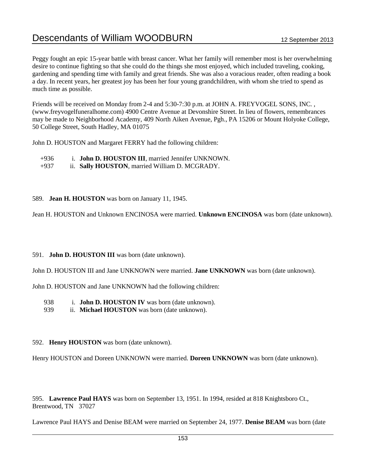Peggy fought an epic 15-year battle with breast cancer. What her family will remember most is her overwhelming desire to continue fighting so that she could do the things she most enjoyed, which included traveling, cooking, gardening and spending time with family and great friends. She was also a voracious reader, often reading a book a day. In recent years, her greatest joy has been her four young grandchildren, with whom she tried to spend as much time as possible.

Friends will be received on Monday from 2-4 and 5:30-7:30 p.m. at JOHN A. FREYVOGEL SONS, INC. , (www.freyvogelfuneralhome.com) 4900 Centre Avenue at Devonshire Street. In lieu of flowers, remembrances may be made to Neighborhood Academy, 409 North Aiken Avenue, Pgh., PA 15206 or Mount Holyoke College, 50 College Street, South Hadley, MA 01075

John D. HOUSTON and Margaret FERRY had the following children:

+936 i. **John D. HOUSTON III**, married Jennifer UNKNOWN.

+937 ii. **Sally HOUSTON**, married William D. MCGRADY.

### 589. **Jean H. HOUSTON** was born on January 11, 1945.

Jean H. HOUSTON and Unknown ENCINOSA were married. **Unknown ENCINOSA** was born (date unknown).

## 591. **John D. HOUSTON III** was born (date unknown).

John D. HOUSTON III and Jane UNKNOWN were married. **Jane UNKNOWN** was born (date unknown).

John D. HOUSTON and Jane UNKNOWN had the following children:

938 i. **John D. HOUSTON IV** was born (date unknown).

939 ii. **Michael HOUSTON** was born (date unknown).

## 592. **Henry HOUSTON** was born (date unknown).

Henry HOUSTON and Doreen UNKNOWN were married. **Doreen UNKNOWN** was born (date unknown).

595. **Lawrence Paul HAYS** was born on September 13, 1951. In 1994, resided at 818 Knightsboro Ct., Brentwood, TN 37027

Lawrence Paul HAYS and Denise BEAM were married on September 24, 1977. **Denise BEAM** was born (date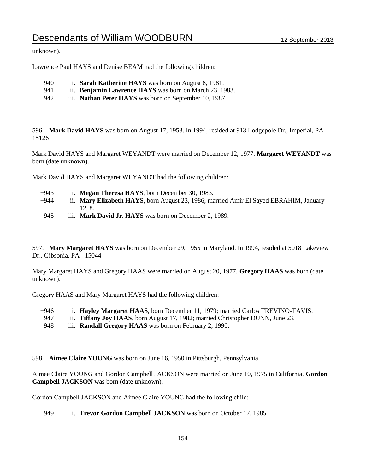unknown).

Lawrence Paul HAYS and Denise BEAM had the following children:

- 940 i. **Sarah Katherine HAYS** was born on August 8, 1981.
- 941 ii. **Benjamin Lawrence HAYS** was born on March 23, 1983.
- 942 iii. **Nathan Peter HAYS** was born on September 10, 1987.

596. **Mark David HAYS** was born on August 17, 1953. In 1994, resided at 913 Lodgepole Dr., Imperial, PA 15126

Mark David HAYS and Margaret WEYANDT were married on December 12, 1977. **Margaret WEYANDT** was born (date unknown).

Mark David HAYS and Margaret WEYANDT had the following children:

- +943 i. **Megan Theresa HAYS**, born December 30, 1983.
- +944 ii. **Mary Elizabeth HAYS**, born August 23, 1986; married Amir El Sayed EBRAHIM, January 12, 8.
- 945 iii. **Mark David Jr. HAYS** was born on December 2, 1989.

597. **Mary Margaret HAYS** was born on December 29, 1955 in Maryland. In 1994, resided at 5018 Lakeview Dr., Gibsonia, PA 15044

Mary Margaret HAYS and Gregory HAAS were married on August 20, 1977. **Gregory HAAS** was born (date unknown).

Gregory HAAS and Mary Margaret HAYS had the following children:

| $+946$ | i. Hayley Margaret HAAS, born December 11, 1979; married Carlos TREVINO-TAVIS.         |  |
|--------|----------------------------------------------------------------------------------------|--|
| $+947$ | ii. <b>Tiffany Joy HAAS</b> , born August 17, 1982; married Christopher DUNN, June 23. |  |
| 040    | $\ddot{m}$ Dandall Crossory $H \wedge A\mathcal{C}$ wee hom on Eshmery 2, 1000         |  |

- 948 iii. **Randall Gregory HAAS** was born on February 2, 1990.
- 598. **Aimee Claire YOUNG** was born on June 16, 1950 in Pittsburgh, Pennsylvania.

Aimee Claire YOUNG and Gordon Campbell JACKSON were married on June 10, 1975 in California. **Gordon Campbell JACKSON** was born (date unknown).

Gordon Campbell JACKSON and Aimee Claire YOUNG had the following child:

949 i. **Trevor Gordon Campbell JACKSON** was born on October 17, 1985.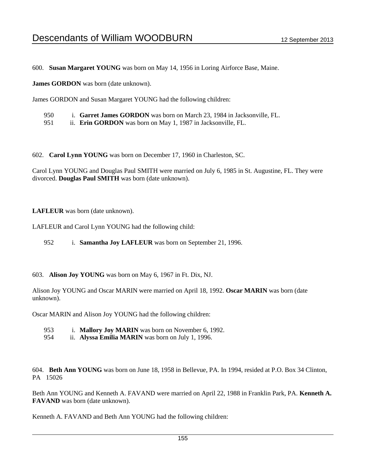600. **Susan Margaret YOUNG** was born on May 14, 1956 in Loring Airforce Base, Maine.

**James GORDON** was born (date unknown).

James GORDON and Susan Margaret YOUNG had the following children:

| i. Garret James GORDON was born on March 23, 1984 in Jacksonville, FL. | 950 |  |  |  |  |
|------------------------------------------------------------------------|-----|--|--|--|--|
|------------------------------------------------------------------------|-----|--|--|--|--|

951 ii. **Erin GORDON** was born on May 1, 1987 in Jacksonville, FL.

602. **Carol Lynn YOUNG** was born on December 17, 1960 in Charleston, SC.

Carol Lynn YOUNG and Douglas Paul SMITH were married on July 6, 1985 in St. Augustine, FL. They were divorced. **Douglas Paul SMITH** was born (date unknown).

**LAFLEUR** was born (date unknown).

LAFLEUR and Carol Lynn YOUNG had the following child:

952 i. **Samantha Joy LAFLEUR** was born on September 21, 1996.

603. **Alison Joy YOUNG** was born on May 6, 1967 in Ft. Dix, NJ.

Alison Joy YOUNG and Oscar MARIN were married on April 18, 1992. **Oscar MARIN** was born (date unknown).

Oscar MARIN and Alison Joy YOUNG had the following children:

- 953 i. **Mallory Joy MARIN** was born on November 6, 1992.
- 954 ii. **Alyssa Emilia MARIN** was born on July 1, 1996.

604. **Beth Ann YOUNG** was born on June 18, 1958 in Bellevue, PA. In 1994, resided at P.O. Box 34 Clinton, PA 15026

Beth Ann YOUNG and Kenneth A. FAVAND were married on April 22, 1988 in Franklin Park, PA. **Kenneth A. FAVAND** was born (date unknown).

Kenneth A. FAVAND and Beth Ann YOUNG had the following children: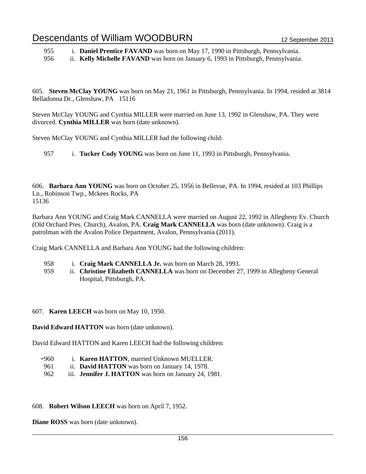955 i. **Daniel Prentice FAVAND** was born on May 17, 1990 in Pittsburgh, Pennsylvania.

956 ii. **Kelly Michelle FAVAND** was born on January 6, 1993 in Pittsburgh, Pennsylvania.

605. **Steven McClay YOUNG** was born on May 21, 1961 in Pittsburgh, Pennsylvania. In 1994, resided at 3814 Belladonna Dr., Glenshaw, PA 15116

Steven McClay YOUNG and Cynthia MILLER were married on June 13, 1992 in Glenshaw, PA. They were divorced. **Cynthia MILLER** was born (date unknown).

Steven McClay YOUNG and Cynthia MILLER had the following child:

957 i. **Tucker Cody YOUNG** was born on June 11, 1993 in Pittsburgh, Pennsylvania.

606. **Barbara Ann YOUNG** was born on October 25, 1956 in Bellevue, PA. In 1994, resided at 103 Phillips Ln., Robinson Twp., Mckees Rocks, PA 15136

Barbara Ann YOUNG and Craig Mark CANNELLA were married on August 22, 1992 in Allegheny Ev. Church (Old Orchard Pres. Church), Avalon, PA. **Craig Mark CANNELLA** was born (date unknown). Craig is a patrolman with the Avalon Police Department, Avalon, Pennsylvania (2011).

Craig Mark CANNELLA and Barbara Ann YOUNG had the following children:

- 958 i. **Craig Mark CANNELLA Jr.** was born on March 28, 1993.
- 959 ii. **Christine Elizabeth CANNELLA** was born on December 27, 1999 in Allegheny General Hospital, Pittsburgh, PA.

## 607. **Karen LEECH** was born on May 10, 1950.

**David Edward HATTON** was born (date unknown).

David Edward HATTON and Karen LEECH had the following children:

- +960 i. **Karen HATTON**, married Unknown MUELLER.
- 961 ii. **David HATTON** was born on January 14, 1978.
- 962 iii. **Jennifer J. HATTON** was born on January 24, 1981.

## 608. **Robert Wilson LEECH** was born on April 7, 1952.

**Diane ROSS** was born (date unknown).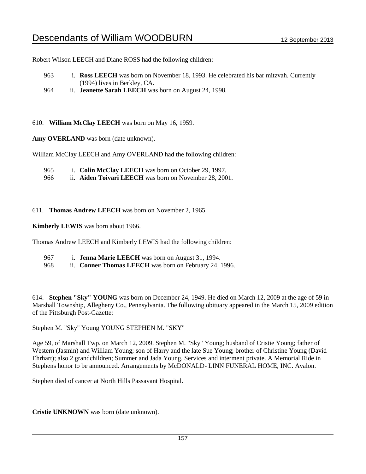Robert Wilson LEECH and Diane ROSS had the following children:

- 963 i. **Ross LEECH** was born on November 18, 1993. He celebrated his bar mitzvah. Currently (1994) lives in Berkley, CA.
- 964 ii. **Jeanette Sarah LEECH** was born on August 24, 1998.
- 610. **William McClay LEECH** was born on May 16, 1959.

Amy **OVERLAND** was born (date unknown).

William McClay LEECH and Amy OVERLAND had the following children:

- 965 i. **Colin McClay LEECH** was born on October 29, 1997.
- 966 ii. **Aiden Toivari LEECH** was born on November 28, 2001.

### 611. **Thomas Andrew LEECH** was born on November 2, 1965.

**Kimberly LEWIS** was born about 1966.

Thomas Andrew LEECH and Kimberly LEWIS had the following children:

- 967 i. **Jenna Marie LEECH** was born on August 31, 1994.
- 968 ii. **Conner Thomas LEECH** was born on February 24, 1996.

614. **Stephen "Sky" YOUNG** was born on December 24, 1949. He died on March 12, 2009 at the age of 59 in Marshall Township, Allegheny Co., Pennsylvania. The following obituary appeared in the March 15, 2009 edition of the Pittsburgh Post-Gazette:

Stephen M. "Sky" Young YOUNG STEPHEN M. "SKY"

Age 59, of Marshall Twp. on March 12, 2009. Stephen M. "Sky" Young; husband of Cristie Young; father of Western (Jasmin) and William Young; son of Harry and the late Sue Young; brother of Christine Young (David Ehrhart); also 2 grandchildren; Summer and Jada Young. Services and interment private. A Memorial Ride in Stephens honor to be announced. Arrangements by McDONALD- LINN FUNERAL HOME, INC. Avalon.

Stephen died of cancer at North Hills Passavant Hospital.

**Cristie UNKNOWN** was born (date unknown).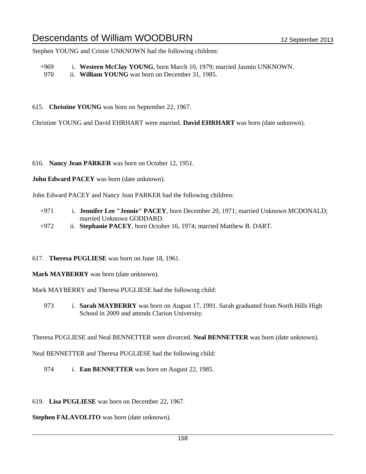Stephen YOUNG and Cristie UNKNOWN had the following children:

+969 i. **Western McClay YOUNG**, born March 10, 1979; married Jasmin UNKNOWN.

970 ii. **William YOUNG** was born on December 31, 1985.

615. **Christine YOUNG** was born on September 22, 1967.

Christine YOUNG and David EHRHART were married. **David EHRHART** was born (date unknown).

616. **Nancy Jean PARKER** was born on October 12, 1951.

**John Edward PACEY** was born (date unknown).

John Edward PACEY and Nancy Jean PARKER had the following children:

- +971 i. **Jennifer Lee "Jennie" PACEY**, born December 20, 1971; married Unknown MCDONALD; married Unknown GODDARD.
- +972 ii. **Stephanie PACEY**, born October 16, 1974; married Matthew B. DART.
- 617. **Theresa PUGLIESE** was born on June 18, 1961.

**Mark MAYBERRY** was born (date unknown).

Mark MAYBERRY and Theresa PUGLIESE had the following child:

973 i. **Sarah MAYBERRY** was born on August 17, 1991. Sarah graduated from North Hills High School in 2009 and attends Clarion University.

Theresa PUGLIESE and Neal BENNETTER were divorced. **Neal BENNETTER** was born (date unknown).

Neal BENNETTER and Theresa PUGLIESE had the following child:

974 i. **Ean BENNETTER** was born on August 22, 1985.

619. **Lisa PUGLIESE** was born on December 22, 1967.

**Stephen FALAVOLITO** was born (date unknown).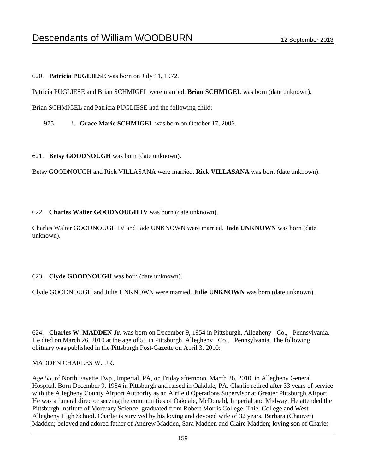620. **Patricia PUGLIESE** was born on July 11, 1972.

Patricia PUGLIESE and Brian SCHMIGEL were married. **Brian SCHMIGEL** was born (date unknown).

Brian SCHMIGEL and Patricia PUGLIESE had the following child:

975 i. **Grace Marie SCHMIGEL** was born on October 17, 2006.

621. **Betsy GOODNOUGH** was born (date unknown).

Betsy GOODNOUGH and Rick VILLASANA were married. **Rick VILLASANA** was born (date unknown).

### 622. **Charles Walter GOODNOUGH IV** was born (date unknown).

Charles Walter GOODNOUGH IV and Jade UNKNOWN were married. **Jade UNKNOWN** was born (date unknown).

## 623. **Clyde GOODNOUGH** was born (date unknown).

Clyde GOODNOUGH and Julie UNKNOWN were married. **Julie UNKNOWN** was born (date unknown).

624. **Charles W. MADDEN Jr.** was born on December 9, 1954 in Pittsburgh, Allegheny Co., Pennsylvania. He died on March 26, 2010 at the age of 55 in Pittsburgh, Allegheny Co., Pennsylvania. The following obituary was published in the Pittsburgh Post-Gazette on April 3, 2010:

#### MADDEN CHARLES W., JR.

Age 55, of North Fayette Twp., Imperial, PA, on Friday afternoon, March 26, 2010, in Allegheny General Hospital. Born December 9, 1954 in Pittsburgh and raised in Oakdale, PA. Charlie retired after 33 years of service with the Allegheny County Airport Authority as an Airfield Operations Supervisor at Greater Pittsburgh Airport. He was a funeral director serving the communities of Oakdale, McDonald, Imperial and Midway. He attended the Pittsburgh Institute of Mortuary Science, graduated from Robert Morris College, Thiel College and West Allegheny High School. Charlie is survived by his loving and devoted wife of 32 years, Barbara (Chauvet) Madden; beloved and adored father of Andrew Madden, Sara Madden and Claire Madden; loving son of Charles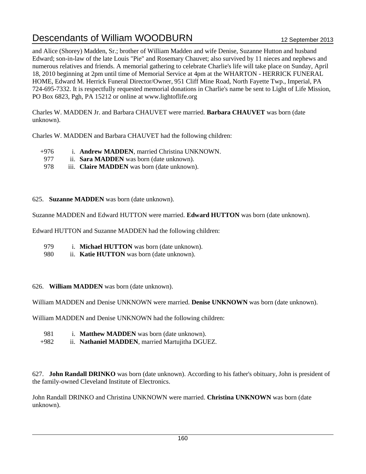and Alice (Shorey) Madden, Sr.; brother of William Madden and wife Denise, Suzanne Hutton and husband Edward; son-in-law of the late Louis "Pie" and Rosemary Chauvet; also survived by 11 nieces and nephews and numerous relatives and friends. A memorial gathering to celebrate Charlie's life will take place on Sunday, April 18, 2010 beginning at 2pm until time of Memorial Service at 4pm at the WHARTON - HERRICK FUNERAL HOME, Edward M. Herrick Funeral Director/Owner, 951 Cliff Mine Road, North Fayette Twp., Imperial, PA 724-695-7332. It is respectfully requested memorial donations in Charlie's name be sent to Light of Life Mission, PO Box 6823, Pgh, PA 15212 or online at www.lightoflife.org

Charles W. MADDEN Jr. and Barbara CHAUVET were married. **Barbara CHAUVET** was born (date unknown).

Charles W. MADDEN and Barbara CHAUVET had the following children:

- +976 i. **Andrew MADDEN**, married Christina UNKNOWN.
- 977 ii. **Sara MADDEN** was born (date unknown).
- 978 iii. **Claire MADDEN** was born (date unknown).
- 625. **Suzanne MADDEN** was born (date unknown).

Suzanne MADDEN and Edward HUTTON were married. **Edward HUTTON** was born (date unknown).

Edward HUTTON and Suzanne MADDEN had the following children:

- 979 i. **Michael HUTTON** was born (date unknown).
- 980 ii. **Katie HUTTON** was born (date unknown).
- 626. **William MADDEN** was born (date unknown).

William MADDEN and Denise UNKNOWN were married. **Denise UNKNOWN** was born (date unknown).

William MADDEN and Denise UNKNOWN had the following children:

- 981 i. **Matthew MADDEN** was born (date unknown).
- +982 ii. **Nathaniel MADDEN**, married Martujitha DGUEZ.

627. **John Randall DRINKO** was born (date unknown). According to his father's obituary, John is president of the family-owned Cleveland Institute of Electronics.

John Randall DRINKO and Christina UNKNOWN were married. **Christina UNKNOWN** was born (date unknown).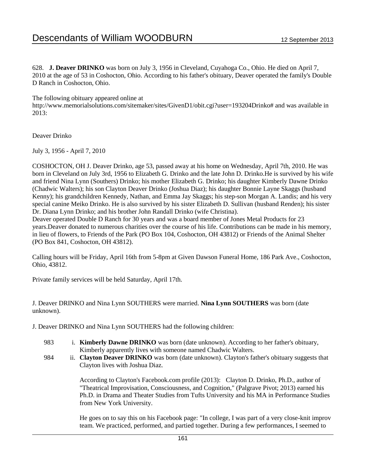628. **J. Deaver DRINKO** was born on July 3, 1956 in Cleveland, Cuyahoga Co., Ohio. He died on April 7, 2010 at the age of 53 in Coshocton, Ohio. According to his father's obituary, Deaver operated the family's Double D Ranch in Coshocton, Ohio.

The following obituary appeared online at

http://www.memorialsolutions.com/sitemaker/sites/GivenD1/obit.cgi?user=193204Drinko# and was available in 2013:

Deaver Drinko

July 3, 1956 - April 7, 2010

COSHOCTON, OH J. Deaver Drinko, age 53, passed away at his home on Wednesday, April 7th, 2010. He was born in Cleveland on July 3rd, 1956 to Elizabeth G. Drinko and the late John D. Drinko.He is survived by his wife and friend Nina Lynn (Southers) Drinko; his mother Elizabeth G. Drinko; his daughter Kimberly Dawne Drinko (Chadwic Walters); his son Clayton Deaver Drinko (Joshua Diaz); his daughter Bonnie Layne Skaggs (husband Kenny); his grandchildren Kennedy, Nathan, and Emma Jay Skaggs; his step-son Morgan A. Landis; and his very special canine Meiko Drinko. He is also survived by his sister Elizabeth D. Sullivan (husband Renden); his sister Dr. Diana Lynn Drinko; and his brother John Randall Drinko (wife Christina).

Deaver operated Double D Ranch for 30 years and was a board member of Jones Metal Products for 23 years.Deaver donated to numerous charities over the course of his life. Contributions can be made in his memory, in lieu of flowers, to Friends of the Park (PO Box 104, Coshocton, OH 43812) or Friends of the Animal Shelter (PO Box 841, Coshocton, OH 43812).

Calling hours will be Friday, April 16th from 5-8pm at Given Dawson Funeral Home, 186 Park Ave., Coshocton, Ohio, 43812.

Private family services will be held Saturday, April 17th.

## J. Deaver DRINKO and Nina Lynn SOUTHERS were married. **Nina Lynn SOUTHERS** was born (date unknown).

J. Deaver DRINKO and Nina Lynn SOUTHERS had the following children:

- 983 i. **Kimberly Dawne DRINKO** was born (date unknown). According to her father's obituary, Kimberly apparently lives with someone named Chadwic Walters.
- 984 ii. **Clayton Deaver DRINKO** was born (date unknown). Clayton's father's obituary suggests that Clayton lives with Joshua Diaz.

According to Clayton's Facebook.com profile (2013): Clayton D. Drinko, Ph.D., author of "Theatrical Improvisation, Consciousness, and Cognition," (Palgrave Pivot; 2013) earned his Ph.D. in Drama and Theater Studies from Tufts University and his MA in Performance Studies from New York University.

He goes on to say this on his Facebook page: "In college, I was part of a very close-knit improv team. We practiced, performed, and partied together. During a few performances, I seemed to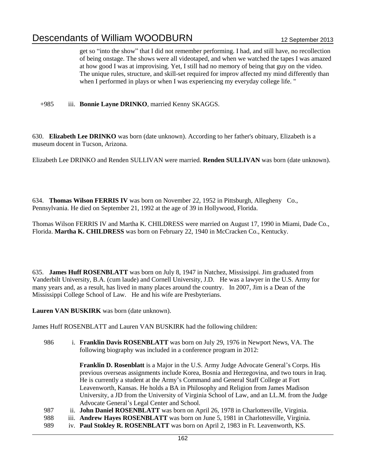get so "into the show" that I did not remember performing. I had, and still have, no recollection of being onstage. The shows were all videotaped, and when we watched the tapes I was amazed at how good I was at improvising. Yet, I still had no memory of being that guy on the video. The unique rules, structure, and skill-set required for improv affected my mind differently than when I performed in plays or when I was experiencing my everyday college life. "

+985 iii. **Bonnie Layne DRINKO**, married Kenny SKAGGS.

630. **Elizabeth Lee DRINKO** was born (date unknown). According to her father's obituary, Elizabeth is a museum docent in Tucson, Arizona.

Elizabeth Lee DRINKO and Renden SULLIVAN were married. **Renden SULLIVAN** was born (date unknown).

634. **Thomas Wilson FERRIS IV** was born on November 22, 1952 in Pittsburgh, Allegheny Co., Pennsylvania. He died on September 21, 1992 at the age of 39 in Hollywood, Florida.

Thomas Wilson FERRIS IV and Martha K. CHILDRESS were married on August 17, 1990 in Miami, Dade Co., Florida. **Martha K. CHILDRESS** was born on February 22, 1940 in McCracken Co., Kentucky.

635. **James Huff ROSENBLATT** was born on July 8, 1947 in Natchez, Mississippi. Jim graduated from Vanderbilt University, B.A. (cum laude) and Cornell University, J.D. He was a lawyer in the U.S. Army for many years and, as a result, has lived in many places around the country. In 2007, Jim is a Dean of the Mississippi College School of Law. He and his wife are Presbyterians.

**Lauren VAN BUSKIRK** was born (date unknown).

James Huff ROSENBLATT and Lauren VAN BUSKIRK had the following children:

986 i. **Franklin Davis ROSENBLATT** was born on July 29, 1976 in Newport News, VA. The following biography was included in a conference program in 2012:

> **Franklin D. Rosenblatt** is a Major in the U.S. Army Judge Advocate General's Corps. His previous overseas assignments include Korea, Bosnia and Herzegovina, and two tours in Iraq. He is currently a student at the Army's Command and General Staff College at Fort Leavenworth, Kansas. He holds a BA in Philosophy and Religion from James Madison University, a JD from the University of Virginia School of Law, and an LL.M. from the Judge Advocate General's Legal Center and School.

- 987 ii. **John Daniel ROSENBLATT** was born on April 26, 1978 in Charlottesville, Virginia.
- 988 iii. **Andrew Hayes ROSENBLATT** was born on June 5, 1981 in Charlottesville, Virginia.
- 989 iv. **Paul Stokley R. ROSENBLATT** was born on April 2, 1983 in Ft. Leavenworth, KS.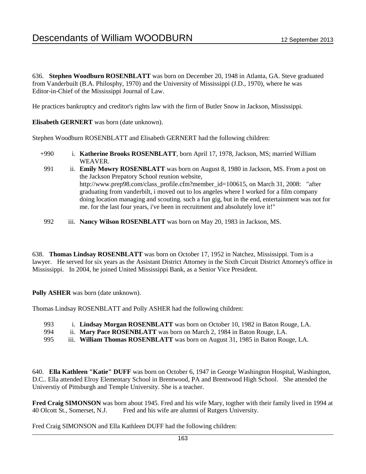636. **Stephen Woodburn ROSENBLATT** was born on December 20, 1948 in Atlanta, GA. Steve graduated from Vanderbuilt (B.A. Philosphy, 1970) and the University of Mississippi (J.D., 1970), where he was Editor-in-Chief of the Mississippi Journal of Law.

He practices bankruptcy and creditor's rights law with the firm of Butler Snow in Jackson, Mississippi.

**Elisabeth GERNERT** was born (date unknown).

Stephen Woodburn ROSENBLATT and Elisabeth GERNERT had the following children:

- +990 i. **Katherine Brooks ROSENBLATT**, born April 17, 1978, Jackson, MS; married William WEAVER.
- 991 ii. **Emily Mowry ROSENBLATT** was born on August 8, 1980 in Jackson, MS. From a post on the Jackson Prepatory School reunion website, http://www.prep98.com/class\_profile.cfm?member\_id=100615, on March 31, 2008: "after graduating from vanderbilt, i moved out to los angeles where I worked for a film company doing location managing and scouting. such a fun gig, but in the end, entertainment was not for me. for the last four years, i've been in recruitment and absolutely love it!"
- 992 iii. **Nancy Wilson ROSENBLATT** was born on May 20, 1983 in Jackson, MS.

638. **Thomas Lindsay ROSENBLATT** was born on October 17, 1952 in Natchez, Mississippi. Tom is a lawyer. He served for six years as the Assistant District Attorney in the Sixth Circuit District Attorney's office in Mississippi. In 2004, he joined United Mississippi Bank, as a Senior Vice President.

**Polly ASHER** was born (date unknown).

Thomas Lindsay ROSENBLATT and Polly ASHER had the following children:

- 993 i. **Lindsay Morgan ROSENBLATT** was born on October 10, 1982 in Baton Rouge, LA.
- 994 ii. **Mary Pace ROSENBLATT** was born on March 2, 1984 in Baton Rouge, LA.
- 995 iii. **William Thomas ROSENBLATT** was born on August 31, 1985 in Baton Rouge, LA.

640. **Ella Kathleen "Katie" DUFF** was born on October 6, 1947 in George Washington Hospital, Washington, D.C.. Ella attended Elroy Elementary School in Brentwood, PA and Brentwood High School. She attended the Universtiy of Pittsburgh and Temple University. She is a teacher.

**Fred Craig SIMONSON** was born about 1945. Fred and his wife Mary, togther with their family lived in 1994 at 40 Olcott St., Somerset, N.J. Fred and his wife are alumni of Rutgers University.

Fred Craig SIMONSON and Ella Kathleen DUFF had the following children: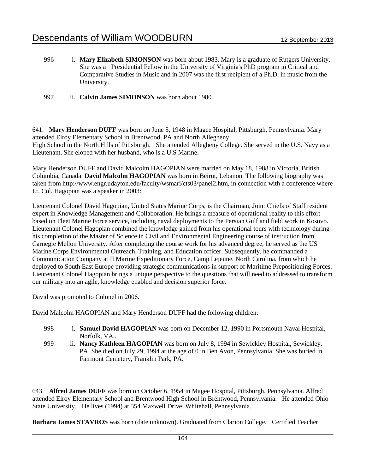- 996 i. **Mary Elizabeth SIMONSON** was born about 1983. Mary is a graduate of Rutgers University. She was a Presidential Fellow in the University of Virginia's PhD program in Critical and Comparative Studies in Music and in 2007 was the first recipient of a Ph.D. in music from the University.
- 997 ii. **Calvin James SIMONSON** was born about 1980.

641. **Mary Henderson DUFF** was born on June 5, 1948 in Magee Hospital, Pittsburgh, Pennsylvania. Mary attended Elroy Elementary School in Brentwood, PA and North Allegheny High School in the North Hills of Pittsburgh. She attended Allegheny College. She served in the U.S. Navy as a Lieutenant. She eloped with her husband, who is a U.S Marine.

Mary Henderson DUFF and David Malcolm HAGOPIAN were married on May 18, 1988 in Victoria, British Columbia, Canada. **David Malcolm HAGOPIAN** was born in Beirut, Lebanon. The following biography was taken from http://www.engr.udayton.edu/faculty/wsmari/cts03/panel2.htm, in connection with a conference where Lt. Col. Hagopian was a speaker in 2003:

Lieutenant Colonel David Hagopian, United States Marine Corps, is the Chairman, Joint Chiefs of Staff resident expert in Knowledge Management and Collaboration. He brings a measure of operational reality to this effort based on Fleet Marine Force service, including naval deployments to the Persian Gulf and field work in Kosovo. Lieutenant Colonel Hagopian combined the knowledge gained from his operational tours with technology during his completion of the Master of Science in Civil and Environmental Engineering course of instruction from Carnegie Mellon University. After completing the course work for his advanced degree, he served as the US Marine Corps Environmental Outreach, Training, and Education officer. Subsequently, he commanded a Communication Company at II Marine Expeditionary Force, Camp Lejeune, North Carolina, from which he deployed to South East Europe providing strategic communications in support of Maritime Prepositioning Forces. Lieutenant Colonel Hagopian brings a unique perspective to the questions that will need to addressed to transform our military into an agile, knowledge enabled and decision superior force.

David was promoted to Colonel in 2006.

David Malcolm HAGOPIAN and Mary Henderson DUFF had the following children:

- 998 i. **Samuel David HAGOPIAN** was born on December 12, 1990 in Portsmouth Naval Hospital, Norfolk, VA..
- 999 ii. **Nancy Kathleen HAGOPIAN** was born on July 8, 1994 in Sewickley Hospital, Sewickley, PA. She died on July 29, 1994 at the age of 0 in Ben Avon, Pennsylvania. She was buried in Fairmont Cemetery, Franklin Park, PA.

643. **Alfred James DUFF** was born on October 6, 1954 in Magee Hospital, Pittsburgh, Pennsylvania. Alfred attended Elroy Elementary School and Brentwood High School in Brentwood, Pennsylvania. He attended Ohio State University. He lives (1994) at 354 Maxwell Drive, Whitehall, Pennsylvania.

**Barbara James STAVROS** was born (date unknown). Graduated from Clarion College. Certified Teacher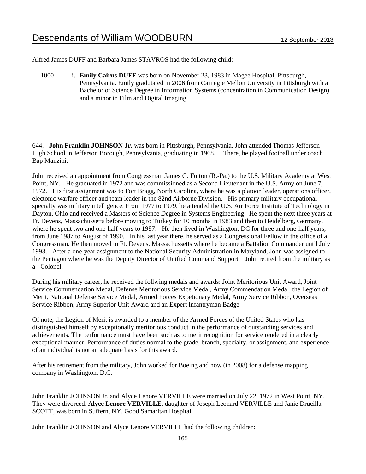Alfred James DUFF and Barbara James STAVROS had the following child:

1000 i. **Emily Cairns DUFF** was born on November 23, 1983 in Magee Hospital, Pittsburgh, Pennsylvania. Emily gradutated in 2006 from Carnegie Mellon University in Pittsburgh with a Bachelor of Science Degree in Information Systems (concentration in Communication Design) and a minor in Film and Digital Imaging.

644. **John Franklin JOHNSON Jr.** was born in Pittsburgh, Pennsylvania. John attended Thomas Jefferson High School in Jefferson Borough, Pennsylvania, graduating in 1968. There, he played football under coach Bap Manzini.

John received an appointment from Congressman James G. Fulton (R.-Pa.) to the U.S. Military Academy at West Point, NY. He graduated in 1972 and was commissioned as a Second Lieutenant in the U.S. Army on June 7, 1972. His first assignment was to Fort Bragg, North Carolina, where he was a platoon leader, operations officer, electonic warfare officer and team leader in the 82nd Airborne Division. His primary military occupational specialty was military intelligence. From 1977 to 1979, he attended the U.S. Air Force Institute of Technology in Dayton, Ohio and received a Masters of Science Degree in Systems Engineering He spent the next three years at Ft. Devens, Massachussetts before moving to Turkey for 10 months in 1983 and then to Heidelberg, Germany, where he spent two and one-half years to 1987. He then lived in Washington, DC for three and one-half years, from June 1987 to August of 1990. In his last year there, he served as a Congressional Fellow in the office of a Congressman. He then moved to Ft. Devens, Massachussetts where he became a Battalion Commander until July 1993. After a one-year assignment to the National Security Administration in Maryland, John was assigned to the Pentagon where he was the Deputy Director of Unified Command Support. John retired from the military as a Colonel.

During his military career, he received the follwing medals and awards: Joint Meritorious Unit Award, Joint Service Commendation Medal, Defense Meritorious Service Medal, Army Commendation Medal, the Legion of Merit, National Defense Service Medal, Armed Forces Expetionary Medal, Army Service Ribbon, Overseas Service Ribbon, Army Superior Unit Award and an Expert Infantryman Badge

Of note, the Legion of Merit is awarded to a member of the Armed Forces of the United States who has distinguished himself by exceptionally meritorious conduct in the performance of outstanding services and achievements. The performance must have been such as to merit recognition for service rendered in a clearly exceptional manner. Performance of duties normal to the grade, branch, specialty, or assignment, and experience of an individual is not an adequate basis for this award.

After his retirement from the military, John worked for Boeing and now (in 2008) for a defense mapping company in Washington, D.C.

John Franklin JOHNSON Jr. and Alyce Lenore VERVILLE were married on July 22, 1972 in West Point, NY. They were divorced. **Alyce Lenore VERVILLE**, daughter of Joseph Leonard VERVILLE and Janie Drucilla SCOTT, was born in Suffern, NY, Good Samaritan Hospital.

John Franklin JOHNSON and Alyce Lenore VERVILLE had the following children: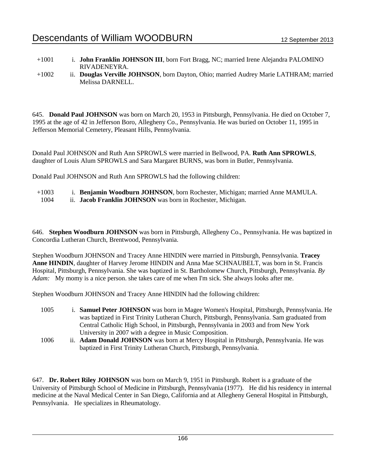- +1001 i. **John Franklin JOHNSON III**, born Fort Bragg, NC; married Irene Alejandra PALOMINO RIVADENEYRA.
- +1002 ii. **Douglas Verville JOHNSON**, born Dayton, Ohio; married Audrey Marie LATHRAM; married Melissa DARNELL.

645. **Donald Paul JOHNSON** was born on March 20, 1953 in Pittsburgh, Pennsylvania. He died on October 7, 1995 at the age of 42 in Jefferson Boro, Allegheny Co., Pennsylvania. He was buried on October 11, 1995 in Jefferson Memorial Cemetery, Pleasant Hills, Pennsylvania.

Donald Paul JOHNSON and Ruth Ann SPROWLS were married in Bellwood, PA. **Ruth Ann SPROWLS**, daughter of Louis Alum SPROWLS and Sara Margaret BURNS, was born in Butler, Pennsylvania.

Donald Paul JOHNSON and Ruth Ann SPROWLS had the following children:

+1003 i. **Benjamin Woodburn JOHNSON**, born Rochester, Michigan; married Anne MAMULA.

1004 ii. **Jacob Franklin JOHNSON** was born in Rochester, Michigan.

646. **Stephen Woodburn JOHNSON** was born in Pittsburgh, Allegheny Co., Pennsylvania. He was baptized in Concordia Lutheran Church, Brentwood, Pennsylvania.

Stephen Woodburn JOHNSON and Tracey Anne HINDIN were married in Pittsburgh, Pennsylvania. **Tracey Anne HINDIN**, daughter of Harvey Jerome HINDIN and Anna Mae SCHNAUBELT, was born in St. Francis Hospital, Pittsburgh, Pennsylvania. She was baptized in St. Bartholomew Church, Pittsburgh, Pennsylvania. *By Adam:* My momy is a nice person. she takes care of me when I'm sick. She always looks after me.

Stephen Woodburn JOHNSON and Tracey Anne HINDIN had the following children:

- 1005 i. **Samuel Peter JOHNSON** was born in Magee Women's Hospital, Pittsburgh, Pennsylvania. He was baptized in First Trinity Lutheran Church, Pittsburgh, Pennsylvania. Sam graduated from Central Catholic High School, in Pittsburgh, Pennsylvania in 2003 and from New York University in 2007 with a degree in Music Composition.
- 1006 ii. **Adam Donald JOHNSON** was born at Mercy Hospital in Pittsburgh, Pennsylvania. He was baptized in First Trinity Lutheran Church, Pittsburgh, Pennsylvania.

647. **Dr. Robert Riley JOHNSON** was born on March 9, 1951 in Pittsburgh. Robert is a graduate of the University of Pittsburgh School of Medicine in Pittsburgh, Pennsylvania (1977). He did his residency in internal medicine at the Naval Medical Center in San Diego, California and at Allegheny General Hospital in Pittsburgh, Pennsylvania. He specializes in Rheumatology.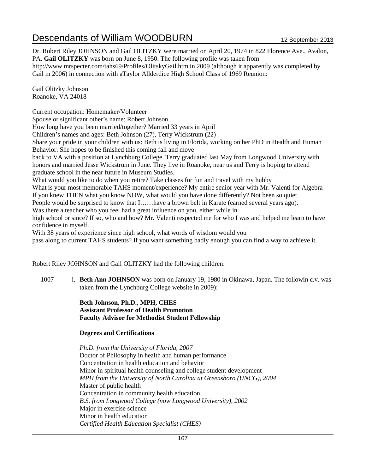Dr. Robert Riley JOHNSON and Gail OLITZKY were married on April 20, 1974 in 822 Florence Ave., Avalon, PA. **Gail OLITZKY** was born on June 8, 1950. The following profile was taken from http://www.mrspecter.com/tahs69/Profiles/OlitskyGail.htm in 2009 (although it apparently was completed by Gail in 2006) in connection with aTaylor Allderdice High School Class of 1969 Reunion:

Gail Olitzky Johnson Roanoke, VA 24018

Current occupation: Homemaker/Volunteer Spouse or significant other's name: Robert Johnson How long have you been married/together? Married 33 years in April Children's names and ages: Beth Johnson (27), Terry Wickstrum (22) Share your pride in your children with us: Beth is living in Florida, working on her PhD in Health and Human Behavior. She hopes to be finished this coming fall and move back to VA with a position at Lynchburg College. Terry graduated last May from Longwood University with honors and married Jesse Wickstrum in June. They live in Roanoke, near us and Terry is hoping to attend graduate school in the near future in Museum Studies. What would you like to do when you retire? Take classes for fun and travel with my hubby What is your most memorable TAHS moment/experience? My entire senior year with Mr. Valenti for Algebra If you knew THEN what you know NOW, what would you have done differently? Not been so quiet People would be surprised to know that I……have a brown belt in Karate (earned several years ago). Was there a teacher who you feel had a great influence on you, either while in high school or since? If so, who and how? Mr. Valenti respected me for who I was and helped me learn to have confidence in myself. With 38 years of experience since high school, what words of wisdom would you pass along to current TAHS students? If you want something badly enough you can find a way to achieve it.

Robert Riley JOHNSON and Gail OLITZKY had the following children:

1007 i. **Beth Ann JOHNSON** was born on January 19, 1980 in Okinawa, Japan. The followin c.v. was taken from the Lynchburg College website in 2009):

> **Beth Johnson, Ph.D., MPH, CHES Assistant Professor of Health Promotion Faculty Advisor for Methodist Student Fellowship**

## **Degrees and Certifications**

*Ph.D. from the University of Florida, 2007* Doctor of Philosophy in health and human performance Concentration in health education and behavior Minor in spiritual health counseling and college student development *MPH from the University of North Carolina at Greensboro (UNCG), 2004* Master of public health Concentration in community health education *B.S. from Longwood College (now Longwood University), 2002* Major in exercise science Minor in health education *Certified Health Education Specialist (CHES)*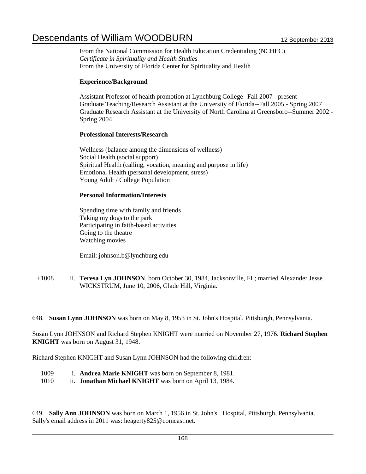From the National Commission for Health Education Credentialing (NCHEC) *Certificate in Spirituality and Health Studies* From the University of Florida Center for Spirituality and Health

## **Experience/Background**

Assistant Professor of health promotion at Lynchburg College--Fall 2007 - present Graduate Teaching/Research Assistant at the University of Florida--Fall 2005 - Spring 2007 Graduate Research Assistant at the University of North Carolina at Greensboro--Summer 2002 - Spring 2004

### **Professional Interests/Research**

Wellness (balance among the dimensions of wellness) Social Health (social support) Spiritual Health (calling, vocation, meaning and purpose in life) Emotional Health (personal development, stress) Young Adult / College Population

### **Personal Information/Interests**

Spending time with family and friends Taking my dogs to the park Participating in faith-based activities Going to the theatre Watching movies

Email: johnson.b@lynchburg.edu

+1008 ii. **Teresa Lyn JOHNSON**, born October 30, 1984, Jacksonville, FL; married Alexander Jesse WICKSTRUM, June 10, 2006, Glade Hill, Virginia.

648. **Susan Lynn JOHNSON** was born on May 8, 1953 in St. John's Hospital, Pittsburgh, Pennsylvania.

Susan Lynn JOHNSON and Richard Stephen KNIGHT were married on November 27, 1976. **Richard Stephen KNIGHT** was born on August 31, 1948.

Richard Stephen KNIGHT and Susan Lynn JOHNSON had the following children:

- 1009 i. **Andrea Marie KNIGHT** was born on September 8, 1981.
- 1010 ii. **Jonathan Michael KNIGHT** was born on April 13, 1984.

649. **Sally Ann JOHNSON** was born on March 1, 1956 in St. John's Hospital, Pittsburgh, Pennsylvania. Sally's email address in 2011 was: heagerty825@comcast.net.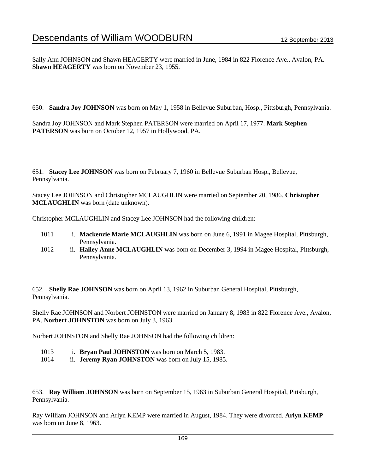Sally Ann JOHNSON and Shawn HEAGERTY were married in June, 1984 in 822 Florence Ave., Avalon, PA. **Shawn HEAGERTY** was born on November 23, 1955.

650. **Sandra Joy JOHNSON** was born on May 1, 1958 in Bellevue Suburban, Hosp., Pittsburgh, Pennsylvania.

Sandra Joy JOHNSON and Mark Stephen PATERSON were married on April 17, 1977. **Mark Stephen PATERSON** was born on October 12, 1957 in Hollywood, PA.

651. **Stacey Lee JOHNSON** was born on February 7, 1960 in Bellevue Suburban Hosp., Bellevue, Pennsylvania.

Stacey Lee JOHNSON and Christopher MCLAUGHLIN were married on September 20, 1986. **Christopher MCLAUGHLIN** was born (date unknown).

Christopher MCLAUGHLIN and Stacey Lee JOHNSON had the following children:

- 1011 i. **Mackenzie Marie MCLAUGHLIN** was born on June 6, 1991 in Magee Hospital, Pittsburgh, Pennsylvania.
- 1012 ii. **Hailey Anne MCLAUGHLIN** was born on December 3, 1994 in Magee Hospital, Pittsburgh, Pennsylvania.

652. **Shelly Rae JOHNSON** was born on April 13, 1962 in Suburban General Hospital, Pittsburgh, Pennsylvania.

Shelly Rae JOHNSON and Norbert JOHNSTON were married on January 8, 1983 in 822 Florence Ave., Avalon, PA. **Norbert JOHNSTON** was born on July 3, 1963.

Norbert JOHNSTON and Shelly Rae JOHNSON had the following children:

- 1013 i. **Bryan Paul JOHNSTON** was born on March 5, 1983.
- 1014 ii. **Jeremy Ryan JOHNSTON** was born on July 15, 1985.

653. **Ray William JOHNSON** was born on September 15, 1963 in Suburban General Hospital, Pittsburgh, Pennsylvania.

Ray William JOHNSON and Arlyn KEMP were married in August, 1984. They were divorced. **Arlyn KEMP** was born on June 8, 1963.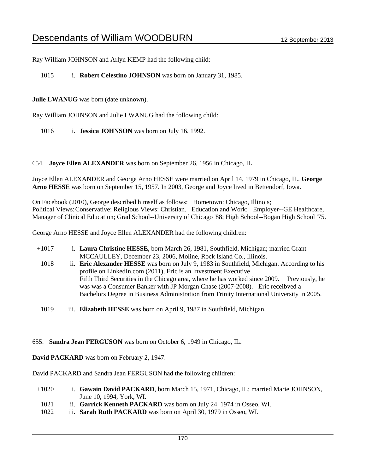Ray William JOHNSON and Arlyn KEMP had the following child:

1015 i. **Robert Celestino JOHNSON** was born on January 31, 1985.

**Julie LWANUG** was born (date unknown).

Ray William JOHNSON and Julie LWANUG had the following child:

1016 i. **Jessica JOHNSON** was born on July 16, 1992.

654. **Joyce Ellen ALEXANDER** was born on September 26, 1956 in Chicago, IL.

Joyce Ellen ALEXANDER and George Arno HESSE were married on April 14, 1979 in Chicago, IL. **George Arno HESSE** was born on September 15, 1957. In 2003, George and Joyce lived in Bettendorf, Iowa.

On Facebook (2010), George described himself as follows: Hometown: Chicago, Illinois; Political Views:Conservative; Religious Views: Christian. Education and Work: Employer--GE Healthcare, Manager of Clinical Education; Grad School--University of Chicago '88; High School--Bogan High School '75.

George Arno HESSE and Joyce Ellen ALEXANDER had the following children:

- +1017 i. **Laura Christine HESSE**, born March 26, 1981, Southfield, Michigan; married Grant MCCAULLEY, December 23, 2006, Moline, Rock Island Co., Illinois.
	- 1018 ii. **Eric Alexander HESSE** was born on July 9, 1983 in Southfield, Michigan. According to his profile on LinkedIn.com (2011), Eric is an Investment Executive Fifth Third Securities in the Chicago area, where he has worked since 2009. Previously, he was was a Consumer Banker with JP Morgan Chase (2007-2008). Eric receibved a Bachelors Degree in Business Administration from Trinity International University in 2005.
	- 1019 iii. **Elizabeth HESSE** was born on April 9, 1987 in Southfield, Michigan.

655. **Sandra Jean FERGUSON** was born on October 6, 1949 in Chicago, IL.

**David PACKARD** was born on February 2, 1947.

David PACKARD and Sandra Jean FERGUSON had the following children:

- +1020 i. **Gawain David PACKARD**, born March 15, 1971, Chicago, IL; married Marie JOHNSON, June 10, 1994, York, WI.
	- 1021 ii. **Garrick Kenneth PACKARD** was born on July 24, 1974 in Osseo, WI.
	- 1022 iii. **Sarah Ruth PACKARD** was born on April 30, 1979 in Osseo, WI.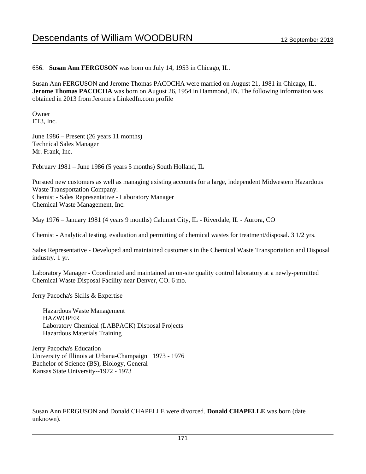656. **Susan Ann FERGUSON** was born on July 14, 1953 in Chicago, IL.

Susan Ann FERGUSON and Jerome Thomas PACOCHA were married on August 21, 1981 in Chicago, IL. **Jerome Thomas PACOCHA** was born on August 26, 1954 in Hammond, IN. The following information was obtained in 2013 from Jerome's LinkedIn.com profile

Owner ET3, Inc.

June 1986 – Present (26 years 11 months) Technical Sales Manager Mr. Frank, Inc.

February 1981 – June 1986 (5 years 5 months) South Holland, IL

Pursued new customers as well as managing existing accounts for a large, independent Midwestern Hazardous Waste Transportation Company. Chemist - Sales Representative - Laboratory Manager Chemical Waste Management, Inc.

May 1976 – January 1981 (4 years 9 months) Calumet City, IL - Riverdale, IL - Aurora, CO

Chemist - Analytical testing, evaluation and permitting of chemical wastes for treatment/disposal. 3 1/2 yrs.

Sales Representative - Developed and maintained customer's in the Chemical Waste Transportation and Disposal industry. 1 yr.

Laboratory Manager - Coordinated and maintained an on-site quality control laboratory at a newly-permitted Chemical Waste Disposal Facility near Denver, CO. 6 mo.

Jerry Pacocha's Skills & Expertise

 Hazardous Waste Management **HAZWOPER**  Laboratory Chemical (LABPACK) Disposal Projects Hazardous Materials Training

Jerry Pacocha's Education University of Illinois at Urbana-Champaign 1973 - 1976 Bachelor of Science (BS), Biology, General Kansas State University--1972 - 1973

Susan Ann FERGUSON and Donald CHAPELLE were divorced. **Donald CHAPELLE** was born (date unknown).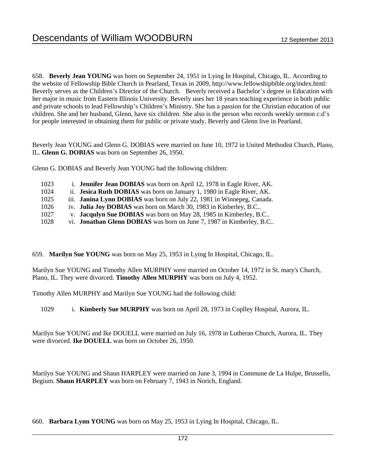658. **Beverly Jean YOUNG** was born on September 24, 1951 in Lying In Hospital, Chicago, IL. According to the website of Fellowship Bible Church in Pearland, Texas in 2009, http://www.fellowshipbible.org/index.html: Beverly serves as the Children's Director of the Church. Beverly received a Bachelor's degree in Education with her major in music from Eastern Illinois University. Beverly uses her 18 years teaching experience in both public and private schools to lead Fellowship's Children's Ministry. She has a passion for the Christian education of our children. She and her husband, Glenn, have six children. She also is the person who records weekly sermon c.d's for people interested in obtaining them for public or private study. Beverly and Glenn live in Pearland.

Beverly Jean YOUNG and Glenn G. DOBIAS were married on June 10, 1972 in United Methodist Church, Plano, IL. **Glenn G. DOBIAS** was born on September 26, 1950.

Glenn G. DOBIAS and Beverly Jean YOUNG had the following children:

| 1023 | i. <b>Jennifer Jean DOBIAS</b> was born on April 12, 1978 in Eagle River, AK. |
|------|-------------------------------------------------------------------------------|
| 1024 | ii. <b>Jesica Ruth DOBIAS</b> was born on January 1, 1980 in Eagle River, AK. |
| 1025 | iii. Janina Lynn DOBIAS was born on July 22, 1981 in Winnepeg, Canada.        |
| 1026 | iv Iulie Iev $DQBAS$ wee been on March 20, 1082 in Kinberley, B.C.            |

1026 iv. **Julia Joy DOBIAS** was born on March 30, 1983 in Kinberley, B.C.. 1027 v. **Jacqulyn Sue DOBIAS** was born on May 28, 1985 in Kimberley, B.C..

1028 vi. **Jonathan Glenn DOBIAS** was born on June 7, 1987 in Kimberley, B.C..

659. **Marilyn Sue YOUNG** was born on May 25, 1953 in Lying In Hospital, Chicago, IL.

Marilyn Sue YOUNG and Timothy Allen MURPHY were married on October 14, 1972 in St. mary's Church, Plano, IL. They were divorced. **Timothy Allen MURPHY** was born on July 4, 1952.

Timothy Allen MURPHY and Marilyn Sue YOUNG had the following child:

1029 i. **Kimberly Sue MURPHY** was born on April 28, 1973 in Coplley Hospital, Aurora, IL.

Marilyn Sue YOUNG and Ike DOUELL were married on July 16, 1978 in Lutheran Church, Aurora, IL. They were divorced. **Ike DOUELL** was born on October 26, 1950.

Marilyn Sue YOUNG and Shaun HARPLEY were married on June 3, 1994 in Commune de La Hulpe, Brussells, Begium. **Shaun HARPLEY** was born on February 7, 1943 in Norich, England.

660. **Barbara Lynn YOUNG** was born on May 25, 1953 in Lying In Hospital, Chicago, IL.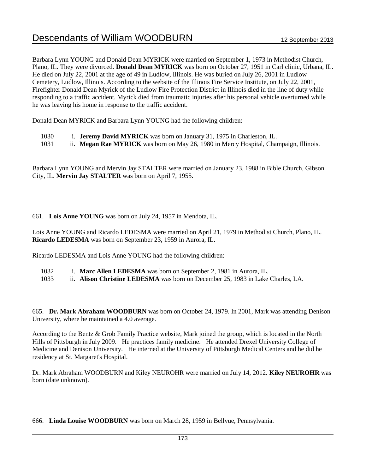Barbara Lynn YOUNG and Donald Dean MYRICK were married on September 1, 1973 in Methodist Church, Plano, IL. They were divorced. **Donald Dean MYRICK** was born on October 27, 1951 in Carl clinic, Urbana, IL. He died on July 22, 2001 at the age of 49 in Ludlow, Illinois. He was buried on July 26, 2001 in Ludlow Cemetery, Ludlow, Illinois. According to the website of the Illinois Fire Service Institute, on July 22, 2001, Firefighter Donald Dean Myrick of the Ludlow Fire Protection District in Illinois died in the line of duty while responding to a traffic accident. Myrick died from traumatic injuries after his personal vehicle overturned while he was leaving his home in response to the traffic accident.

Donald Dean MYRICK and Barbara Lynn YOUNG had the following children:

- 1030 i. **Jeremy David MYRICK** was born on January 31, 1975 in Charleston, IL.
- 1031 ii. **Megan Rae MYRICK** was born on May 26, 1980 in Mercy Hospital, Champaign, Illinois.

Barbara Lynn YOUNG and Mervin Jay STALTER were married on January 23, 1988 in Bible Church, Gibson City, IL. **Mervin Jay STALTER** was born on April 7, 1955.

661. **Lois Anne YOUNG** was born on July 24, 1957 in Mendota, IL.

Lois Anne YOUNG and Ricardo LEDESMA were married on April 21, 1979 in Methodist Church, Plano, IL. **Ricardo LEDESMA** was born on September 23, 1959 in Aurora, IL.

Ricardo LEDESMA and Lois Anne YOUNG had the following children:

- 1032 i. **Marc Allen LEDESMA** was born on September 2, 1981 in Aurora, IL.
- 1033 ii. **Alison Christine LEDESMA** was born on December 25, 1983 in Lake Charles, LA.

665. **Dr. Mark Abraham WOODBURN** was born on October 24, 1979. In 2001, Mark was attending Denison University, where he maintained a 4.0 average.

According to the Bentz & Grob Family Practice website, Mark joined the group, which is located in the North Hills of Pittsburgh in July 2009. He practices family medicine. He attended Drexel University College of Medicine and Denison University. He interned at the University of Pittsburgh Medical Centers and he did he residency at St. Margaret's Hospital.

Dr. Mark Abraham WOODBURN and Kiley NEUROHR were married on July 14, 2012. **Kiley NEUROHR** was born (date unknown).

666. **Linda Louise WOODBURN** was born on March 28, 1959 in Bellvue, Pennsylvania.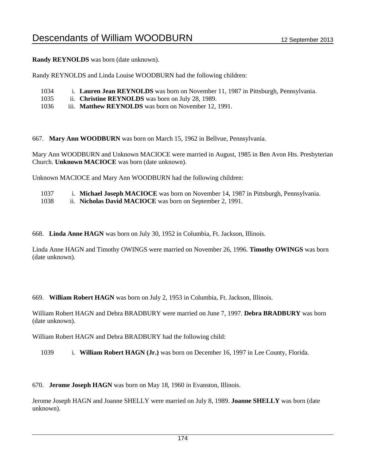**Randy REYNOLDS** was born (date unknown).

Randy REYNOLDS and Linda Louise WOODBURN had the following children:

- 1034 i. **Lauren Jean REYNOLDS** was born on November 11, 1987 in Pittsburgh, Pennsylvania.
- 1035 ii. **Christine REYNOLDS** was born on July 28, 1989.
- 1036 iii. **Matthew REYNOLDS** was born on November 12, 1991.

667. **Mary Ann WOODBURN** was born on March 15, 1962 in Bellvue, Pennsylvania.

Mary Ann WOODBURN and Unknown MACIOCE were married in August, 1985 in Ben Avon Hts. Presbyterian Church. **Unknown MACIOCE** was born (date unknown).

Unknown MACIOCE and Mary Ann WOODBURN had the following children:

1037 i. **Michael Joseph MACIOCE** was born on November 14, 1987 in Pittsburgh, Pennsylvania.

1038 ii. **Nicholas David MACIOCE** was born on September 2, 1991.

668. **Linda Anne HAGN** was born on July 30, 1952 in Columbia, Ft. Jackson, Illinois.

Linda Anne HAGN and Timothy OWINGS were married on November 26, 1996. **Timothy OWINGS** was born (date unknown).

669. **William Robert HAGN** was born on July 2, 1953 in Columbia, Ft. Jackson, Illinois.

William Robert HAGN and Debra BRADBURY were married on June 7, 1997. **Debra BRADBURY** was born (date unknown).

William Robert HAGN and Debra BRADBURY had the following child:

1039 i. **William Robert HAGN (Jr.)** was born on December 16, 1997 in Lee County, Florida.

670. **Jerome Joseph HAGN** was born on May 18, 1960 in Evanston, Illinois.

Jerome Joseph HAGN and Joanne SHELLY were married on July 8, 1989. **Joanne SHELLY** was born (date unknown).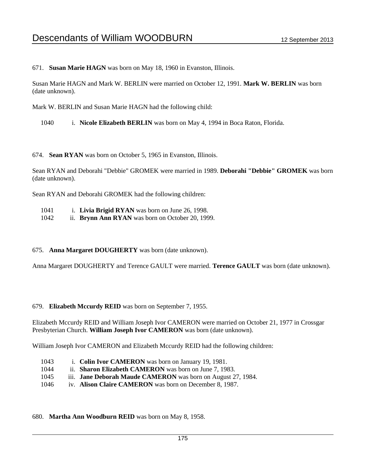671. **Susan Marie HAGN** was born on May 18, 1960 in Evanston, Illinois.

Susan Marie HAGN and Mark W. BERLIN were married on October 12, 1991. **Mark W. BERLIN** was born (date unknown).

Mark W. BERLIN and Susan Marie HAGN had the following child:

1040 i. **Nicole Elizabeth BERLIN** was born on May 4, 1994 in Boca Raton, Florida.

674. **Sean RYAN** was born on October 5, 1965 in Evanston, Illinois.

Sean RYAN and Deborahi "Debbie" GROMEK were married in 1989. **Deborahi "Debbie" GROMEK** was born (date unknown).

Sean RYAN and Deborahi GROMEK had the following children:

- 1041 i. **Livia Brigid RYAN** was born on June 26, 1998.
- 1042 ii. **Brynn Ann RYAN** was born on October 20, 1999.

## 675. **Anna Margaret DOUGHERTY** was born (date unknown).

Anna Margaret DOUGHERTY and Terence GAULT were married. **Terence GAULT** was born (date unknown).

#### 679. **Elizabeth Mccurdy REID** was born on September 7, 1955.

Elizabeth Mccurdy REID and William Joseph Ivor CAMERON were married on October 21, 1977 in Crossgar Presbyterian Church. **William Joseph Ivor CAMERON** was born (date unknown).

William Joseph Ivor CAMERON and Elizabeth Mccurdy REID had the following children:

- 1043 i. **Colin Ivor CAMERON** was born on January 19, 1981.
- 1044 ii. **Sharon Elizabeth CAMERON** was born on June 7, 1983.
- 1045 iii. **Jane Deborah Maude CAMERON** was born on August 27, 1984.
- 1046 iv. **Alison Claire CAMERON** was born on December 8, 1987.

#### 680. **Martha Ann Woodburn REID** was born on May 8, 1958.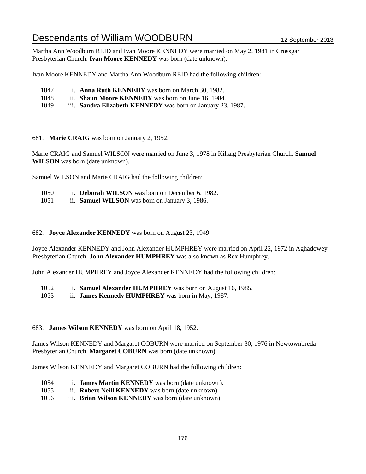Martha Ann Woodburn REID and Ivan Moore KENNEDY were married on May 2, 1981 in Crossgar Presbyterian Church. **Ivan Moore KENNEDY** was born (date unknown).

Ivan Moore KENNEDY and Martha Ann Woodburn REID had the following children:

- 1047 i. **Anna Ruth KENNEDY** was born on March 30, 1982.
- 1048 ii. **Shaun Moore KENNEDY** was born on June 16, 1984.
- 1049 iii. **Sandra Elizabeth KENNEDY** was born on January 23, 1987.

#### 681. **Marie CRAIG** was born on January 2, 1952.

Marie CRAIG and Samuel WILSON were married on June 3, 1978 in Killaig Presbyterian Church. **Samuel WILSON** was born (date unknown).

Samuel WILSON and Marie CRAIG had the following children:

- 1050 i. **Deborah WILSON** was born on December 6, 1982.
- 1051 ii. **Samuel WILSON** was born on January 3, 1986.

#### 682. **Joyce Alexander KENNEDY** was born on August 23, 1949.

Joyce Alexander KENNEDY and John Alexander HUMPHREY were married on April 22, 1972 in Aghadowey Presbyterian Church. **John Alexander HUMPHREY** was also known as Rex Humphrey.

John Alexander HUMPHREY and Joyce Alexander KENNEDY had the following children:

- 1052 i. **Samuel Alexander HUMPHREY** was born on August 16, 1985.
- 1053 ii. **James Kennedy HUMPHREY** was born in May, 1987.

## 683. **James Wilson KENNEDY** was born on April 18, 1952.

James Wilson KENNEDY and Margaret COBURN were married on September 30, 1976 in Newtownbreda Presbyterian Church. **Margaret COBURN** was born (date unknown).

James Wilson KENNEDY and Margaret COBURN had the following children:

- 1054 i. **James Martin KENNEDY** was born (date unknown).
- 1055 ii. **Robert Neill KENNEDY** was born (date unknown).
- 1056 iii. **Brian Wilson KENNEDY** was born (date unknown).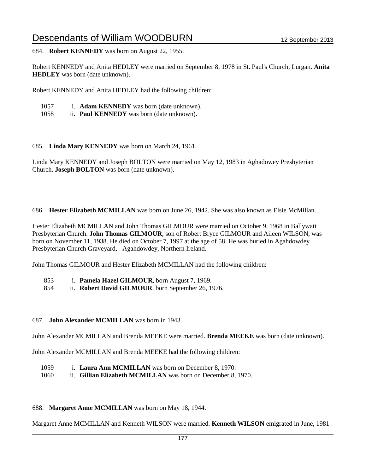684. **Robert KENNEDY** was born on August 22, 1955.

Robert KENNEDY and Anita HEDLEY were married on September 8, 1978 in St. Paul's Church, Lurgan. **Anita HEDLEY** was born (date unknown).

Robert KENNEDY and Anita HEDLEY had the following children:

- 1057 i. **Adam KENNEDY** was born (date unknown).
- 1058 ii. **Paul KENNEDY** was born (date unknown).

685. **Linda Mary KENNEDY** was born on March 24, 1961.

Linda Mary KENNEDY and Joseph BOLTON were married on May 12, 1983 in Aghadowey Presbyterian Church. **Joseph BOLTON** was born (date unknown).

686. **Hester Elizabeth MCMILLAN** was born on June 26, 1942. She was also known as Elsie McMillan.

Hester Elizabeth MCMILLAN and John Thomas GILMOUR were married on October 9, 1968 in Ballywatt Presbyterian Church. **John Thomas GILMOUR**, son of Robert Bryce GILMOUR and Aileen WILSON, was born on November 11, 1938. He died on October 7, 1997 at the age of 58. He was buried in Agahdowdey Presbyterian Church Graveyard, Agahdowdey, Northern Ireland.

John Thomas GILMOUR and Hester Elizabeth MCMILLAN had the following children:

- 853 i. **Pamela Hazel GILMOUR**, born August 7, 1969.
- 854 ii. **Robert David GILMOUR**, born September 26, 1976.

## 687. **John Alexander MCMILLAN** was born in 1943.

John Alexander MCMILLAN and Brenda MEEKE were married. **Brenda MEEKE** was born (date unknown).

John Alexander MCMILLAN and Brenda MEEKE had the following children:

- 1059 i. **Laura Ann MCMILLAN** was born on December 8, 1970.
- 1060 ii. **Gillian Elizabeth MCMILLAN** was born on December 8, 1970.

#### 688. **Margaret Anne MCMILLAN** was born on May 18, 1944.

Margaret Anne MCMILLAN and Kenneth WILSON were married. **Kenneth WILSON** emigrated in June, 1981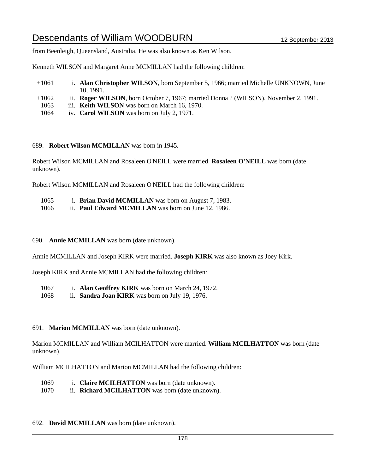from Beenleigh, Queensland, Australia. He was also known as Ken Wilson.

Kenneth WILSON and Margaret Anne MCMILLAN had the following children:

- +1061 i. **Alan Christopher WILSON**, born September 5, 1966; married Michelle UNKNOWN, June 10, 1991.
- +1062 ii. **Roger WILSON**, born October 7, 1967; married Donna ? (WILSON), November 2, 1991.
- 1063 iii. **Keith WILSON** was born on March 16, 1970.
- 1064 iv. **Carol WILSON** was born on July 2, 1971.
- 689. **Robert Wilson MCMILLAN** was born in 1945.

Robert Wilson MCMILLAN and Rosaleen O'NEILL were married. **Rosaleen O'NEILL** was born (date unknown).

Robert Wilson MCMILLAN and Rosaleen O'NEILL had the following children:

1065 i. **Brian David MCMILLAN** was born on August 7, 1983. 1066 ii. **Paul Edward MCMILLAN** was born on June 12, 1986.

#### 690. **Annie MCMILLAN** was born (date unknown).

Annie MCMILLAN and Joseph KIRK were married. **Joseph KIRK** was also known as Joey Kirk.

Joseph KIRK and Annie MCMILLAN had the following children:

1067 i. **Alan Geoffrey KIRK** was born on March 24, 1972.

1068 ii. **Sandra Joan KIRK** was born on July 19, 1976.

#### 691. **Marion MCMILLAN** was born (date unknown).

Marion MCMILLAN and William MCILHATTON were married. **William MCILHATTON** was born (date unknown).

William MCILHATTON and Marion MCMILLAN had the following children:

- 1069 i. **Claire MCILHATTON** was born (date unknown).
- 1070 ii. **Richard MCILHATTON** was born (date unknown).

## 692. **David MCMILLAN** was born (date unknown).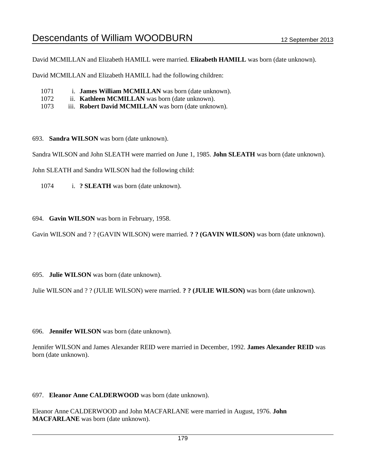David MCMILLAN and Elizabeth HAMILL were married. **Elizabeth HAMILL** was born (date unknown).

David MCMILLAN and Elizabeth HAMILL had the following children:

- 1071 i. **James William MCMILLAN** was born (date unknown).
- 1072 ii. **Kathleen MCMILLAN** was born (date unknown).
- 1073 iii. **Robert David MCMILLAN** was born (date unknown).

693. **Sandra WILSON** was born (date unknown).

Sandra WILSON and John SLEATH were married on June 1, 1985. **John SLEATH** was born (date unknown).

John SLEATH and Sandra WILSON had the following child:

1074 i. **? SLEATH** was born (date unknown).

694. **Gavin WILSON** was born in February, 1958.

Gavin WILSON and ? ? (GAVIN WILSON) were married. **? ? (GAVIN WILSON)** was born (date unknown).

695. **Julie WILSON** was born (date unknown).

Julie WILSON and ? ? (JULIE WILSON) were married. **? ? (JULIE WILSON)** was born (date unknown).

696. **Jennifer WILSON** was born (date unknown).

Jennifer WILSON and James Alexander REID were married in December, 1992. **James Alexander REID** was born (date unknown).

#### 697. **Eleanor Anne CALDERWOOD** was born (date unknown).

Eleanor Anne CALDERWOOD and John MACFARLANE were married in August, 1976. **John MACFARLANE** was born (date unknown).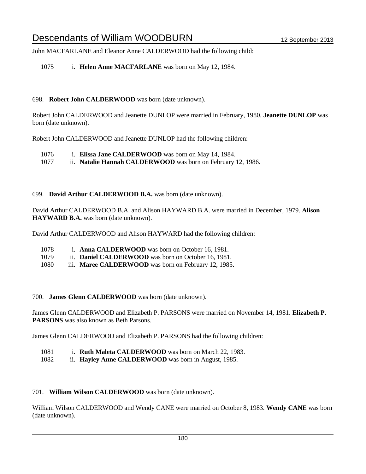John MACFARLANE and Eleanor Anne CALDERWOOD had the following child:

1075 i. **Helen Anne MACFARLANE** was born on May 12, 1984.

### 698. **Robert John CALDERWOOD** was born (date unknown).

Robert John CALDERWOOD and Jeanette DUNLOP were married in February, 1980. **Jeanette DUNLOP** was born (date unknown).

Robert John CALDERWOOD and Jeanette DUNLOP had the following children:

1076 i. **Elissa Jane CALDERWOOD** was born on May 14, 1984.

1077 ii. **Natalie Hannah CALDERWOOD** was born on February 12, 1986.

### 699. **David Arthur CALDERWOOD B.A.** was born (date unknown).

David Arthur CALDERWOOD B.A. and Alison HAYWARD B.A. were married in December, 1979. **Alison HAYWARD B.A.** was born (date unknown).

David Arthur CALDERWOOD and Alison HAYWARD had the following children:

- 1078 i. **Anna CALDERWOOD** was born on October 16, 1981.
- 1079 ii. **Daniel CALDERWOOD** was born on October 16, 1981.
- 1080 iii. **Maree CALDERWOOD** was born on February 12, 1985.

#### 700. **James Glenn CALDERWOOD** was born (date unknown).

James Glenn CALDERWOOD and Elizabeth P. PARSONS were married on November 14, 1981. **Elizabeth P. PARSONS** was also known as Beth Parsons.

James Glenn CALDERWOOD and Elizabeth P. PARSONS had the following children:

- 1081 i. **Ruth Maleta CALDERWOOD** was born on March 22, 1983.
- 1082 ii. **Hayley Anne CALDERWOOD** was born in August, 1985.

#### 701. **William Wilson CALDERWOOD** was born (date unknown).

William Wilson CALDERWOOD and Wendy CANE were married on October 8, 1983. **Wendy CANE** was born (date unknown).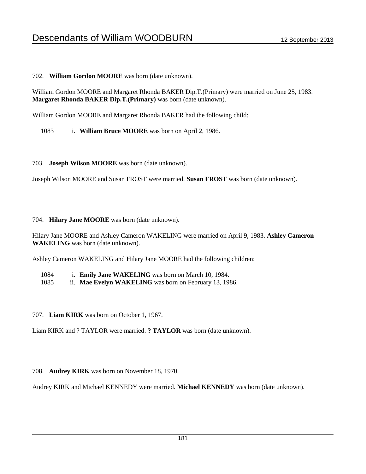### 702. **William Gordon MOORE** was born (date unknown).

William Gordon MOORE and Margaret Rhonda BAKER Dip.T.(Primary) were married on June 25, 1983. **Margaret Rhonda BAKER Dip.T.(Primary)** was born (date unknown).

William Gordon MOORE and Margaret Rhonda BAKER had the following child:

1083 i. **William Bruce MOORE** was born on April 2, 1986.

703. **Joseph Wilson MOORE** was born (date unknown).

Joseph Wilson MOORE and Susan FROST were married. **Susan FROST** was born (date unknown).

704. **Hilary Jane MOORE** was born (date unknown).

Hilary Jane MOORE and Ashley Cameron WAKELING were married on April 9, 1983. **Ashley Cameron WAKELING** was born (date unknown).

Ashley Cameron WAKELING and Hilary Jane MOORE had the following children:

1084 i. **Emily Jane WAKELING** was born on March 10, 1984.

1085 ii. **Mae Evelyn WAKELING** was born on February 13, 1986.

707. **Liam KIRK** was born on October 1, 1967.

Liam KIRK and ? TAYLOR were married. **? TAYLOR** was born (date unknown).

708. **Audrey KIRK** was born on November 18, 1970.

Audrey KIRK and Michael KENNEDY were married. **Michael KENNEDY** was born (date unknown).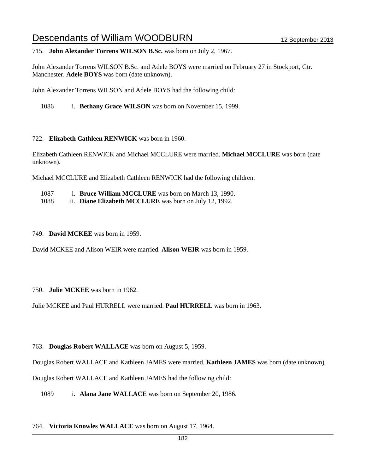715. **John Alexander Torrens WILSON B.Sc.** was born on July 2, 1967.

John Alexander Torrens WILSON B.Sc. and Adele BOYS were married on February 27 in Stockport, Gtr. Manchester. **Adele BOYS** was born (date unknown).

John Alexander Torrens WILSON and Adele BOYS had the following child:

1086 i. **Bethany Grace WILSON** was born on November 15, 1999.

722. **Elizabeth Cathleen RENWICK** was born in 1960.

Elizabeth Cathleen RENWICK and Michael MCCLURE were married. **Michael MCCLURE** was born (date unknown).

Michael MCCLURE and Elizabeth Cathleen RENWICK had the following children:

| 1087 |  |  |  |  | 1. Bruce William MCCLURE was born on March 13, 1990. |
|------|--|--|--|--|------------------------------------------------------|
|------|--|--|--|--|------------------------------------------------------|

1088 ii. **Diane Elizabeth MCCLURE** was born on July 12, 1992.

749. **David MCKEE** was born in 1959.

David MCKEE and Alison WEIR were married. **Alison WEIR** was born in 1959.

750. **Julie MCKEE** was born in 1962.

Julie MCKEE and Paul HURRELL were married. **Paul HURRELL** was born in 1963.

763. **Douglas Robert WALLACE** was born on August 5, 1959.

Douglas Robert WALLACE and Kathleen JAMES were married. **Kathleen JAMES** was born (date unknown).

Douglas Robert WALLACE and Kathleen JAMES had the following child:

1089 i. **Alana Jane WALLACE** was born on September 20, 1986.

#### 764. **Victoria Knowles WALLACE** was born on August 17, 1964.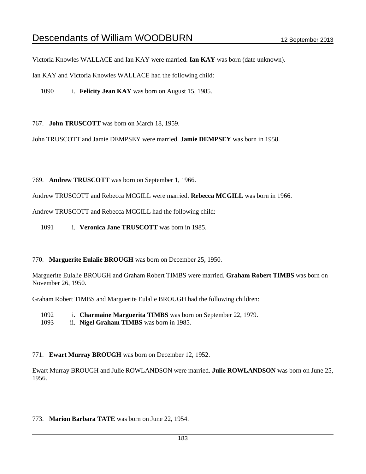Victoria Knowles WALLACE and Ian KAY were married. **Ian KAY** was born (date unknown).

Ian KAY and Victoria Knowles WALLACE had the following child:

1090 i. **Felicity Jean KAY** was born on August 15, 1985.

767. **John TRUSCOTT** was born on March 18, 1959.

John TRUSCOTT and Jamie DEMPSEY were married. **Jamie DEMPSEY** was born in 1958.

769. **Andrew TRUSCOTT** was born on September 1, 1966.

Andrew TRUSCOTT and Rebecca MCGILL were married. **Rebecca MCGILL** was born in 1966.

Andrew TRUSCOTT and Rebecca MCGILL had the following child:

1091 i. **Veronica Jane TRUSCOTT** was born in 1985.

#### 770. **Marguerite Eulalie BROUGH** was born on December 25, 1950.

Marguerite Eulalie BROUGH and Graham Robert TIMBS were married. **Graham Robert TIMBS** was born on November 26, 1950.

Graham Robert TIMBS and Marguerite Eulalie BROUGH had the following children:

- 1092 i. **Charmaine Marguerita TIMBS** was born on September 22, 1979.
- 1093 ii. **Nigel Graham TIMBS** was born in 1985.

### 771. **Ewart Murray BROUGH** was born on December 12, 1952.

Ewart Murray BROUGH and Julie ROWLANDSON were married. **Julie ROWLANDSON** was born on June 25, 1956.

773. **Marion Barbara TATE** was born on June 22, 1954.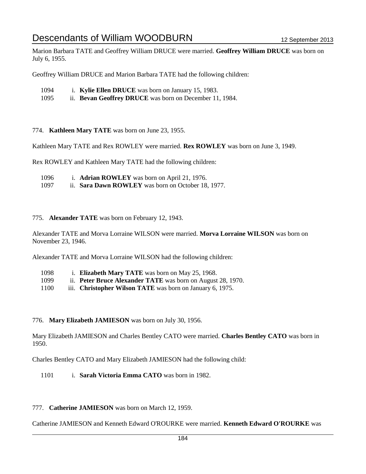Marion Barbara TATE and Geoffrey William DRUCE were married. **Geoffrey William DRUCE** was born on July 6, 1955.

Geoffrey William DRUCE and Marion Barbara TATE had the following children:

- 1094 i. **Kylie Ellen DRUCE** was born on January 15, 1983.
- 1095 ii. **Bevan Geoffrey DRUCE** was born on December 11, 1984.

774. **Kathleen Mary TATE** was born on June 23, 1955.

Kathleen Mary TATE and Rex ROWLEY were married. **Rex ROWLEY** was born on June 3, 1949.

Rex ROWLEY and Kathleen Mary TATE had the following children:

- 1096 i. **Adrian ROWLEY** was born on April 21, 1976.
- 1097 ii. **Sara Dawn ROWLEY** was born on October 18, 1977.

#### 775. **Alexander TATE** was born on February 12, 1943.

Alexander TATE and Morva Lorraine WILSON were married. **Morva Lorraine WILSON** was born on November 23, 1946.

Alexander TATE and Morva Lorraine WILSON had the following children:

| 1098 | i. Elizabeth Mary TATE was born on May 25, 1968.            |
|------|-------------------------------------------------------------|
| 1099 | ii. Peter Bruce Alexander TATE was born on August 28, 1970. |
| 1100 | iii. Christopher Wilson TATE was born on January 6, 1975.   |

776. **Mary Elizabeth JAMIESON** was born on July 30, 1956.

Mary Elizabeth JAMIESON and Charles Bentley CATO were married. **Charles Bentley CATO** was born in 1950.

Charles Bentley CATO and Mary Elizabeth JAMIESON had the following child:

1101 i. **Sarah Victoria Emma CATO** was born in 1982.

#### 777. **Catherine JAMIESON** was born on March 12, 1959.

Catherine JAMIESON and Kenneth Edward O'ROURKE were married. **Kenneth Edward O'ROURKE** was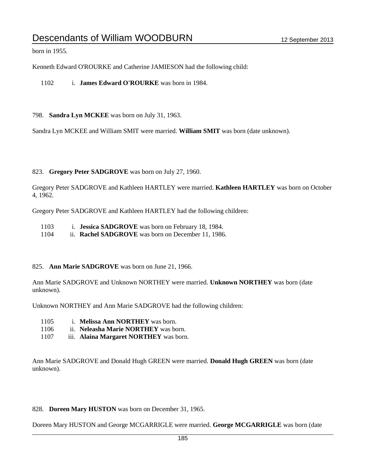born in 1955.

Kenneth Edward O'ROURKE and Catherine JAMIESON had the following child:

1102 i. **James Edward O'ROURKE** was born in 1984.

798. **Sandra Lyn MCKEE** was born on July 31, 1963.

Sandra Lyn MCKEE and William SMIT were married. **William SMIT** was born (date unknown).

823. **Gregory Peter SADGROVE** was born on July 27, 1960.

Gregory Peter SADGROVE and Kathleen HARTLEY were married. **Kathleen HARTLEY** was born on October 4, 1962.

Gregory Peter SADGROVE and Kathleen HARTLEY had the following children:

- 1103 i. **Jessica SADGROVE** was born on February 18, 1984.
- 1104 ii. **Rachel SADGROVE** was born on December 11, 1986.

### 825. **Ann Marie SADGROVE** was born on June 21, 1966.

Ann Marie SADGROVE and Unknown NORTHEY were married. **Unknown NORTHEY** was born (date unknown).

Unknown NORTHEY and Ann Marie SADGROVE had the following children:

- 1105 i. **Melissa Ann NORTHEY** was born.
- 1106 ii. **Neleasha Marie NORTHEY** was born.
- 1107 iii. **Alaina Margaret NORTHEY** was born.

Ann Marie SADGROVE and Donald Hugh GREEN were married. **Donald Hugh GREEN** was born (date unknown).

### 828. **Doreen Mary HUSTON** was born on December 31, 1965.

Doreen Mary HUSTON and George MCGARRIGLE were married. **George MCGARRIGLE** was born (date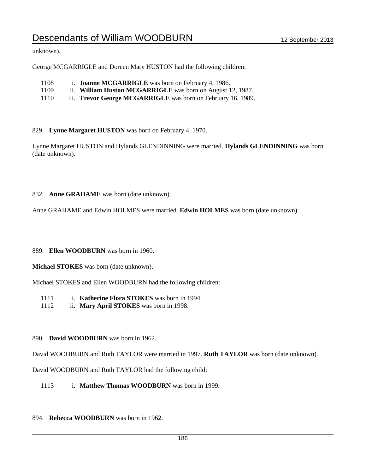unknown).

George MCGARRIGLE and Doreen Mary HUSTON had the following children:

- 1108 i. **Joanne MCGARRIGLE** was born on February 4, 1986.
- 1109 ii. **William Huston MCGARRIGLE** was born on August 12, 1987.
- 1110 iii. **Trevor George MCGARRIGLE** was born on February 16, 1989.
- 829. **Lynne Margaret HUSTON** was born on February 4, 1970.

Lynne Margaret HUSTON and Hylands GLENDINNING were married. **Hylands GLENDINNING** was born (date unknown).

832. **Anne GRAHAME** was born (date unknown).

Anne GRAHAME and Edwin HOLMES were married. **Edwin HOLMES** was born (date unknown).

#### 889. **Ellen WOODBURN** was born in 1960.

**Michael STOKES** was born (date unknown).

Michael STOKES and Ellen WOODBURN had the following children:

- 1111 i. **Katherine Flora STOKES** was born in 1994.
- 1112 ii. **Mary April STOKES** was born in 1998.

### 890. **David WOODBURN** was born in 1962.

David WOODBURN and Ruth TAYLOR were married in 1997. **Ruth TAYLOR** was born (date unknown).

David WOODBURN and Ruth TAYLOR had the following child:

- 1113 i. **Matthew Thomas WOODBURN** was born in 1999.
- 894. **Rebecca WOODBURN** was born in 1962.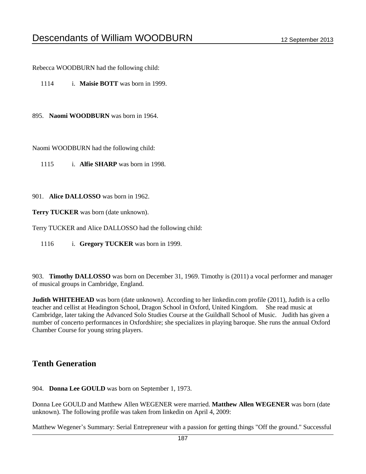Rebecca WOODBURN had the following child:

1114 i. **Maisie BOTT** was born in 1999.

895. **Naomi WOODBURN** was born in 1964.

Naomi WOODBURN had the following child:

- 1115 i. **Alfie SHARP** was born in 1998.
- 901. **Alice DALLOSSO** was born in 1962.

**Terry TUCKER** was born (date unknown).

Terry TUCKER and Alice DALLOSSO had the following child:

1116 i. **Gregory TUCKER** was born in 1999.

903. **Timothy DALLOSSO** was born on December 31, 1969. Timothy is (2011) a vocal performer and manager of musical groups in Cambridge, England.

**Judith WHITEHEAD** was born (date unknown). According to her linkedin.com profile (2011), Judith is a cello teacher and cellist at Headington School, Dragon School in Oxford, United Kingdom. She read music at Cambridge, later taking the Advanced Solo Studies Course at the Guildhall School of Music. Judith has given a number of concerto performances in Oxfordshire; she specializes in playing baroque. She runs the annual Oxford Chamber Course for young string players.

## **Tenth Generation**

904. **Donna Lee GOULD** was born on September 1, 1973.

Donna Lee GOULD and Matthew Allen WEGENER were married. **Matthew Allen WEGENER** was born (date unknown). The following profile was taken from linkedin on April 4, 2009:

Matthew Wegener's Summary: Serial Entrepreneur with a passion for getting things "Off the ground." Successful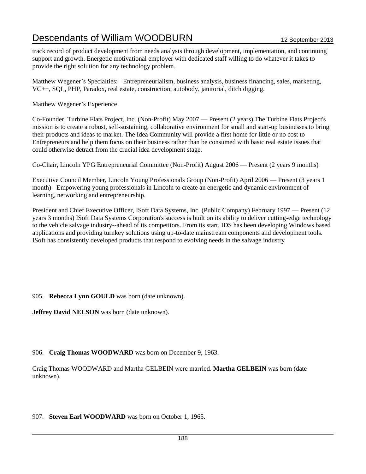track record of product development from needs analysis through development, implementation, and continuing support and growth. Energetic motivational employer with dedicated staff willing to do whatever it takes to provide the right solution for any technology problem.

Matthew Wegener's Specialties: Entrepreneurialism, business analysis, business financing, sales, marketing, VC++, SQL, PHP, Paradox, real estate, construction, autobody, janitorial, ditch digging.

### Matthew Wegener's Experience

Co-Founder, Turbine Flats Project, Inc. (Non-Profit) May 2007 — Present (2 years) The Turbine Flats Project's mission is to create a robust, self-sustaining, collaborative environment for small and start-up businesses to bring their products and ideas to market. The Idea Community will provide a first home for little or no cost to Entrepreneurs and help them focus on their business rather than be consumed with basic real estate issues that could otherwise detract from the crucial idea development stage.

Co-Chair, Lincoln YPG Entrepreneurial Committee (Non-Profit) August 2006 — Present (2 years 9 months)

Executive Council Member, Lincoln Young Professionals Group (Non-Profit) April 2006 — Present (3 years 1 month) Empowering young professionals in Lincoln to create an energetic and dynamic environment of learning, networking and entrepreneurship.

President and Chief Executive Officer, ISoft Data Systems, Inc. (Public Company) February 1997 — Present (12 years 3 months) ISoft Data Systems Corporation's success is built on its ability to deliver cutting-edge technology to the vehicle salvage industry--ahead of its competitors. From its start, IDS has been developing Windows based applications and providing turnkey solutions using up-to-date mainstream components and development tools. ISoft has consistently developed products that respond to evolving needs in the salvage industry

## 905. **Rebecca Lynn GOULD** was born (date unknown).

**Jeffrey David NELSON** was born (date unknown).

## 906. **Craig Thomas WOODWARD** was born on December 9, 1963.

Craig Thomas WOODWARD and Martha GELBEIN were married. **Martha GELBEIN** was born (date unknown).

## 907. **Steven Earl WOODWARD** was born on October 1, 1965.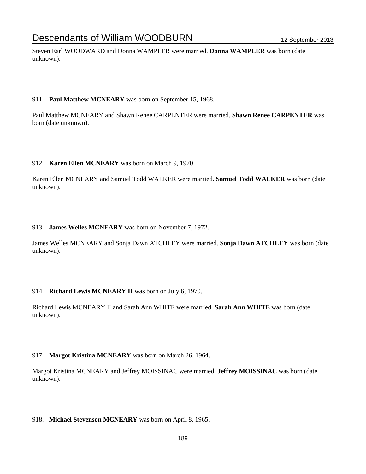Steven Earl WOODWARD and Donna WAMPLER were married. **Donna WAMPLER** was born (date unknown).

### 911. **Paul Matthew MCNEARY** was born on September 15, 1968.

Paul Matthew MCNEARY and Shawn Renee CARPENTER were married. **Shawn Renee CARPENTER** was born (date unknown).

## 912. **Karen Ellen MCNEARY** was born on March 9, 1970.

Karen Ellen MCNEARY and Samuel Todd WALKER were married. **Samuel Todd WALKER** was born (date unknown).

## 913. **James Welles MCNEARY** was born on November 7, 1972.

James Welles MCNEARY and Sonja Dawn ATCHLEY were married. **Sonja Dawn ATCHLEY** was born (date unknown).

## 914. **Richard Lewis MCNEARY II** was born on July 6, 1970.

Richard Lewis MCNEARY II and Sarah Ann WHITE were married. **Sarah Ann WHITE** was born (date unknown).

## 917. **Margot Kristina MCNEARY** was born on March 26, 1964.

Margot Kristina MCNEARY and Jeffrey MOISSINAC were married. **Jeffrey MOISSINAC** was born (date unknown).

### 918. **Michael Stevenson MCNEARY** was born on April 8, 1965.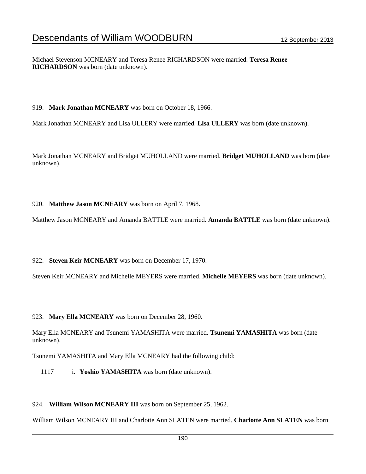Michael Stevenson MCNEARY and Teresa Renee RICHARDSON were married. **Teresa Renee RICHARDSON** was born (date unknown).

#### 919. **Mark Jonathan MCNEARY** was born on October 18, 1966.

Mark Jonathan MCNEARY and Lisa ULLERY were married. **Lisa ULLERY** was born (date unknown).

Mark Jonathan MCNEARY and Bridget MUHOLLAND were married. **Bridget MUHOLLAND** was born (date unknown).

#### 920. **Matthew Jason MCNEARY** was born on April 7, 1968.

Matthew Jason MCNEARY and Amanda BATTLE were married. **Amanda BATTLE** was born (date unknown).

#### 922. **Steven Keir MCNEARY** was born on December 17, 1970.

Steven Keir MCNEARY and Michelle MEYERS were married. **Michelle MEYERS** was born (date unknown).

#### 923. **Mary Ella MCNEARY** was born on December 28, 1960.

Mary Ella MCNEARY and Tsunemi YAMASHITA were married. **Tsunemi YAMASHITA** was born (date unknown).

Tsunemi YAMASHITA and Mary Ella MCNEARY had the following child:

1117 i. **Yoshio YAMASHITA** was born (date unknown).

### 924. **William Wilson MCNEARY III** was born on September 25, 1962.

William Wilson MCNEARY III and Charlotte Ann SLATEN were married. **Charlotte Ann SLATEN** was born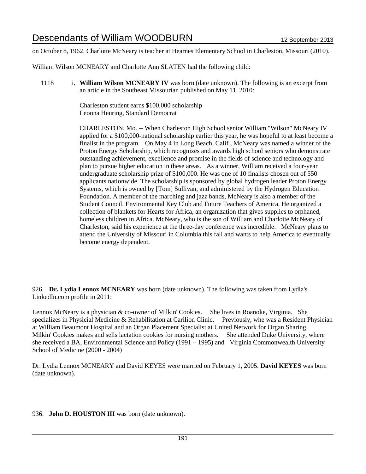on October 8, 1962. Charlotte McNeary is teacher at Hearnes Elementary School in Charleston, Missouri (2010).

William Wilson MCNEARY and Charlotte Ann SLATEN had the following child:

1118 i. **William Wilson MCNEARY IV** was born (date unknown). The following is an excerpt from an article in the Southeast Missourian published on May 11, 2010:

> Charleston student earns \$100,000 scholarship Leonna Heuring, Standard Democrat

CHARLESTON, Mo. -- When Charleston High School senior William "Wilson" McNeary IV applied for a \$100,000-national scholarship earlier this year, he was hopeful to at least become a finalist in the program. On May 4 in Long Beach, Calif., McNeary was named a winner of the Proton Energy Scholarship, which recognizes and awards high school seniors who demonstrate outstanding achievement, excellence and promise in the fields of science and technology and plan to pursue higher education in these areas. As a winner, William received a four-year undergraduate scholarship prize of \$100,000. He was one of 10 finalists chosen out of 550 applicants nationwide. The scholarship is sponsored by global hydrogen leader Proton Energy Systems, which is owned by [Tom] Sullivan, and administered by the Hydrogen Education Foundation. A member of the marching and jazz bands, McNeary is also a member of the Student Council, Environmental Key Club and Future Teachers of America. He organized a collection of blankets for Hearts for Africa, an organization that gives supplies to orphaned, homeless children in Africa. McNeary, who is the son of William and Charlotte McNeary of Charleston, said his experience at the three-day conference was incredible. McNeary plans to attend the University of Missouri in Columbia this fall and wants to help America to eventually become energy dependent.

926. **Dr. Lydia Lennox MCNEARY** was born (date unknown). The following was taken from Lydia's LinkedIn.com profile in 2011:

Lennox McNeary is a physician & co-owner of Milkin' Cookies. She lives in Roanoke, Virginia. She specializes in Physicial Medicine & Rehabilitation at Carilion Clinic. Previously, whe was a Resident Physician at William Beaumont Hospital and an Organ Placement Specialist at United Network for Organ Sharing. Milkin' Cookies makes and sells lactation cookies for nursing mothers. She attended Duke University, where she received a BA, Environmental Science and Policy (1991 – 1995) and Virginia Commonwealth University School of Medicine (2000 - 2004)

Dr. Lydia Lennox MCNEARY and David KEYES were married on February 1, 2005. **David KEYES** was born (date unknown).

936. **John D. HOUSTON III** was born (date unknown).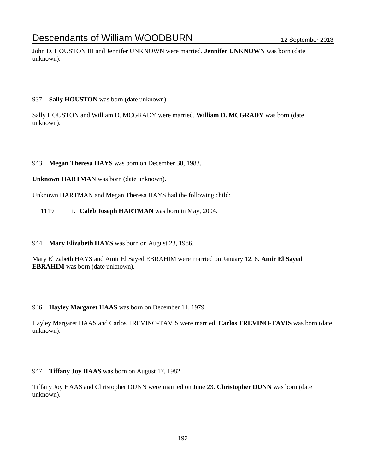John D. HOUSTON III and Jennifer UNKNOWN were married. **Jennifer UNKNOWN** was born (date unknown).

937. **Sally HOUSTON** was born (date unknown).

Sally HOUSTON and William D. MCGRADY were married. **William D. MCGRADY** was born (date unknown).

943. **Megan Theresa HAYS** was born on December 30, 1983.

**Unknown HARTMAN** was born (date unknown).

Unknown HARTMAN and Megan Theresa HAYS had the following child:

1119 i. **Caleb Joseph HARTMAN** was born in May, 2004.

944. **Mary Elizabeth HAYS** was born on August 23, 1986.

Mary Elizabeth HAYS and Amir El Sayed EBRAHIM were married on January 12, 8. **Amir El Sayed EBRAHIM** was born (date unknown).

946. **Hayley Margaret HAAS** was born on December 11, 1979.

Hayley Margaret HAAS and Carlos TREVINO-TAVIS were married. **Carlos TREVINO-TAVIS** was born (date unknown).

947. **Tiffany Joy HAAS** was born on August 17, 1982.

Tiffany Joy HAAS and Christopher DUNN were married on June 23. **Christopher DUNN** was born (date unknown).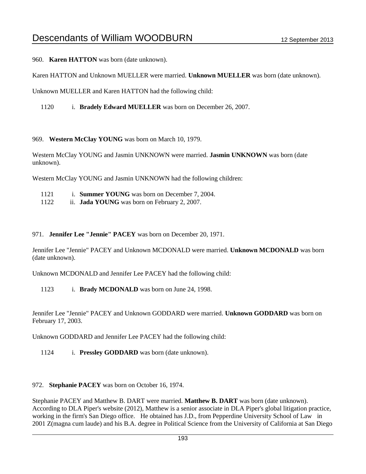960. **Karen HATTON** was born (date unknown).

Karen HATTON and Unknown MUELLER were married. **Unknown MUELLER** was born (date unknown).

Unknown MUELLER and Karen HATTON had the following child:

1120 i. **Bradely Edward MUELLER** was born on December 26, 2007.

969. **Western McClay YOUNG** was born on March 10, 1979.

Western McClay YOUNG and Jasmin UNKNOWN were married. **Jasmin UNKNOWN** was born (date unknown).

Western McClay YOUNG and Jasmin UNKNOWN had the following children:

- 1121 i. **Summer YOUNG** was born on December 7, 2004.
- 1122 ii. **Jada YOUNG** was born on February 2, 2007.

#### 971. **Jennifer Lee "Jennie" PACEY** was born on December 20, 1971.

Jennifer Lee "Jennie" PACEY and Unknown MCDONALD were married. **Unknown MCDONALD** was born (date unknown).

Unknown MCDONALD and Jennifer Lee PACEY had the following child:

1123 i. **Brady MCDONALD** was born on June 24, 1998.

Jennifer Lee "Jennie" PACEY and Unknown GODDARD were married. **Unknown GODDARD** was born on February 17, 2003.

Unknown GODDARD and Jennifer Lee PACEY had the following child:

1124 i. **Pressley GODDARD** was born (date unknown).

#### 972. **Stephanie PACEY** was born on October 16, 1974.

Stephanie PACEY and Matthew B. DART were married. **Matthew B. DART** was born (date unknown). According to DLA Piper's website (2012), Matthew is a senior associate in DLA Piper's global litigation practice, working in the firm's San Diego office. He obtained has J.D., from Pepperdine University School of Law in 2001 Z(magna cum laude) and his B.A. degree in Political Science from the University of California at San Diego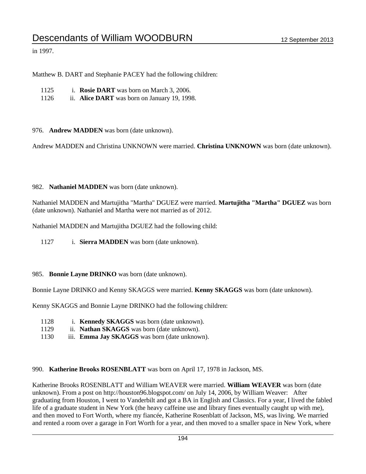in 1997.

Matthew B. DART and Stephanie PACEY had the following children:

1126 ii. **Alice DART** was born on January 19, 1998.

976. **Andrew MADDEN** was born (date unknown).

Andrew MADDEN and Christina UNKNOWN were married. **Christina UNKNOWN** was born (date unknown).

#### 982. **Nathaniel MADDEN** was born (date unknown).

Nathaniel MADDEN and Martujitha "Martha" DGUEZ were married. **Martujitha "Martha" DGUEZ** was born (date unknown). Nathaniel and Martha were not married as of 2012.

Nathaniel MADDEN and Martujitha DGUEZ had the following child:

1127 i. **Sierra MADDEN** was born (date unknown).

#### 985. **Bonnie Layne DRINKO** was born (date unknown).

Bonnie Layne DRINKO and Kenny SKAGGS were married. **Kenny SKAGGS** was born (date unknown).

Kenny SKAGGS and Bonnie Layne DRINKO had the following children:

- 1128 i. **Kennedy SKAGGS** was born (date unknown).
- 1129 ii. **Nathan SKAGGS** was born (date unknown).
- 1130 iii. **Emma Jay SKAGGS** was born (date unknown).

990. **Katherine Brooks ROSENBLATT** was born on April 17, 1978 in Jackson, MS.

Katherine Brooks ROSENBLATT and William WEAVER were married. **William WEAVER** was born (date unknown). From a post on http://houston96.blogspot.com/ on July 14, 2006, by William Weaver: After graduating from Houston, I went to Vanderbilt and got a BA in English and Classics. For a year, I lived the fabled life of a graduate student in New York (the heavy caffeine use and library fines eventually caught up with me), and then moved to Fort Worth, where my fiancée, Katherine Rosenblatt of Jackson, MS, was living. We married and rented a room over a garage in Fort Worth for a year, and then moved to a smaller space in New York, where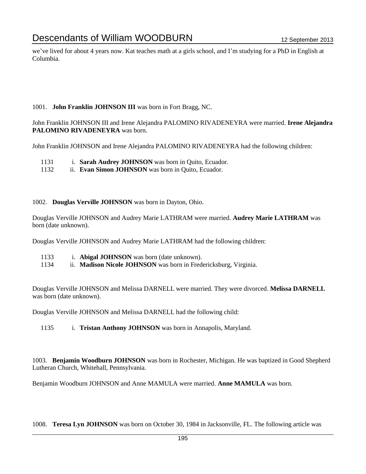we've lived for about 4 years now. Kat teaches math at a girls school, and I'm studying for a PhD in English at Columbia.

## 1001. **John Franklin JOHNSON III** was born in Fort Bragg, NC.

John Franklin JOHNSON III and Irene Alejandra PALOMINO RIVADENEYRA were married. **Irene Alejandra PALOMINO RIVADENEYRA** was born.

John Franklin JOHNSON and Irene Alejandra PALOMINO RIVADENEYRA had the following children:

- 1131 i. **Sarah Audrey JOHNSON** was born in Quito, Ecuador.
- 1132 ii. **Evan Simon JOHNSON** was born in Quito, Ecuador.

#### 1002. **Douglas Verville JOHNSON** was born in Dayton, Ohio.

Douglas Verville JOHNSON and Audrey Marie LATHRAM were married. **Audrey Marie LATHRAM** was born (date unknown).

Douglas Verville JOHNSON and Audrey Marie LATHRAM had the following children:

- 1133 i. **Abigal JOHNSON** was born (date unknown).
- 1134 ii. **Madison Nicole JOHNSON** was born in Fredericksburg, Virginia.

Douglas Verville JOHNSON and Melissa DARNELL were married. They were divorced. **Melissa DARNELL** was born (date unknown).

Douglas Verville JOHNSON and Melissa DARNELL had the following child:

1135 i. **Tristan Anthony JOHNSON** was born in Annapolis, Maryland.

1003. **Benjamin Woodburn JOHNSON** was born in Rochester, Michigan. He was baptized in Good Shepherd Lutheran Church, Whitehall, Pennsylvania.

Benjamin Woodburn JOHNSON and Anne MAMULA were married. **Anne MAMULA** was born.

1008. **Teresa Lyn JOHNSON** was born on October 30, 1984 in Jacksonville, FL. The following article was